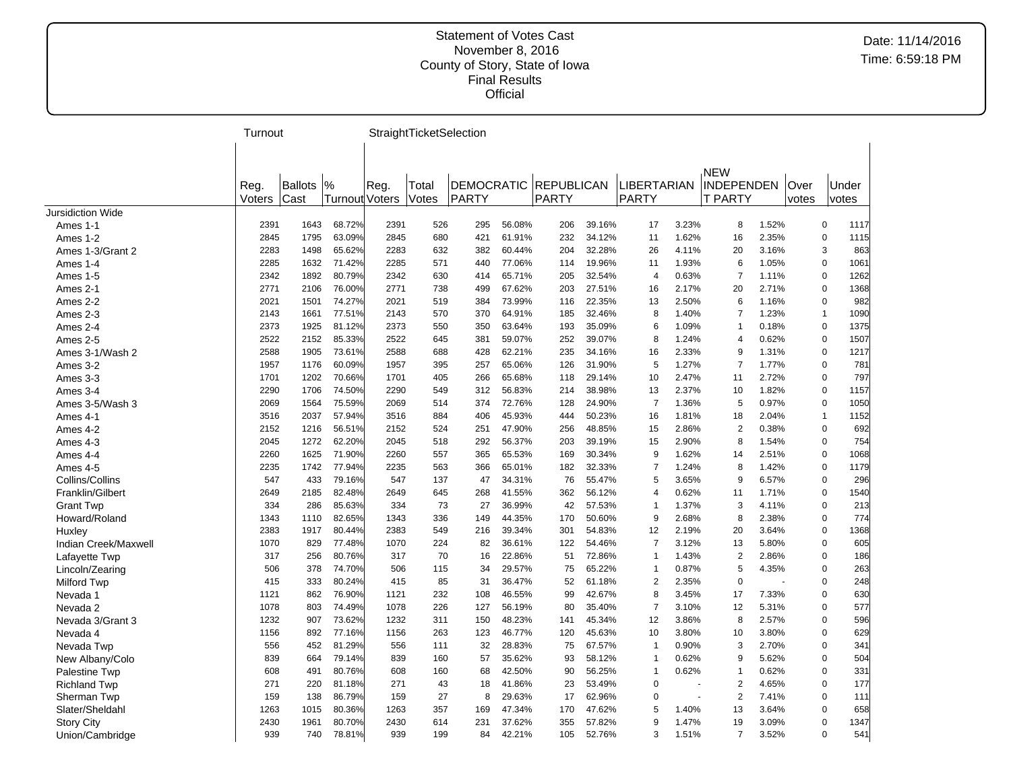|                          | Turnout |                |                       |      | StraightTicketSelection |                   |        |                   |        |                |        |                |       |       |              |      |
|--------------------------|---------|----------------|-----------------------|------|-------------------------|-------------------|--------|-------------------|--------|----------------|--------|----------------|-------|-------|--------------|------|
|                          |         |                |                       |      |                         |                   |        |                   |        |                |        |                |       |       |              |      |
|                          |         |                |                       |      |                         |                   |        |                   |        |                |        | <b>NEW</b>     |       |       |              |      |
|                          | Reg.    | <b>Ballots</b> | $\frac{9}{6}$         | Reg. | Total                   | <b>DEMOCRATIC</b> |        | <b>REPUBLICAN</b> |        | LIBERTARIAN    |        | INDEPENDEN     |       | Over  | Under        |      |
|                          | Voters  | Cast           | <b>Turnout Voters</b> |      | Votes                   | PARTY             |        | PARTY             |        | PARTY          |        | <b>T PARTY</b> |       | votes | votes        |      |
| <b>Jursidiction Wide</b> |         |                |                       |      |                         |                   |        |                   |        |                |        |                |       |       |              |      |
| Ames 1-1                 | 2391    | 1643           | 68.72%                | 2391 | 526                     | 295               | 56.08% | 206               | 39.16% | 17             | 3.23%  | 8              | 1.52% |       | $\pmb{0}$    | 1117 |
| Ames 1-2                 | 2845    | 1795           | 63.09%                | 2845 | 680                     | 421               | 61.91% | 232               | 34.12% | 11             | 1.62%  | 16             | 2.35% |       | $\mathbf 0$  | 1115 |
| Ames 1-3/Grant 2         | 2283    | 1498           | 65.62%                | 2283 | 632                     | 382               | 60.44% | 204               | 32.28% | 26             | 4.11%  | 20             | 3.16% |       | 3            | 863  |
| Ames 1-4                 | 2285    | 1632           | 71.42%                | 2285 | 571                     | 440               | 77.06% | 114               | 19.96% | 11             | 1.93%  | 6              | 1.05% |       | $\mathbf 0$  | 1061 |
| Ames 1-5                 | 2342    | 1892           | 80.79%                | 2342 | 630                     | 414               | 65.71% | 205               | 32.54% | 4              | 0.63%  | $\overline{7}$ | 1.11% |       | $\pmb{0}$    | 1262 |
| Ames 2-1                 | 2771    | 2106           | 76.00%                | 2771 | 738                     | 499               | 67.62% | 203               | 27.51% | 16             | 2.17%  | 20             | 2.71% |       | 0            | 1368 |
| Ames 2-2                 | 2021    | 1501           | 74.27%                | 2021 | 519                     | 384               | 73.99% | 116               | 22.35% | 13             | 2.50%  | 6              | 1.16% |       | $\mathbf 0$  | 982  |
| Ames 2-3                 | 2143    | 1661           | 77.51%                | 2143 | 570                     | 370               | 64.91% | 185               | 32.46% | 8              | 1.40%  | $\overline{7}$ | 1.23% |       | $\mathbf{1}$ | 1090 |
| Ames 2-4                 | 2373    | 1925           | 81.12%                | 2373 | 550                     | 350               | 63.64% | 193               | 35.09% | 6              | 1.09%  | 1              | 0.18% |       | $\mathbf 0$  | 1375 |
| Ames 2-5                 | 2522    | 2152           | 85.33%                | 2522 | 645                     | 381               | 59.07% | 252               | 39.07% | 8              | 1.24%  | 4              | 0.62% |       | $\pmb{0}$    | 1507 |
| Ames 3-1/Wash 2          | 2588    | 1905           | 73.61%                | 2588 | 688                     | 428               | 62.21% | 235               | 34.16% | 16             | 2.33%  | 9              | 1.31% |       | $\pmb{0}$    | 1217 |
| Ames 3-2                 | 1957    | 1176           | 60.09%                | 1957 | 395                     | 257               | 65.06% | 126               | 31.90% | 5              | 1.27%  | $\overline{7}$ | 1.77% |       | $\mathbf 0$  | 781  |
| Ames 3-3                 | 1701    | 1202           | 70.66%                | 1701 | 405                     | 266               | 65.68% | 118               | 29.14% | 10             | 2.47%  | 11             | 2.72% |       | $\mathbf 0$  | 797  |
| Ames 3-4                 | 2290    | 1706           | 74.50%                | 2290 | 549                     | 312               | 56.83% | 214               | 38.98% | 13             | 2.37%  | 10             | 1.82% |       | $\pmb{0}$    | 1157 |
| Ames 3-5/Wash 3          | 2069    | 1564           | 75.59%                | 2069 | 514                     | 374               | 72.76% | 128               | 24.90% | $\overline{7}$ | 1.36%  | 5              | 0.97% |       | 0            | 1050 |
| Ames 4-1                 | 3516    | 2037           | 57.94%                | 3516 | 884                     | 406               | 45.93% | 444               | 50.23% | 16             | 1.81%  | 18             | 2.04% |       | $\mathbf 1$  | 1152 |
| Ames 4-2                 | 2152    | 1216           | 56.51%                | 2152 | 524                     | 251               | 47.90% | 256               | 48.85% | 15             | 2.86%  | $\overline{2}$ | 0.38% |       | $\mathbf 0$  | 692  |
| Ames 4-3                 | 2045    | 1272           | 62.20%                | 2045 | 518                     | 292               | 56.37% | 203               | 39.19% | 15             | 2.90%  | 8              | 1.54% |       | $\mathbf 0$  | 754  |
| Ames 4-4                 | 2260    | 1625           | 71.90%                | 2260 | 557                     | 365               | 65.53% | 169               | 30.34% | 9              | 1.62%  | 14             | 2.51% |       | $\pmb{0}$    | 1068 |
| Ames 4-5                 | 2235    | 1742           | 77.94%                | 2235 | 563                     | 366               | 65.01% | 182               | 32.33% | $\overline{7}$ | 1.24%  | 8              | 1.42% |       | $\mathbf 0$  | 1179 |
| Collins/Collins          | 547     | 433            | 79.16%                | 547  | 137                     | 47                | 34.31% | 76                | 55.47% | 5              | 3.65%  | 9              | 6.57% |       | $\mathbf 0$  | 296  |
| Franklin/Gilbert         | 2649    | 2185           | 82.48%                | 2649 | 645                     | 268               | 41.55% | 362               | 56.12% | 4              | 0.62%  | 11             | 1.71% |       | $\mathbf 0$  | 1540 |
| <b>Grant Twp</b>         | 334     | 286            | 85.63%                | 334  | 73                      | 27                | 36.99% | 42                | 57.53% | $\overline{1}$ | 1.37%  | 3              | 4.11% |       | $\mathbf 0$  | 213  |
| Howard/Roland            | 1343    | 1110           | 82.65%                | 1343 | 336                     | 149               | 44.35% | 170               | 50.60% | 9              | 2.68%  | 8              | 2.38% |       | $\mathbf 0$  | 774  |
| Huxley                   | 2383    | 1917           | 80.44%                | 2383 | 549                     | 216               | 39.34% | 301               | 54.83% | 12             | 2.19%  | 20             | 3.64% |       | 0            | 1368 |
| Indian Creek/Maxwell     | 1070    | 829            | 77.48%                | 1070 | 224                     | 82                | 36.61% | 122               | 54.46% | $\overline{7}$ | 3.12%  | 13             | 5.80% |       | $\mathbf 0$  | 605  |
| Lafayette Twp            | 317     | 256            | 80.76%                | 317  | 70                      | 16                | 22.86% | 51                | 72.86% | $\overline{1}$ | 1.43%  | $\overline{2}$ | 2.86% |       | $\mathbf 0$  | 186  |
| Lincoln/Zearing          | 506     | 378            | 74.70%                | 506  | 115                     | 34                | 29.57% | 75                | 65.22% | $\mathbf{1}$   | 0.87%  | 5              | 4.35% |       | $\pmb{0}$    | 263  |
| Milford Twp              | 415     | 333            | 80.24%                | 415  | 85                      | 31                | 36.47% | 52                | 61.18% | $\overline{2}$ | 2.35%  | $\mathbf 0$    | ÷.    |       | $\mathbf 0$  | 248  |
| Nevada 1                 | 1121    | 862            | 76.90%                | 1121 | 232                     | 108               | 46.55% | 99                | 42.67% | 8              | 3.45%  | 17             | 7.33% |       | 0            | 630  |
| Nevada 2                 | 1078    | 803            | 74.49%                | 1078 | 226                     | 127               | 56.19% | 80                | 35.40% | $\overline{7}$ | 3.10%  | 12             | 5.31% |       | $\mathbf 0$  | 577  |
| Nevada 3/Grant 3         | 1232    | 907            | 73.62%                | 1232 | 311                     | 150               | 48.23% | 141               | 45.34% | 12             | 3.86%  | 8              | 2.57% |       | $\mathbf 0$  | 596  |
| Nevada 4                 | 1156    | 892            | 77.16%                | 1156 | 263                     | 123               | 46.77% | 120               | 45.63% | 10             | 3.80%  | 10             | 3.80% |       | 0            | 629  |
| Nevada Twp               | 556     | 452            | 81.29%                | 556  | 111                     | 32                | 28.83% | 75                | 67.57% | $\overline{1}$ | 0.90%  | 3              | 2.70% |       | 0            | 341  |
| New Albany/Colo          | 839     | 664            | 79.14%                | 839  | 160                     | 57                | 35.62% | 93                | 58.12% | $\overline{1}$ | 0.62%  | 9              | 5.62% |       | $\mathbf 0$  | 504  |
| Palestine Twp            | 608     | 491            | 80.76%                | 608  | 160                     | 68                | 42.50% | 90                | 56.25% | $\overline{1}$ | 0.62%  | 1              | 0.62% |       | $\mathbf 0$  | 331  |
| <b>Richland Twp</b>      | 271     | 220            | 81.18%                | 271  | 43                      | 18                | 41.86% | 23                | 53.49% | $\mathbf 0$    |        | $\overline{2}$ | 4.65% |       | $\mathbf 0$  | 177  |
| Sherman Twp              | 159     | 138            | 86.79%                | 159  | 27                      | 8                 | 29.63% | 17                | 62.96% | 0              | $\sim$ | 2              | 7.41% |       | $\mathbf 0$  | 111  |
| Slater/Sheldahl          | 1263    | 1015           | 80.36%                | 1263 | 357                     | 169               | 47.34% | 170               | 47.62% | 5              | 1.40%  | 13             | 3.64% |       | $\Omega$     | 658  |
| <b>Story City</b>        | 2430    | 1961           | 80.70%                | 2430 | 614                     | 231               | 37.62% | 355               | 57.82% | 9              | 1.47%  | 19             | 3.09% |       | $\mathbf 0$  | 1347 |
| Union/Cambridge          | 939     | 740            | 78.81%                | 939  | 199                     | 84                | 42.21% | 105               | 52.76% | 3              | 1.51%  | $\overline{7}$ | 3.52% |       | $\Omega$     | 541  |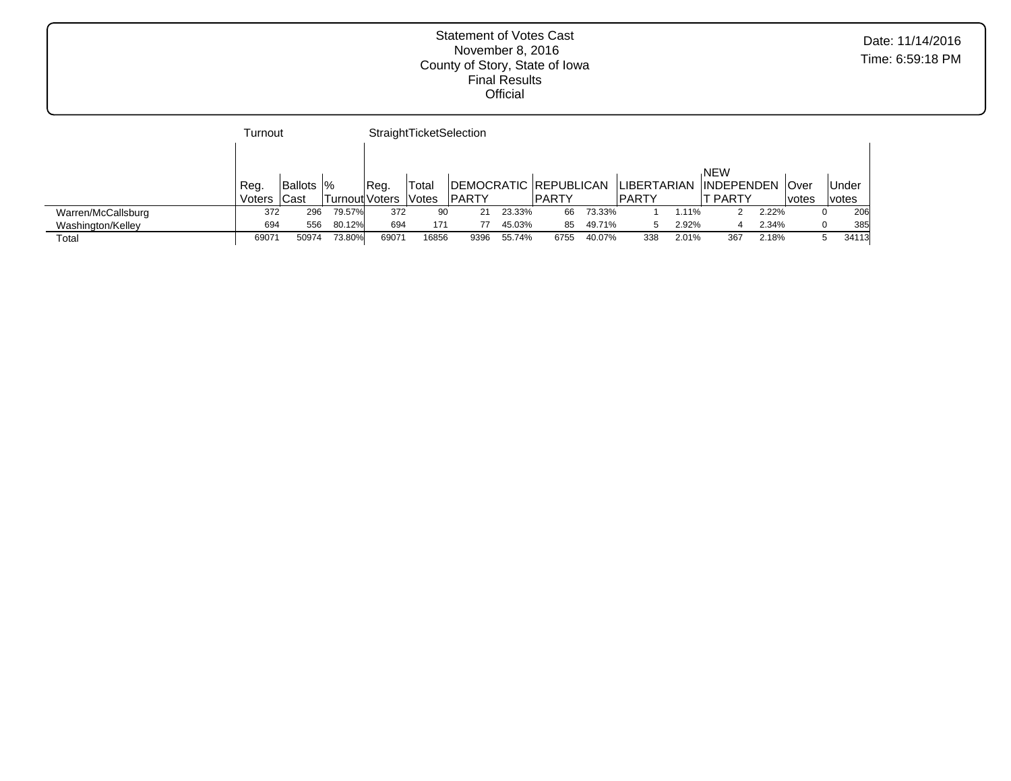|                    | Turnout |                   |                       |       |              | StraightTicketSelection |        |              |        |              |       |                        |       |        |              |
|--------------------|---------|-------------------|-----------------------|-------|--------------|-------------------------|--------|--------------|--------|--------------|-------|------------------------|-------|--------|--------------|
|                    |         |                   |                       |       |              |                         |        |              |        |              |       |                        |       |        |              |
|                    |         |                   |                       |       |              |                         |        |              |        |              |       | <b>NEW</b>             |       |        |              |
|                    | Reg.    | <b>Ballots  %</b> |                       | IReg. | 'Total       | DEMOCRATIC REPUBLICAN   |        |              |        | ILIBERTARIAN |       | <b>INDEPENDEN Over</b> |       |        | <b>Under</b> |
|                    | Voters  | <b>Cast</b>       | <b>Turnout Voters</b> |       | <b>Votes</b> | <b>PARTY</b>            |        | <b>PARTY</b> |        | IPARTY       |       | <sup>-</sup> PARTY     |       | lvotes | <i>votes</i> |
| Warren/McCallsburg | 372     | 296               | 79.57%                | 372   | 90           | 21                      | 23.33% | 66           | 73.33% |              | 1.11% |                        | 2.22% |        | 206          |
| Washington/Kelley  | 694     | 556               | 80.12%                | 694   | 171          |                         | 45.03% | 85           | 49.71% |              | 2.92% |                        | 2.34% |        | 385          |
| Total              | 69071   | 50974             | 73.80%                | 69071 | 16856        | 9396                    | 55.74% | 6755         | 40.07% | 338          | 2.01% | 367                    | 2.18% |        | 34113        |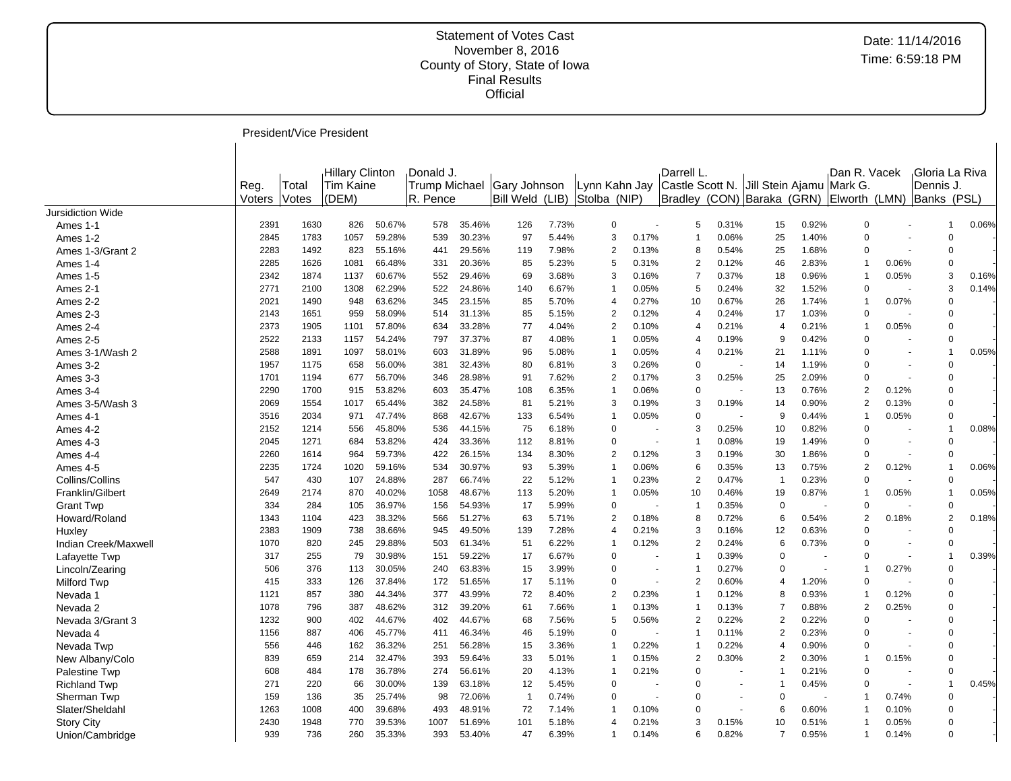President/Vice President

|                          |        |       | Hillary Clinton  |        | Donald J. |        |                            |       |                |       | Darrell L.     |       |                                          |       | Dan R. Vacek   |       |             | Gloria La Riva          |  |
|--------------------------|--------|-------|------------------|--------|-----------|--------|----------------------------|-------|----------------|-------|----------------|-------|------------------------------------------|-------|----------------|-------|-------------|-------------------------|--|
|                          | Reg.   | Total | <b>Tim Kaine</b> |        |           |        | Trump Michael Gary Johnson |       | Lynn Kahn Jay  |       |                |       | Castle Scott N. Jill Stein Ajamu Mark G. |       |                |       | Dennis J    |                         |  |
|                          | Voters | Votes | (DEM)            |        | R. Pence  |        | Bill Weld (LIB)            |       | Stolba (NIP)   |       |                |       | Bradley (CON) Baraka (GRN)               |       | Elworth (LMN)  |       | Banks (PSL) |                         |  |
| <b>Jursidiction Wide</b> |        |       |                  |        |           |        |                            |       |                |       |                |       |                                          |       |                |       |             |                         |  |
| Ames 1-1                 | 2391   | 1630  | 826              | 50.67% | 578       | 35.46% | 126                        | 7.73% | $\mathbf 0$    |       | 5              | 0.31% | 15                                       | 0.92% | $\overline{0}$ |       |             | 0.06%                   |  |
| Ames 1-2                 | 2845   | 1783  | 1057             | 59.28% | 539       | 30.23% | 97                         | 5.44% | 3              | 0.17% | -1             | 0.06% | 25                                       | 1.40% | $\mathbf 0$    |       |             | $\Omega$                |  |
| Ames 1-3/Grant 2         | 2283   | 1492  | 823              | 55.16% | 441       | 29.56% | 119                        | 7.98% | $\overline{2}$ | 0.13% | 8              | 0.54% | 25                                       | 1.68% | $\Omega$       |       |             | $\Omega$                |  |
| Ames 1-4                 | 2285   | 1626  | 1081             | 66.48% | 331       | 20.36% | 85                         | 5.23% | 5              | 0.31% | $\overline{2}$ | 0.12% | 46                                       | 2.83% | $\overline{1}$ | 0.06% |             | $\Omega$                |  |
| Ames 1-5                 | 2342   | 1874  | 1137             | 60.67% | 552       | 29.46% | 69                         | 3.68% | 3              | 0.16% | 7              | 0.37% | 18                                       | 0.96% | $\overline{1}$ | 0.05% |             | 0.16%<br>3              |  |
| Ames 2-1                 | 2771   | 2100  | 1308             | 62.29% | 522       | 24.86% | 140                        | 6.67% | -1             | 0.05% | 5              | 0.24% | 32                                       | 1.52% | 0              |       |             | 3<br>0.14%              |  |
| Ames 2-2                 | 2021   | 1490  | 948              | 63.62% | 345       | 23.15% | 85                         | 5.70% | 4              | 0.27% | 10             | 0.67% | 26                                       | 1.74% | $\overline{1}$ | 0.07% |             | $\Omega$                |  |
| Ames 2-3                 | 2143   | 1651  | 959              | 58.09% | 514       | 31.13% | 85                         | 5.15% | $\overline{2}$ | 0.12% | $\overline{4}$ | 0.24% | 17                                       | 1.03% | $\mathbf 0$    |       |             | $\Omega$                |  |
| Ames 2-4                 | 2373   | 1905  | 1101             | 57.80% | 634       | 33.28% | 77                         | 4.04% | $\overline{2}$ | 0.10% | $\overline{4}$ | 0.21% | 4                                        | 0.21% | $\overline{1}$ | 0.05% |             | $\Omega$                |  |
| Ames 2-5                 | 2522   | 2133  | 1157             | 54.24% | 797       | 37.37% | 87                         | 4.08% | $\overline{1}$ | 0.05% | 4              | 0.19% | 9                                        | 0.42% | $\mathbf 0$    |       |             | $\Omega$                |  |
| Ames 3-1/Wash 2          | 2588   | 1891  | 1097             | 58.01% | 603       | 31.89% | 96                         | 5.08% | Î,             | 0.05% | 4              | 0.21% | 21                                       | 1.11% | $\Omega$       |       |             | 0.05%<br>-1             |  |
| Ames 3-2                 | 1957   | 1175  | 658              | 56.00% | 381       | 32.43% | 80                         | 6.81% | 3              | 0.26% | 0              |       | 14                                       | 1.19% | $\Omega$       |       |             | $\Omega$                |  |
| Ames 3-3                 | 1701   | 1194  | 677              | 56.70% | 346       | 28.98% | 91                         | 7.62% | $\overline{2}$ | 0.17% | 3              | 0.25% | 25                                       | 2.09% | $\overline{0}$ |       |             | $\Omega$                |  |
| Ames 3-4                 | 2290   | 1700  | 915              | 53.82% | 603       | 35.47% | 108                        | 6.35% | -1             | 0.06% | 0              |       | 13                                       | 0.76% | $\overline{2}$ | 0.12% |             | $\Omega$                |  |
| Ames 3-5/Wash 3          | 2069   | 1554  | 1017             | 65.44% | 382       | 24.58% | 81                         | 5.21% | 3              | 0.19% | 3              | 0.19% | 14                                       | 0.90% | $\overline{2}$ | 0.13% |             | $\Omega$                |  |
| Ames 4-1                 | 3516   | 2034  | 971              | 47.74% | 868       | 42.67% | 133                        | 6.54% | -1             | 0.05% | 0              |       | 9                                        | 0.44% | $\overline{1}$ | 0.05% |             | $\Omega$                |  |
| Ames 4-2                 | 2152   | 1214  | 556              | 45.80% | 536       | 44.15% | 75                         | 6.18% | $\Omega$       |       | 3              | 0.25% | 10                                       | 0.82% | $\mathbf 0$    |       |             | 0.08%<br>$\overline{1}$ |  |
| Ames 4-3                 | 2045   | 1271  | 684              | 53.82% | 424       | 33.36% | 112                        | 8.81% | $\Omega$       |       | -1             | 0.08% | 19                                       | 1.49% | $\Omega$       |       |             | $\Omega$                |  |
| Ames 4-4                 | 2260   | 1614  | 964              | 59.73% | 422       | 26.15% | 134                        | 8.30% | $\overline{2}$ | 0.12% | 3              | 0.19% | 30                                       | 1.86% | $\Omega$       |       |             | $\Omega$                |  |
| Ames 4-5                 | 2235   | 1724  | 1020             | 59.16% | 534       | 30.97% | 93                         | 5.39% | -1             | 0.06% | 6              | 0.35% | 13                                       | 0.75% | $\overline{2}$ | 0.12% |             | 0.06%<br>$\overline{1}$ |  |
| Collins/Collins          | 547    | 430   | 107              | 24.88% | 287       | 66.74% | 22                         | 5.12% | -1             | 0.23% | $\overline{2}$ | 0.47% | -1                                       | 0.23% | $\overline{0}$ |       |             | $\Omega$                |  |
| Franklin/Gilbert         | 2649   | 2174  | 870              | 40.02% | 1058      | 48.67% | 113                        | 5.20% | f              | 0.05% | 10             | 0.46% | 19                                       | 0.87% | $\overline{1}$ | 0.05% |             | 0.05%                   |  |
| <b>Grant Twp</b>         | 334    | 284   | 105              | 36.97% | 156       | 54.93% | 17                         | 5.99% | $\Omega$       |       | -1             | 0.35% | $\mathbf 0$                              |       | 0              |       |             | $\Omega$                |  |
| Howard/Roland            | 1343   | 1104  | 423              | 38.32% | 566       | 51.27% | 63                         | 5.71% | $\overline{2}$ | 0.18% | 8              | 0.72% | 6                                        | 0.54% | $\overline{2}$ | 0.18% |             | $\overline{2}$<br>0.18% |  |
| Huxley                   | 2383   | 1909  | 738              | 38.66% | 945       | 49.50% | 139                        | 7.28% | $\overline{4}$ | 0.21% | 3              | 0.16% | 12                                       | 0.63% | $\mathbf 0$    |       |             | $\Omega$                |  |
| Indian Creek/Maxwell     | 1070   | 820   | 245              | 29.88% | 503       | 61.34% | 51                         | 6.22% | -1             | 0.12% | 2              | 0.24% | 6                                        | 0.73% | $\overline{0}$ |       |             | $\Omega$                |  |
| Lafayette Twp            | 317    | 255   | 79               | 30.98% | 151       | 59.22% | 17                         | 6.67% | $\Omega$       |       | -1             | 0.39% | $\Omega$                                 |       | $\Omega$       |       |             | 0.39%<br>1              |  |
| Lincoln/Zearing          | 506    | 376   | 113              | 30.05% | 240       | 63.83% | 15                         | 3.99% | $\Omega$       |       |                | 0.27% | $\Omega$                                 |       | $\overline{1}$ | 0.27% |             | $\Omega$                |  |
| <b>Milford Twp</b>       | 415    | 333   | 126              | 37.84% | 172       | 51.65% | 17                         | 5.11% | $\Omega$       |       | $\overline{2}$ | 0.60% | $\overline{4}$                           | 1.20% | $\Omega$       |       |             | $\Omega$                |  |
| Nevada 1                 | 1121   | 857   | 380              | 44.34% | 377       | 43.99% | 72                         | 8.40% | $\overline{2}$ | 0.23% | -1             | 0.12% | 8                                        | 0.93% | $\overline{1}$ | 0.12% |             | $\Omega$                |  |
| Nevada 2                 | 1078   | 796   | 387              | 48.62% | 312       | 39.20% | 61                         | 7.66% | -1             | 0.13% | -1             | 0.13% | $\overline{7}$                           | 0.88% | $\overline{2}$ | 0.25% |             | $\Omega$                |  |
| Nevada 3/Grant 3         | 1232   | 900   | 402              | 44.67% | 402       | 44.67% | 68                         | 7.56% | 5              | 0.56% | 2              | 0.22% | $\overline{2}$                           | 0.22% | $\mathbf 0$    |       |             | $\Omega$                |  |
| Nevada 4                 | 1156   | 887   | 406              | 45.77% | 411       | 46.34% | 46                         | 5.19% | $\Omega$       |       |                | 0.11% | $\overline{2}$                           | 0.23% | $\Omega$       |       |             | $\Omega$                |  |
| Nevada Twp               | 556    | 446   | 162              | 36.32% | 251       | 56.28% | 15                         | 3.36% | -1             | 0.22% | -1             | 0.22% | $\overline{4}$                           | 0.90% | $\mathbf 0$    |       |             | $\Omega$                |  |
| New Albany/Colo          | 839    | 659   | 214              | 32.47% | 393       | 59.64% | 33                         | 5.01% | -1             | 0.15% | 2              | 0.30% | $\overline{2}$                           | 0.30% | $\overline{1}$ | 0.15% |             | $\Omega$                |  |
| Palestine Twp            | 608    | 484   | 178              | 36.78% | 274       | 56.61% | 20                         | 4.13% | -1             | 0.21% | 0              |       | -1                                       | 0.21% | $\mathbf 0$    |       |             | $\Omega$                |  |
| <b>Richland Twp</b>      | 271    | 220   | 66               | 30.00% | 139       | 63.18% | 12                         | 5.45% | $\Omega$       |       | 0              |       | -1                                       | 0.45% | $\mathbf 0$    |       |             | 0.45%<br>$\mathbf{1}$   |  |
| Sherman Twp              | 159    | 136   | 35               | 25.74% | 98        | 72.06% | -1                         | 0.74% | $\Omega$       |       | 0              |       | $\mathbf 0$                              |       | -1             | 0.74% |             | $\Omega$                |  |
| Slater/Sheldahl          | 1263   | 1008  | 400              | 39.68% | 493       | 48.91% | 72                         | 7.14% | -1             | 0.10% | 0              |       | 6                                        | 0.60% | -1             | 0.10% |             | $\Omega$                |  |
| <b>Story City</b>        | 2430   | 1948  | 770              | 39.53% | 1007      | 51.69% | 101                        | 5.18% | 4              | 0.21% | 3              | 0.15% | 10                                       | 0.51% | -1             | 0.05% |             | $\Omega$                |  |
| Union/Cambridge          | 939    | 736   | 260              | 35.33% | 393       | 53.40% | 47                         | 6.39% | -1             | 0.14% | 6              | 0.82% | $\overline{7}$                           | 0.95% | $\overline{1}$ | 0.14% |             | $\Omega$                |  |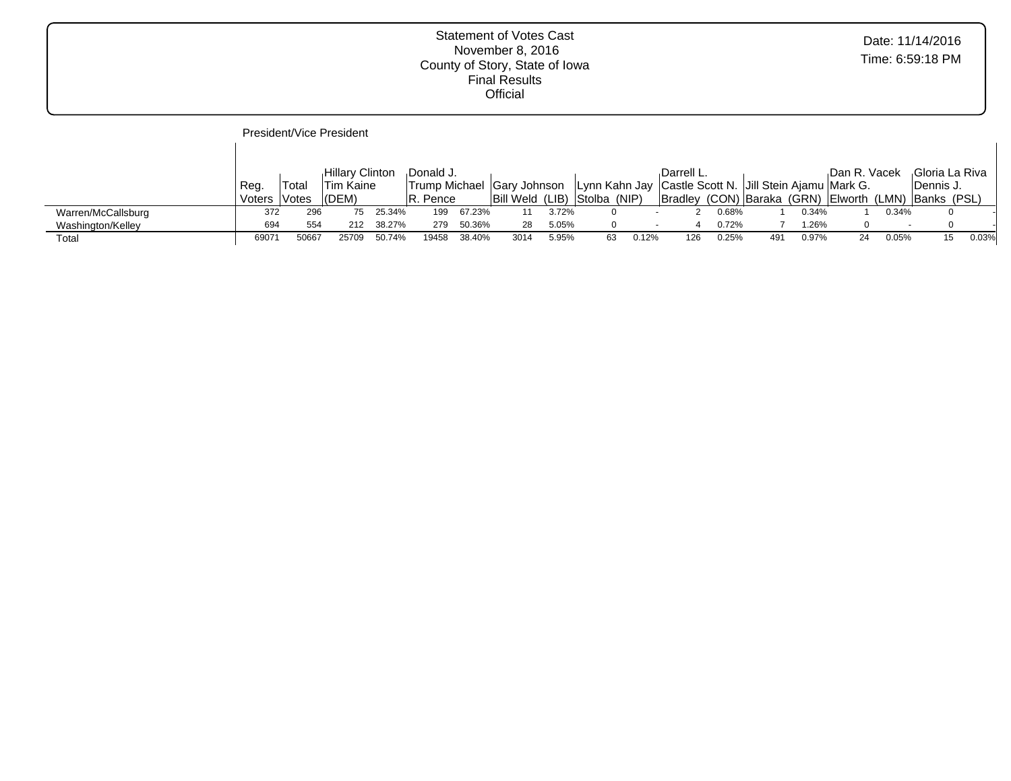|                    |                |                | President/Vice President                          |        |                        |        |                                                            |       |    |       |                                                                      |       |     |       |               |        |                                                                                      |       |
|--------------------|----------------|----------------|---------------------------------------------------|--------|------------------------|--------|------------------------------------------------------------|-------|----|-------|----------------------------------------------------------------------|-------|-----|-------|---------------|--------|--------------------------------------------------------------------------------------|-------|
|                    | Reg.<br>Voters | ⊺otal<br>Votes | <b>Hillary Clinton</b><br>'Tim Kaine<br>$ $ (DEM) |        | Donald J.<br>IR. Pence |        | Trump Michael Gary Johnson<br>Bill Weld (LIB) Stolba (NIP) |       |    |       | Darrell L.<br>Lynn Kahn Jay Castle Scott N. Jill Stein Ajamu Mark G. |       |     |       | ⊦Dan R. Vacek |        | Gloria La Riva<br> Dennis J.<br>Bradley (CON) Baraka (GRN) Elworth (LMN) Banks (PSL) |       |
| Warren/McCallsburg | 372            | 296            | 75                                                | 25.34% | 199                    | 67.23% |                                                            | 3.72% | 0  |       |                                                                      | 0.68% |     | 0.34% |               | 0.34%  |                                                                                      |       |
| Washington/Kelley  | 694            | 554            | 212                                               | 38.27% | 279                    | 50.36% | 28                                                         | 5.05% | 0  |       | 4<br>$\sim$                                                          | 0.72% |     | 1.26% |               | $\sim$ |                                                                                      |       |
| Total              | 69071          | 50667          | 25709                                             | 50.74% | 19458                  | 38.40% | 3014                                                       | 5.95% | 63 | 0.12% | 126                                                                  | 0.25% | 491 | 0.97% | 24            | 0.05%  |                                                                                      | 0.03% |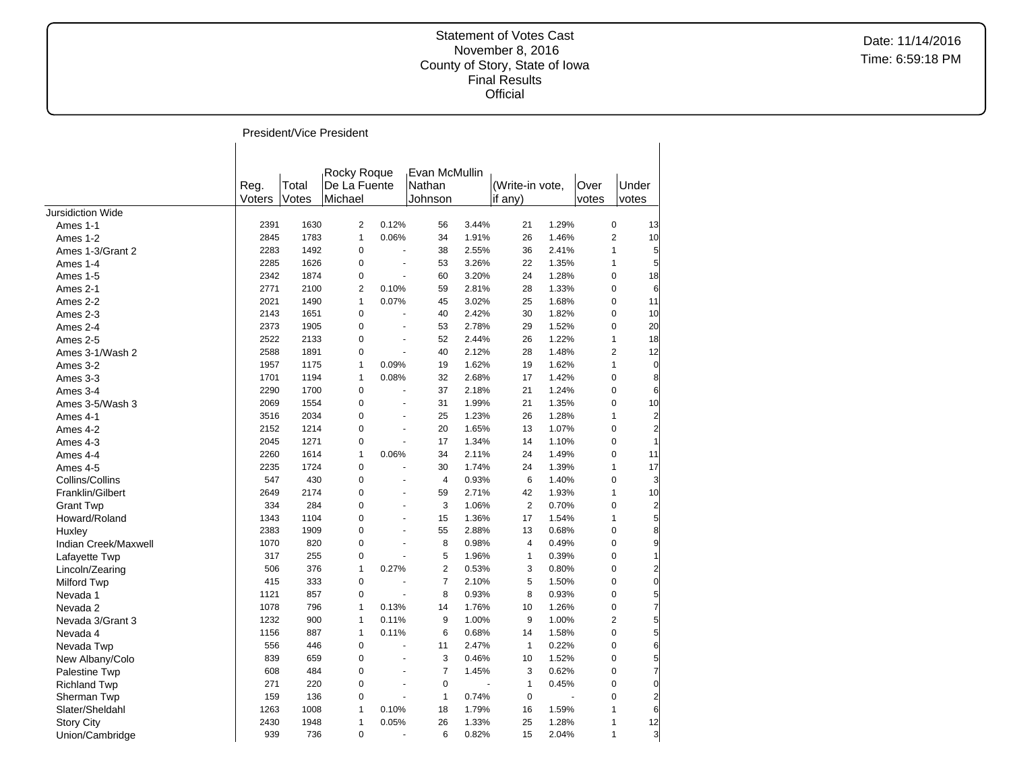|                          |                |                | President/Vice President               |                |                                    |       |                            |       |               |                |                         |
|--------------------------|----------------|----------------|----------------------------------------|----------------|------------------------------------|-------|----------------------------|-------|---------------|----------------|-------------------------|
|                          | Reg.<br>Voters | Total<br>Votes | Rocky Roque<br>De La Fuente<br>Michael |                | Evan McMullin<br>Nathan<br>Johnson |       | (Write-in vote,<br>if any) |       | Over<br>votes | Under<br>votes |                         |
| <b>Jursidiction Wide</b> |                |                |                                        |                |                                    |       |                            |       |               |                |                         |
| Ames 1-1                 | 2391           | 1630           | $\overline{2}$                         | 0.12%          | 56                                 | 3.44% | 21                         | 1.29% |               | $\pmb{0}$      | 13                      |
| Ames 1-2                 | 2845           | 1783           | $\mathbf{1}$                           | 0.06%          | 34                                 | 1.91% | 26                         | 1.46% |               | $\overline{2}$ | 10                      |
| Ames 1-3/Grant 2         | 2283           | 1492           | $\mathbf 0$                            | L.             | 38                                 | 2.55% | 36                         | 2.41% |               | $\mathbf{1}$   | 5                       |
| Ames 1-4                 | 2285           | 1626           | $\mathbf 0$                            | $\blacksquare$ | 53                                 | 3.26% | 22                         | 1.35% |               | $\mathbf{1}$   | 5                       |
| Ames 1-5                 | 2342           | 1874           | $\mathbf 0$                            | ÷,             | 60                                 | 3.20% | 24                         | 1.28% |               | $\mathbf 0$    | 18                      |
| Ames 2-1                 | 2771           | 2100           | $\overline{2}$                         | 0.10%          | 59                                 | 2.81% | 28                         | 1.33% |               | $\mathbf 0$    | 6                       |
| Ames 2-2                 | 2021           | 1490           | $\mathbf{1}$                           | 0.07%          | 45                                 | 3.02% | 25                         | 1.68% |               | $\mathbf 0$    | 11                      |
| Ames 2-3                 | 2143           | 1651           | $\pmb{0}$                              | ä,             | 40                                 | 2.42% | 30                         | 1.82% |               | $\pmb{0}$      | 10                      |
| Ames 2-4                 | 2373           | 1905           | $\mathbf 0$                            | ÷,             | 53                                 | 2.78% | 29                         | 1.52% |               | $\pmb{0}$      | 20                      |
| Ames 2-5                 | 2522           | 2133           | $\mathbf 0$                            | ä,             | 52                                 | 2.44% | 26                         | 1.22% |               | $\mathbf{1}$   | 18                      |
| Ames 3-1/Wash 2          | 2588           | 1891           | $\mathbf 0$                            | $\blacksquare$ | 40                                 | 2.12% | 28                         | 1.48% |               | $\overline{2}$ | 12                      |
| Ames 3-2                 | 1957           | 1175           | $\mathbf{1}$                           | 0.09%          | 19                                 | 1.62% | 19                         | 1.62% |               | $\mathbf{1}$   | $\mathbf 0$             |
| Ames 3-3                 | 1701           | 1194           | $\mathbf{1}$                           | 0.08%          | 32                                 | 2.68% | 17                         | 1.42% |               | $\mathbf 0$    | 8                       |
| Ames 3-4                 | 2290           | 1700           | $\mathbf 0$                            | ÷,             | 37                                 | 2.18% | 21                         | 1.24% |               | $\mathbf 0$    | 6                       |
| Ames 3-5/Wash 3          | 2069           | 1554           | $\mathbf 0$                            | $\blacksquare$ | 31                                 | 1.99% | 21                         | 1.35% |               | $\mathbf 0$    | 10                      |
| Ames 4-1                 | 3516           | 2034           | $\mathbf 0$                            | ÷,             | 25                                 | 1.23% | 26                         | 1.28% |               | $\mathbf{1}$   | $\overline{\mathbf{c}}$ |
| Ames 4-2                 | 2152           | 1214           | $\mathbf 0$                            | ÷,             | 20                                 | 1.65% | 13                         | 1.07% |               | $\mathbf 0$    | $\overline{a}$          |
| Ames 4-3                 | 2045           | 1271           | $\mathbf 0$                            | ÷,             | 17                                 | 1.34% | 14                         | 1.10% |               | $\mathbf 0$    | $\mathbf{1}$            |
| Ames 4-4                 | 2260           | 1614           | $\mathbf{1}$                           | 0.06%          | 34                                 | 2.11% | 24                         | 1.49% |               | $\mathbf 0$    | 11                      |
| Ames 4-5                 | 2235           | 1724           | $\mathbf 0$                            | ÷,             | 30                                 | 1.74% | 24                         | 1.39% |               | $\mathbf{1}$   | 17                      |
| Collins/Collins          | 547            | 430            | $\mathbf 0$                            | ÷.             | $\overline{4}$                     | 0.93% | 6                          | 1.40% |               | $\mathbf 0$    | 3                       |
| Franklin/Gilbert         | 2649           | 2174           | $\mathbf 0$                            | $\blacksquare$ | 59                                 | 2.71% | 42                         | 1.93% |               | $\mathbf{1}$   | 10                      |
|                          | 334            | 284            | $\mathbf 0$                            | ÷,             | 3                                  | 1.06% | $\overline{2}$             | 0.70% |               | $\mathbf 0$    | $\overline{a}$          |
| <b>Grant Twp</b>         | 1343           | 1104           | $\Omega$                               | ÷,             | 15                                 | 1.36% | 17                         | 1.54% |               | $\mathbf{1}$   | $\overline{5}$          |
| Howard/Roland            | 2383           | 1909           | $\mathbf 0$                            | ÷,             | 55                                 | 2.88% | 13                         | 0.68% |               | $\pmb{0}$      | 8                       |
| Huxley                   | 1070           | 820            | $\mathbf 0$                            | ÷,             | 8                                  | 0.98% | $\overline{4}$             | 0.49% |               | $\pmb{0}$      | 9                       |
| Indian Creek/Maxwell     |                |                |                                        |                |                                    |       |                            |       |               |                |                         |
| Lafayette Twp            | 317            | 255            | $\pmb{0}$                              | ä,             | 5                                  | 1.96% | $\mathbf{1}$               | 0.39% |               | $\pmb{0}$      | $\mathbf{1}$            |
| Lincoln/Zearing          | 506            | 376            | $\mathbf{1}$                           | 0.27%          | $\overline{2}$                     | 0.53% | 3                          | 0.80% |               | $\pmb{0}$      | $\mathbf{z}$            |
| Milford Twp              | 415            | 333            | $\mathbf 0$                            |                | $\overline{7}$                     | 2.10% | 5                          | 1.50% |               | $\mathbf 0$    | $\mathbf{0}$            |
| Nevada 1                 | 1121           | 857            | $\mathbf 0$                            |                | 8                                  | 0.93% | 8                          | 0.93% |               | $\mathbf 0$    | $\overline{5}$          |
| Nevada 2                 | 1078           | 796            | $\mathbf{1}$                           | 0.13%          | 14                                 | 1.76% | 10                         | 1.26% |               | $\mathbf 0$    | $\overline{7}$          |
| Nevada 3/Grant 3         | 1232           | 900            | $\mathbf{1}$                           | 0.11%          | 9                                  | 1.00% | 9                          | 1.00% |               | $\overline{2}$ | $\overline{5}$          |
| Nevada 4                 | 1156           | 887            | $\mathbf{1}$                           | 0.11%          | 6                                  | 0.68% | 14                         | 1.58% |               | $\pmb{0}$      | $5\overline{a}$         |
| Nevada Twp               | 556            | 446            | $\mathbf 0$                            | $\overline{a}$ | 11                                 | 2.47% | $\mathbf{1}$               | 0.22% |               | 0              | 6                       |
| New Albany/Colo          | 839            | 659            | $\mathbf 0$                            | $\blacksquare$ | 3                                  | 0.46% | 10                         | 1.52% |               | 0              | $\overline{5}$          |
| Palestine Twp            | 608            | 484            | $\mathbf 0$                            | ÷,             | $\overline{7}$                     | 1.45% | 3                          | 0.62% |               | $\pmb{0}$      | $\overline{7}$          |
| <b>Richland Twp</b>      | 271            | 220            | $\mathbf 0$                            | L.             | $\mathbf 0$                        |       | $\mathbf{1}$               | 0.45% |               | $\pmb{0}$      | $\overline{0}$          |
| Sherman Twp              | 159            | 136            | $\mathbf 0$                            | ÷.             | $\mathbf{1}$                       | 0.74% | $\mathbf 0$                |       |               | $\mathbf 0$    | $\overline{2}$          |
| Slater/Sheldahl          | 1263           | 1008           | $\mathbf{1}$                           | 0.10%          | 18                                 | 1.79% | 16                         | 1.59% |               | $\mathbf{1}$   | 6                       |
| <b>Story City</b>        | 2430           | 1948           | $\mathbf{1}$                           | 0.05%          | 26                                 | 1.33% | 25                         | 1.28% |               | $\mathbf{1}$   | 12                      |
| Union/Cambridge          | 939            | 736            | 0                                      |                | 6                                  | 0.82% | 15                         | 2.04% |               | $\mathbf{1}$   | $\overline{3}$          |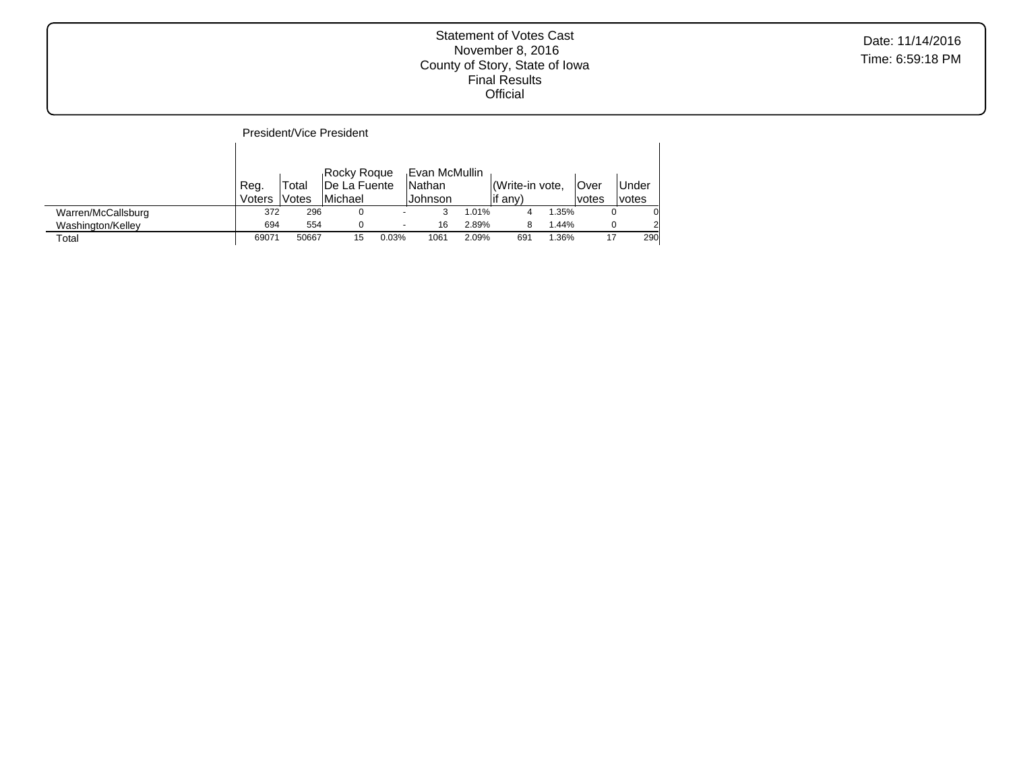|                    |                |                | President/Vice President                              |       |                                     |       |                                      |       |                |                |
|--------------------|----------------|----------------|-------------------------------------------------------|-------|-------------------------------------|-------|--------------------------------------|-------|----------------|----------------|
|                    | Reg.<br>Voters | Total<br>Votes | Rocky Roque<br><b>IDe La Fuente</b><br><b>Michael</b> |       | .Evan McMullin<br>Nathan<br>Johnson |       | l <i>(Write-in vote.</i><br>∣if any) |       | lOver<br>votes | Under<br>votes |
| Warren/McCallsburg | 372            | 296            |                                                       |       | 3                                   | 1.01% |                                      | 1.35% |                |                |
| Washington/Kelley  | 694            | 554            | 0                                                     | ۰     | 16                                  | 2.89% | 8                                    | 1.44% |                | 2              |
| Total              | 69071          | 50667          | 15                                                    | 0.03% | 1061                                | 2.09% | 691                                  | 1.36% | 17             | 290            |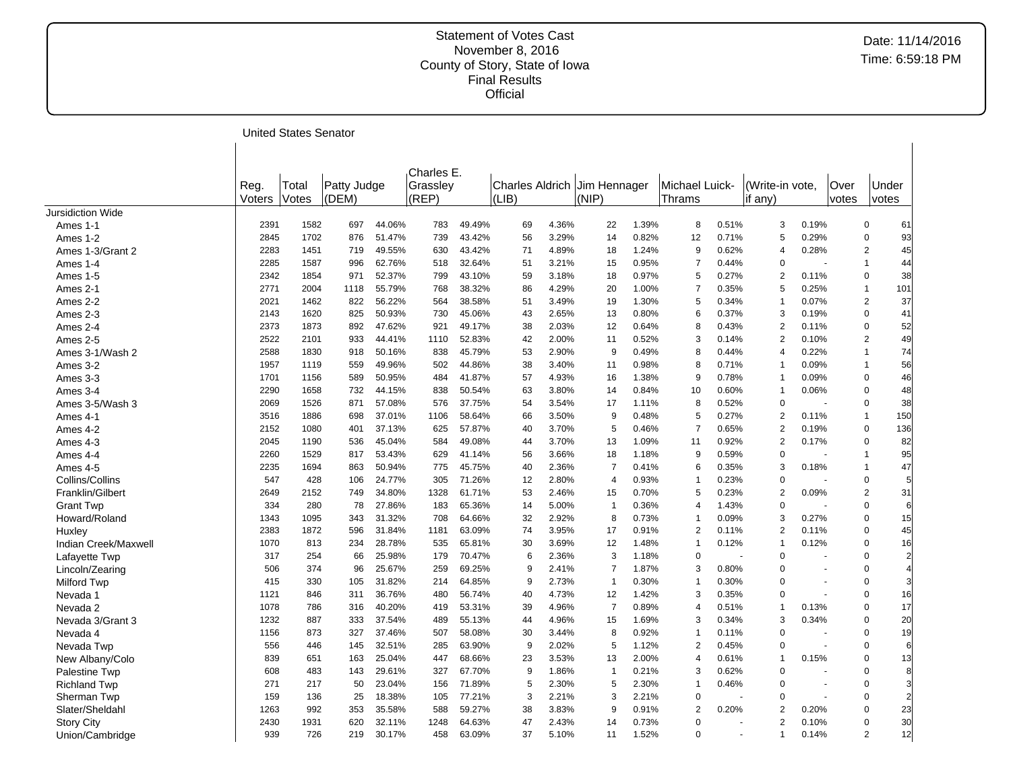United States Senator

|                      | Reg.<br>Voters | Total<br>Votes | Patty Judge<br>(DEM) |        | Charles E.<br>Grassley<br>(REP) |        | Charles Aldrich<br>(LIB) |       | Jim Hennager<br>(NIP) |       | Michael Luick-<br><b>Thrams</b> |       | (Write-in vote.<br>lif any) |       | Over<br>votes | votes          | Under          |
|----------------------|----------------|----------------|----------------------|--------|---------------------------------|--------|--------------------------|-------|-----------------------|-------|---------------------------------|-------|-----------------------------|-------|---------------|----------------|----------------|
| Jursidiction Wide    |                |                |                      |        |                                 |        |                          |       |                       |       |                                 |       |                             |       |               |                |                |
| Ames 1-1             | 2391           | 1582           | 697                  | 44.06% | 783                             | 49.49% | 69                       | 4.36% | 22                    | 1.39% | 8                               | 0.51% | 3                           | 0.19% |               | $\mathbf 0$    | 61             |
| Ames 1-2             | 2845           | 1702           | 876                  | 51.47% | 739                             | 43.42% | 56                       | 3.29% | 14                    | 0.82% | 12                              | 0.71% | 5                           | 0.29% |               | $\Omega$       | 93             |
| Ames 1-3/Grant 2     | 2283           | 1451           | 719                  | 49.55% | 630                             | 43.42% | 71                       | 4.89% | 18                    | 1.24% | 9                               | 0.62% | $\overline{4}$              | 0.28% |               | $\overline{2}$ | 45             |
| Ames 1-4             | 2285           | 1587           | 996                  | 62.76% | 518                             | 32.64% | 51                       | 3.21% | 15                    | 0.95% | $\overline{7}$                  | 0.44% | $\mathbf 0$                 |       |               | $\mathbf{1}$   | 44             |
| Ames 1-5             | 2342           | 1854           | 971                  | 52.37% | 799                             | 43.10% | 59                       | 3.18% | 18                    | 0.97% | 5                               | 0.27% | 2                           | 0.11% |               | $\mathbf 0$    | 38             |
| Ames 2-1             | 2771           | 2004           | 1118                 | 55.79% | 768                             | 38.32% | 86                       | 4.29% | 20                    | 1.00% | $\overline{7}$                  | 0.35% | 5                           | 0.25% |               | $\mathbf{1}$   | 101            |
| Ames 2-2             | 2021           | 1462           | 822                  | 56.22% | 564                             | 38.58% | 51                       | 3.49% | 19                    | 1.30% | 5                               | 0.34% | $\mathbf{1}$                | 0.07% |               | $\overline{c}$ | 37             |
| Ames 2-3             | 2143           | 1620           | 825                  | 50.93% | 730                             | 45.06% | 43                       | 2.65% | 13                    | 0.80% | 6                               | 0.37% | 3                           | 0.19% |               | $\mathbf 0$    | 41             |
| Ames 2-4             | 2373           | 1873           | 892                  | 47.62% | 921                             | 49.17% | 38                       | 2.03% | 12                    | 0.64% | 8                               | 0.43% | 2                           | 0.11% |               | $\pmb{0}$      | 52             |
| Ames 2-5             | 2522           | 2101           | 933                  | 44.41% | 1110                            | 52.83% | 42                       | 2.00% | 11                    | 0.52% | 3                               | 0.14% | $\overline{2}$              | 0.10% |               | $\overline{2}$ | 49             |
| Ames 3-1/Wash 2      | 2588           | 1830           | 918                  | 50.16% | 838                             | 45.79% | 53                       | 2.90% | 9                     | 0.49% | 8                               | 0.44% | $\overline{4}$              | 0.22% |               | $\mathbf{1}$   | 74             |
| Ames 3-2             | 1957           | 1119           | 559                  | 49.96% | 502                             | 44.86% | 38                       | 3.40% | 11                    | 0.98% | 8                               | 0.71% | $\mathbf 1$                 | 0.09% |               | $\mathbf 1$    | 56             |
| Ames 3-3             | 1701           | 1156           | 589                  | 50.95% | 484                             | 41.87% | 57                       | 4.93% | 16                    | 1.38% | 9                               | 0.78% | $\mathbf{1}$                | 0.09% |               | $\mathbf 0$    | 46             |
| Ames 3-4             | 2290           | 1658           | 732                  | 44.15% | 838                             | 50.54% | 63                       | 3.80% | 14                    | 0.84% | 10                              | 0.60% | $\overline{1}$              | 0.06% |               | $\Omega$       | 48             |
| Ames 3-5/Wash 3      | 2069           | 1526           | 871                  | 57.08% | 576                             | 37.75% | 54                       | 3.54% | 17                    | 1.11% | 8                               | 0.52% | $\Omega$                    |       |               | $\Omega$       | 38             |
| Ames 4-1             | 3516           | 1886           | 698                  | 37.01% | 1106                            | 58.64% | 66                       | 3.50% | 9                     | 0.48% | 5                               | 0.27% | $\overline{2}$              | 0.11% |               | $\mathbf{1}$   | 150            |
| Ames 4-2             | 2152           | 1080           | 401                  | 37.13% | 625                             | 57.87% | 40                       | 3.70% | 5                     | 0.46% | $\overline{7}$                  | 0.65% | $\overline{2}$              | 0.19% |               | 0              | 136            |
| Ames 4-3             | 2045           | 1190           | 536                  | 45.04% | 584                             | 49.08% | 44                       | 3.70% | 13                    | 1.09% | 11                              | 0.92% | $\overline{2}$              | 0.17% |               | $\Omega$       | 82             |
| Ames 4-4             | 2260           | 1529           | 817                  | 53.43% | 629                             | 41.14% | 56                       | 3.66% | 18                    | 1.18% | 9                               | 0.59% | $\Omega$                    |       |               | 1              | 95             |
| Ames 4-5             | 2235           | 1694           | 863                  | 50.94% | 775                             | 45.75% | 40                       | 2.36% | $\overline{7}$        | 0.41% | 6                               | 0.35% | 3                           | 0.18% |               | $\mathbf{1}$   | 47             |
| Collins/Collins      | 547            | 428            | 106                  | 24.77% | 305                             | 71.26% | 12                       | 2.80% | $\overline{4}$        | 0.93% | $\mathbf{1}$                    | 0.23% | 0                           |       |               | $\mathbf 0$    | 5              |
| Franklin/Gilbert     | 2649           | 2152           | 749                  | 34.80% | 1328                            | 61.71% | 53                       | 2.46% | 15                    | 0.70% | 5                               | 0.23% | $\overline{2}$              | 0.09% |               | $\overline{2}$ | 31             |
| <b>Grant Twp</b>     | 334            | 280            | 78                   | 27.86% | 183                             | 65.36% | 14                       | 5.00% | $\mathbf{1}$          | 0.36% | $\overline{4}$                  | 1.43% | $\Omega$                    |       |               | $\Omega$       | 6              |
| Howard/Roland        | 1343           | 1095           | 343                  | 31.32% | 708                             | 64.66% | 32                       | 2.92% | 8                     | 0.73% | $\mathbf 1$                     | 0.09% | 3                           | 0.27% |               | $\mathbf 0$    | 15             |
| Huxley               | 2383           | 1872           | 596                  | 31.84% | 1181                            | 63.09% | 74                       | 3.95% | 17                    | 0.91% | $\overline{2}$                  | 0.11% | 2                           | 0.11% |               | $\mathbf 0$    | 45             |
| Indian Creek/Maxwell | 1070           | 813            | 234                  | 28.78% | 535                             | 65.81% | 30                       | 3.69% | 12                    | 1.48% | $\mathbf{1}$                    | 0.12% | $\mathbf{1}$                | 0.12% |               | $\overline{0}$ | 16             |
| Lafayette Twp        | 317            | 254            | 66                   | 25.98% | 179                             | 70.47% | 6                        | 2.36% | 3                     | 1.18% | $\mathbf 0$                     |       | $\Omega$                    |       |               | $\Omega$       | $\overline{c}$ |
| Lincoln/Zearing      | 506            | 374            | 96                   | 25.67% | 259                             | 69.25% | 9                        | 2.41% | $\overline{7}$        | 1.87% | 3                               | 0.80% | $\Omega$                    |       |               | $\Omega$       | $\overline{4}$ |
| Milford Twp          | 415            | 330            | 105                  | 31.82% | 214                             | 64.85% | 9                        | 2.73% | $\overline{1}$        | 0.30% | $\mathbf{1}$                    | 0.30% | $\Omega$                    |       |               | $\mathbf 0$    | 3              |
| Nevada 1             | 1121           | 846            | 311                  | 36.76% | 480                             | 56.74% | 40                       | 4.73% | 12                    | 1.42% | 3                               | 0.35% | $\Omega$                    |       |               | $\overline{0}$ | 16             |
| Nevada 2             | 1078           | 786            | 316                  | 40.20% | 419                             | 53.31% | 39                       | 4.96% | $\overline{7}$        | 0.89% | $\overline{4}$                  | 0.51% | $\mathbf 1$                 | 0.13% |               | $\Omega$       | 17             |
| Nevada 3/Grant 3     | 1232           | 887            | 333                  | 37.54% | 489                             | 55.13% | 44                       | 4.96% | 15                    | 1.69% | 3                               | 0.34% | 3                           | 0.34% |               | $\mathbf 0$    | 20             |
| Nevada 4             | 1156           | 873            | 327                  | 37.46% | 507                             | 58.08% | 30                       | 3.44% | 8                     | 0.92% | $\mathbf{1}$                    | 0.11% | $\Omega$                    |       |               | $\overline{0}$ | 19             |
| Nevada Twp           | 556            | 446            | 145                  | 32.51% | 285                             | 63.90% | 9                        | 2.02% | 5                     | 1.12% | $\overline{2}$                  | 0.45% | $\Omega$                    |       |               | $\Omega$       | 6              |
| New Albany/Colo      | 839            | 651            | 163                  | 25.04% | 447                             | 68.66% | 23                       | 3.53% | 13                    | 2.00% | 4                               | 0.61% | $\mathbf 1$                 | 0.15% |               | $\mathbf 0$    | 13             |
| Palestine Twp        | 608            | 483            | 143                  | 29.61% | 327                             | 67.70% | 9                        | 1.86% | $\mathbf{1}$          | 0.21% | 3                               | 0.62% | $\mathbf 0$                 |       |               | 0              | 8              |
| <b>Richland Twp</b>  | 271            | 217            | 50                   | 23.04% | 156                             | 71.89% | 5                        | 2.30% | 5                     | 2.30% | $\mathbf{1}$                    | 0.46% | $\Omega$                    |       |               | $\overline{0}$ | 3              |
| Sherman Twp          | 159            | 136            | 25                   | 18.38% | 105                             | 77.21% | 3                        | 2.21% | 3                     | 2.21% | $\mathbf 0$                     |       | $\Omega$                    |       |               | $\mathbf 0$    | $\overline{c}$ |
| Slater/Sheldahl      | 1263           | 992            | 353                  | 35.58% | 588                             | 59.27% | 38                       | 3.83% | 9                     | 0.91% | $\overline{2}$                  | 0.20% | $\overline{2}$              | 0.20% |               | $\Omega$       | 23             |
| <b>Story City</b>    | 2430           | 1931           | 620                  | 32.11% | 1248                            | 64.63% | 47                       | 2.43% | 14                    | 0.73% | $\mathbf 0$                     |       | $\overline{2}$              | 0.10% |               | $\Omega$       | 30             |
| Union/Cambridge      | 939            | 726            | 219                  | 30.17% | 458                             | 63.09% | 37                       | 5.10% | 11                    | 1.52% | $\mathbf 0$                     |       | $\mathbf 1$                 | 0.14% |               | $\overline{2}$ | 12             |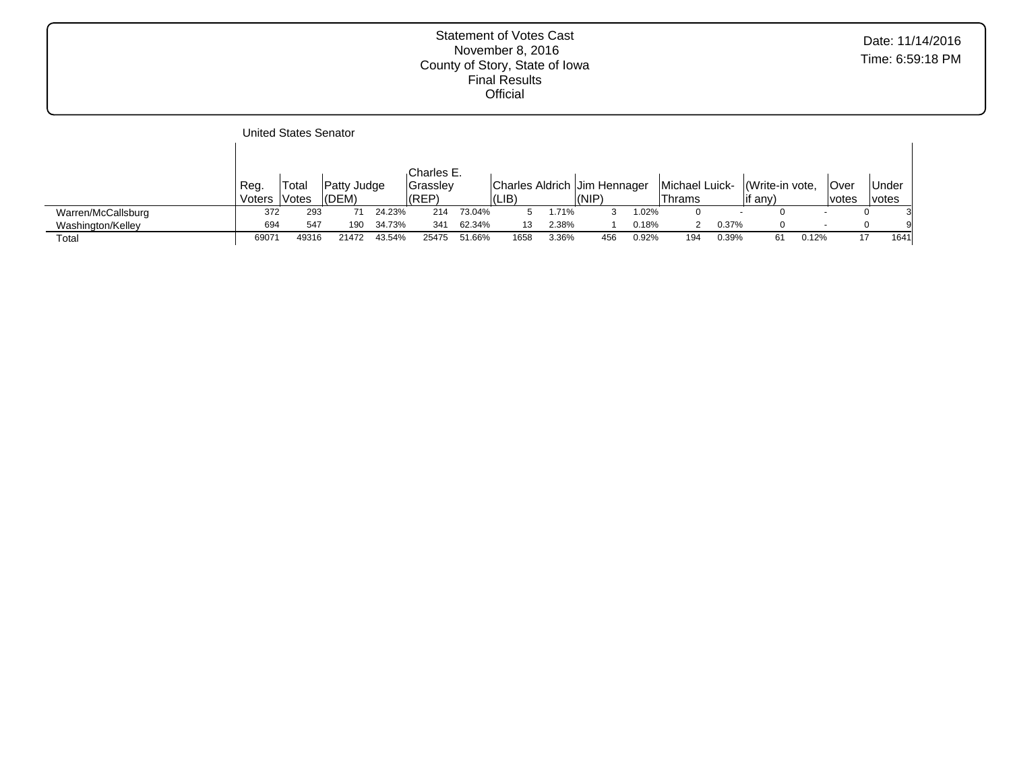|                    |        | United States Senator |                    |        |                 |        |                              |       |       |       |                |                          |                 |       |              |              |      |
|--------------------|--------|-----------------------|--------------------|--------|-----------------|--------|------------------------------|-------|-------|-------|----------------|--------------------------|-----------------|-------|--------------|--------------|------|
|                    |        |                       |                    |        |                 |        |                              |       |       |       |                |                          |                 |       |              |              |      |
|                    |        |                       |                    |        | Charles E.      |        |                              |       |       |       |                |                          |                 |       |              |              |      |
|                    | Reg.   | Total                 | <b>Patty Judge</b> |        | <b>Grasslev</b> |        | Charles Aldrich Jim Hennager |       |       |       | Michael Luick- |                          | (Write-in vote, |       | lOver        | Under        |      |
|                    | Voters | lVotes                | (DEM)              |        | (REP)           |        | (LIB)                        |       | (NIP) |       | Thrams         |                          | if any)         |       | <i>votes</i> | <i>votes</i> |      |
| Warren/McCallsburg | 372    | 293                   |                    | 24.23% | 214             | 73.04% |                              | .71%  |       | 1.02% |                | $\overline{\phantom{a}}$ |                 |       |              |              |      |
| Washington/Kelley  | 694    | 547                   | 190                | 34.73% | 341             | 62.34% | 13                           | 2.38% |       | 0.18% |                | 0.37%                    | 0               |       |              |              | 9    |
| Total              | 69071  | 49316                 | 21472              | 43.54% | 25475           | 51.66% | 1658                         | 3.36% | 456   | 0.92% | 194            | 0.39%                    | 61              | 0.12% | 17           |              | 1641 |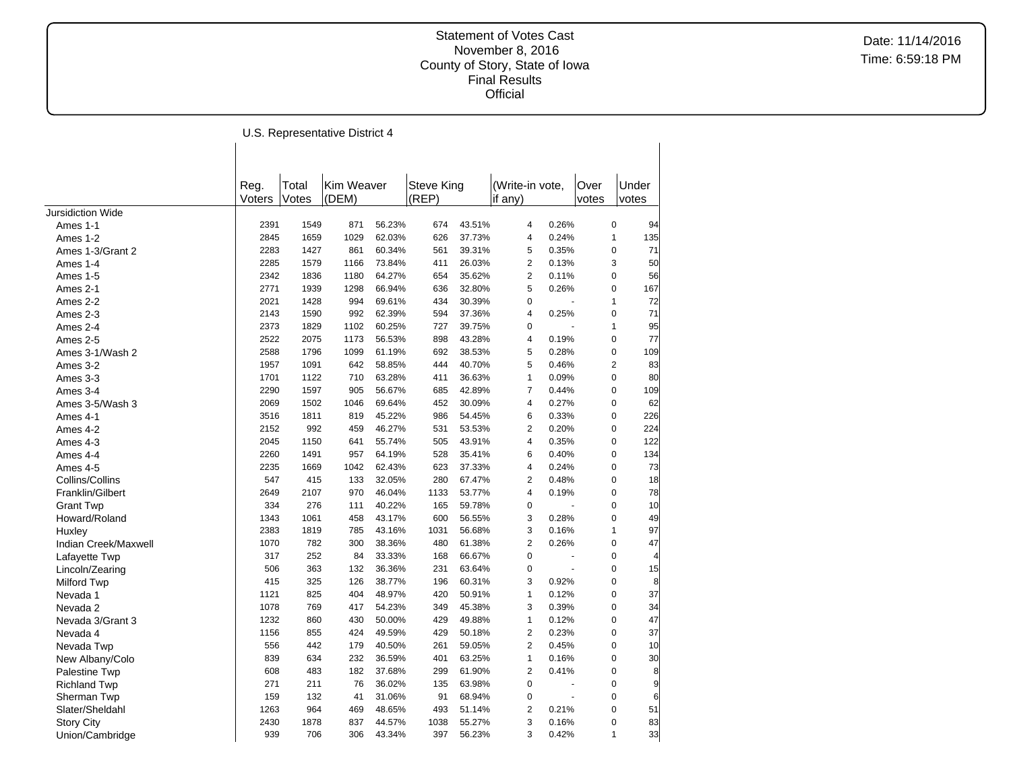$\overline{\phantom{a}}$ 

Date: 11/14/2016 Time: 6:59:18 PM

U.S. Representative District 4

 $\overline{1}$ 

|                      | Reg.   | Total | Kim Weaver |        | <b>Steve King</b> |        | (Write-in vote,         |                | Over           | Under          |
|----------------------|--------|-------|------------|--------|-------------------|--------|-------------------------|----------------|----------------|----------------|
|                      | Voters | Votes | (DEM)      |        | (REP)             |        | if any)                 |                | votes          | votes          |
| Jursidiction Wide    |        |       |            |        |                   |        |                         |                |                |                |
| Ames 1-1             | 2391   | 1549  | 871        | 56.23% | 674               | 43.51% | $\overline{4}$          | 0.26%          | 0              | 94             |
| Ames 1-2             | 2845   | 1659  | 1029       | 62.03% | 626               | 37.73% | $\overline{4}$          | 0.24%          | 1              | 135            |
| Ames 1-3/Grant 2     | 2283   | 1427  | 861        | 60.34% | 561               | 39.31% | 5                       | 0.35%          | $\mathbf 0$    | 71             |
| Ames 1-4             | 2285   | 1579  | 1166       | 73.84% | 411               | 26.03% | $\overline{2}$          | 0.13%          | 3              | 50             |
| Ames 1-5             | 2342   | 1836  | 1180       | 64.27% | 654               | 35.62% | $\overline{2}$          | 0.11%          | 0              | 56             |
| Ames 2-1             | 2771   | 1939  | 1298       | 66.94% | 636               | 32.80% | 5                       | 0.26%          | 0              | 167            |
| Ames 2-2             | 2021   | 1428  | 994        | 69.61% | 434               | 30.39% | $\mathbf 0$             | ÷,             | 1              | 72             |
| Ames 2-3             | 2143   | 1590  | 992        | 62.39% | 594               | 37.36% | $\overline{4}$          | 0.25%          | 0              | 71             |
| Ames 2-4             | 2373   | 1829  | 1102       | 60.25% | 727               | 39.75% | $\mathbf 0$             |                | 1              | 95             |
| Ames 2-5             | 2522   | 2075  | 1173       | 56.53% | 898               | 43.28% | $\overline{4}$          | 0.19%          | 0              | 77             |
| Ames 3-1/Wash 2      | 2588   | 1796  | 1099       | 61.19% | 692               | 38.53% | 5                       | 0.28%          | 0              | 109            |
| Ames 3-2             | 1957   | 1091  | 642        | 58.85% | 444               | 40.70% | 5                       | 0.46%          | $\overline{2}$ | 83             |
| Ames 3-3             | 1701   | 1122  | 710        | 63.28% | 411               | 36.63% | $\mathbf{1}$            | 0.09%          | 0              | 80             |
| Ames 3-4             | 2290   | 1597  | 905        | 56.67% | 685               | 42.89% | $\overline{7}$          | 0.44%          | 0              | 109            |
| Ames 3-5/Wash 3      | 2069   | 1502  | 1046       | 69.64% | 452               | 30.09% | 4                       | 0.27%          | 0              | 62             |
| Ames 4-1             | 3516   | 1811  | 819        | 45.22% | 986               | 54.45% | 6                       | 0.33%          | 0              | 226            |
| Ames 4-2             | 2152   | 992   | 459        | 46.27% | 531               | 53.53% | $\mathbf 2$             | 0.20%          | 0              | 224            |
| Ames 4-3             | 2045   | 1150  | 641        | 55.74% | 505               | 43.91% | $\overline{4}$          | 0.35%          | 0              | 122            |
| Ames 4-4             | 2260   | 1491  | 957        | 64.19% | 528               | 35.41% | 6                       | 0.40%          | 0              | 134            |
| Ames 4-5             | 2235   | 1669  | 1042       | 62.43% | 623               | 37.33% | $\overline{\mathbf{4}}$ | 0.24%          | 0              | 73             |
| Collins/Collins      | 547    | 415   | 133        | 32.05% | 280               | 67.47% | $\overline{2}$          | 0.48%          | 0              | 18             |
| Franklin/Gilbert     | 2649   | 2107  | 970        | 46.04% | 1133              | 53.77% | $\overline{4}$          | 0.19%          | 0              | 78             |
| <b>Grant Twp</b>     | 334    | 276   | 111        | 40.22% | 165               | 59.78% | $\pmb{0}$               |                | 0              | 10             |
| Howard/Roland        | 1343   | 1061  | 458        | 43.17% | 600               | 56.55% | 3                       | 0.28%          | 0              | 49             |
| Huxley               | 2383   | 1819  | 785        | 43.16% | 1031              | 56.68% | 3                       | 0.16%          | 1              | 97             |
| Indian Creek/Maxwell | 1070   | 782   | 300        | 38.36% | 480               | 61.38% | $\overline{2}$          | 0.26%          | 0              | 47             |
| Lafayette Twp        | 317    | 252   | 84         | 33.33% | 168               | 66.67% | 0                       |                | 0              | $\overline{4}$ |
| Lincoln/Zearing      | 506    | 363   | 132        | 36.36% | 231               | 63.64% | $\pmb{0}$               | $\overline{a}$ | 0              | 15             |
| Milford Twp          | 415    | 325   | 126        | 38.77% | 196               | 60.31% | 3                       | 0.92%          | $\overline{0}$ | 8              |
| Nevada 1             | 1121   | 825   | 404        | 48.97% | 420               | 50.91% | $\mathbf{1}$            | 0.12%          | 0              | 37             |
| Nevada 2             | 1078   | 769   | 417        | 54.23% | 349               | 45.38% | 3                       | 0.39%          | 0              | 34             |
| Nevada 3/Grant 3     | 1232   | 860   | 430        | 50.00% | 429               | 49.88% | $\mathbf{1}$            | 0.12%          | 0              | 47             |
| Nevada 4             | 1156   | 855   | 424        | 49.59% | 429               | 50.18% | $\overline{2}$          | 0.23%          | 0              | 37             |
| Nevada Twp           | 556    | 442   | 179        | 40.50% | 261               | 59.05% | $\overline{2}$          | 0.45%          | 0              | 10             |
| New Albany/Colo      | 839    | 634   | 232        | 36.59% | 401               | 63.25% | $\mathbf{1}$            | 0.16%          | 0              | 30             |
| Palestine Twp        | 608    | 483   | 182        | 37.68% | 299               | 61.90% | 2                       | 0.41%          | 0              | 8              |
| <b>Richland Twp</b>  | 271    | 211   | 76         | 36.02% | 135               | 63.98% | $\pmb{0}$               | ÷,             | 0              | 9              |
| Sherman Twp          | 159    | 132   | 41         | 31.06% | 91                | 68.94% | 0                       | $\overline{a}$ | 0              | 6              |
| Slater/Sheldahl      | 1263   | 964   | 469        | 48.65% | 493               | 51.14% | $\overline{2}$          | 0.21%          | 0              | 51             |
| <b>Story City</b>    | 2430   | 1878  | 837        | 44.57% | 1038              | 55.27% | 3                       | 0.16%          | 0              | 83             |
| Union/Cambridge      | 939    | 706   | 306        | 43.34% | 397               | 56.23% | 3                       | 0.42%          | 1              | 33             |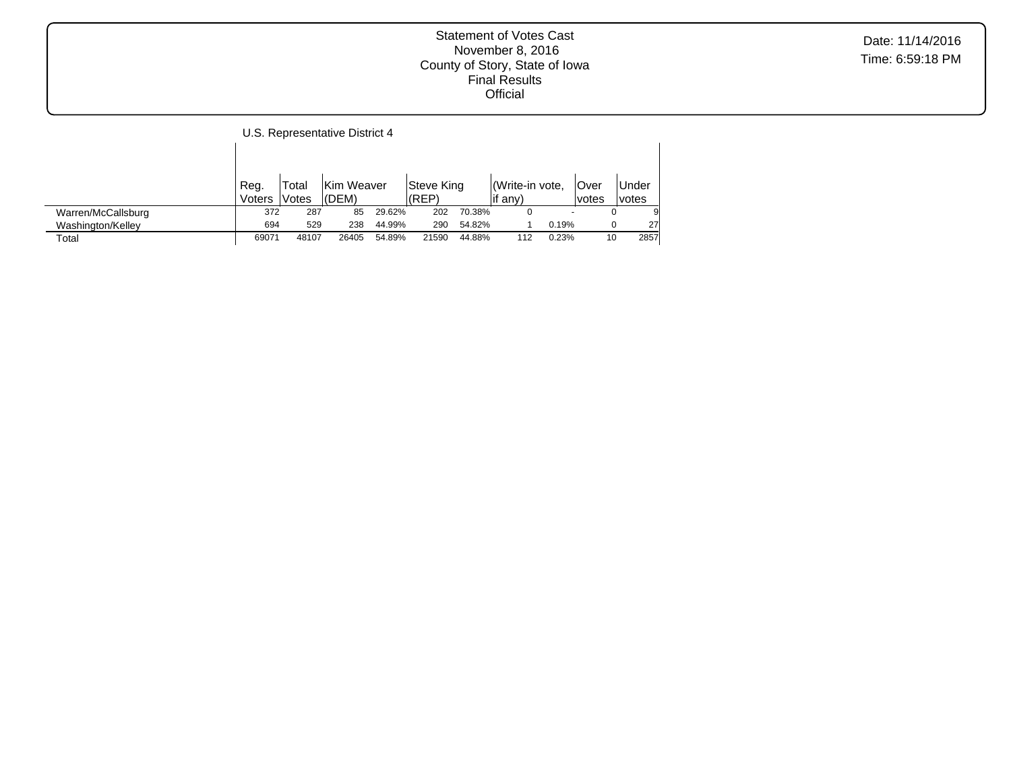|                    |        |       | U.S. Representative District 4 |        |            |        |                |       |        |        |
|--------------------|--------|-------|--------------------------------|--------|------------|--------|----------------|-------|--------|--------|
|                    | Reg.   | Total | Kim Weaver                     |        | Steve King |        | Write-in vote. |       | lOver  | Under  |
|                    | Voters | Votes | (DEM)                          |        | (REP)      |        | if any)        |       | lvotes | lvotes |
| Warren/McCallsburg | 372    | 287   | 85                             | 29.62% | 202        | 70.38% | 0              |       |        | 9      |
| Washington/Kelley  | 694    | 529   | 238                            | 44.99% | 290        | 54.82% |                | 0.19% | 0      | 27     |
| Total              | 69071  | 48107 | 26405                          | 54.89% | 21590      | 44.88% | 112            | 0.23% | 10     | 2857   |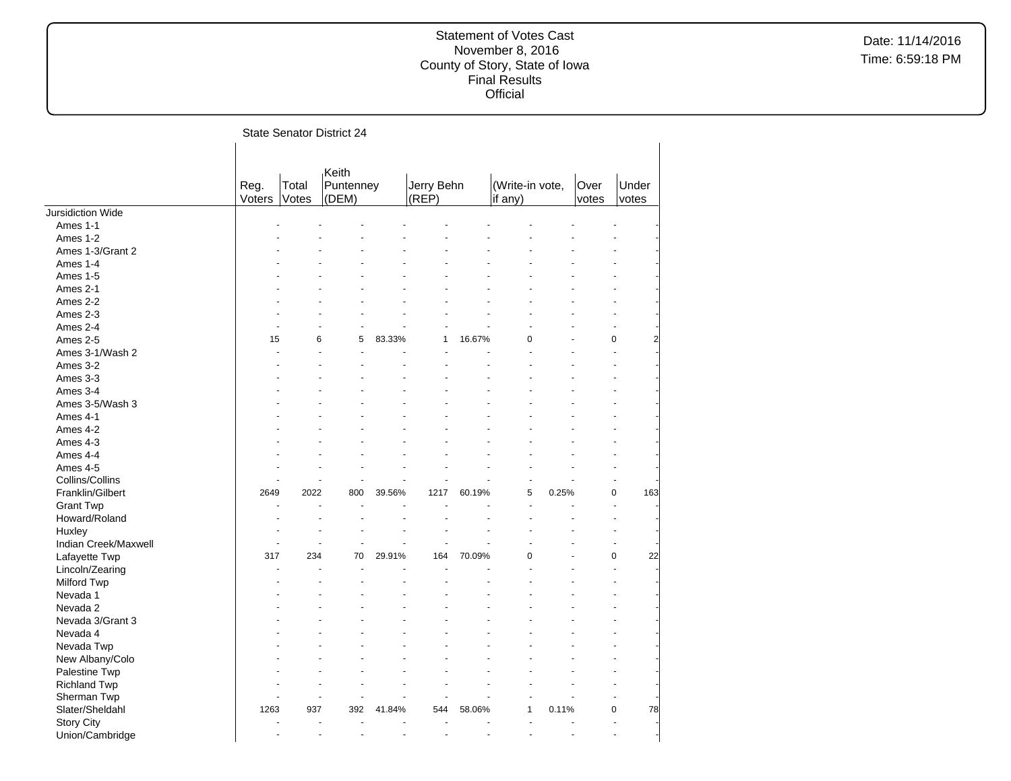|                                      |                |                | <b>State Senator District 24</b> |        |                     |        |                            |       |               |                    |
|--------------------------------------|----------------|----------------|----------------------------------|--------|---------------------|--------|----------------------------|-------|---------------|--------------------|
|                                      | Reg.<br>Voters | Total<br>Votes | Keith<br>Puntenney<br>(DEM)      |        | Jerry Behn<br>(REP) |        | (Write-in vote,<br>if any) |       | Over<br>votes | Under<br>votes     |
| Jursidiction Wide                    |                |                |                                  |        |                     |        |                            |       |               |                    |
| Ames 1-1                             |                |                |                                  |        |                     |        |                            |       |               |                    |
| Ames 1-2                             |                |                |                                  |        |                     |        |                            |       |               |                    |
| Ames 1-3/Grant 2                     |                |                |                                  |        |                     |        |                            |       |               |                    |
| Ames 1-4                             |                |                |                                  |        |                     |        |                            |       |               |                    |
| Ames 1-5                             |                |                |                                  |        |                     |        |                            |       |               |                    |
| Ames 2-1                             |                |                |                                  |        |                     |        |                            |       |               |                    |
| Ames 2-2                             |                |                |                                  |        |                     |        |                            |       |               |                    |
| Ames 2-3                             |                |                |                                  |        |                     |        |                            |       |               |                    |
| Ames 2-4                             |                |                | ÷,                               |        |                     |        |                            |       |               |                    |
| Ames 2-5                             | 15             | 6              | 5                                | 83.33% | 1                   | 16.67% | 0                          |       |               | 0<br>2             |
| Ames 3-1/Wash 2                      |                | ÷.             |                                  |        |                     |        |                            |       |               |                    |
| Ames 3-2                             |                |                |                                  |        |                     |        |                            |       |               |                    |
| Ames 3-3                             |                |                |                                  |        |                     |        |                            |       |               |                    |
| Ames 3-4                             |                |                |                                  |        |                     |        |                            |       |               |                    |
| Ames 3-5/Wash 3                      |                |                |                                  |        |                     |        |                            |       |               |                    |
| Ames 4-1                             |                |                |                                  |        |                     |        |                            |       |               |                    |
| Ames 4-2                             |                |                |                                  |        |                     |        |                            |       |               |                    |
| Ames 4-3                             |                |                |                                  |        |                     |        |                            |       |               |                    |
| Ames 4-4                             |                |                |                                  |        |                     |        |                            |       |               |                    |
| Ames 4-5                             |                |                |                                  |        |                     |        |                            |       |               |                    |
| Collins/Collins                      |                |                |                                  |        |                     |        |                            |       |               |                    |
| Franklin/Gilbert                     | 2649           | 2022           | 800                              | 39.56% | 1217                | 60.19% | 5                          | 0.25% |               | $\mathbf 0$<br>163 |
| <b>Grant Twp</b>                     |                |                |                                  |        |                     |        |                            |       |               |                    |
| Howard/Roland                        |                |                |                                  |        |                     |        |                            |       |               |                    |
| Huxley                               |                |                |                                  |        |                     |        |                            |       |               |                    |
| Indian Creek/Maxwell                 |                | $\overline{a}$ | L.                               | L.     |                     |        |                            |       |               |                    |
| Lafayette Twp                        | 317            | 234            | 70                               | 29.91% | 164                 | 70.09% | 0                          |       |               | 22<br>$\mathbf 0$  |
| Lincoln/Zearing                      |                |                |                                  |        |                     |        |                            |       |               |                    |
| Milford Twp                          |                |                |                                  |        |                     |        |                            |       |               |                    |
| Nevada 1                             |                |                |                                  |        |                     |        |                            |       |               |                    |
| Nevada 2                             |                |                |                                  |        |                     |        |                            |       |               |                    |
| Nevada 3/Grant 3                     |                |                |                                  |        |                     |        |                            |       |               |                    |
| Nevada 4                             |                |                |                                  |        |                     |        |                            |       |               |                    |
| Nevada Twp                           |                |                |                                  |        |                     |        |                            |       |               |                    |
| New Albany/Colo                      |                |                |                                  |        |                     |        |                            |       |               |                    |
|                                      |                |                |                                  |        |                     |        |                            |       |               |                    |
| Palestine Twp                        |                |                |                                  |        |                     |        |                            |       |               |                    |
| <b>Richland Twp</b>                  |                | ÷.             |                                  |        |                     |        |                            |       |               |                    |
| Sherman Twp                          | 1263           | 937            | 392                              | 41.84% | 544                 | 58.06% | 1                          | 0.11% |               | 0<br>78            |
| Slater/Sheldahl                      |                |                |                                  |        |                     |        |                            |       |               |                    |
| <b>Story City</b><br>Union/Cambridge |                | ÷,             |                                  | ÷,     |                     |        |                            |       |               |                    |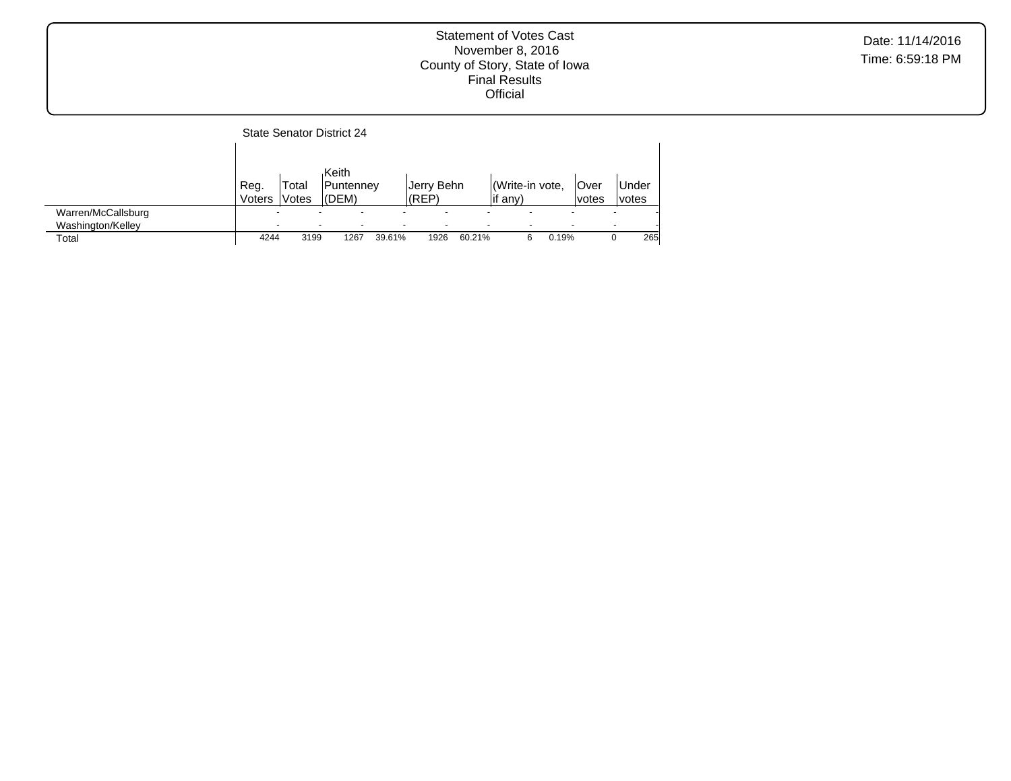|                                         |                                                      |                 | <b>State Senator District 24</b> |        |                     |        |                            |       |                          |                          |                |
|-----------------------------------------|------------------------------------------------------|-----------------|----------------------------------|--------|---------------------|--------|----------------------------|-------|--------------------------|--------------------------|----------------|
|                                         | Reg.<br>Voters                                       | Total<br>lVotes | Keith<br>Puntenney<br>(DEM)      |        | Jerry Behn<br>(REP) |        | Write-in vote,<br>lif any) |       | lOver<br>lvotes          |                          | Under<br>votes |
| Warren/McCallsburg<br>Washington/Kelley | $\overline{\phantom{0}}$<br>$\overline{\phantom{0}}$ |                 | $\overline{\phantom{0}}$         |        |                     |        |                            |       | $\overline{\phantom{0}}$ | $\overline{\phantom{0}}$ |                |
| Total                                   | 4244                                                 | 3199            | 1267                             | 39.61% | 1926                | 60.21% | 6                          | 0.19% |                          |                          | 265            |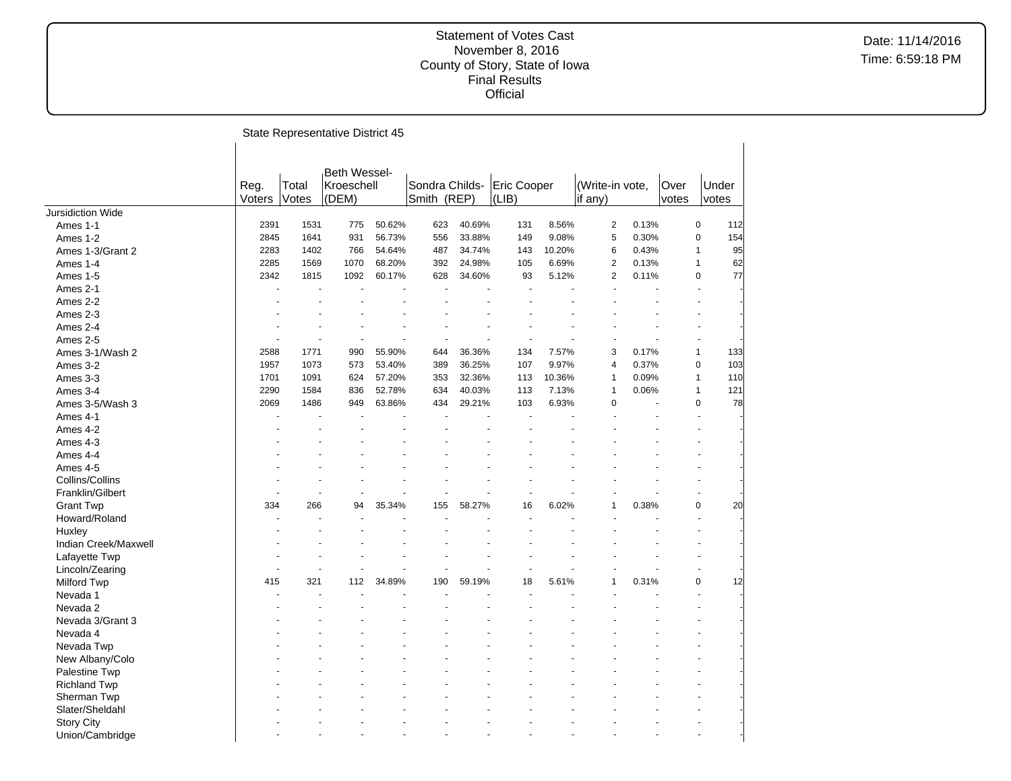|                      |                |                | State Representative District 45    |        |                               |        |                      |        |                            |       |               |              |                |
|----------------------|----------------|----------------|-------------------------------------|--------|-------------------------------|--------|----------------------|--------|----------------------------|-------|---------------|--------------|----------------|
|                      | Reg.<br>Voters | Total<br>Votes | Beth Wessel-<br>Kroeschell<br>(DEM) |        | Sondra Childs-<br>Smith (REP) |        | Eric Cooper<br>(LIB) |        | (Write-in vote,<br>if any) |       | Over<br>votes |              | Under<br>votes |
| Jursidiction Wide    |                |                |                                     |        |                               |        |                      |        |                            |       |               |              |                |
| Ames 1-1             | 2391           | 1531           | 775                                 | 50.62% | 623                           | 40.69% | 131                  | 8.56%  | $\overline{2}$             | 0.13% |               | 0            | 112            |
| Ames 1-2             | 2845           | 1641           | 931                                 | 56.73% | 556                           | 33.88% | 149                  | 9.08%  | 5                          | 0.30% |               | 0            | 154            |
| Ames 1-3/Grant 2     | 2283           | 1402           | 766                                 | 54.64% | 487                           | 34.74% | 143                  | 10.20% | 6                          | 0.43% |               | 1            | 95             |
| Ames 1-4             | 2285           | 1569           | 1070                                | 68.20% | 392                           | 24.98% | 105                  | 6.69%  | $\overline{2}$             | 0.13% |               | 1            | 62             |
| Ames 1-5             | 2342           | 1815           | 1092                                | 60.17% | 628                           | 34.60% | 93                   | 5.12%  | $\overline{2}$             | 0.11% |               | $\mathbf 0$  | 77             |
| Ames 2-1             |                |                |                                     |        |                               |        |                      |        |                            |       |               |              |                |
| Ames 2-2             |                |                |                                     |        |                               |        |                      |        |                            |       |               |              |                |
| Ames 2-3             |                |                |                                     |        |                               |        |                      |        |                            |       |               |              |                |
| Ames 2-4             |                |                |                                     |        |                               |        |                      |        |                            |       |               |              |                |
| Ames 2-5             |                |                | L.                                  |        |                               |        |                      |        |                            |       |               |              |                |
| Ames 3-1/Wash 2      | 2588           | 1771           | 990                                 | 55.90% | 644                           | 36.36% | 134                  | 7.57%  | 3                          | 0.17% |               | $\mathbf{1}$ | 133            |
| Ames 3-2             | 1957           | 1073           | 573                                 | 53.40% | 389                           | 36.25% | 107                  | 9.97%  | $\overline{4}$             | 0.37% |               | 0            | 103            |
| Ames 3-3             | 1701           | 1091           | 624                                 | 57.20% | 353                           | 32.36% | 113                  | 10.36% | $\mathbf{1}$               | 0.09% |               | $\mathbf{1}$ | 110            |
| Ames 3-4             | 2290           | 1584           | 836                                 | 52.78% | 634                           | 40.03% | 113                  | 7.13%  | $\mathbf{1}$               | 0.06% |               | 1            | 121            |
| Ames 3-5/Wash 3      | 2069           | 1486           | 949                                 | 63.86% | 434                           | 29.21% | 103                  | 6.93%  | $\mathbf 0$                |       |               | $\mathbf 0$  | 78             |
| Ames 4-1             |                |                |                                     |        |                               |        |                      |        |                            |       |               |              |                |
| Ames 4-2             |                |                |                                     |        |                               |        |                      |        |                            |       |               |              |                |
| Ames 4-3             |                |                |                                     |        |                               |        |                      |        |                            |       |               |              |                |
| Ames 4-4             |                |                |                                     |        |                               |        |                      |        |                            |       |               |              |                |
| Ames 4-5             |                |                |                                     |        |                               |        |                      |        |                            |       |               |              |                |
| Collins/Collins      |                |                |                                     |        |                               |        |                      |        |                            |       |               |              |                |
| Franklin/Gilbert     |                |                |                                     |        |                               |        |                      |        |                            |       |               |              |                |
| <b>Grant Twp</b>     | 334            | 266            | 94                                  | 35.34% | 155                           | 58.27% | 16                   | 6.02%  | $\mathbf{1}$               | 0.38% |               | 0            | 20             |
| Howard/Roland        |                |                |                                     |        |                               |        |                      |        |                            |       |               |              |                |
| Huxley               |                |                |                                     |        |                               |        |                      |        |                            |       |               |              |                |
| Indian Creek/Maxwell |                |                |                                     |        |                               |        |                      |        |                            |       |               |              |                |
| Lafayette Twp        |                |                |                                     |        |                               |        |                      |        |                            |       |               |              |                |
| Lincoln/Zearing      |                |                |                                     |        |                               |        |                      |        |                            |       |               |              |                |
| Milford Twp          | 415            | 321            | 112                                 | 34.89% | 190                           | 59.19% | 18                   | 5.61%  | $\mathbf{1}$               | 0.31% |               | $\mathbf 0$  | 12             |
| Nevada 1             |                |                |                                     |        |                               |        |                      |        |                            |       |               |              |                |
| Nevada 2             |                |                |                                     |        |                               |        |                      |        |                            |       |               |              |                |
| Nevada 3/Grant 3     |                |                |                                     |        |                               |        |                      |        |                            |       |               |              |                |
| Nevada 4             |                |                |                                     |        |                               |        |                      |        |                            |       |               |              |                |
| Nevada Twp           |                |                |                                     |        |                               |        |                      |        |                            |       |               |              |                |
| New Albany/Colo      |                |                |                                     |        |                               |        |                      |        |                            |       |               |              |                |
| <b>Palestine Twp</b> |                |                |                                     |        |                               |        |                      |        |                            |       |               |              |                |
| <b>Richland Twp</b>  |                |                |                                     |        |                               |        |                      |        |                            |       |               |              |                |
| Sherman Twp          |                |                |                                     |        |                               |        |                      |        |                            |       |               |              |                |
| Slater/Sheldahl      |                |                |                                     |        |                               |        |                      |        |                            |       |               |              |                |
| <b>Story City</b>    |                |                |                                     |        |                               |        |                      |        |                            |       |               |              |                |
| Union/Cambridge      |                |                |                                     |        |                               |        |                      |        |                            |       |               |              |                |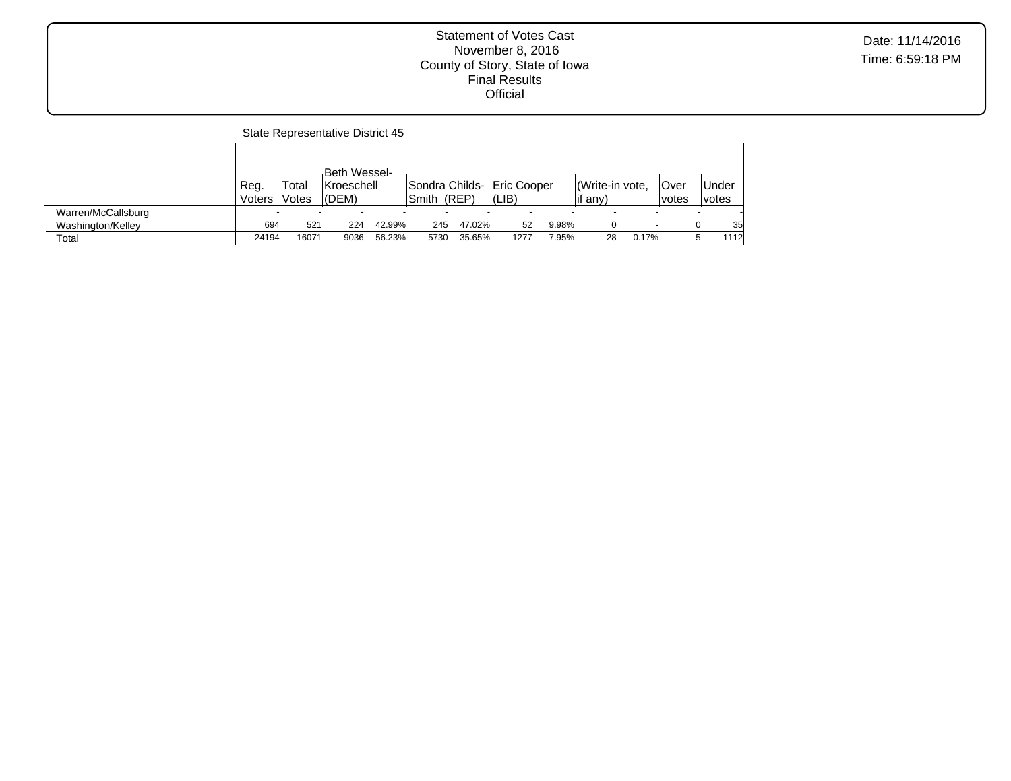|                    |                |                | State Representative District 45        |        |        |        |                                             |       |                            |       |               |                |
|--------------------|----------------|----------------|-----------------------------------------|--------|--------|--------|---------------------------------------------|-------|----------------------------|-------|---------------|----------------|
|                    | Reg.<br>Voters | Total<br>Votes | Beth Wessel-<br>Kroeschell<br>$ $ (DEM) |        | lSmith | (REP)  | Sondra Childs- Eric Cooper<br>$ LIB\rangle$ |       | Write-in vote.<br>lif any) |       | Over<br>votes | Under<br>votes |
| Warren/McCallsburg |                |                |                                         |        |        |        |                                             |       |                            |       |               |                |
| Washington/Kelley  | 694            | 521            | 224                                     | 42.99% | 245    | 47.02% | 52                                          | 9.98% | 0                          |       |               | 35             |
| Total              | 24194          | 16071          | 9036                                    | 56.23% | 5730   | 35.65% | 1277                                        | 7.95% | 28                         | 0.17% |               | 1112<br>5      |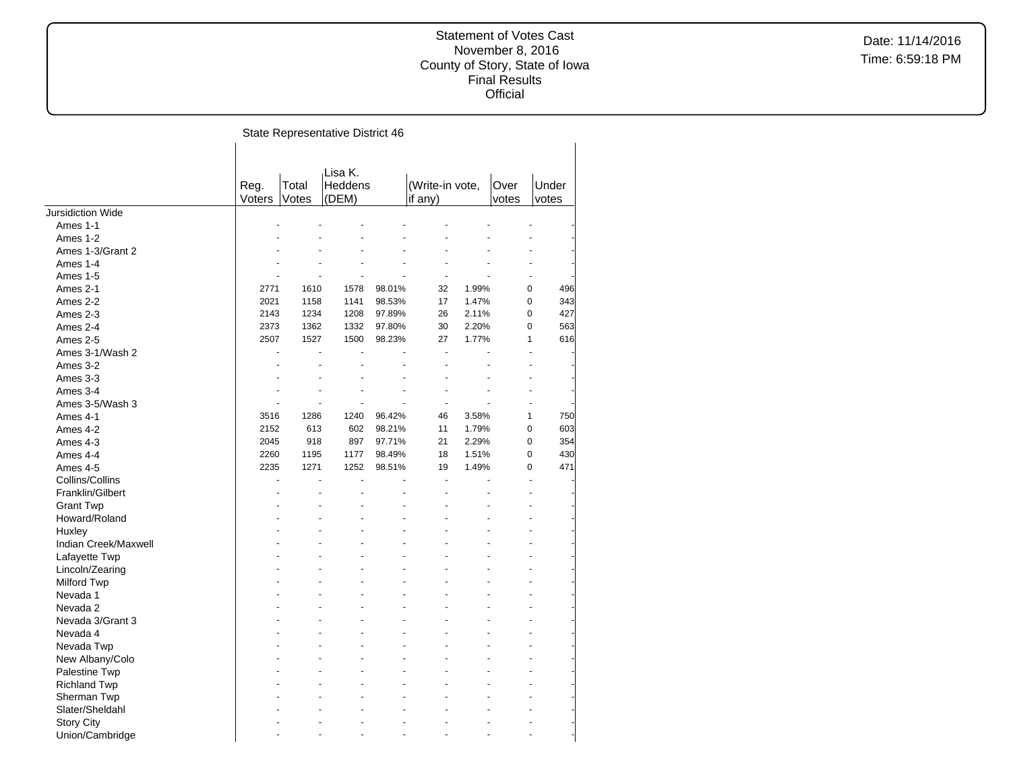Date: 11/14/2016 Time: 6:59:18 PM

State Representative District 46  $\mathbf{r}$ 

|                      |        |          | Lisa K. |        |                 |       |                |       |
|----------------------|--------|----------|---------|--------|-----------------|-------|----------------|-------|
|                      | Reg.   | Total    | Heddens |        | (Write-in vote, |       | Over           | Under |
|                      | Voters | Votes    | (DEM)   |        | if any)         |       | votes          | votes |
| Jursidiction Wide    |        |          |         |        |                 |       |                |       |
| Ames 1-1             |        |          |         |        |                 |       |                |       |
| Ames 1-2             |        |          |         |        |                 |       |                |       |
| Ames 1-3/Grant 2     |        |          |         |        |                 |       |                |       |
| Ames 1-4             |        |          |         |        |                 |       |                |       |
| Ames 1-5             |        |          |         |        |                 |       | $\overline{a}$ |       |
| Ames 2-1             | 2771   | 1610     | 1578    | 98.01% | 32              | 1.99% | 0              | 496   |
| Ames 2-2             | 2021   | 1158     | 1141    | 98.53% | 17              | 1.47% | 0              | 343   |
| Ames 2-3             | 2143   | 1234     | 1208    | 97.89% | 26              | 2.11% | 0              | 427   |
| Ames 2-4             | 2373   | 1362     | 1332    | 97.80% | 30              | 2.20% | $\Omega$       | 563   |
| Ames 2-5             | 2507   | 1527     | 1500    | 98.23% | 27              | 1.77% | 1              | 616   |
| Ames 3-1/Wash 2      |        | ÷.<br>ä, | ÷.      |        | ÷.              |       | ÷              |       |
|                      |        |          |         |        |                 |       |                |       |
| Ames 3-2             |        |          |         |        |                 |       |                |       |
| Ames 3-3             |        |          |         |        |                 |       |                |       |
| Ames 3-4             |        |          |         |        |                 |       |                |       |
| Ames 3-5/Wash 3      | 3516   | 1286     | 1240    |        | 46              | 3.58% | 1              | 750   |
| Ames 4-1             |        |          |         | 96.42% |                 |       |                |       |
| Ames 4-2             | 2152   | 613      | 602     | 98.21% | 11              | 1.79% | 0              | 603   |
| Ames 4-3             | 2045   | 918      | 897     | 97.71% | 21              | 2.29% | 0              | 354   |
| Ames 4-4             | 2260   | 1195     | 1177    | 98.49% | 18              | 1.51% | $\Omega$       | 430   |
| Ames 4-5             | 2235   | 1271     | 1252    | 98.51% | 19              | 1.49% | 0              | 471   |
| Collins/Collins      |        | ä,       | L.      |        |                 |       | L.             |       |
| Franklin/Gilbert     |        |          |         |        |                 |       |                |       |
| <b>Grant Twp</b>     |        |          |         |        |                 |       |                |       |
| Howard/Roland        |        |          |         |        |                 |       |                |       |
| Huxley               |        |          |         |        |                 |       |                |       |
| Indian Creek/Maxwell |        |          |         |        |                 |       |                |       |
| Lafayette Twp        |        |          |         |        |                 |       |                |       |
| Lincoln/Zearing      |        |          |         |        |                 |       |                |       |
| Milford Twp          |        |          |         |        |                 |       |                |       |
| Nevada 1             |        |          |         |        |                 |       |                |       |
| Nevada 2             |        |          |         |        |                 |       |                |       |
| Nevada 3/Grant 3     |        |          |         |        |                 |       |                |       |
| Nevada 4             |        |          |         |        |                 |       |                |       |
| Nevada Twp           |        |          |         |        |                 |       |                |       |
| New Albany/Colo      |        |          |         |        |                 |       |                |       |
| Palestine Twp        |        |          |         |        |                 |       |                |       |
| <b>Richland Twp</b>  |        |          |         |        |                 |       |                |       |
| Sherman Twp          |        |          |         |        |                 |       |                |       |
| Slater/Sheldahl      |        |          |         |        |                 |       |                |       |
| <b>Story City</b>    |        |          |         |        |                 |       |                |       |
| Union/Cambridge      |        |          |         |        |                 |       |                |       |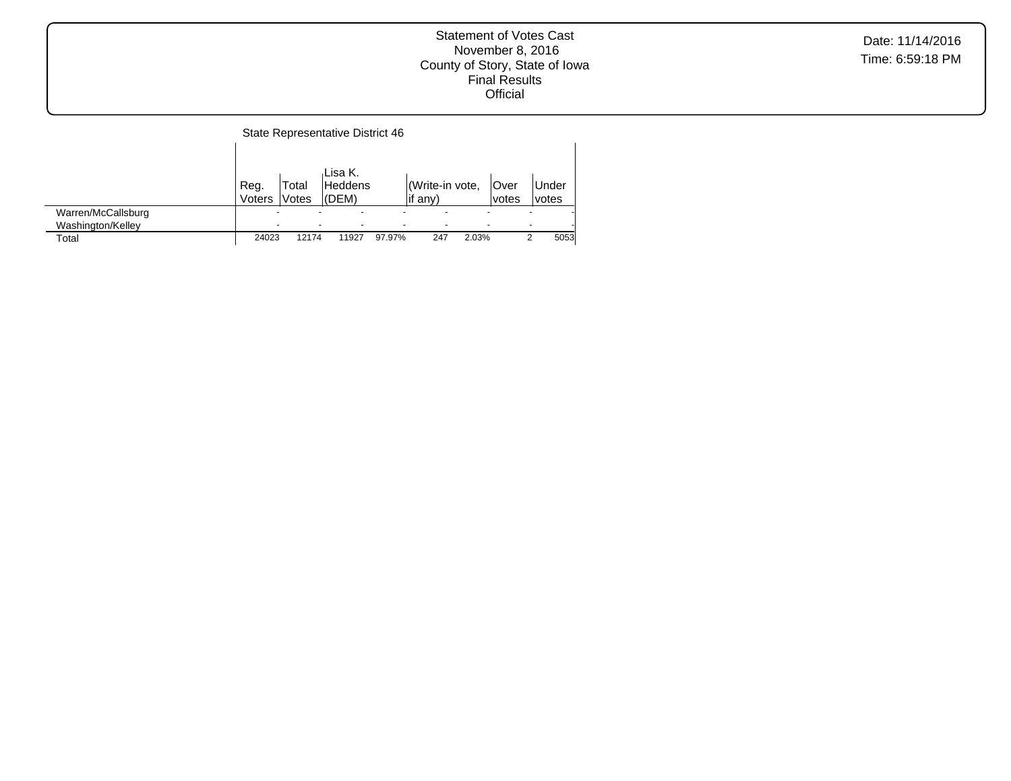Date: 11/14/2016 Time: 6:59:18 PM

#### State Representative District 46  $\mathbf{I}$

|                    |        |                   | ،Lisa K. |        |                 |       |             |                          |              |
|--------------------|--------|-------------------|----------|--------|-----------------|-------|-------------|--------------------------|--------------|
|                    | Reg.   | <sup>-</sup> otal | Heddens  |        | (Write-in vote, |       | <b>Over</b> |                          | <b>Under</b> |
|                    | Voters | Votes             | l(DEM)   |        | lif any)        |       | votes       |                          | lvotes       |
| Warren/McCallsburg | -      |                   |          |        |                 |       |             |                          |              |
| Washington/Kelley  | -      |                   |          | -      |                 |       |             | $\overline{\phantom{0}}$ |              |
| $\tau$ otal        | 24023  | 12174             | 11927    | 97.97% | 247             | 2.03% |             |                          | 5053         |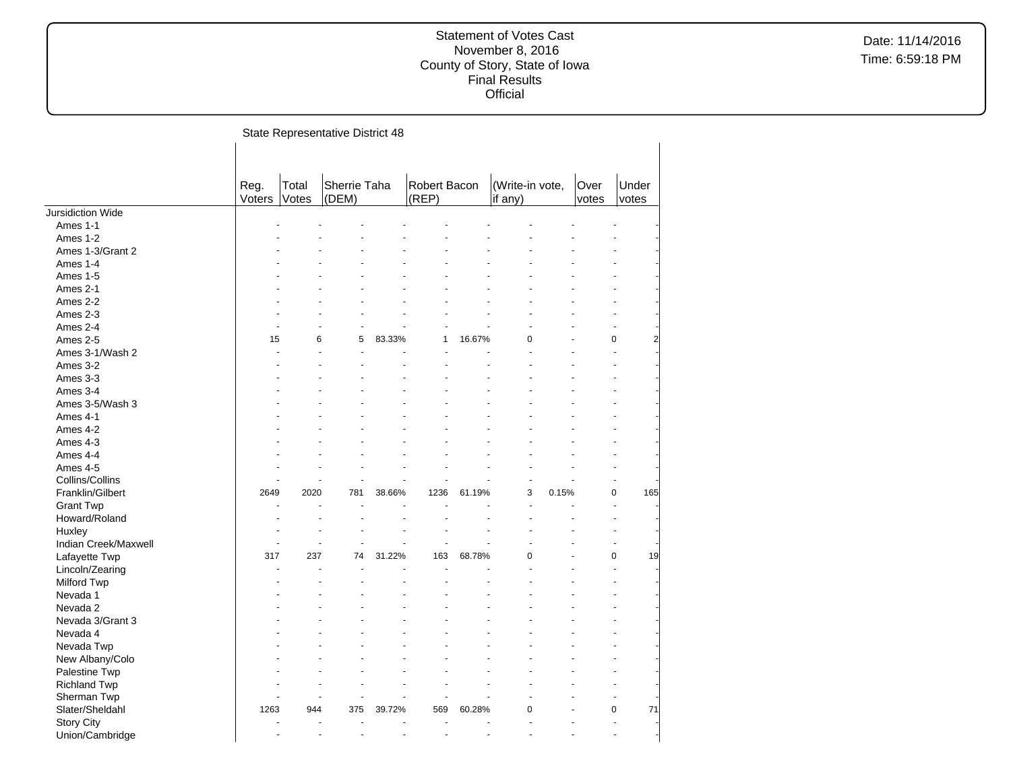|                      |                |                | State Representative District 48 |        |                       |        |                            |       |               |                       |
|----------------------|----------------|----------------|----------------------------------|--------|-----------------------|--------|----------------------------|-------|---------------|-----------------------|
|                      |                |                |                                  |        |                       |        |                            |       |               |                       |
|                      | Reg.<br>Voters | Total<br>Votes | Sherrie Taha<br>(DEM)            |        | Robert Bacon<br>(REP) |        | (Write-in vote,<br>if any) |       | Over<br>votes | Under<br>votes        |
| Jursidiction Wide    |                |                |                                  |        |                       |        |                            |       |               |                       |
| Ames 1-1             |                |                |                                  |        |                       |        |                            |       |               |                       |
| Ames 1-2             |                |                |                                  |        |                       |        |                            |       |               |                       |
| Ames 1-3/Grant 2     |                |                |                                  |        |                       |        |                            |       |               |                       |
| Ames 1-4             |                |                |                                  |        |                       |        |                            |       |               |                       |
| Ames 1-5             |                |                |                                  |        |                       |        |                            |       |               |                       |
| Ames 2-1             |                |                |                                  |        |                       |        |                            |       |               |                       |
| Ames 2-2             |                |                |                                  |        |                       |        |                            |       |               |                       |
| Ames 2-3             |                |                |                                  |        |                       |        |                            |       |               |                       |
| Ames 2-4             |                |                |                                  |        |                       |        |                            |       |               |                       |
| Ames 2-5             | 15             | 6              | 5                                | 83.33% | 1                     | 16.67% | $\Omega$                   |       |               | 0                     |
| Ames 3-1/Wash 2      |                |                |                                  |        |                       |        |                            |       |               | L.                    |
| Ames 3-2             |                |                |                                  |        |                       |        |                            |       |               |                       |
| Ames 3-3             |                |                |                                  |        |                       |        |                            |       |               |                       |
| Ames 3-4             |                |                |                                  |        |                       |        |                            |       |               |                       |
| Ames 3-5/Wash 3      |                |                |                                  |        |                       |        |                            |       |               |                       |
| Ames 4-1             |                |                |                                  |        |                       |        |                            |       |               |                       |
| Ames 4-2             |                |                |                                  |        |                       |        |                            |       |               |                       |
| Ames 4-3             |                |                |                                  |        |                       |        |                            |       |               |                       |
| Ames 4-4             |                |                |                                  |        |                       |        |                            |       |               |                       |
| Ames 4-5             |                |                |                                  |        |                       |        |                            |       |               |                       |
| Collins/Collins      |                |                |                                  |        |                       |        |                            |       |               |                       |
| Franklin/Gilbert     | 2649           | 2020           | 781                              | 38.66% | 1236                  | 61.19% | 3                          | 0.15% |               | $\overline{0}$<br>165 |
|                      |                |                |                                  |        |                       |        |                            |       |               |                       |
| <b>Grant Twp</b>     |                |                |                                  |        |                       |        |                            |       |               |                       |
| Howard/Roland        |                |                |                                  |        |                       |        |                            |       |               |                       |
| Huxley               |                |                |                                  |        |                       |        |                            |       |               |                       |
| Indian Creek/Maxwell |                |                |                                  |        |                       |        |                            |       |               |                       |
| Lafayette Twp        | 317            | 237            | 74                               | 31.22% | 163                   | 68.78% | $\Omega$                   |       |               | 19<br>0               |
| Lincoln/Zearing      |                |                |                                  |        |                       |        |                            |       |               | L.                    |
| <b>Milford Twp</b>   |                |                |                                  |        |                       |        |                            |       |               |                       |
| Nevada 1             |                |                |                                  |        |                       |        |                            |       |               |                       |
| Nevada 2             |                |                |                                  |        |                       |        |                            |       |               |                       |
| Nevada 3/Grant 3     |                |                |                                  |        |                       |        |                            |       |               |                       |
| Nevada 4             |                |                |                                  |        |                       |        |                            |       |               |                       |
| Nevada Twp           |                |                |                                  |        |                       |        |                            |       |               |                       |
| New Albany/Colo      |                |                |                                  |        |                       |        |                            |       |               |                       |
| Palestine Twp        |                |                |                                  |        |                       |        |                            |       |               |                       |
| <b>Richland Twp</b>  |                |                |                                  |        |                       |        |                            |       |               |                       |
| Sherman Twp          |                |                |                                  |        |                       |        |                            |       |               | ä,                    |
| Slater/Sheldahl      | 1263           | 944            | 375                              | 39.72% | 569                   | 60.28% | 0                          |       |               | 71<br>0               |
| <b>Story City</b>    |                |                |                                  |        |                       |        |                            |       |               |                       |
| Union/Cambridge      |                |                |                                  |        |                       |        |                            |       |               |                       |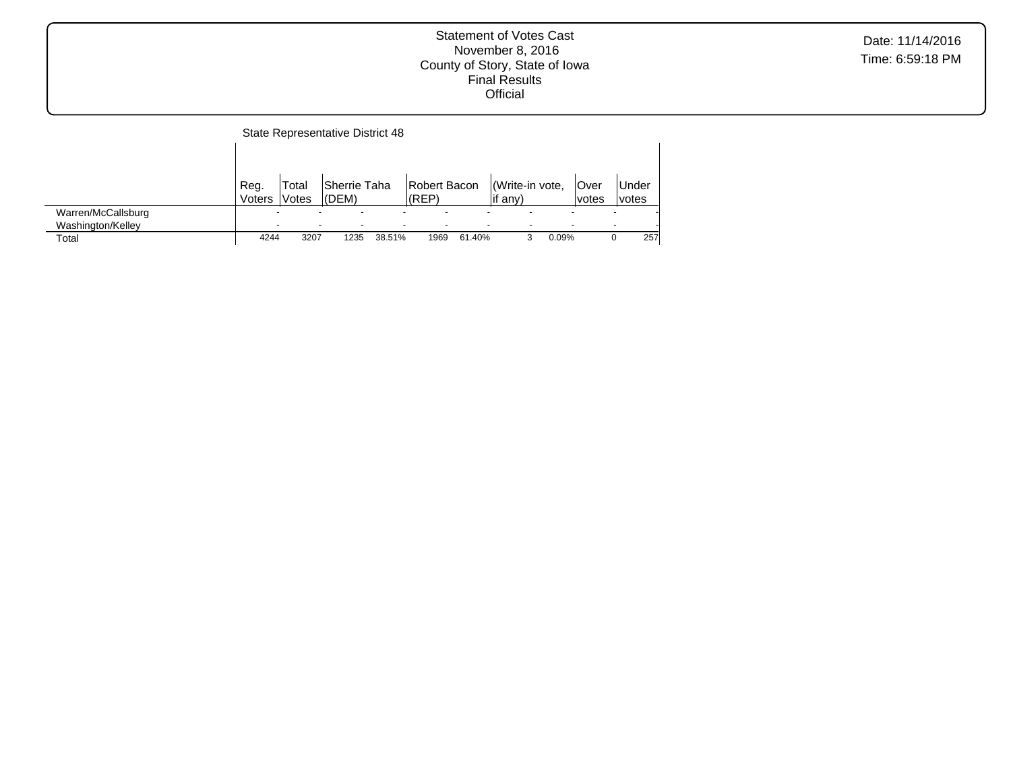|                            |                                  |                | State Representative District 48 |        |                       |        |                            |       |               |                |
|----------------------------|----------------------------------|----------------|----------------------------------|--------|-----------------------|--------|----------------------------|-------|---------------|----------------|
|                            |                                  |                |                                  |        |                       |        |                            |       |               |                |
|                            | Reg.<br><b>Voters</b>            | Total<br>Votes | lSherrie Taha<br>(DEM)           |        | Robert Bacon<br>(REP) |        | Write-in vote,<br>lif any) |       | Over<br>votes | Under<br>votes |
| Warren/McCallsburg         | $\overline{\phantom{0}}$         |                |                                  |        |                       |        |                            |       |               |                |
| Washington/Kelley<br>Total | $\overline{\phantom{0}}$<br>4244 | 3207           | $\overline{\phantom{0}}$<br>1235 | 38.51% | 1969                  | 61.40% |                            | 0.09% |               | 257            |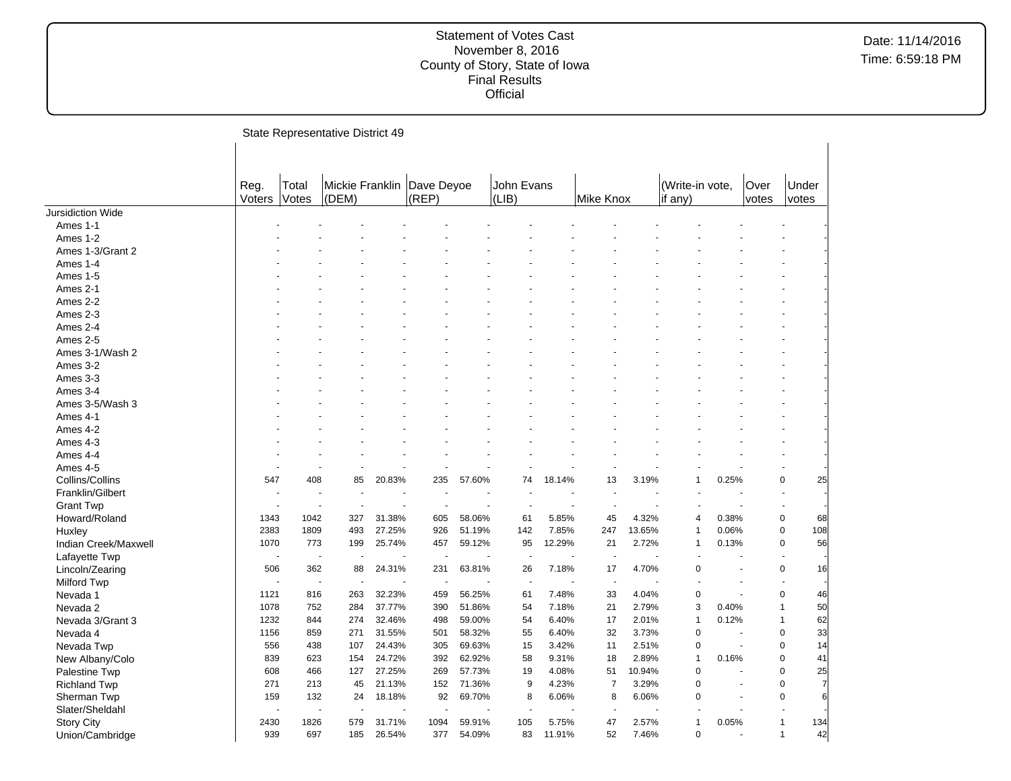| Mickie Franklin<br>Dave Deyoe<br>John Evans<br>(Write-in vote,<br>Reg.<br>Total<br>Over<br>Under<br>(REP)<br>Votes<br>(LIB)<br>Voters<br>(DEM)<br>Mike Knox<br>if any)<br>votes<br>votes<br>Jursidiction Wide<br>Ames 1-1<br>Ames 1-2<br>Ames 1-3/Grant 2<br>Ames 1-4<br><b>Ames 1-5</b><br>Ames 2-1<br>Ames 2-2<br>Ames 2-3<br>Ames 2-4<br>Ames 2-5<br>Ames 3-1/Wash 2<br>Ames 3-2<br>Ames 3-3<br>Ames 3-4<br>Ames 3-5/Wash 3<br>Ames 4-1<br>Ames 4-2<br>Ames 4-3<br>Ames 4-4<br>Ames 4-5<br>$\ddot{\phantom{1}}$<br>$\overline{a}$<br>Collins/Collins<br>25<br>547<br>408<br>20.83%<br>235<br>13<br>3.19%<br>0.25%<br>0<br>85<br>57.60%<br>74<br>18.14%<br>1<br>Franklin/Gilbert<br>$\blacksquare$<br><b>Grant Twp</b><br>$\sim$<br>1343<br>1042<br>327<br>31.38%<br>58.06%<br>61<br>5.85%<br>45<br>4.32%<br>0.38%<br>0<br>Howard/Roland<br>605<br>$\overline{4}$<br>68<br>0<br>108<br>2383<br>1809<br>493<br>27.25%<br>926<br>51.19%<br>142<br>7.85%<br>247<br>13.65%<br>$\mathbf{1}$<br>0.06%<br>Huxley<br>56<br>25.74%<br>59.12%<br>95<br>12.29%<br>2.72%<br>0<br>Indian Creek/Maxwell<br>1070<br>773<br>199<br>457<br>21<br>1<br>0.13%<br>Lafayette Twp<br>$\overline{a}$<br>$\sim$<br>0<br>506<br>362<br>88<br>24.31%<br>231<br>63.81%<br>26<br>7.18%<br>17<br>4.70%<br>0<br>16<br>Lincoln/Zearing<br>Milford Twp<br>$\sim$<br>÷,<br>ä,<br>J.<br>$\overline{\phantom{a}}$<br>0<br>0<br>Nevada 1<br>1121<br>816<br>263<br>32.23%<br>459<br>56.25%<br>61<br>7.48%<br>33<br>4.04%<br>46<br>3<br>2.79%<br>50<br>1078<br>752<br>284<br>37.77%<br>390<br>51.86%<br>54<br>7.18%<br>21<br>0.40%<br>Nevada 2<br>1<br>32.46%<br>59.00%<br>54<br>2.01%<br>0.12%<br>62<br>1232<br>844<br>274<br>498<br>6.40%<br>17<br>$\mathbf{1}$<br>Nevada 3/Grant 3<br>1<br>32<br>$\mathbf 0$<br>33<br>1156<br>859<br>271<br>31.55%<br>58.32%<br>55<br>6.40%<br>3.73%<br>0<br>Nevada 4<br>501<br>÷.<br>438<br>24.43%<br>305<br>69.63%<br>15<br>3.42%<br>2.51%<br>$\overline{0}$<br>0<br>14<br>556<br>107<br>11<br>Nevada Twp<br>0<br>41<br>839<br>623<br>154<br>24.72%<br>392<br>62.92%<br>58<br>9.31%<br>18<br>2.89%<br>1<br>0.16%<br>New Albany/Colo<br>27.25%<br>4.08%<br>10.94%<br>0<br>25<br>Palestine Twp<br>608<br>466<br>127<br>269<br>57.73%<br>19<br>51<br>0<br>271<br>213<br>21.13%<br>152<br>71.36%<br>9<br>4.23%<br>$\overline{7}$<br>3.29%<br>0<br>0<br>45<br>7<br><b>Richland Twp</b><br>132<br>69.70%<br>6.06%<br>8<br>6.06%<br>$\Omega$<br>0<br>6<br>159<br>24<br>18.18%<br>92<br>8<br>Sherman Twp<br>Slater/Sheldahl<br>$\ddot{\phantom{1}}$<br>2430<br>1826<br>579<br>31.71%<br>1094<br>59.91%<br>105<br>5.75%<br>47<br>2.57%<br>1<br>0.05%<br>134<br><b>Story City</b><br>1<br>52<br>42<br>939<br>697<br>185<br>26.54%<br>377<br>54.09%<br>83<br>11.91%<br>7.46%<br>0<br>$\overline{1}$<br>Union/Cambridge |  | State Representative District 49 |  |  |  |  |  |  |
|--------------------------------------------------------------------------------------------------------------------------------------------------------------------------------------------------------------------------------------------------------------------------------------------------------------------------------------------------------------------------------------------------------------------------------------------------------------------------------------------------------------------------------------------------------------------------------------------------------------------------------------------------------------------------------------------------------------------------------------------------------------------------------------------------------------------------------------------------------------------------------------------------------------------------------------------------------------------------------------------------------------------------------------------------------------------------------------------------------------------------------------------------------------------------------------------------------------------------------------------------------------------------------------------------------------------------------------------------------------------------------------------------------------------------------------------------------------------------------------------------------------------------------------------------------------------------------------------------------------------------------------------------------------------------------------------------------------------------------------------------------------------------------------------------------------------------------------------------------------------------------------------------------------------------------------------------------------------------------------------------------------------------------------------------------------------------------------------------------------------------------------------------------------------------------------------------------------------------------------------------------------------------------------------------------------------------------------------------------------------------------------------------------------------------------------------------------------------------------------------------------------------------------------------------------------------------------------------------------------------------------------------------------------------------------------------------------------------------------------------------------------------------------------------------------------|--|----------------------------------|--|--|--|--|--|--|
|                                                                                                                                                                                                                                                                                                                                                                                                                                                                                                                                                                                                                                                                                                                                                                                                                                                                                                                                                                                                                                                                                                                                                                                                                                                                                                                                                                                                                                                                                                                                                                                                                                                                                                                                                                                                                                                                                                                                                                                                                                                                                                                                                                                                                                                                                                                                                                                                                                                                                                                                                                                                                                                                                                                                                                                                              |  |                                  |  |  |  |  |  |  |
|                                                                                                                                                                                                                                                                                                                                                                                                                                                                                                                                                                                                                                                                                                                                                                                                                                                                                                                                                                                                                                                                                                                                                                                                                                                                                                                                                                                                                                                                                                                                                                                                                                                                                                                                                                                                                                                                                                                                                                                                                                                                                                                                                                                                                                                                                                                                                                                                                                                                                                                                                                                                                                                                                                                                                                                                              |  |                                  |  |  |  |  |  |  |
|                                                                                                                                                                                                                                                                                                                                                                                                                                                                                                                                                                                                                                                                                                                                                                                                                                                                                                                                                                                                                                                                                                                                                                                                                                                                                                                                                                                                                                                                                                                                                                                                                                                                                                                                                                                                                                                                                                                                                                                                                                                                                                                                                                                                                                                                                                                                                                                                                                                                                                                                                                                                                                                                                                                                                                                                              |  |                                  |  |  |  |  |  |  |
|                                                                                                                                                                                                                                                                                                                                                                                                                                                                                                                                                                                                                                                                                                                                                                                                                                                                                                                                                                                                                                                                                                                                                                                                                                                                                                                                                                                                                                                                                                                                                                                                                                                                                                                                                                                                                                                                                                                                                                                                                                                                                                                                                                                                                                                                                                                                                                                                                                                                                                                                                                                                                                                                                                                                                                                                              |  |                                  |  |  |  |  |  |  |
|                                                                                                                                                                                                                                                                                                                                                                                                                                                                                                                                                                                                                                                                                                                                                                                                                                                                                                                                                                                                                                                                                                                                                                                                                                                                                                                                                                                                                                                                                                                                                                                                                                                                                                                                                                                                                                                                                                                                                                                                                                                                                                                                                                                                                                                                                                                                                                                                                                                                                                                                                                                                                                                                                                                                                                                                              |  |                                  |  |  |  |  |  |  |
|                                                                                                                                                                                                                                                                                                                                                                                                                                                                                                                                                                                                                                                                                                                                                                                                                                                                                                                                                                                                                                                                                                                                                                                                                                                                                                                                                                                                                                                                                                                                                                                                                                                                                                                                                                                                                                                                                                                                                                                                                                                                                                                                                                                                                                                                                                                                                                                                                                                                                                                                                                                                                                                                                                                                                                                                              |  |                                  |  |  |  |  |  |  |
|                                                                                                                                                                                                                                                                                                                                                                                                                                                                                                                                                                                                                                                                                                                                                                                                                                                                                                                                                                                                                                                                                                                                                                                                                                                                                                                                                                                                                                                                                                                                                                                                                                                                                                                                                                                                                                                                                                                                                                                                                                                                                                                                                                                                                                                                                                                                                                                                                                                                                                                                                                                                                                                                                                                                                                                                              |  |                                  |  |  |  |  |  |  |
|                                                                                                                                                                                                                                                                                                                                                                                                                                                                                                                                                                                                                                                                                                                                                                                                                                                                                                                                                                                                                                                                                                                                                                                                                                                                                                                                                                                                                                                                                                                                                                                                                                                                                                                                                                                                                                                                                                                                                                                                                                                                                                                                                                                                                                                                                                                                                                                                                                                                                                                                                                                                                                                                                                                                                                                                              |  |                                  |  |  |  |  |  |  |
|                                                                                                                                                                                                                                                                                                                                                                                                                                                                                                                                                                                                                                                                                                                                                                                                                                                                                                                                                                                                                                                                                                                                                                                                                                                                                                                                                                                                                                                                                                                                                                                                                                                                                                                                                                                                                                                                                                                                                                                                                                                                                                                                                                                                                                                                                                                                                                                                                                                                                                                                                                                                                                                                                                                                                                                                              |  |                                  |  |  |  |  |  |  |
|                                                                                                                                                                                                                                                                                                                                                                                                                                                                                                                                                                                                                                                                                                                                                                                                                                                                                                                                                                                                                                                                                                                                                                                                                                                                                                                                                                                                                                                                                                                                                                                                                                                                                                                                                                                                                                                                                                                                                                                                                                                                                                                                                                                                                                                                                                                                                                                                                                                                                                                                                                                                                                                                                                                                                                                                              |  |                                  |  |  |  |  |  |  |
|                                                                                                                                                                                                                                                                                                                                                                                                                                                                                                                                                                                                                                                                                                                                                                                                                                                                                                                                                                                                                                                                                                                                                                                                                                                                                                                                                                                                                                                                                                                                                                                                                                                                                                                                                                                                                                                                                                                                                                                                                                                                                                                                                                                                                                                                                                                                                                                                                                                                                                                                                                                                                                                                                                                                                                                                              |  |                                  |  |  |  |  |  |  |
|                                                                                                                                                                                                                                                                                                                                                                                                                                                                                                                                                                                                                                                                                                                                                                                                                                                                                                                                                                                                                                                                                                                                                                                                                                                                                                                                                                                                                                                                                                                                                                                                                                                                                                                                                                                                                                                                                                                                                                                                                                                                                                                                                                                                                                                                                                                                                                                                                                                                                                                                                                                                                                                                                                                                                                                                              |  |                                  |  |  |  |  |  |  |
|                                                                                                                                                                                                                                                                                                                                                                                                                                                                                                                                                                                                                                                                                                                                                                                                                                                                                                                                                                                                                                                                                                                                                                                                                                                                                                                                                                                                                                                                                                                                                                                                                                                                                                                                                                                                                                                                                                                                                                                                                                                                                                                                                                                                                                                                                                                                                                                                                                                                                                                                                                                                                                                                                                                                                                                                              |  |                                  |  |  |  |  |  |  |
|                                                                                                                                                                                                                                                                                                                                                                                                                                                                                                                                                                                                                                                                                                                                                                                                                                                                                                                                                                                                                                                                                                                                                                                                                                                                                                                                                                                                                                                                                                                                                                                                                                                                                                                                                                                                                                                                                                                                                                                                                                                                                                                                                                                                                                                                                                                                                                                                                                                                                                                                                                                                                                                                                                                                                                                                              |  |                                  |  |  |  |  |  |  |
|                                                                                                                                                                                                                                                                                                                                                                                                                                                                                                                                                                                                                                                                                                                                                                                                                                                                                                                                                                                                                                                                                                                                                                                                                                                                                                                                                                                                                                                                                                                                                                                                                                                                                                                                                                                                                                                                                                                                                                                                                                                                                                                                                                                                                                                                                                                                                                                                                                                                                                                                                                                                                                                                                                                                                                                                              |  |                                  |  |  |  |  |  |  |
|                                                                                                                                                                                                                                                                                                                                                                                                                                                                                                                                                                                                                                                                                                                                                                                                                                                                                                                                                                                                                                                                                                                                                                                                                                                                                                                                                                                                                                                                                                                                                                                                                                                                                                                                                                                                                                                                                                                                                                                                                                                                                                                                                                                                                                                                                                                                                                                                                                                                                                                                                                                                                                                                                                                                                                                                              |  |                                  |  |  |  |  |  |  |
|                                                                                                                                                                                                                                                                                                                                                                                                                                                                                                                                                                                                                                                                                                                                                                                                                                                                                                                                                                                                                                                                                                                                                                                                                                                                                                                                                                                                                                                                                                                                                                                                                                                                                                                                                                                                                                                                                                                                                                                                                                                                                                                                                                                                                                                                                                                                                                                                                                                                                                                                                                                                                                                                                                                                                                                                              |  |                                  |  |  |  |  |  |  |
|                                                                                                                                                                                                                                                                                                                                                                                                                                                                                                                                                                                                                                                                                                                                                                                                                                                                                                                                                                                                                                                                                                                                                                                                                                                                                                                                                                                                                                                                                                                                                                                                                                                                                                                                                                                                                                                                                                                                                                                                                                                                                                                                                                                                                                                                                                                                                                                                                                                                                                                                                                                                                                                                                                                                                                                                              |  |                                  |  |  |  |  |  |  |
|                                                                                                                                                                                                                                                                                                                                                                                                                                                                                                                                                                                                                                                                                                                                                                                                                                                                                                                                                                                                                                                                                                                                                                                                                                                                                                                                                                                                                                                                                                                                                                                                                                                                                                                                                                                                                                                                                                                                                                                                                                                                                                                                                                                                                                                                                                                                                                                                                                                                                                                                                                                                                                                                                                                                                                                                              |  |                                  |  |  |  |  |  |  |
|                                                                                                                                                                                                                                                                                                                                                                                                                                                                                                                                                                                                                                                                                                                                                                                                                                                                                                                                                                                                                                                                                                                                                                                                                                                                                                                                                                                                                                                                                                                                                                                                                                                                                                                                                                                                                                                                                                                                                                                                                                                                                                                                                                                                                                                                                                                                                                                                                                                                                                                                                                                                                                                                                                                                                                                                              |  |                                  |  |  |  |  |  |  |
|                                                                                                                                                                                                                                                                                                                                                                                                                                                                                                                                                                                                                                                                                                                                                                                                                                                                                                                                                                                                                                                                                                                                                                                                                                                                                                                                                                                                                                                                                                                                                                                                                                                                                                                                                                                                                                                                                                                                                                                                                                                                                                                                                                                                                                                                                                                                                                                                                                                                                                                                                                                                                                                                                                                                                                                                              |  |                                  |  |  |  |  |  |  |
|                                                                                                                                                                                                                                                                                                                                                                                                                                                                                                                                                                                                                                                                                                                                                                                                                                                                                                                                                                                                                                                                                                                                                                                                                                                                                                                                                                                                                                                                                                                                                                                                                                                                                                                                                                                                                                                                                                                                                                                                                                                                                                                                                                                                                                                                                                                                                                                                                                                                                                                                                                                                                                                                                                                                                                                                              |  |                                  |  |  |  |  |  |  |
|                                                                                                                                                                                                                                                                                                                                                                                                                                                                                                                                                                                                                                                                                                                                                                                                                                                                                                                                                                                                                                                                                                                                                                                                                                                                                                                                                                                                                                                                                                                                                                                                                                                                                                                                                                                                                                                                                                                                                                                                                                                                                                                                                                                                                                                                                                                                                                                                                                                                                                                                                                                                                                                                                                                                                                                                              |  |                                  |  |  |  |  |  |  |
|                                                                                                                                                                                                                                                                                                                                                                                                                                                                                                                                                                                                                                                                                                                                                                                                                                                                                                                                                                                                                                                                                                                                                                                                                                                                                                                                                                                                                                                                                                                                                                                                                                                                                                                                                                                                                                                                                                                                                                                                                                                                                                                                                                                                                                                                                                                                                                                                                                                                                                                                                                                                                                                                                                                                                                                                              |  |                                  |  |  |  |  |  |  |
|                                                                                                                                                                                                                                                                                                                                                                                                                                                                                                                                                                                                                                                                                                                                                                                                                                                                                                                                                                                                                                                                                                                                                                                                                                                                                                                                                                                                                                                                                                                                                                                                                                                                                                                                                                                                                                                                                                                                                                                                                                                                                                                                                                                                                                                                                                                                                                                                                                                                                                                                                                                                                                                                                                                                                                                                              |  |                                  |  |  |  |  |  |  |
|                                                                                                                                                                                                                                                                                                                                                                                                                                                                                                                                                                                                                                                                                                                                                                                                                                                                                                                                                                                                                                                                                                                                                                                                                                                                                                                                                                                                                                                                                                                                                                                                                                                                                                                                                                                                                                                                                                                                                                                                                                                                                                                                                                                                                                                                                                                                                                                                                                                                                                                                                                                                                                                                                                                                                                                                              |  |                                  |  |  |  |  |  |  |
|                                                                                                                                                                                                                                                                                                                                                                                                                                                                                                                                                                                                                                                                                                                                                                                                                                                                                                                                                                                                                                                                                                                                                                                                                                                                                                                                                                                                                                                                                                                                                                                                                                                                                                                                                                                                                                                                                                                                                                                                                                                                                                                                                                                                                                                                                                                                                                                                                                                                                                                                                                                                                                                                                                                                                                                                              |  |                                  |  |  |  |  |  |  |
|                                                                                                                                                                                                                                                                                                                                                                                                                                                                                                                                                                                                                                                                                                                                                                                                                                                                                                                                                                                                                                                                                                                                                                                                                                                                                                                                                                                                                                                                                                                                                                                                                                                                                                                                                                                                                                                                                                                                                                                                                                                                                                                                                                                                                                                                                                                                                                                                                                                                                                                                                                                                                                                                                                                                                                                                              |  |                                  |  |  |  |  |  |  |
|                                                                                                                                                                                                                                                                                                                                                                                                                                                                                                                                                                                                                                                                                                                                                                                                                                                                                                                                                                                                                                                                                                                                                                                                                                                                                                                                                                                                                                                                                                                                                                                                                                                                                                                                                                                                                                                                                                                                                                                                                                                                                                                                                                                                                                                                                                                                                                                                                                                                                                                                                                                                                                                                                                                                                                                                              |  |                                  |  |  |  |  |  |  |
|                                                                                                                                                                                                                                                                                                                                                                                                                                                                                                                                                                                                                                                                                                                                                                                                                                                                                                                                                                                                                                                                                                                                                                                                                                                                                                                                                                                                                                                                                                                                                                                                                                                                                                                                                                                                                                                                                                                                                                                                                                                                                                                                                                                                                                                                                                                                                                                                                                                                                                                                                                                                                                                                                                                                                                                                              |  |                                  |  |  |  |  |  |  |
|                                                                                                                                                                                                                                                                                                                                                                                                                                                                                                                                                                                                                                                                                                                                                                                                                                                                                                                                                                                                                                                                                                                                                                                                                                                                                                                                                                                                                                                                                                                                                                                                                                                                                                                                                                                                                                                                                                                                                                                                                                                                                                                                                                                                                                                                                                                                                                                                                                                                                                                                                                                                                                                                                                                                                                                                              |  |                                  |  |  |  |  |  |  |
|                                                                                                                                                                                                                                                                                                                                                                                                                                                                                                                                                                                                                                                                                                                                                                                                                                                                                                                                                                                                                                                                                                                                                                                                                                                                                                                                                                                                                                                                                                                                                                                                                                                                                                                                                                                                                                                                                                                                                                                                                                                                                                                                                                                                                                                                                                                                                                                                                                                                                                                                                                                                                                                                                                                                                                                                              |  |                                  |  |  |  |  |  |  |
|                                                                                                                                                                                                                                                                                                                                                                                                                                                                                                                                                                                                                                                                                                                                                                                                                                                                                                                                                                                                                                                                                                                                                                                                                                                                                                                                                                                                                                                                                                                                                                                                                                                                                                                                                                                                                                                                                                                                                                                                                                                                                                                                                                                                                                                                                                                                                                                                                                                                                                                                                                                                                                                                                                                                                                                                              |  |                                  |  |  |  |  |  |  |
|                                                                                                                                                                                                                                                                                                                                                                                                                                                                                                                                                                                                                                                                                                                                                                                                                                                                                                                                                                                                                                                                                                                                                                                                                                                                                                                                                                                                                                                                                                                                                                                                                                                                                                                                                                                                                                                                                                                                                                                                                                                                                                                                                                                                                                                                                                                                                                                                                                                                                                                                                                                                                                                                                                                                                                                                              |  |                                  |  |  |  |  |  |  |
|                                                                                                                                                                                                                                                                                                                                                                                                                                                                                                                                                                                                                                                                                                                                                                                                                                                                                                                                                                                                                                                                                                                                                                                                                                                                                                                                                                                                                                                                                                                                                                                                                                                                                                                                                                                                                                                                                                                                                                                                                                                                                                                                                                                                                                                                                                                                                                                                                                                                                                                                                                                                                                                                                                                                                                                                              |  |                                  |  |  |  |  |  |  |
|                                                                                                                                                                                                                                                                                                                                                                                                                                                                                                                                                                                                                                                                                                                                                                                                                                                                                                                                                                                                                                                                                                                                                                                                                                                                                                                                                                                                                                                                                                                                                                                                                                                                                                                                                                                                                                                                                                                                                                                                                                                                                                                                                                                                                                                                                                                                                                                                                                                                                                                                                                                                                                                                                                                                                                                                              |  |                                  |  |  |  |  |  |  |
|                                                                                                                                                                                                                                                                                                                                                                                                                                                                                                                                                                                                                                                                                                                                                                                                                                                                                                                                                                                                                                                                                                                                                                                                                                                                                                                                                                                                                                                                                                                                                                                                                                                                                                                                                                                                                                                                                                                                                                                                                                                                                                                                                                                                                                                                                                                                                                                                                                                                                                                                                                                                                                                                                                                                                                                                              |  |                                  |  |  |  |  |  |  |
|                                                                                                                                                                                                                                                                                                                                                                                                                                                                                                                                                                                                                                                                                                                                                                                                                                                                                                                                                                                                                                                                                                                                                                                                                                                                                                                                                                                                                                                                                                                                                                                                                                                                                                                                                                                                                                                                                                                                                                                                                                                                                                                                                                                                                                                                                                                                                                                                                                                                                                                                                                                                                                                                                                                                                                                                              |  |                                  |  |  |  |  |  |  |
|                                                                                                                                                                                                                                                                                                                                                                                                                                                                                                                                                                                                                                                                                                                                                                                                                                                                                                                                                                                                                                                                                                                                                                                                                                                                                                                                                                                                                                                                                                                                                                                                                                                                                                                                                                                                                                                                                                                                                                                                                                                                                                                                                                                                                                                                                                                                                                                                                                                                                                                                                                                                                                                                                                                                                                                                              |  |                                  |  |  |  |  |  |  |
|                                                                                                                                                                                                                                                                                                                                                                                                                                                                                                                                                                                                                                                                                                                                                                                                                                                                                                                                                                                                                                                                                                                                                                                                                                                                                                                                                                                                                                                                                                                                                                                                                                                                                                                                                                                                                                                                                                                                                                                                                                                                                                                                                                                                                                                                                                                                                                                                                                                                                                                                                                                                                                                                                                                                                                                                              |  |                                  |  |  |  |  |  |  |
|                                                                                                                                                                                                                                                                                                                                                                                                                                                                                                                                                                                                                                                                                                                                                                                                                                                                                                                                                                                                                                                                                                                                                                                                                                                                                                                                                                                                                                                                                                                                                                                                                                                                                                                                                                                                                                                                                                                                                                                                                                                                                                                                                                                                                                                                                                                                                                                                                                                                                                                                                                                                                                                                                                                                                                                                              |  |                                  |  |  |  |  |  |  |
|                                                                                                                                                                                                                                                                                                                                                                                                                                                                                                                                                                                                                                                                                                                                                                                                                                                                                                                                                                                                                                                                                                                                                                                                                                                                                                                                                                                                                                                                                                                                                                                                                                                                                                                                                                                                                                                                                                                                                                                                                                                                                                                                                                                                                                                                                                                                                                                                                                                                                                                                                                                                                                                                                                                                                                                                              |  |                                  |  |  |  |  |  |  |
|                                                                                                                                                                                                                                                                                                                                                                                                                                                                                                                                                                                                                                                                                                                                                                                                                                                                                                                                                                                                                                                                                                                                                                                                                                                                                                                                                                                                                                                                                                                                                                                                                                                                                                                                                                                                                                                                                                                                                                                                                                                                                                                                                                                                                                                                                                                                                                                                                                                                                                                                                                                                                                                                                                                                                                                                              |  |                                  |  |  |  |  |  |  |
|                                                                                                                                                                                                                                                                                                                                                                                                                                                                                                                                                                                                                                                                                                                                                                                                                                                                                                                                                                                                                                                                                                                                                                                                                                                                                                                                                                                                                                                                                                                                                                                                                                                                                                                                                                                                                                                                                                                                                                                                                                                                                                                                                                                                                                                                                                                                                                                                                                                                                                                                                                                                                                                                                                                                                                                                              |  |                                  |  |  |  |  |  |  |
|                                                                                                                                                                                                                                                                                                                                                                                                                                                                                                                                                                                                                                                                                                                                                                                                                                                                                                                                                                                                                                                                                                                                                                                                                                                                                                                                                                                                                                                                                                                                                                                                                                                                                                                                                                                                                                                                                                                                                                                                                                                                                                                                                                                                                                                                                                                                                                                                                                                                                                                                                                                                                                                                                                                                                                                                              |  |                                  |  |  |  |  |  |  |
|                                                                                                                                                                                                                                                                                                                                                                                                                                                                                                                                                                                                                                                                                                                                                                                                                                                                                                                                                                                                                                                                                                                                                                                                                                                                                                                                                                                                                                                                                                                                                                                                                                                                                                                                                                                                                                                                                                                                                                                                                                                                                                                                                                                                                                                                                                                                                                                                                                                                                                                                                                                                                                                                                                                                                                                                              |  |                                  |  |  |  |  |  |  |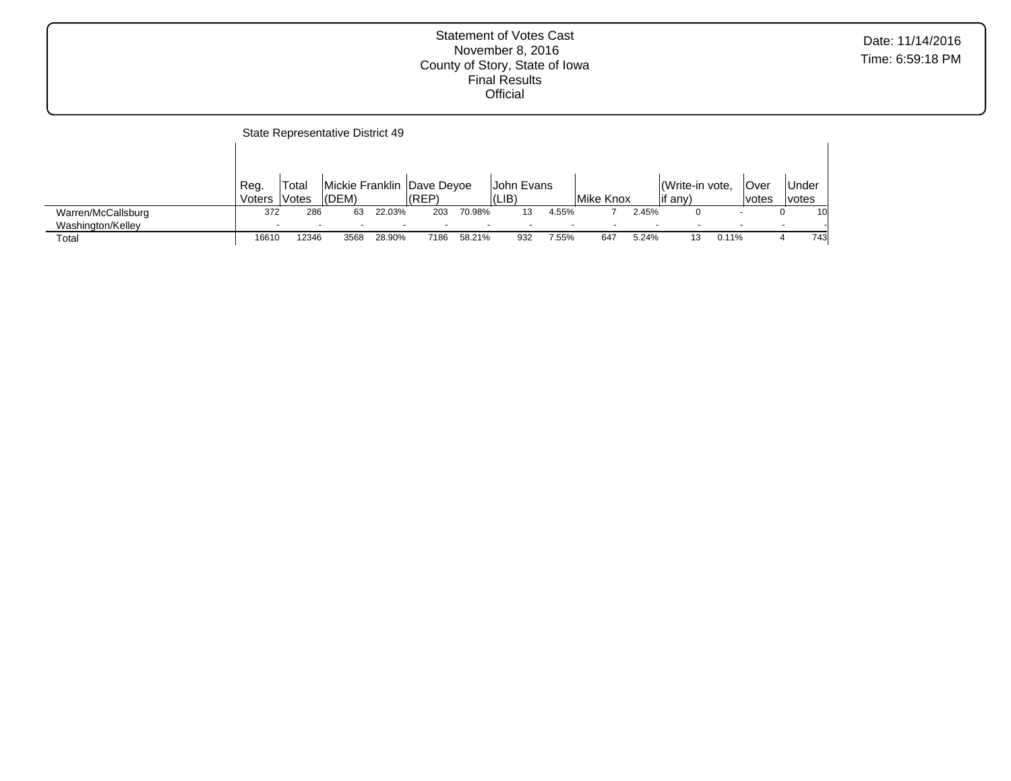|                    |                          | State Representative District 49 |                          |                          |                            |        |               |       |           |       |                |       |       |       |     |
|--------------------|--------------------------|----------------------------------|--------------------------|--------------------------|----------------------------|--------|---------------|-------|-----------|-------|----------------|-------|-------|-------|-----|
|                    |                          |                                  |                          |                          |                            |        |               |       |           |       |                |       |       |       |     |
|                    | Reg.                     | Total                            |                          |                          | Mickie Franklin Dave Deyoe |        | IJohn Evans   |       |           |       | Write-in vote, |       | ∣Over | Under |     |
|                    | Voters                   | <b>Votes</b>                     | (DEM)                    |                          | (REP)                      |        | $ LIB\rangle$ |       | Mike Knox |       | if any)        |       | votes | votes |     |
| Warren/McCallsburg | 372                      | 286                              | 63                       | 22.03%                   | 203                        | 70.98% | 13            | 4.55% |           | 2.45% |                |       |       |       | 10  |
| Washington/Kelley  | $\overline{\phantom{a}}$ | $\overline{\phantom{a}}$         | $\overline{\phantom{0}}$ | $\overline{\phantom{0}}$ |                            |        |               |       |           |       |                |       |       |       |     |
| Total              | 16610                    | 12346                            | 3568                     | 28.90%                   | 7186                       | 58.21% | 932           | 7.55% | 647       | 5.24% | 13             | 0.11% |       |       | 743 |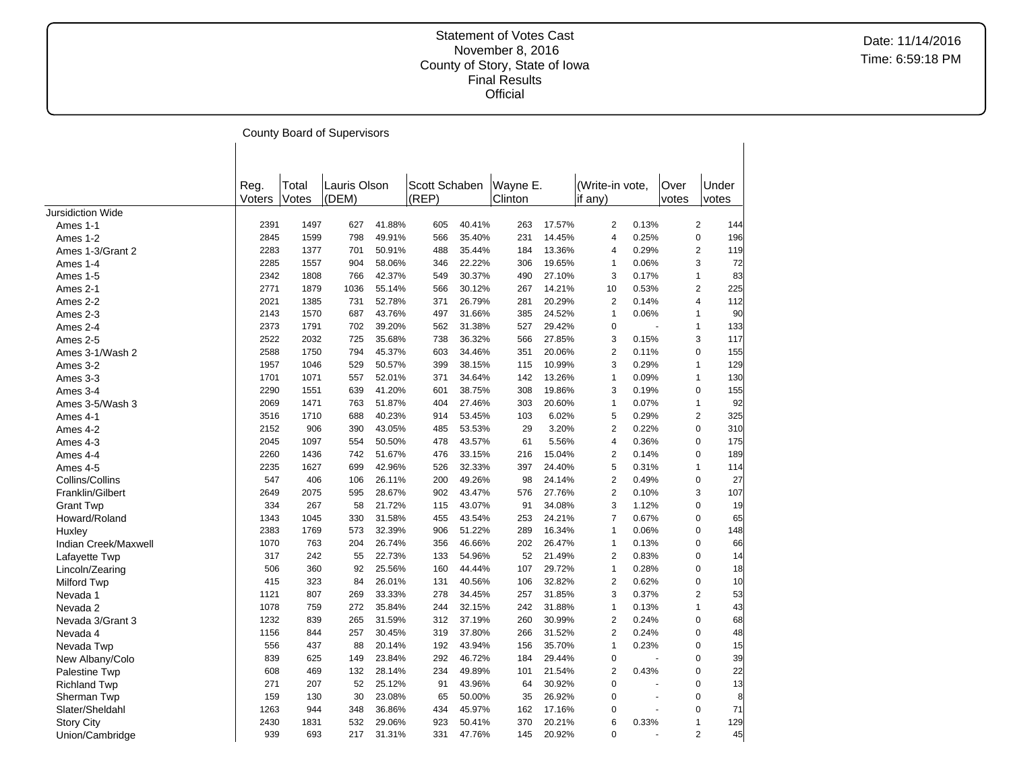|                          |                |                | County Board of Supervisors |        |                        |        |                     |        |                            |       |               |                       |
|--------------------------|----------------|----------------|-----------------------------|--------|------------------------|--------|---------------------|--------|----------------------------|-------|---------------|-----------------------|
|                          |                |                |                             |        |                        |        |                     |        |                            |       |               |                       |
|                          | Reg.<br>Voters | Total<br>Votes | Lauris Olson<br>(DEM)       |        | Scott Schaben<br>(REP) |        | Wayne E.<br>Clinton |        | (Write-in vote.<br>if any) |       | Over<br>votes | Under<br>votes        |
| <b>Jursidiction Wide</b> |                |                |                             |        |                        |        |                     |        |                            |       |               |                       |
| Ames 1-1                 | 2391           | 1497           | 627                         | 41.88% | 605                    | 40.41% | 263                 | 17.57% | 2                          | 0.13% |               | $\overline{2}$<br>144 |
| Ames 1-2                 | 2845           | 1599           | 798                         | 49.91% | 566                    | 35.40% | 231                 | 14.45% | 4                          | 0.25% |               | $\mathbf 0$<br>196    |
| Ames 1-3/Grant 2         | 2283           | 1377           | 701                         | 50.91% | 488                    | 35.44% | 184                 | 13.36% | 4                          | 0.29% |               | $\overline{2}$<br>119 |
| Ames 1-4                 | 2285           | 1557           | 904                         | 58.06% | 346                    | 22.22% | 306                 | 19.65% | $\mathbf{1}$               | 0.06% |               | 3<br>72               |
| Ames 1-5                 | 2342           | 1808           | 766                         | 42.37% | 549                    | 30.37% | 490                 | 27.10% | 3                          | 0.17% |               | $\mathbf{1}$<br>83    |
| Ames 2-1                 | 2771           | 1879           | 1036                        | 55.14% | 566                    | 30.12% | 267                 | 14.21% | 10                         | 0.53% |               | $\overline{c}$<br>225 |
| Ames 2-2                 | 2021           | 1385           | 731                         | 52.78% | 371                    | 26.79% | 281                 | 20.29% | $\overline{\mathbf{c}}$    | 0.14% |               | 112<br>4              |
| Ames 2-3                 | 2143           | 1570           | 687                         | 43.76% | 497                    | 31.66% | 385                 | 24.52% | $\mathbf{1}$               | 0.06% |               | 90<br>$\mathbf{1}$    |
| Ames 2-4                 | 2373           | 1791           | 702                         | 39.20% | 562                    | 31.38% | 527                 | 29.42% | $\overline{0}$             |       |               | $\mathbf{1}$<br>133   |
| Ames 2-5                 | 2522           | 2032           | 725                         | 35.68% | 738                    | 36.32% | 566                 | 27.85% | 3                          | 0.15% |               | 3<br>117              |
| Ames 3-1/Wash 2          | 2588           | 1750           | 794                         | 45.37% | 603                    | 34.46% | 351                 | 20.06% | $\overline{2}$             | 0.11% |               | 0<br>155              |
| Ames 3-2                 | 1957           | 1046           | 529                         | 50.57% | 399                    | 38.15% | 115                 | 10.99% | 3                          | 0.29% |               | $\mathbf{1}$<br>129   |
| Ames 3-3                 | 1701           | 1071           | 557                         | 52.01% | 371                    | 34.64% | 142                 | 13.26% | 1                          | 0.09% |               | $\mathbf{1}$<br>130   |
| Ames 3-4                 | 2290           | 1551           | 639                         | 41.20% | 601                    | 38.75% | 308                 | 19.86% | 3                          | 0.19% |               | $\mathbf 0$<br>155    |
| Ames 3-5/Wash 3          | 2069           | 1471           | 763                         | 51.87% | 404                    | 27.46% | 303                 | 20.60% | 1                          | 0.07% |               | $\mathbf{1}$<br>92    |
| Ames 4-1                 | 3516           | 1710           | 688                         | 40.23% | 914                    | 53.45% | 103                 | 6.02%  | 5                          | 0.29% |               | $\overline{2}$<br>325 |
| Ames 4-2                 | 2152           | 906            | 390                         | 43.05% | 485                    | 53.53% | 29                  | 3.20%  | $\overline{2}$             | 0.22% |               | $\mathbf 0$<br>310    |
| Ames 4-3                 | 2045           | 1097           | 554                         | 50.50% | 478                    | 43.57% | 61                  | 5.56%  | 4                          | 0.36% |               | 175<br>0              |
| Ames 4-4                 | 2260           | 1436           | 742                         | 51.67% | 476                    | 33.15% | 216                 | 15.04% | 2                          | 0.14% |               | $\mathbf 0$<br>189    |
| Ames 4-5                 | 2235           | 1627           | 699                         | 42.96% | 526                    | 32.33% | 397                 | 24.40% | 5                          | 0.31% |               | 114<br>$\mathbf{1}$   |
| Collins/Collins          | 547            | 406            | 106                         | 26.11% | 200                    | 49.26% | 98                  | 24.14% | 2                          | 0.49% |               | $\mathbf 0$<br>27     |
| Franklin/Gilbert         | 2649           | 2075           | 595                         | 28.67% | 902                    | 43.47% | 576                 | 27.76% | $\overline{2}$             | 0.10% |               | 107<br>3              |
| <b>Grant Twp</b>         | 334            | 267            | 58                          | 21.72% | 115                    | 43.07% | 91                  | 34.08% | 3                          | 1.12% |               | $\pmb{0}$<br>19       |
| Howard/Roland            | 1343           | 1045           | 330                         | 31.58% | 455                    | 43.54% | 253                 | 24.21% | $\overline{7}$             | 0.67% |               | $\pmb{0}$<br>65       |
| Huxley                   | 2383           | 1769           | 573                         | 32.39% | 906                    | 51.22% | 289                 | 16.34% | $\mathbf{1}$               | 0.06% |               | $\mathbf 0$<br>148    |
| Indian Creek/Maxwell     | 1070           | 763            | 204                         | 26.74% | 356                    | 46.66% | 202                 | 26.47% | $\mathbf{1}$               | 0.13% |               | $\mathbf 0$<br>66     |
| Lafayette Twp            | 317            | 242            | 55                          | 22.73% | 133                    | 54.96% | 52                  | 21.49% | $\overline{2}$             | 0.83% |               | $\pmb{0}$<br>14       |
| Lincoln/Zearing          | 506            | 360            | 92                          | 25.56% | 160                    | 44.44% | 107                 | 29.72% | 1                          | 0.28% |               | $\mathbf 0$<br>18     |
| <b>Milford Twp</b>       | 415            | 323            | 84                          | 26.01% | 131                    | 40.56% | 106                 | 32.82% | $\overline{2}$             | 0.62% |               | $\mathbf 0$<br>10     |
| Nevada 1                 | 1121           | 807            | 269                         | 33.33% | 278                    | 34.45% | 257                 | 31.85% | 3                          | 0.37% |               | $\overline{2}$<br>53  |
| Nevada 2                 | 1078           | 759            | 272                         | 35.84% | 244                    | 32.15% | 242                 | 31.88% | 1                          | 0.13% |               | $\mathbf{1}$<br>43    |
| Nevada 3/Grant 3         | 1232           | 839            | 265                         | 31.59% | 312                    | 37.19% | 260                 | 30.99% | $\overline{2}$             | 0.24% |               | $\mathbf 0$<br>68     |
| Nevada 4                 | 1156           | 844            | 257                         | 30.45% | 319                    | 37.80% | 266                 | 31.52% | $\overline{2}$             | 0.24% |               | $\mathbf 0$<br>48     |
| Nevada Twp               | 556            | 437            | 88                          | 20.14% | 192                    | 43.94% | 156                 | 35.70% | 1                          | 0.23% |               | $\pmb{0}$<br>15       |
| New Albany/Colo          | 839            | 625            | 149                         | 23.84% | 292                    | 46.72% | 184                 | 29.44% | $\overline{0}$             |       |               | $\mathbf 0$<br>39     |
| <b>Palestine Twp</b>     | 608            | 469            | 132                         | 28.14% | 234                    | 49.89% | 101                 | 21.54% | $\overline{2}$             | 0.43% |               | $\Omega$<br>22        |
| <b>Richland Twp</b>      | 271            | 207            | 52                          | 25.12% | 91                     | 43.96% | 64                  | 30.92% | $\mathbf 0$                |       |               | 13<br>$\mathbf 0$     |
| Sherman Twp              | 159            | 130            | 30                          | 23.08% | 65                     | 50.00% | 35                  | 26.92% | 0                          | ÷,    |               | $\mathbf 0$<br>8      |
| Slater/Sheldahl          | 1263           | 944            | 348                         | 36.86% | 434                    | 45.97% | 162                 | 17.16% | 0                          |       |               | 71<br>$\mathbf 0$     |
| <b>Story City</b>        | 2430           | 1831           | 532                         | 29.06% | 923                    | 50.41% | 370                 | 20.21% | 6                          | 0.33% |               | 129<br>$\mathbf{1}$   |
| Union/Cambridge          | 939            | 693            | 217                         | 31.31% | 331                    | 47.76% | 145                 | 20.92% | $\overline{0}$             |       |               | 45<br>$\overline{2}$  |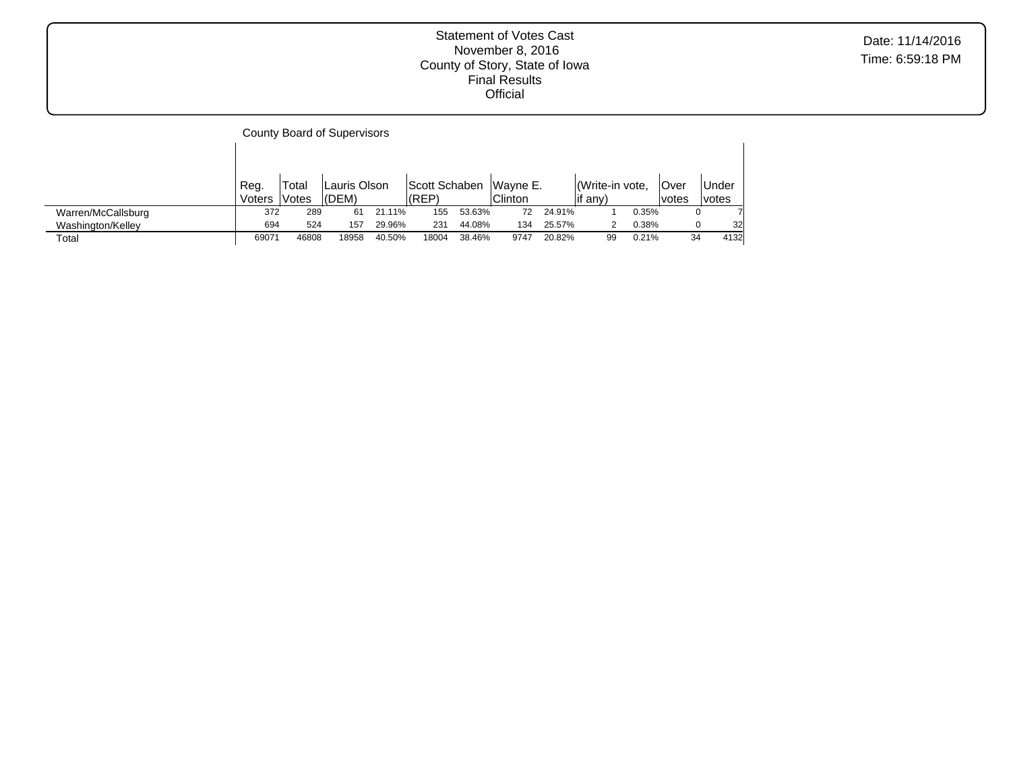|                    |                |                | County Board of Supervisors |        |                        |        |                            |        |                            |       |                       |                |
|--------------------|----------------|----------------|-----------------------------|--------|------------------------|--------|----------------------------|--------|----------------------------|-------|-----------------------|----------------|
|                    |                |                |                             |        |                        |        |                            |        |                            |       |                       |                |
|                    | Reg.<br>Voters | Total<br>Votes | Lauris Olson<br>(DEM)       |        | Scott Schaben<br>(REF) |        | Wayne E.<br><b>Clinton</b> |        | Write-in vote,<br>lif any) |       | .Over<br><i>votes</i> | Under<br>votes |
| Warren/McCallsburg | 372            | 289            | 61                          | 21.11% | 155                    | 53.63% | 72                         | 24.91% |                            | 0.35% | 0                     |                |
| Washington/Kelley  | 694            | 524            | 157                         | 29.96% | 231                    | 44.08% | 134                        | 25.57% |                            | 0.38% | 0                     | 32             |
| Total              | 69071          | 46808          | 18958                       | 40.50% | 18004                  | 38.46% | 9747                       | 20.82% | 99                         | 0.21% | 34                    | 4132           |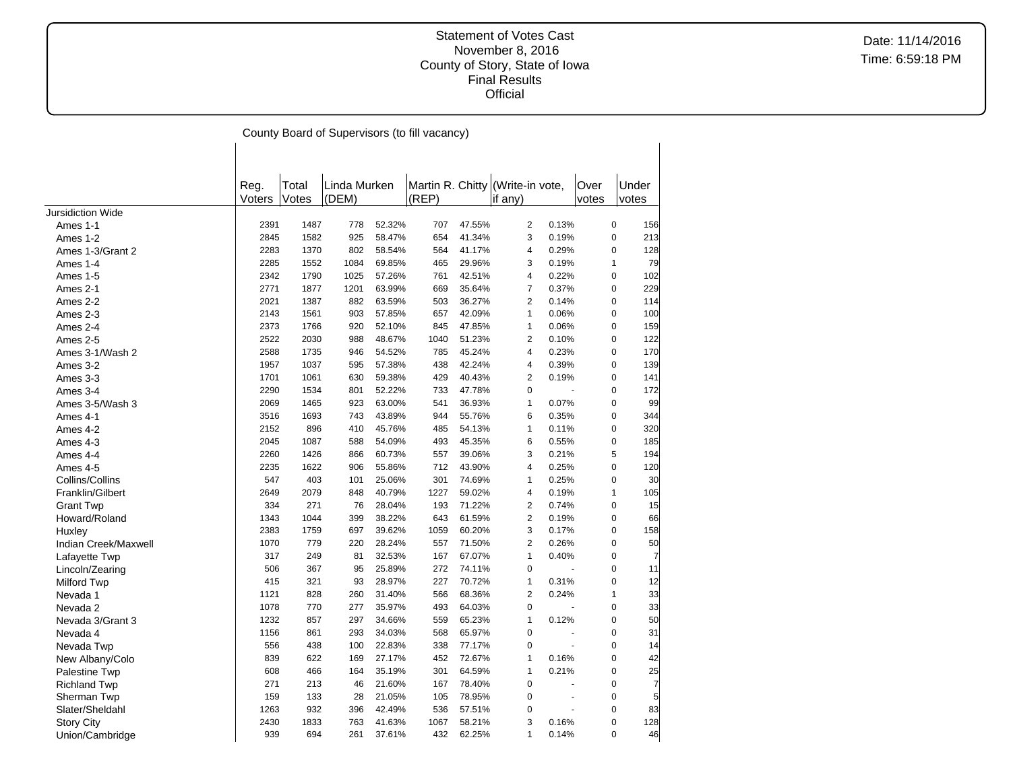Date: 11/14/2016 Time: 6:59:18 PM

County Board of Supervisors (to fill vacancy)

|                      | Reg.   | Total | Linda Murken |        | Martin R. Chitty (Write-in vote, |        |                |       | Over         | Under |
|----------------------|--------|-------|--------------|--------|----------------------------------|--------|----------------|-------|--------------|-------|
|                      | Voters | Votes | (DEM)        |        | (REP)                            |        | lif any)       |       | votes        | votes |
| Jursidiction Wide    |        |       |              |        |                                  |        |                |       |              |       |
| Ames 1-1             | 2391   | 1487  | 778          | 52.32% | 707                              | 47.55% | $\overline{2}$ | 0.13% | $\pmb{0}$    | 156   |
| Ames 1-2             | 2845   | 1582  | 925          | 58.47% | 654                              | 41.34% | 3              | 0.19% | $\pmb{0}$    | 213   |
| Ames 1-3/Grant 2     | 2283   | 1370  | 802          | 58.54% | 564                              | 41.17% | 4              | 0.29% | $\mathbf 0$  | 128   |
| Ames 1-4             | 2285   | 1552  | 1084         | 69.85% | 465                              | 29.96% | 3              | 0.19% | 1            | 79    |
| Ames 1-5             | 2342   | 1790  | 1025         | 57.26% | 761                              | 42.51% | 4              | 0.22% | $\mathbf 0$  | 102   |
| Ames 2-1             | 2771   | 1877  | 1201         | 63.99% | 669                              | 35.64% | 7              | 0.37% | $\pmb{0}$    | 229   |
| Ames 2-2             | 2021   | 1387  | 882          | 63.59% | 503                              | 36.27% | 2              | 0.14% | $\mathbf 0$  | 114   |
| Ames 2-3             | 2143   | 1561  | 903          | 57.85% | 657                              | 42.09% | 1              | 0.06% | $\pmb{0}$    | 100   |
| Ames 2-4             | 2373   | 1766  | 920          | 52.10% | 845                              | 47.85% | 1              | 0.06% | $\mathbf 0$  | 159   |
| Ames 2-5             | 2522   | 2030  | 988          | 48.67% | 1040                             | 51.23% | 2              | 0.10% | $\pmb{0}$    | 122   |
| Ames 3-1/Wash 2      | 2588   | 1735  | 946          | 54.52% | 785                              | 45.24% | 4              | 0.23% | $\pmb{0}$    | 170   |
| Ames 3-2             | 1957   | 1037  | 595          | 57.38% | 438                              | 42.24% | 4              | 0.39% | $\pmb{0}$    | 139   |
| Ames 3-3             | 1701   | 1061  | 630          | 59.38% | 429                              | 40.43% | 2              | 0.19% | $\mathbf 0$  | 141   |
| Ames 3-4             | 2290   | 1534  | 801          | 52.22% | 733                              | 47.78% | 0              |       | 0            | 172   |
| Ames 3-5/Wash 3      | 2069   | 1465  | 923          | 63.00% | 541                              | 36.93% | $\mathbf{1}$   | 0.07% | $\mathbf 0$  | 99    |
| Ames 4-1             | 3516   | 1693  | 743          | 43.89% | 944                              | 55.76% | 6              | 0.35% | $\pmb{0}$    | 344   |
| Ames 4-2             | 2152   | 896   | 410          | 45.76% | 485                              | 54.13% | 1              | 0.11% | $\mathbf 0$  | 320   |
| Ames 4-3             | 2045   | 1087  | 588          | 54.09% | 493                              | 45.35% | 6              | 0.55% | $\pmb{0}$    | 185   |
| Ames 4-4             | 2260   | 1426  | 866          | 60.73% | 557                              | 39.06% | 3              | 0.21% | 5            | 194   |
| Ames 4-5             | 2235   | 1622  | 906          | 55.86% | 712                              | 43.90% | 4              | 0.25% | $\pmb{0}$    | 120   |
| Collins/Collins      | 547    | 403   | 101          | 25.06% | 301                              | 74.69% | 1              | 0.25% | $\mathbf 0$  | 30    |
| Franklin/Gilbert     | 2649   | 2079  | 848          | 40.79% | 1227                             | 59.02% | 4              | 0.19% | $\mathbf{1}$ | 105   |
| <b>Grant Twp</b>     | 334    | 271   | 76           | 28.04% | 193                              | 71.22% | $\overline{2}$ | 0.74% | $\mathbf 0$  | 15    |
| Howard/Roland        | 1343   | 1044  | 399          | 38.22% | 643                              | 61.59% | $\overline{2}$ | 0.19% | $\pmb{0}$    | 66    |
| Huxley               | 2383   | 1759  | 697          | 39.62% | 1059                             | 60.20% | 3              | 0.17% | $\mathbf 0$  | 158   |
| Indian Creek/Maxwell | 1070   | 779   | 220          | 28.24% | 557                              | 71.50% | $\overline{2}$ | 0.26% | $\pmb{0}$    | 50    |
| Lafayette Twp        | 317    | 249   | 81           | 32.53% | 167                              | 67.07% | $\mathbf{1}$   | 0.40% | $\mathbf 0$  | 7     |
| Lincoln/Zearing      | 506    | 367   | 95           | 25.89% | 272                              | 74.11% | $\pmb{0}$      |       | $\pmb{0}$    | 11    |
| <b>Milford Twp</b>   | 415    | 321   | 93           | 28.97% | 227                              | 70.72% | 1              | 0.31% | $\mathbf 0$  | 12    |
| Nevada 1             | 1121   | 828   | 260          | 31.40% | 566                              | 68.36% | $\overline{2}$ | 0.24% | $\mathbf{1}$ | 33    |
| Nevada 2             | 1078   | 770   | 277          | 35.97% | 493                              | 64.03% | $\mathbf 0$    |       | $\mathbf 0$  | 33    |
| Nevada 3/Grant 3     | 1232   | 857   | 297          | 34.66% | 559                              | 65.23% | 1              | 0.12% | $\pmb{0}$    | 50    |
| Nevada 4             | 1156   | 861   | 293          | 34.03% | 568                              | 65.97% | $\pmb{0}$      |       | $\pmb{0}$    | 31    |
| Nevada Twp           | 556    | 438   | 100          | 22.83% | 338                              | 77.17% | $\mathbf 0$    | ÷,    | $\pmb{0}$    | 14    |
| New Albany/Colo      | 839    | 622   | 169          | 27.17% | 452                              | 72.67% | 1              | 0.16% | $\mathbf 0$  | 42    |
| Palestine Twp        | 608    | 466   | 164          | 35.19% | 301                              | 64.59% | 1              | 0.21% | $\pmb{0}$    | 25    |
| <b>Richland Twp</b>  | 271    | 213   | 46           | 21.60% | 167                              | 78.40% | $\mathbf 0$    |       | $\mathbf 0$  | 7     |
| Sherman Twp          | 159    | 133   | 28           | 21.05% | 105                              | 78.95% | $\mathbf 0$    |       | $\pmb{0}$    | 5     |
| Slater/Sheldahl      | 1263   | 932   | 396          | 42.49% | 536                              | 57.51% | $\overline{0}$ |       | $\mathbf 0$  | 83    |
| <b>Story City</b>    | 2430   | 1833  | 763          | 41.63% | 1067                             | 58.21% | 3              | 0.16% | $\mathbf 0$  | 128   |
| Union/Cambridge      | 939    | 694   | 261          | 37.61% | 432                              | 62.25% | 1              | 0.14% | $\Omega$     | 46    |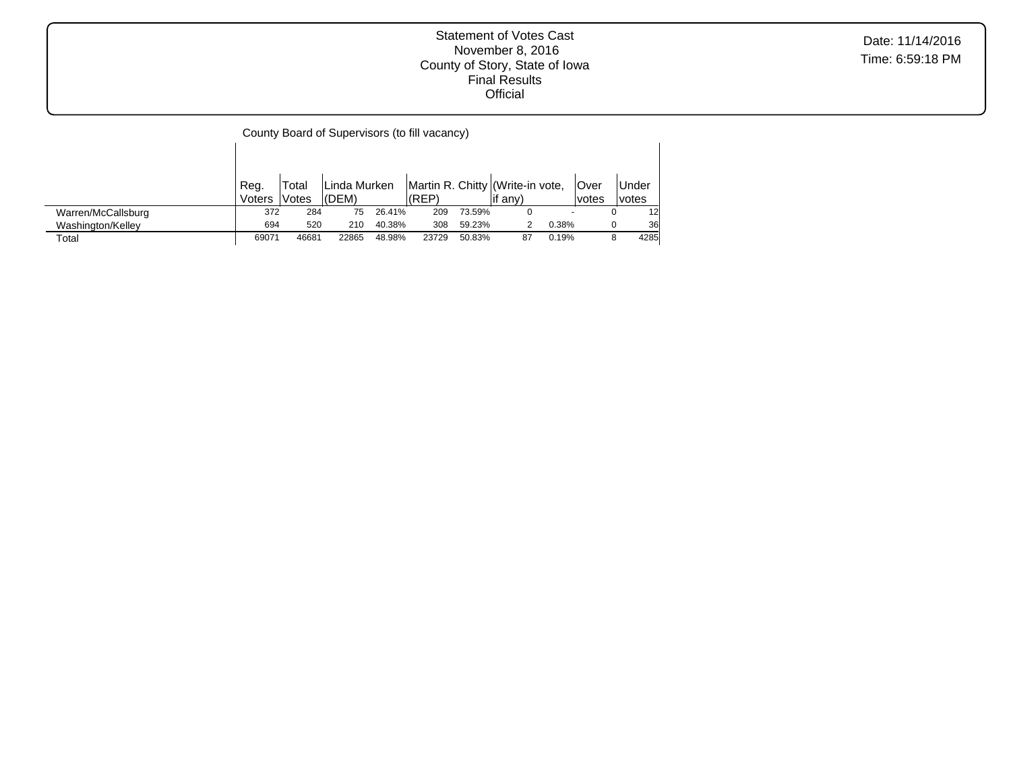Date: 11/14/2016 Time: 6:59:18 PM

| County Board of Supervisors (to fill vacancy) |
|-----------------------------------------------|
|-----------------------------------------------|

 $\mathbf{I}$ 

|                    | Reg.   | Total              | Linda Murken |        |       |        | Martin R. Chitty (Write-in vote, |                          | <b>Over</b> | Under        |
|--------------------|--------|--------------------|--------------|--------|-------|--------|----------------------------------|--------------------------|-------------|--------------|
|                    | Voters | Votes <sup>'</sup> | l(DEM)       |        | (REP) |        | if any)                          |                          | lvotes      | <i>votes</i> |
| Warren/McCallsburg | 372    | 284                | 75           | 26.41% | 209   | 73.59% |                                  | $\overline{\phantom{0}}$ |             | 12           |
| Washington/Kelley  | 694    | 520                | 210          | 40.38% | 308   | 59.23% |                                  | 0.38%                    |             | 36           |
| Total              | 69071  | 46681              | 22865        | 48.98% | 23729 | 50.83% | 87                               | 0.19%                    |             | 4285         |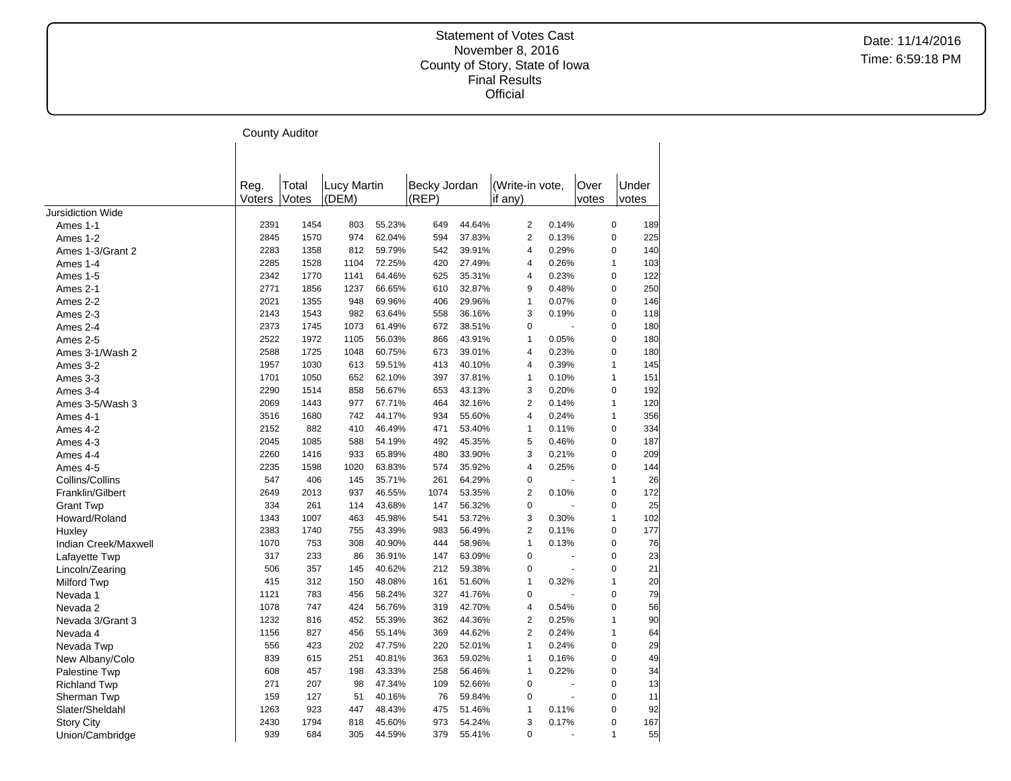|                          |        | <b>County Auditor</b> |             |        |              |        |                 |       |       |                |       |
|--------------------------|--------|-----------------------|-------------|--------|--------------|--------|-----------------|-------|-------|----------------|-------|
|                          |        |                       |             |        |              |        |                 |       |       |                |       |
|                          |        |                       |             |        |              |        |                 |       |       |                |       |
|                          | Reg.   | Total                 | Lucy Martin |        | Becky Jordan |        | (Write-in vote, |       | Over  |                | Under |
|                          | Voters | Votes                 | (DEM)       |        | (REP)        |        | if any)         |       | votes |                | votes |
| <b>Jursidiction Wide</b> |        |                       |             |        |              |        |                 |       |       |                |       |
| Ames 1-1                 | 2391   | 1454                  | 803         | 55.23% | 649          | 44.64% | $\overline{2}$  | 0.14% |       | $\overline{0}$ | 189   |
| Ames 1-2                 | 2845   | 1570                  | 974         | 62.04% | 594          | 37.83% | $\overline{2}$  | 0.13% |       | $\mathbf 0$    | 225   |
| Ames 1-3/Grant 2         | 2283   | 1358                  | 812         | 59.79% | 542          | 39.91% | $\overline{4}$  | 0.29% |       | $\mathbf 0$    | 140   |
| Ames 1-4                 | 2285   | 1528                  | 1104        | 72.25% | 420          | 27.49% | $\overline{4}$  | 0.26% |       | $\mathbf{1}$   | 103   |
| Ames 1-5                 | 2342   | 1770                  | 1141        | 64.46% | 625          | 35.31% | $\overline{4}$  | 0.23% |       | $\Omega$       | 122   |
| Ames 2-1                 | 2771   | 1856                  | 1237        | 66.65% | 610          | 32.87% | 9               | 0.48% |       | 0              | 250   |
| Ames 2-2                 | 2021   | 1355                  | 948         | 69.96% | 406          | 29.96% | $\mathbf{1}$    | 0.07% |       | 0              | 146   |
| Ames 2-3                 | 2143   | 1543                  | 982         | 63.64% | 558          | 36.16% | 3               | 0.19% |       | $\overline{0}$ | 118   |
| Ames 2-4                 | 2373   | 1745                  | 1073        | 61.49% | 672          | 38.51% | $\mathbf 0$     |       |       | 0              | 180   |
| Ames 2-5                 | 2522   | 1972                  | 1105        | 56.03% | 866          | 43.91% | 1               | 0.05% |       | $\overline{0}$ | 180   |
| Ames 3-1/Wash 2          | 2588   | 1725                  | 1048        | 60.75% | 673          | 39.01% | $\overline{4}$  | 0.23% |       | 0              | 180   |
| Ames 3-2                 | 1957   | 1030                  | 613         | 59.51% | 413          | 40.10% | $\overline{4}$  | 0.39% |       | $\mathbf{1}$   | 145   |
| Ames 3-3                 | 1701   | 1050                  | 652         | 62.10% | 397          | 37.81% | $\mathbf{1}$    | 0.10% |       | $\mathbf{1}$   | 151   |
| Ames 3-4                 | 2290   | 1514                  | 858         | 56.67% | 653          | 43.13% | 3               | 0.20% |       | $\mathbf 0$    | 192   |
| Ames 3-5/Wash 3          | 2069   | 1443                  | 977         | 67.71% | 464          | 32.16% | $\overline{2}$  | 0.14% |       | $\mathbf{1}$   | 120   |
| Ames 4-1                 | 3516   | 1680                  | 742         | 44.17% | 934          | 55.60% | $\overline{4}$  | 0.24% |       | $\mathbf{1}$   | 356   |
| Ames 4-2                 | 2152   | 882                   | 410         | 46.49% | 471          | 53.40% | $\mathbf{1}$    | 0.11% |       | $\overline{0}$ | 334   |
| Ames 4-3                 | 2045   | 1085                  | 588         | 54.19% | 492          | 45.35% | 5               | 0.46% |       | $\Omega$       | 187   |
| Ames 4-4                 | 2260   | 1416                  | 933         | 65.89% | 480          | 33.90% | 3               | 0.21% |       | $\overline{0}$ | 209   |
| Ames 4-5                 | 2235   | 1598                  | 1020        | 63.83% | 574          | 35.92% | $\overline{4}$  | 0.25% |       | $\mathbf 0$    | 144   |
| Collins/Collins          | 547    | 406                   | 145         | 35.71% | 261          | 64.29% | $\mathbf 0$     |       |       | 1              | 26    |
| Franklin/Gilbert         | 2649   | 2013                  | 937         | 46.55% | 1074         | 53.35% | $\overline{2}$  | 0.10% |       | $\overline{0}$ | 172   |
| <b>Grant Twp</b>         | 334    | 261                   | 114         | 43.68% | 147          | 56.32% | $\mathbf 0$     |       |       | $\mathbf 0$    | 25    |
| Howard/Roland            | 1343   | 1007                  | 463         | 45.98% | 541          | 53.72% | 3               | 0.30% |       | $\mathbf{1}$   | 102   |
| Huxley                   | 2383   | 1740                  | 755         | 43.39% | 983          | 56.49% | $\overline{2}$  | 0.11% |       | $\mathbf 0$    | 177   |
| Indian Creek/Maxwell     | 1070   | 753                   | 308         | 40.90% | 444          | 58.96% | $\mathbf{1}$    | 0.13% |       | $\mathbf 0$    | 76    |
| Lafayette Twp            | 317    | 233                   | 86          | 36.91% | 147          | 63.09% | $\mathbf 0$     |       |       | $\mathbf 0$    | 23    |
| Lincoln/Zearing          | 506    | 357                   | 145         | 40.62% | 212          | 59.38% | $\mathbf 0$     |       |       | $\Omega$       | 21    |
| <b>Milford Twp</b>       | 415    | 312                   | 150         | 48.08% | 161          | 51.60% | $\mathbf{1}$    | 0.32% |       | 1              | 20    |
| Nevada 1                 | 1121   | 783                   | 456         | 58.24% | 327          | 41.76% | $\mathbf 0$     |       |       | $\mathbf 0$    | 79    |
| Nevada 2                 | 1078   | 747                   | 424         | 56.76% | 319          | 42.70% | $\overline{4}$  | 0.54% |       | 0              | 56    |
| Nevada 3/Grant 3         | 1232   | 816                   | 452         | 55.39% | 362          | 44.36% | $\overline{2}$  | 0.25% |       | $\mathbf{1}$   | 90    |
| Nevada 4                 | 1156   | 827                   | 456         | 55.14% | 369          | 44.62% | $\overline{2}$  | 0.24% |       | 1              | 64    |
| Nevada Twp               | 556    | 423                   | 202         | 47.75% | 220          | 52.01% | $\mathbf{1}$    | 0.24% |       | $\mathbf 0$    | 29    |
| New Albany/Colo          | 839    | 615                   | 251         | 40.81% | 363          | 59.02% | $\mathbf{1}$    | 0.16% |       | $\mathbf 0$    | 49    |
| <b>Palestine Twp</b>     | 608    | 457                   | 198         | 43.33% | 258          | 56.46% | $\mathbf{1}$    | 0.22% |       | $\mathbf 0$    | 34    |
| <b>Richland Twp</b>      | 271    | 207                   | 98          | 47.34% | 109          | 52.66% | $\mathbf 0$     |       |       | $\mathbf 0$    | 13    |
| Sherman Twp              | 159    | 127                   | 51          | 40.16% | 76           | 59.84% | $\mathbf 0$     | ÷,    |       | $\mathbf 0$    | 11    |
| Slater/Sheldahl          | 1263   | 923                   | 447         | 48.43% | 475          | 51.46% | $\mathbf{1}$    | 0.11% |       | $\mathbf 0$    | 92    |
| <b>Story City</b>        | 2430   | 1794                  | 818         | 45.60% | 973          | 54.24% | 3               | 0.17% |       | 0              | 167   |
| Union/Cambridge          | 939    | 684                   | 305         | 44.59% | 379          | 55.41% | $\Omega$        | ä,    |       | $\mathbf{1}$   | 55    |
|                          |        |                       |             |        |              |        |                 |       |       |                |       |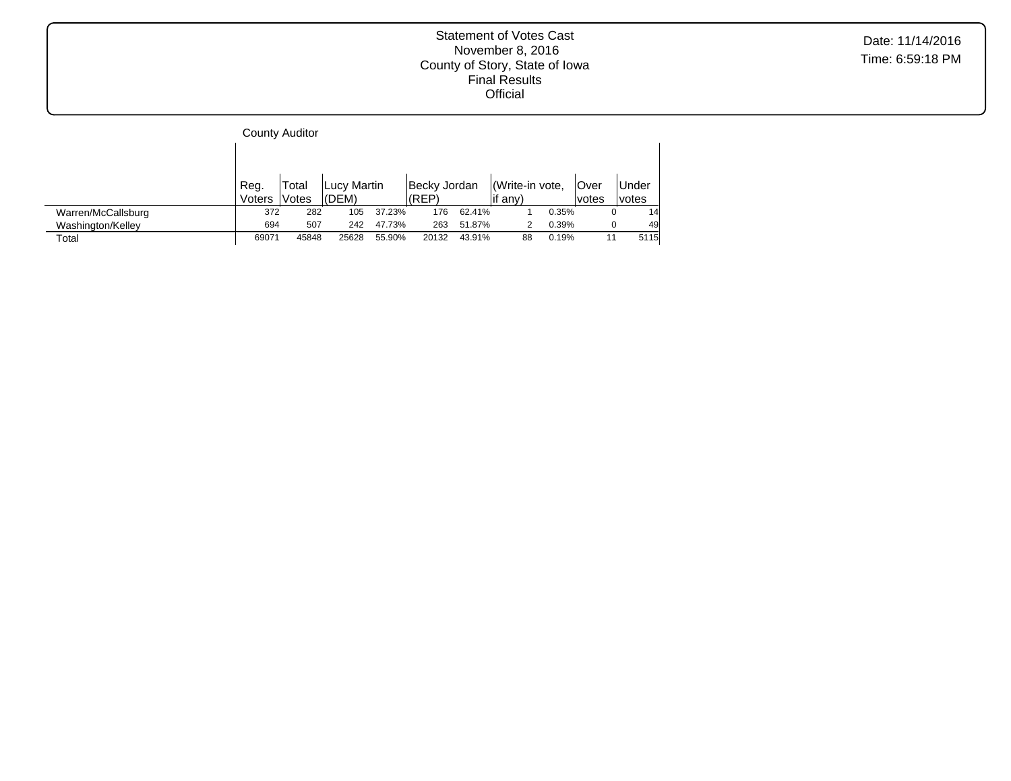|                    |                | <b>County Auditor</b> |                      |        |                       |        |                           |       |                 |                |
|--------------------|----------------|-----------------------|----------------------|--------|-----------------------|--------|---------------------------|-------|-----------------|----------------|
|                    |                |                       |                      |        |                       |        |                           |       |                 |                |
|                    | Reg.<br>Voters | Total<br>Votes        | Lucy Martin<br>(DEM) |        | Becky Jordan<br>(REP) |        | Write-in vote,<br>if any) |       | lOver<br>lvotes | Under<br>votes |
| Warren/McCallsburg | 372            | 282                   | 105                  | 37.23% | 176                   | 62.41% |                           | 0.35% |                 | 14             |
| Washington/Kelley  | 694            | 507                   | 242                  | 47.73% | 263                   | 51.87% |                           | 0.39% |                 | 49             |
| Total              | 69071          | 45848                 | 25628                | 55.90% | 20132                 | 43.91% | 88                        | 0.19% | 11              | 5115           |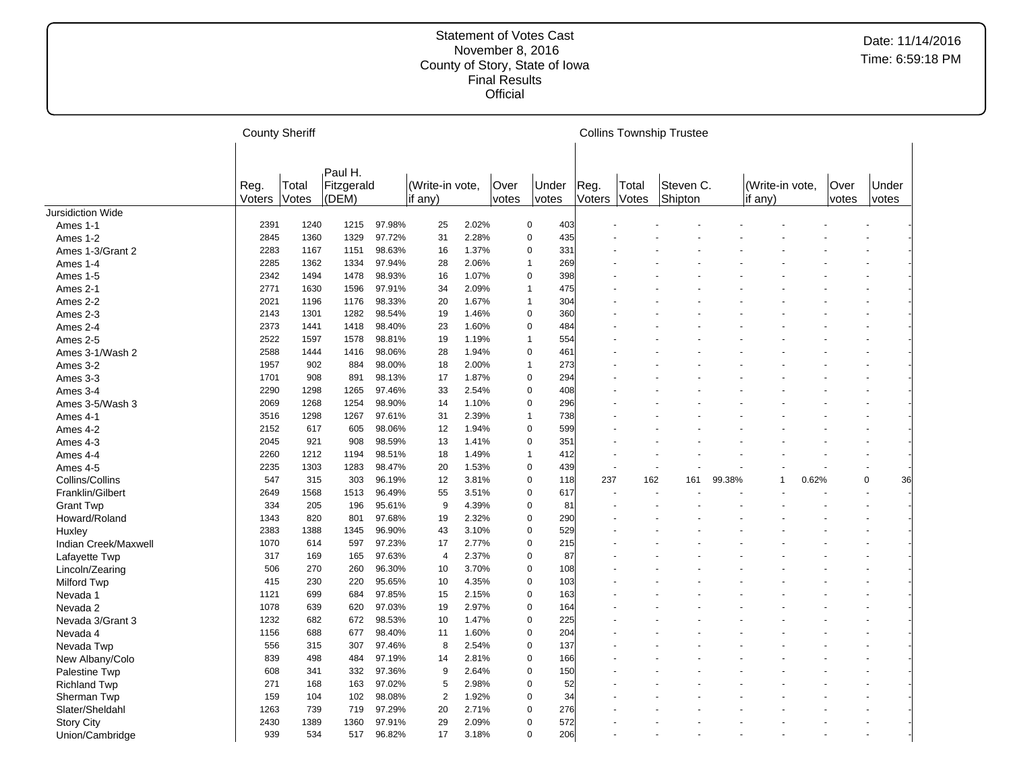|                      | <b>County Sheriff</b> |                |                                    |        |                              |       |                      |                |     |                |                | <b>Collins Township Trustee</b> |        |                            |       |               |                |    |
|----------------------|-----------------------|----------------|------------------------------------|--------|------------------------------|-------|----------------------|----------------|-----|----------------|----------------|---------------------------------|--------|----------------------------|-------|---------------|----------------|----|
|                      | Reg.<br>Voters        | Total<br>Votes | Paul H.<br>Fitzgerald<br>$ $ (DEM) |        | (Write-in vote,<br>if $any)$ |       | Over<br><i>votes</i> | Under<br>votes |     | Reg.<br>Voters | Total<br>Votes | Steven C.<br>Shipton            |        | (Write-in vote,<br>if any) |       | Over<br>votes | Under<br>votes |    |
| Jursidiction Wide    |                       |                |                                    |        |                              |       |                      |                |     |                |                |                                 |        |                            |       |               |                |    |
| Ames 1-1             | 2391                  | 1240           | 1215                               | 97.98% | 25                           | 2.02% |                      | $\mathbf 0$    | 403 |                |                |                                 |        |                            |       |               |                |    |
| Ames 1-2             | 2845                  | 1360           | 1329                               | 97.72% | 31                           | 2.28% |                      | $\mathbf 0$    | 435 |                |                |                                 |        |                            |       |               |                |    |
| Ames 1-3/Grant 2     | 2283                  | 1167           | 1151                               | 98.63% | 16                           | 1.37% |                      | $\mathbf 0$    | 331 |                |                |                                 |        |                            |       |               |                |    |
| Ames 1-4             | 2285                  | 1362           | 1334                               | 97.94% | 28                           | 2.06% |                      | $\overline{1}$ | 269 |                |                |                                 |        |                            |       |               |                |    |
| Ames 1-5             | 2342                  | 1494           | 1478                               | 98.93% | 16                           | 1.07% |                      | $\mathbf 0$    | 398 |                |                |                                 |        |                            |       |               |                |    |
| Ames 2-1             | 2771                  | 1630           | 1596                               | 97.91% | 34                           | 2.09% |                      | $\overline{1}$ | 475 |                |                |                                 |        |                            |       |               |                |    |
| Ames 2-2             | 2021                  | 1196           | 1176                               | 98.33% | 20                           | 1.67% |                      | $\overline{1}$ | 304 |                |                |                                 |        |                            |       |               |                |    |
| Ames 2-3             | 2143                  | 1301           | 1282                               | 98.54% | 19                           | 1.46% |                      | $\mathbf 0$    | 360 |                |                |                                 |        |                            |       |               |                |    |
| Ames 2-4             | 2373                  | 1441           | 1418                               | 98.40% | 23                           | 1.60% |                      | $\mathbf 0$    | 484 |                |                |                                 |        |                            |       |               |                |    |
| Ames 2-5             | 2522                  | 1597           | 1578                               | 98.81% | 19                           | 1.19% |                      | $\overline{1}$ | 554 |                |                |                                 |        |                            |       |               |                |    |
| Ames 3-1/Wash 2      | 2588                  | 1444           | 1416                               | 98.06% | 28                           | 1.94% |                      | $\mathbf 0$    | 461 |                |                |                                 |        |                            |       |               |                |    |
| Ames 3-2             | 1957                  | 902            | 884                                | 98.00% | 18                           | 2.00% |                      | $\mathbf{1}$   | 273 |                |                |                                 |        |                            |       |               |                |    |
| Ames 3-3             | 1701                  | 908            | 891                                | 98.13% | 17                           | 1.87% |                      | $\mathbf 0$    | 294 |                |                |                                 |        |                            |       |               |                |    |
| Ames 3-4             | 2290                  | 1298           | 1265                               | 97.46% | 33                           | 2.54% |                      | $\mathbf 0$    | 408 |                |                |                                 |        |                            |       |               |                |    |
| Ames 3-5/Wash 3      | 2069                  | 1268           | 1254                               | 98.90% | 14                           | 1.10% |                      | $\mathbf 0$    | 296 |                |                |                                 |        |                            |       |               |                |    |
| Ames 4-1             | 3516                  | 1298           | 1267                               | 97.61% | 31                           | 2.39% |                      | $\mathbf{1}$   | 738 |                |                |                                 |        |                            |       |               |                |    |
| Ames 4-2             | 2152                  | 617            | 605                                | 98.06% | 12                           | 1.94% |                      | $\mathbf 0$    | 599 |                |                |                                 |        |                            |       |               |                |    |
| Ames 4-3             | 2045                  | 921            | 908                                | 98.59% | 13                           | 1.41% |                      | $\mathbf 0$    | 351 |                |                |                                 |        |                            |       |               |                |    |
| Ames 4-4             | 2260                  | 1212           | 1194                               | 98.51% | 18                           | 1.49% |                      | $\overline{1}$ | 412 |                |                |                                 |        |                            |       |               |                |    |
| Ames 4-5             | 2235                  | 1303           | 1283                               | 98.47% | 20                           | 1.53% |                      | $\mathbf 0$    | 439 |                |                |                                 |        |                            |       |               |                |    |
| Collins/Collins      | 547                   | 315            | 303                                | 96.19% | 12                           | 3.81% |                      | $\mathbf 0$    | 118 | 237            | 162            | 161                             | 99.38% | $\overline{1}$             | 0.62% |               | $\Omega$       | 36 |
| Franklin/Gilbert     | 2649                  | 1568           | 1513                               | 96.49% | 55                           | 3.51% |                      | $\mathbf 0$    | 617 |                |                |                                 |        |                            |       |               |                |    |
| <b>Grant Twp</b>     | 334                   | 205            | 196                                | 95.61% | 9                            | 4.39% |                      | $\overline{0}$ | 81  |                |                |                                 |        |                            |       |               |                |    |
| Howard/Roland        | 1343                  | 820            | 801                                | 97.68% | 19                           | 2.32% |                      | $\Omega$       | 290 |                |                |                                 |        |                            |       |               |                |    |
| Huxley               | 2383                  | 1388           | 1345                               | 96.90% | 43                           | 3.10% |                      | $\Omega$       | 529 |                |                |                                 |        |                            |       |               |                |    |
| Indian Creek/Maxwell | 1070                  | 614            | 597                                | 97.23% | 17                           | 2.77% |                      | $\mathbf 0$    | 215 |                |                |                                 |        |                            |       |               |                |    |
| Lafayette Twp        | 317                   | 169            | 165                                | 97.63% | $\overline{4}$               | 2.37% |                      | $\mathbf 0$    | 87  |                |                |                                 |        |                            |       |               |                |    |
| Lincoln/Zearing      | 506                   | 270            | 260                                | 96.30% | 10                           | 3.70% |                      | $\mathbf 0$    | 108 |                |                |                                 |        |                            |       |               |                |    |
| Milford Twp          | 415                   | 230            | 220                                | 95.65% | 10                           | 4.35% |                      | $\mathbf 0$    | 103 |                |                |                                 |        |                            |       |               |                |    |
| Nevada 1             | 1121                  | 699            | 684                                | 97.85% | 15                           | 2.15% |                      | $\mathbf 0$    | 163 |                |                |                                 |        |                            |       |               |                |    |
| Nevada 2             | 1078                  | 639            | 620                                | 97.03% | 19                           | 2.97% |                      | $\mathbf 0$    | 164 |                |                |                                 |        |                            |       |               |                |    |
| Nevada 3/Grant 3     | 1232                  | 682            | 672                                | 98.53% | 10                           | 1.47% |                      | $\mathbf 0$    | 225 |                |                |                                 |        |                            |       |               |                |    |
| Nevada 4             | 1156                  | 688            | 677                                | 98.40% | 11                           | 1.60% |                      | $\mathbf 0$    | 204 |                |                |                                 |        |                            |       |               |                |    |
| Nevada Twp           | 556                   | 315            | 307                                | 97.46% | 8                            | 2.54% |                      | $\mathbf 0$    | 137 |                |                |                                 |        |                            |       |               |                |    |
| New Albany/Colo      | 839                   | 498            | 484                                | 97.19% | 14                           | 2.81% |                      | $\mathbf 0$    | 166 |                |                |                                 |        |                            |       |               |                |    |
| Palestine Twp        | 608                   | 341            | 332                                | 97.36% | 9                            | 2.64% |                      | $\mathbf 0$    | 150 |                |                |                                 |        |                            |       |               |                |    |
| <b>Richland Twp</b>  | 271                   | 168            | 163                                | 97.02% | 5                            | 2.98% |                      | $\mathbf 0$    | 52  |                |                |                                 |        |                            |       |               |                |    |
| Sherman Twp          | 159                   | 104            | 102                                | 98.08% | $\overline{2}$               | 1.92% |                      | $\Omega$       | 34  |                |                |                                 |        |                            |       |               |                |    |
| Slater/Sheldahl      | 1263                  | 739            | 719                                | 97.29% | 20                           | 2.71% |                      | $\mathbf 0$    | 276 |                |                |                                 |        |                            |       |               |                |    |
| <b>Story City</b>    | 2430                  | 1389           | 1360                               | 97.91% | 29                           | 2.09% |                      | $\Omega$       | 572 |                |                |                                 |        |                            |       |               |                |    |
| Union/Cambridge      | 939                   | 534            | 517                                | 96.82% | 17                           | 3.18% |                      | $\mathbf 0$    | 206 |                |                |                                 |        |                            |       |               |                |    |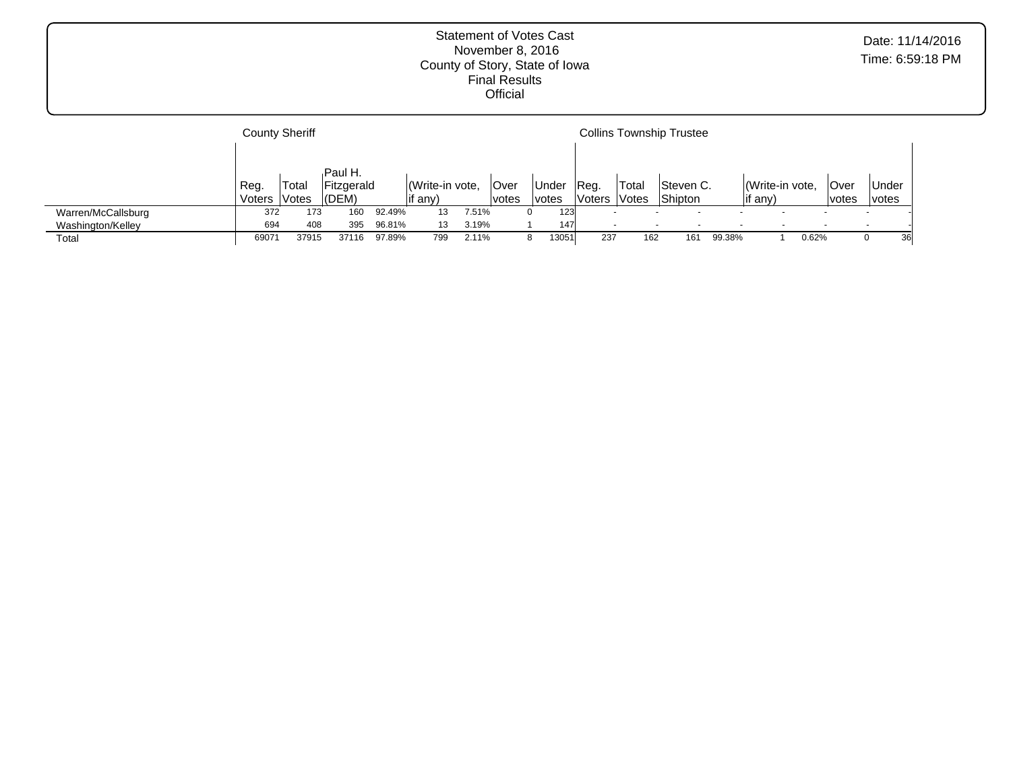|                    | <b>County Sheriff</b> |       |            |        |                |       |        |              |               |        | <b>Collins Township Trustee</b> |        |                 |       |       |                          |    |
|--------------------|-----------------------|-------|------------|--------|----------------|-------|--------|--------------|---------------|--------|---------------------------------|--------|-----------------|-------|-------|--------------------------|----|
|                    |                       |       |            |        |                |       |        |              |               |        |                                 |        |                 |       |       |                          |    |
|                    |                       |       | Paul H.    |        |                |       |        |              |               |        |                                 |        |                 |       |       |                          |    |
|                    | Reg.                  | Total | Fitzgerald |        | Write-in vote, |       | Over   | Under        | Reg.          | Total  | Steven C.                       |        | (Write-in vote, |       | lOver | <b>Under</b>             |    |
|                    | Voters                | Votes | (DEM)      |        | lif any)       |       | lvotes | <i>votes</i> | <b>Voters</b> | ∣Votes | Shipton                         |        | any)            |       | votes | votes                    |    |
| Warren/McCallsburg | 372                   | 173   | 160        | 92.49% | 13             | 7.51% |        | 123          |               |        |                                 |        |                 |       |       | $\overline{\phantom{a}}$ |    |
| Washington/Kelley  | 694                   | 408   | 395        | 96.81% | 13             | 3.19% |        | 147          |               |        |                                 |        |                 |       |       | $\overline{\phantom{a}}$ |    |
| Total              | 6907                  | 37915 | 37116      | 97.89% | 799            | 2.11% |        | 13051        | 237           | 162    | 161                             | 99.38% |                 | 0.62% |       |                          | 36 |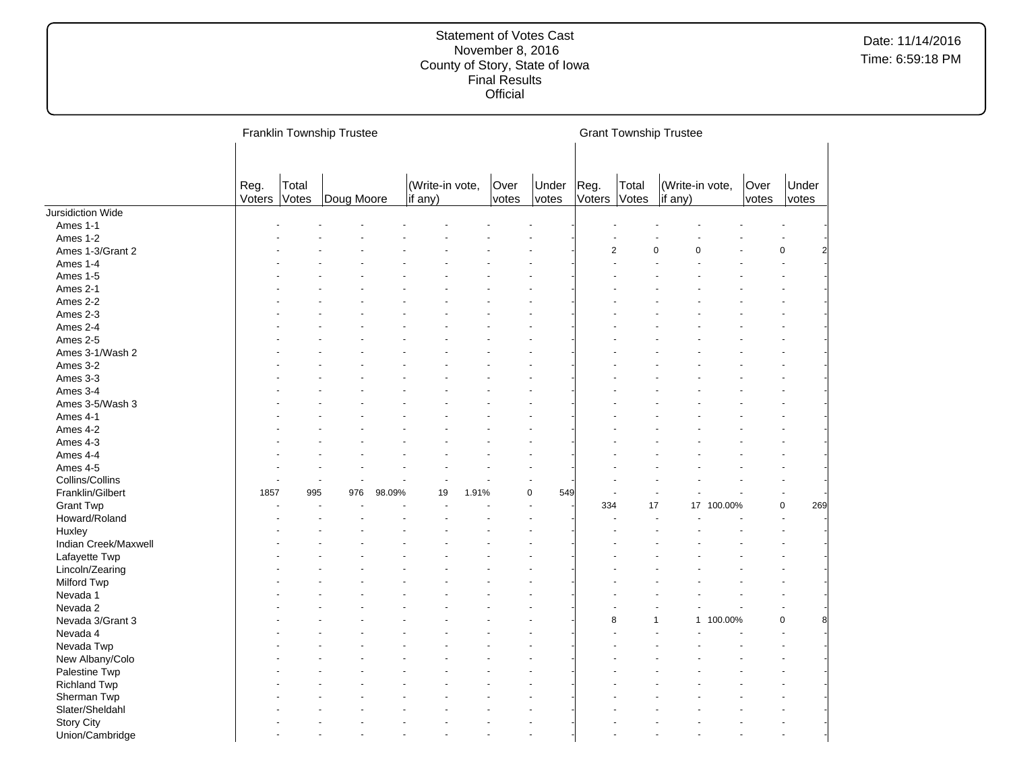|                          |                |                | Franklin Township Trustee |        |                            |       |               |                |                      |                | <b>Grant Township Trustee</b> |            |               |                |     |
|--------------------------|----------------|----------------|---------------------------|--------|----------------------------|-------|---------------|----------------|----------------------|----------------|-------------------------------|------------|---------------|----------------|-----|
|                          | Reg.<br>Voters | Total<br>Votes | Doug Moore                |        | (Write-in vote,<br>if any) |       | Over<br>votes | Under<br>votes | Reg.<br>Voters Votes | Total          | (Write-in vote,<br>if any)    |            | Over<br>votes | Under<br>votes |     |
| <b>Jursidiction Wide</b> |                |                |                           |        |                            |       |               |                |                      |                |                               |            |               |                |     |
| Ames 1-1                 |                |                |                           |        |                            |       |               |                |                      |                |                               |            |               |                |     |
| Ames 1-2                 |                |                |                           |        |                            |       |               |                |                      |                |                               |            |               |                |     |
| Ames 1-3/Grant 2         |                |                |                           |        |                            |       |               |                |                      | $\overline{2}$ | $\mathbf 0$<br>0              |            |               | $\mathbf 0$    | 2   |
| Ames 1-4                 |                |                |                           |        |                            |       |               |                |                      |                |                               |            |               |                |     |
| Ames 1-5                 |                |                |                           |        |                            |       |               |                |                      |                |                               |            |               |                |     |
| Ames 2-1                 |                |                |                           |        |                            |       |               |                |                      |                |                               |            |               |                |     |
| Ames 2-2                 |                |                |                           |        |                            |       |               |                |                      |                |                               |            |               |                |     |
| Ames 2-3                 |                |                |                           |        |                            |       |               |                |                      |                |                               |            |               |                |     |
| Ames 2-4                 |                |                |                           |        |                            |       |               |                |                      |                |                               |            |               |                |     |
| Ames 2-5                 |                |                |                           |        |                            |       |               |                |                      |                |                               |            |               |                |     |
| Ames 3-1/Wash 2          |                |                |                           |        |                            |       |               |                |                      |                |                               |            |               |                |     |
| Ames 3-2                 |                |                |                           |        |                            |       |               |                |                      |                |                               |            |               |                |     |
| Ames 3-3                 |                |                |                           |        |                            |       |               |                |                      |                |                               |            |               |                |     |
| Ames 3-4                 |                |                |                           |        |                            |       |               |                |                      |                |                               |            |               |                |     |
| Ames 3-5/Wash 3          |                |                |                           |        |                            |       |               |                |                      |                |                               |            |               |                |     |
| Ames 4-1                 |                |                |                           |        |                            |       |               |                |                      |                |                               |            |               |                |     |
| Ames 4-2                 |                |                |                           |        |                            |       |               |                |                      |                |                               |            |               |                |     |
| Ames 4-3                 |                |                |                           |        |                            |       |               |                |                      |                |                               |            |               |                |     |
| Ames 4-4                 |                |                |                           |        |                            |       |               |                |                      |                |                               |            |               |                |     |
| Ames 4-5                 |                |                |                           |        |                            |       |               |                |                      |                |                               |            |               |                |     |
| Collins/Collins          |                |                | $\blacksquare$            |        |                            |       |               |                |                      |                |                               |            |               |                |     |
| Franklin/Gilbert         | 1857           | 995            | 976                       | 98.09% | 19                         | 1.91% |               | 0<br>549       |                      |                |                               |            |               |                |     |
| <b>Grant Twp</b>         |                |                |                           |        |                            |       |               |                | 334                  | 17             |                               | 17 100.00% |               | $\mathbf 0$    | 269 |
| Howard/Roland            |                |                |                           |        |                            |       |               |                |                      |                |                               |            |               |                |     |
| Huxley                   |                |                |                           |        |                            |       |               |                |                      |                |                               |            |               |                |     |
|                          |                |                |                           |        |                            |       |               |                |                      |                |                               |            |               |                |     |
| Indian Creek/Maxwell     |                |                |                           |        |                            |       |               |                |                      |                |                               |            |               |                |     |
| Lafayette Twp            |                |                |                           |        |                            |       |               |                |                      |                |                               |            |               |                |     |
| Lincoln/Zearing          |                |                |                           |        |                            |       |               |                |                      |                |                               |            |               |                |     |
| Milford Twp              |                |                |                           |        |                            |       |               |                |                      |                |                               |            |               |                |     |
| Nevada 1                 |                |                |                           |        |                            |       |               |                |                      |                |                               |            |               |                |     |
| Nevada 2                 |                |                |                           |        |                            |       |               |                |                      |                |                               |            |               |                |     |
| Nevada 3/Grant 3         |                |                |                           |        |                            |       |               |                |                      | 8              | 1                             | 1 100.00%  |               | $\mathbf 0$    |     |
| Nevada 4                 |                |                |                           |        |                            |       |               |                |                      |                |                               |            |               |                |     |
| Nevada Twp               |                |                |                           |        |                            |       |               |                |                      |                |                               |            |               |                |     |
| New Albany/Colo          |                |                |                           |        |                            |       |               |                |                      |                |                               |            |               |                |     |
| Palestine Twp            |                |                |                           |        |                            |       |               |                |                      |                |                               |            |               |                |     |
| <b>Richland Twp</b>      |                |                |                           |        |                            |       |               |                |                      |                |                               |            |               |                |     |
| Sherman Twp              |                |                |                           |        |                            |       |               |                |                      |                |                               |            |               |                |     |
| Slater/Sheldahl          |                |                |                           |        |                            |       |               |                |                      |                |                               |            |               |                |     |
| <b>Story City</b>        |                |                |                           |        |                            |       |               |                |                      |                |                               |            |               |                |     |
| Union/Cambridge          |                |                |                           |        |                            |       |               |                |                      |                |                               |            |               |                |     |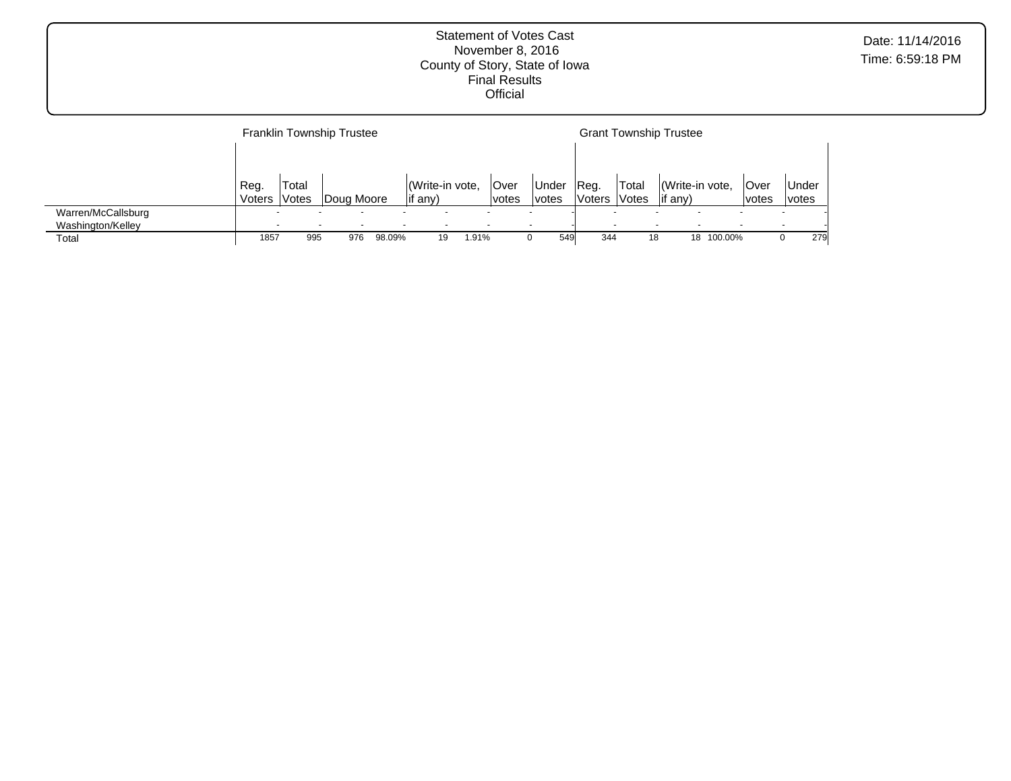|                                         |                |                | <b>Franklin Township Trustee</b> |        |                                   |       |                             |                       |                       |                                           | <b>Grant Township Trustee</b>      |         |                             |                       |     |
|-----------------------------------------|----------------|----------------|----------------------------------|--------|-----------------------------------|-------|-----------------------------|-----------------------|-----------------------|-------------------------------------------|------------------------------------|---------|-----------------------------|-----------------------|-----|
|                                         | Reg.<br>Voters | Total<br>Votes | Doug Moore                       |        | Write-in vote,<br>$\vert$ if any) |       | <b>Over</b><br><i>votes</i> | Under<br><i>votes</i> | Reg.<br><b>Voters</b> | <sup>1</sup> Total<br><i><b>Notes</b></i> | (Write-in vote,<br>$\vert$ if any) |         | <b>Over</b><br><i>votes</i> | <b>Under</b><br>votes |     |
| Warren/McCallsburg<br>Washington/Kelley |                |                |                                  |        |                                   |       |                             |                       |                       |                                           |                                    |         |                             |                       |     |
| Total                                   | 1857           | 995            | 976                              | 98.09% | 19                                | 1.91% |                             | 549                   | 344                   | 18                                        | 18                                 | 100.00% |                             |                       | 279 |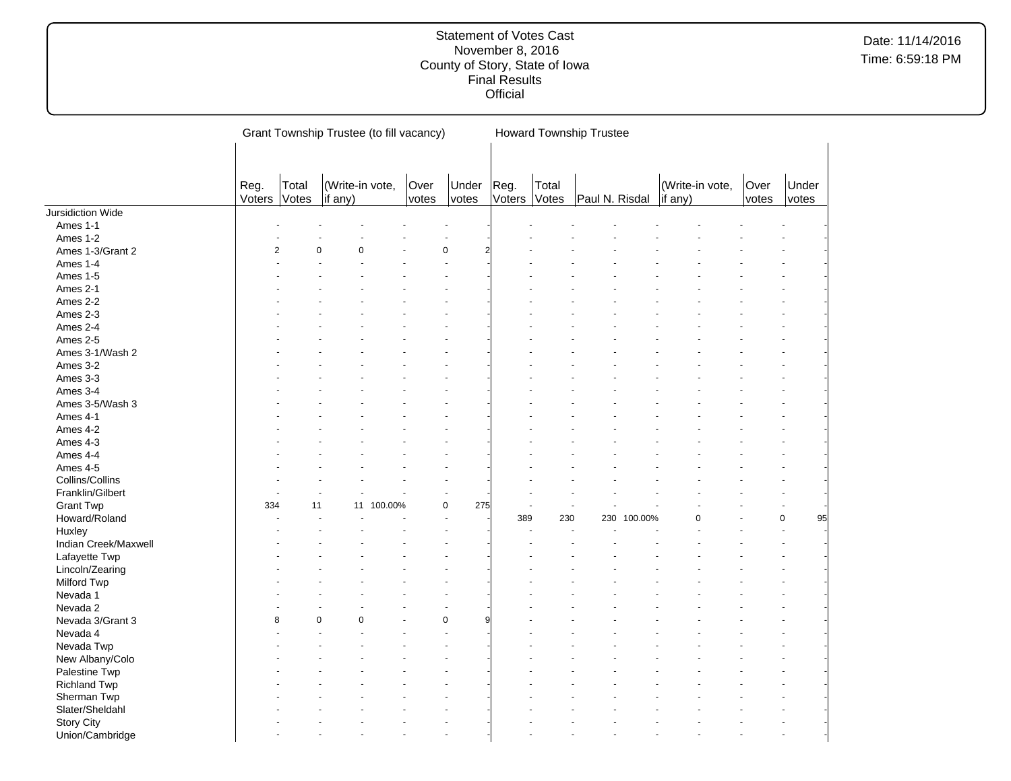|                      |                |                | Grant Township Trustee (to fill vacancy) |            |               |                    |                |                | <b>Howard Township Trustee</b> |         |         |                 |               |                   |
|----------------------|----------------|----------------|------------------------------------------|------------|---------------|--------------------|----------------|----------------|--------------------------------|---------|---------|-----------------|---------------|-------------------|
|                      |                |                |                                          |            |               |                    |                |                |                                |         |         |                 |               |                   |
|                      | Reg.<br>Voters | Total<br>Votes | (Write-in vote,<br>if any)               |            | Over<br>votes | Under<br>votes     | Reg.<br>Voters | Total<br>Votes | Paul N. Risdal                 |         | if any) | (Write-in vote, | Over<br>votes | Under<br>votes    |
| Jursidiction Wide    |                |                |                                          |            |               |                    |                |                |                                |         |         |                 |               |                   |
| Ames 1-1             |                |                |                                          |            |               |                    |                |                |                                |         |         |                 |               |                   |
| Ames 1-2             |                |                |                                          |            |               |                    |                |                |                                |         |         |                 |               |                   |
| Ames 1-3/Grant 2     | $\overline{2}$ |                | $\Omega$<br>$\Omega$                     |            |               | $\mathbf 0$        |                |                |                                |         |         |                 |               |                   |
| Ames 1-4             |                |                |                                          |            |               |                    |                |                |                                |         |         |                 |               |                   |
| Ames 1-5             |                |                |                                          |            |               |                    |                |                |                                |         |         |                 |               |                   |
| Ames 2-1             |                |                |                                          |            |               |                    |                |                |                                |         |         |                 |               |                   |
| Ames 2-2             |                |                |                                          |            |               |                    |                |                |                                |         |         |                 |               |                   |
| Ames 2-3             |                |                |                                          |            |               |                    |                |                |                                |         |         |                 |               |                   |
| Ames 2-4             |                |                |                                          |            |               |                    |                |                |                                |         |         |                 |               |                   |
| Ames 2-5             |                |                |                                          |            |               |                    |                |                |                                |         |         |                 |               |                   |
| Ames 3-1/Wash 2      |                |                |                                          |            |               |                    |                |                |                                |         |         |                 |               |                   |
| Ames 3-2             |                |                |                                          |            |               |                    |                |                |                                |         |         |                 |               |                   |
| Ames 3-3             |                |                |                                          |            |               |                    |                |                |                                |         |         |                 |               |                   |
| Ames 3-4             |                |                |                                          |            |               |                    |                |                |                                |         |         |                 |               |                   |
| Ames 3-5/Wash 3      |                |                |                                          |            |               |                    |                |                |                                |         |         |                 |               |                   |
| Ames 4-1             |                |                |                                          |            |               |                    |                |                |                                |         |         |                 |               |                   |
|                      |                |                |                                          |            |               |                    |                |                |                                |         |         |                 |               |                   |
| Ames 4-2             |                |                |                                          |            |               |                    |                |                |                                |         |         |                 |               |                   |
| Ames 4-3             |                |                |                                          |            |               |                    |                |                |                                |         |         |                 |               |                   |
| Ames 4-4             |                |                |                                          |            |               |                    |                |                |                                |         |         |                 |               |                   |
| Ames 4-5             |                |                |                                          |            |               |                    |                |                |                                |         |         |                 |               |                   |
| Collins/Collins      |                |                |                                          |            |               |                    |                |                |                                |         |         |                 |               |                   |
| Franklin/Gilbert     |                |                |                                          |            |               |                    |                |                |                                |         |         |                 |               |                   |
| <b>Grant Twp</b>     | 334            | 11             |                                          | 11 100.00% |               | $\mathbf 0$<br>275 |                | ÷,             | ÷,                             |         |         |                 |               |                   |
| Howard/Roland        |                |                |                                          |            |               |                    | 389            | 230            | 230                            | 100.00% |         | $\mathbf 0$     |               | 95<br>$\mathbf 0$ |
| Huxley               |                |                |                                          |            |               |                    |                |                |                                |         |         |                 |               |                   |
| Indian Creek/Maxwell |                |                |                                          |            |               |                    |                |                |                                |         |         |                 |               |                   |
| Lafayette Twp        |                |                |                                          |            |               |                    |                |                |                                |         |         |                 |               |                   |
| Lincoln/Zearing      |                |                |                                          |            |               |                    |                |                |                                |         |         |                 |               |                   |
| Milford Twp          |                |                |                                          |            |               |                    |                |                |                                |         |         |                 |               |                   |
| Nevada 1             |                |                |                                          |            |               |                    |                |                |                                |         |         |                 |               |                   |
| Nevada 2             |                |                |                                          |            |               |                    |                |                |                                |         |         |                 |               |                   |
| Nevada 3/Grant 3     | 8              |                | $\mathbf 0$<br>$\mathbf 0$               |            |               | $\mathbf 0$        |                |                |                                |         |         |                 |               |                   |
| Nevada 4             |                |                |                                          |            |               |                    |                |                |                                |         |         |                 |               |                   |
| Nevada Twp           |                |                |                                          |            |               |                    |                |                |                                |         |         |                 |               |                   |
| New Albany/Colo      |                |                |                                          |            |               |                    |                |                |                                |         |         |                 |               |                   |
| Palestine Twp        |                |                |                                          |            |               |                    |                |                |                                |         |         |                 |               |                   |
| <b>Richland Twp</b>  |                |                |                                          |            |               |                    |                |                |                                |         |         |                 |               |                   |
| Sherman Twp          |                |                |                                          |            |               |                    |                |                |                                |         |         |                 |               |                   |
| Slater/Sheldahl      |                |                |                                          |            |               |                    |                |                |                                |         |         |                 |               |                   |
| <b>Story City</b>    |                |                |                                          |            |               |                    |                |                |                                |         |         |                 |               |                   |
| Union/Cambridge      |                |                |                                          |            |               |                    |                |                |                                |         |         |                 |               |                   |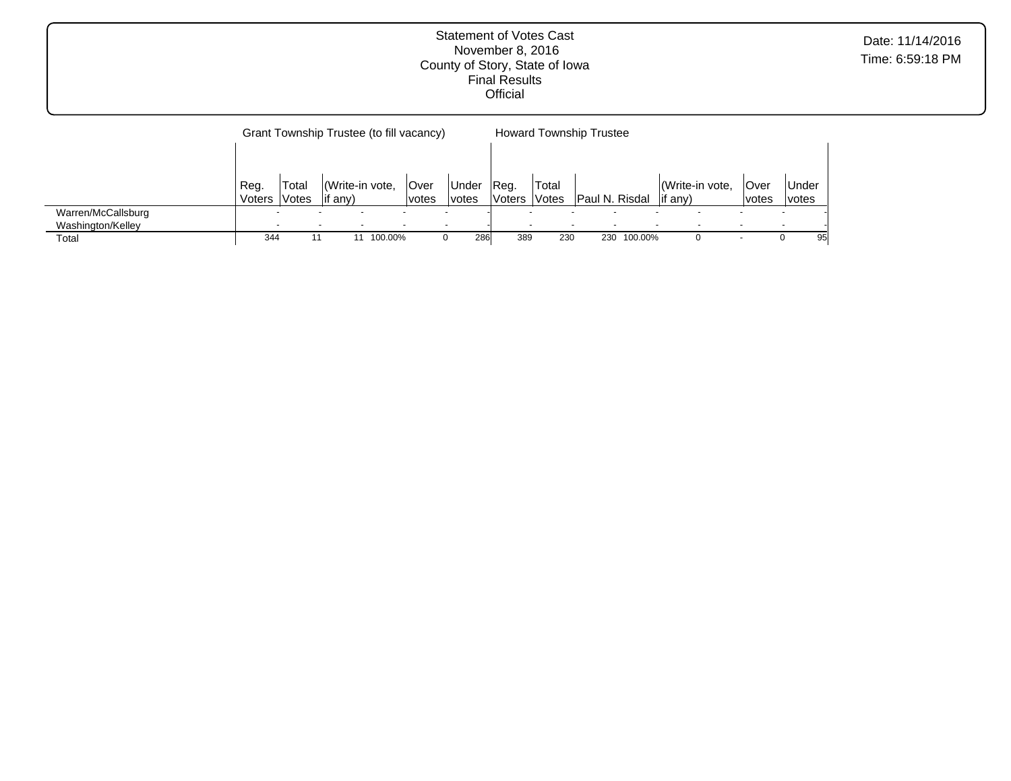Grant Township Trustee (to fill vacancy) Reg. Voters Total Votes (Write-in vote, if any) Over votes Under votes Howard Township Trustee Reg. Voters Votes Paul N. Risdal Total (Write-in vote, if any) Over votes Under votes Warren/McCallsburg - - - - - - - - - - - - - - Washington/Kelley - - - - - - - - - - - - - - Total 344 11 11 100.00% 0 286 389 230 230 100.00% 0 - 0 95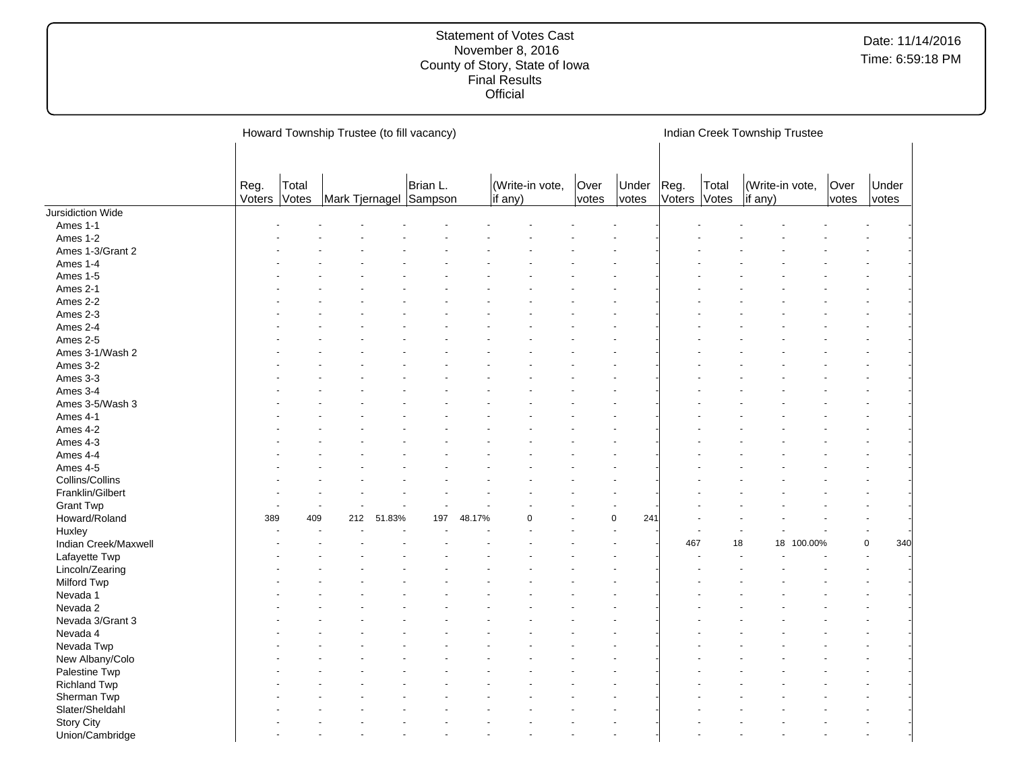|                      |                      |       | Howard Township Trustee (to fill vacancy) |        |          |        |         |                 |               |                 |                      |       | Indian Creek Township Trustee |         |               |                |  |
|----------------------|----------------------|-------|-------------------------------------------|--------|----------|--------|---------|-----------------|---------------|-----------------|----------------------|-------|-------------------------------|---------|---------------|----------------|--|
|                      | Reg.<br>Voters Votes | Total | Mark Tjernagel Sampson                    |        | Brian L. |        | if any) | (Write-in vote, | Over<br>votes | Under<br>votes  | Reg.<br>Voters Votes | Total | (Write-in vote,<br>if any)    |         | Over<br>votes | Under<br>votes |  |
| Jursidiction Wide    |                      |       |                                           |        |          |        |         |                 |               |                 |                      |       |                               |         |               |                |  |
| Ames 1-1             |                      |       |                                           |        |          |        |         |                 |               |                 |                      |       |                               |         |               |                |  |
| Ames 1-2             |                      |       |                                           |        |          |        |         |                 |               |                 |                      |       |                               |         |               |                |  |
| Ames 1-3/Grant 2     |                      |       |                                           |        |          |        |         |                 |               |                 |                      |       |                               |         |               |                |  |
| Ames 1-4             |                      |       |                                           |        |          |        |         |                 |               |                 |                      |       |                               |         |               |                |  |
| Ames 1-5             |                      |       |                                           |        |          |        |         |                 |               |                 |                      |       |                               |         |               |                |  |
| Ames 2-1             |                      |       |                                           |        |          |        |         |                 |               |                 |                      |       |                               |         |               |                |  |
| Ames 2-2             |                      |       |                                           |        |          |        |         |                 |               |                 |                      |       |                               |         |               |                |  |
| Ames 2-3             |                      |       |                                           |        |          |        |         |                 |               |                 |                      |       |                               |         |               |                |  |
| Ames 2-4             |                      |       |                                           |        |          |        |         |                 |               |                 |                      |       |                               |         |               |                |  |
| Ames 2-5             |                      |       |                                           |        |          |        |         |                 |               |                 |                      |       |                               |         |               |                |  |
| Ames 3-1/Wash 2      |                      |       |                                           |        |          |        |         |                 |               |                 |                      |       |                               |         |               |                |  |
| Ames 3-2             |                      |       |                                           |        |          |        |         |                 |               |                 |                      |       |                               |         |               |                |  |
| Ames 3-3             |                      |       |                                           |        |          |        |         |                 |               |                 |                      |       |                               |         |               |                |  |
| Ames 3-4             |                      |       |                                           |        |          |        |         |                 |               |                 |                      |       |                               |         |               |                |  |
| Ames 3-5/Wash 3      |                      |       |                                           |        |          |        |         |                 |               |                 |                      |       |                               |         |               |                |  |
| Ames 4-1             |                      |       |                                           |        |          |        |         |                 |               |                 |                      |       |                               |         |               |                |  |
| Ames 4-2             |                      |       |                                           |        |          |        |         |                 |               |                 |                      |       |                               |         |               |                |  |
| Ames 4-3             |                      |       |                                           |        |          |        |         |                 |               |                 |                      |       |                               |         |               |                |  |
| Ames 4-4             |                      |       |                                           |        |          |        |         |                 |               |                 |                      |       |                               |         |               |                |  |
| Ames 4-5             |                      |       |                                           |        |          |        |         |                 |               |                 |                      |       |                               |         |               |                |  |
| Collins/Collins      |                      |       |                                           |        |          |        |         |                 |               |                 |                      |       |                               |         |               |                |  |
| Franklin/Gilbert     |                      |       |                                           |        |          |        |         |                 |               |                 |                      |       |                               |         |               |                |  |
| <b>Grant Twp</b>     |                      |       |                                           |        |          |        |         |                 |               |                 |                      |       |                               |         |               |                |  |
|                      | 389                  | 409   | 212                                       | 51.83% | 197      |        |         | n               |               | 241<br>$\Omega$ |                      |       |                               |         |               |                |  |
| Howard/Roland        |                      |       |                                           |        |          | 48.17% |         |                 |               |                 |                      |       |                               |         |               |                |  |
| Huxley               |                      |       |                                           |        |          |        |         |                 |               |                 |                      |       |                               |         |               | 340            |  |
| Indian Creek/Maxwell |                      |       |                                           |        |          |        |         |                 |               |                 | 467                  |       | 18<br>18                      | 100.00% |               | 0              |  |
| Lafayette Twp        |                      |       |                                           |        |          |        |         |                 |               |                 |                      |       |                               |         |               |                |  |
| Lincoln/Zearing      |                      |       |                                           |        |          |        |         |                 |               |                 |                      |       |                               |         |               |                |  |
| Milford Twp          |                      |       |                                           |        |          |        |         |                 |               |                 |                      |       |                               |         |               |                |  |
| Nevada 1             |                      |       |                                           |        |          |        |         |                 |               |                 |                      |       |                               |         |               |                |  |
| Nevada 2             |                      |       |                                           |        |          |        |         |                 |               |                 |                      |       |                               |         |               |                |  |
| Nevada 3/Grant 3     |                      |       |                                           |        |          |        |         |                 |               |                 |                      |       |                               |         |               |                |  |
| Nevada 4             |                      |       |                                           |        |          |        |         |                 |               |                 |                      |       |                               |         |               |                |  |
| Nevada Twp           |                      |       |                                           |        |          |        |         |                 |               |                 |                      |       |                               |         |               |                |  |
| New Albany/Colo      |                      |       |                                           |        |          |        |         |                 |               |                 |                      |       |                               |         |               |                |  |
| Palestine Twp        |                      |       |                                           |        |          |        |         |                 |               |                 |                      |       |                               |         |               |                |  |
| <b>Richland Twp</b>  |                      |       |                                           |        |          |        |         |                 |               |                 |                      |       |                               |         |               |                |  |
| Sherman Twp          |                      |       |                                           |        |          |        |         |                 |               |                 |                      |       |                               |         |               |                |  |
| Slater/Sheldahl      |                      |       |                                           |        |          |        |         |                 |               |                 |                      |       |                               |         |               |                |  |
| <b>Story City</b>    |                      |       |                                           |        |          |        |         |                 |               |                 |                      |       |                               |         |               |                |  |
| Union/Cambridge      |                      |       |                                           |        |          |        |         |                 |               |                 |                      |       |                               |         |               |                |  |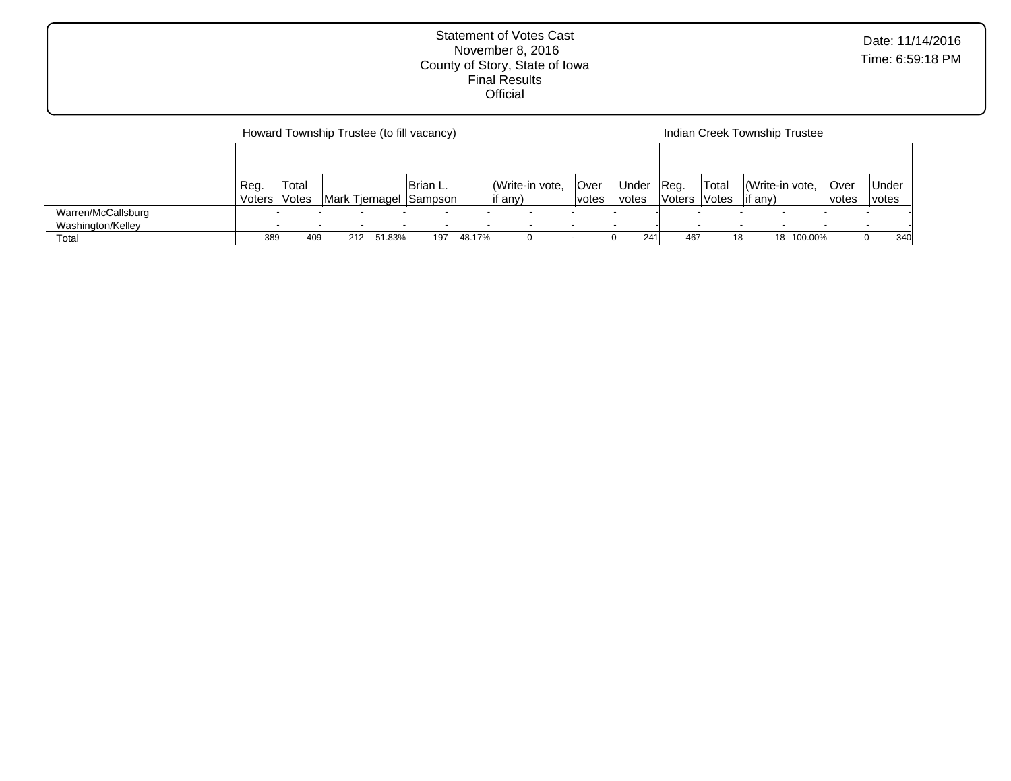|                    |                          |       |     |        | Howard Township Trustee (to fill vacancy) |        |                 | Indian Creek Township Trustee |              |               |              |                 |         |             |              |
|--------------------|--------------------------|-------|-----|--------|-------------------------------------------|--------|-----------------|-------------------------------|--------------|---------------|--------------|-----------------|---------|-------------|--------------|
|                    |                          |       |     |        |                                           |        |                 |                               |              |               |              |                 |         |             |              |
|                    | Reg.                     | Total |     |        | Brian L.                                  |        | (Write-in vote, | Over                          | <b>Under</b> | IReg.         | 'Total       | (Write-in vote, |         | <b>Over</b> | <b>Under</b> |
|                    | Voters                   | Votes |     |        | Mark Tiernagel Sampson                    |        | lif any)        | votes                         | votes        | <b>Voters</b> | <b>Votes</b> | $\vert$ if any) |         | votes       | votes        |
| Warren/McCallsburg | $\overline{\phantom{a}}$ |       |     |        |                                           |        |                 |                               |              |               |              |                 |         |             |              |
| Washington/Kelley  |                          |       |     |        |                                           |        |                 |                               |              |               |              |                 |         |             |              |
| Total              | 389                      | 409   | 212 | 51.83% | 197                                       | 48.17% |                 | $\overline{\phantom{0}}$      | 241          | 467           |              | 18              | 100.00% |             | 340          |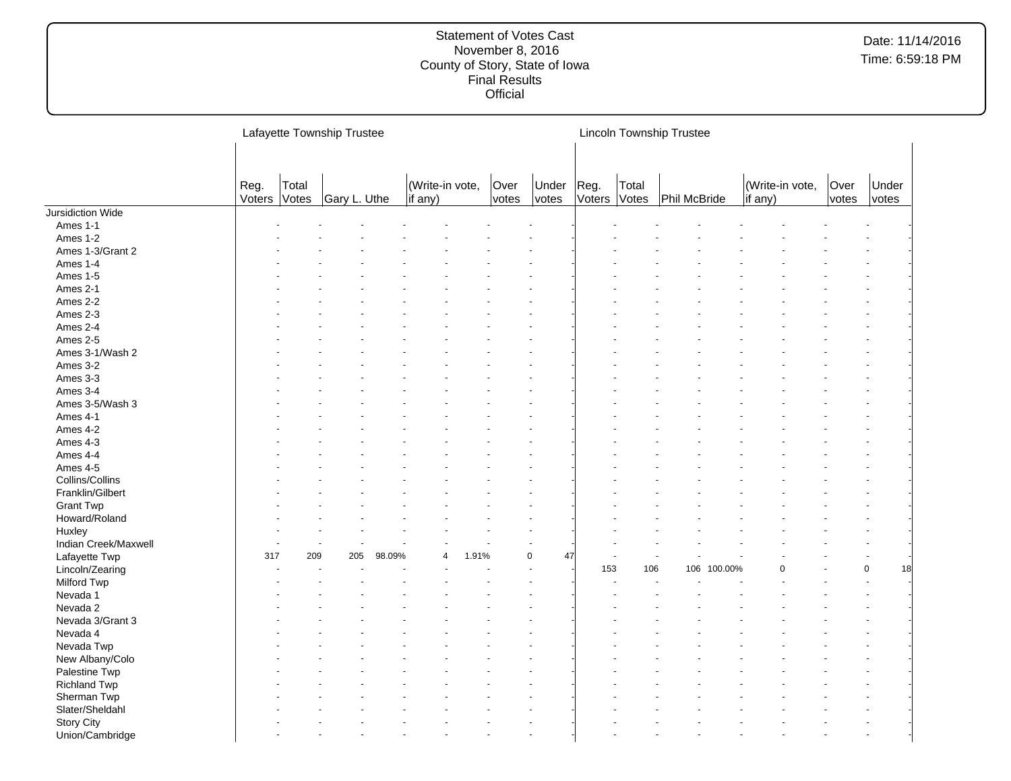|                      |      |                       | Lafayette Township Trustee |        |                            |               |                   |      |                       | <b>Lincoln Township Trustee</b> |         |                                    |               |                |
|----------------------|------|-----------------------|----------------------------|--------|----------------------------|---------------|-------------------|------|-----------------------|---------------------------------|---------|------------------------------------|---------------|----------------|
|                      | Reg. | Total<br>Voters Votes | Gary L. Uthe               |        | (Write-in vote,<br>if any) | Over<br>votes | Under<br>votes    | Reg. | Total<br>Voters Votes | Phil McBride                    |         | (Write-in vote,<br>$\vert$ if any) | Over<br>votes | Under<br>votes |
| Jursidiction Wide    |      |                       |                            |        |                            |               |                   |      |                       |                                 |         |                                    |               |                |
| Ames 1-1             |      |                       |                            |        |                            |               |                   |      |                       |                                 |         |                                    |               |                |
| Ames 1-2             |      |                       |                            |        |                            |               |                   |      |                       |                                 |         |                                    |               |                |
| Ames 1-3/Grant 2     |      |                       |                            |        |                            |               |                   |      |                       |                                 |         |                                    |               |                |
| Ames 1-4             |      |                       |                            |        |                            |               |                   |      |                       |                                 |         |                                    |               |                |
| Ames 1-5             |      |                       |                            |        |                            |               |                   |      |                       |                                 |         |                                    |               |                |
| Ames 2-1             |      |                       |                            |        |                            |               |                   |      |                       |                                 |         |                                    |               |                |
| Ames 2-2             |      |                       |                            |        |                            |               |                   |      |                       |                                 |         |                                    |               |                |
| Ames 2-3             |      |                       |                            |        |                            |               |                   |      |                       |                                 |         |                                    |               |                |
| Ames 2-4             |      |                       |                            |        |                            |               |                   |      |                       |                                 |         |                                    |               |                |
| Ames 2-5             |      |                       |                            |        |                            |               |                   |      |                       |                                 |         |                                    |               |                |
| Ames 3-1/Wash 2      |      |                       |                            |        |                            |               |                   |      |                       |                                 |         |                                    |               |                |
| Ames 3-2             |      |                       |                            |        |                            |               |                   |      |                       |                                 |         |                                    |               |                |
| Ames 3-3             |      |                       |                            |        |                            |               |                   |      |                       |                                 |         |                                    |               |                |
| Ames 3-4             |      |                       |                            |        |                            |               |                   |      |                       |                                 |         |                                    |               |                |
| Ames 3-5/Wash 3      |      |                       |                            |        |                            |               |                   |      |                       |                                 |         |                                    |               |                |
| Ames 4-1             |      |                       |                            |        |                            |               |                   |      |                       |                                 |         |                                    |               |                |
| Ames 4-2             |      |                       |                            |        |                            |               |                   |      |                       |                                 |         |                                    |               |                |
| Ames 4-3             |      |                       |                            |        |                            |               |                   |      |                       |                                 |         |                                    |               |                |
| Ames 4-4             |      |                       |                            |        |                            |               |                   |      |                       |                                 |         |                                    |               |                |
| Ames 4-5             |      |                       |                            |        |                            |               |                   |      |                       |                                 |         |                                    |               |                |
| Collins/Collins      |      |                       |                            |        |                            |               |                   |      |                       |                                 |         |                                    |               |                |
| Franklin/Gilbert     |      |                       |                            |        |                            |               |                   |      |                       |                                 |         |                                    |               |                |
| <b>Grant Twp</b>     |      |                       |                            |        |                            |               |                   |      |                       |                                 |         |                                    |               |                |
| Howard/Roland        |      |                       |                            |        |                            |               |                   |      |                       |                                 |         |                                    |               |                |
| Huxley               |      |                       |                            |        |                            |               |                   |      |                       |                                 |         |                                    |               |                |
| Indian Creek/Maxwell |      |                       |                            |        |                            |               |                   |      |                       |                                 |         |                                    |               |                |
| Lafayette Twp        | 317  | 209                   | 205                        | 98.09% | 1.91%                      |               | $\mathsf 0$<br>47 |      |                       |                                 |         |                                    |               |                |
| Lincoln/Zearing      |      |                       |                            |        |                            |               |                   | 153  | 106                   | 106                             | 100.00% |                                    |               | 18<br>0        |
| Milford Twp          |      |                       |                            |        |                            |               |                   |      |                       |                                 |         |                                    |               |                |
| Nevada 1             |      |                       |                            |        |                            |               |                   |      |                       |                                 |         |                                    |               |                |
| Nevada 2             |      |                       |                            |        |                            |               |                   |      |                       |                                 |         |                                    |               |                |
| Nevada 3/Grant 3     |      |                       |                            |        |                            |               |                   |      |                       |                                 |         |                                    |               |                |
| Nevada 4             |      |                       |                            |        |                            |               |                   |      |                       |                                 |         |                                    |               |                |
| Nevada Twp           |      |                       |                            |        |                            |               |                   |      |                       |                                 |         |                                    |               |                |
| New Albany/Colo      |      |                       |                            |        |                            |               |                   |      |                       |                                 |         |                                    |               |                |
| Palestine Twp        |      |                       |                            |        |                            |               |                   |      |                       |                                 |         |                                    |               |                |
| <b>Richland Twp</b>  |      |                       |                            |        |                            |               |                   |      |                       |                                 |         |                                    |               |                |
| Sherman Twp          |      |                       |                            |        |                            |               |                   |      |                       |                                 |         |                                    |               |                |
| Slater/Sheldahl      |      |                       |                            |        |                            |               |                   |      |                       |                                 |         |                                    |               |                |
| <b>Story City</b>    |      |                       |                            |        |                            |               |                   |      |                       |                                 |         |                                    |               |                |
| Union/Cambridge      |      |                       |                            |        |                            |               |                   |      |                       |                                 |         |                                    |               |                |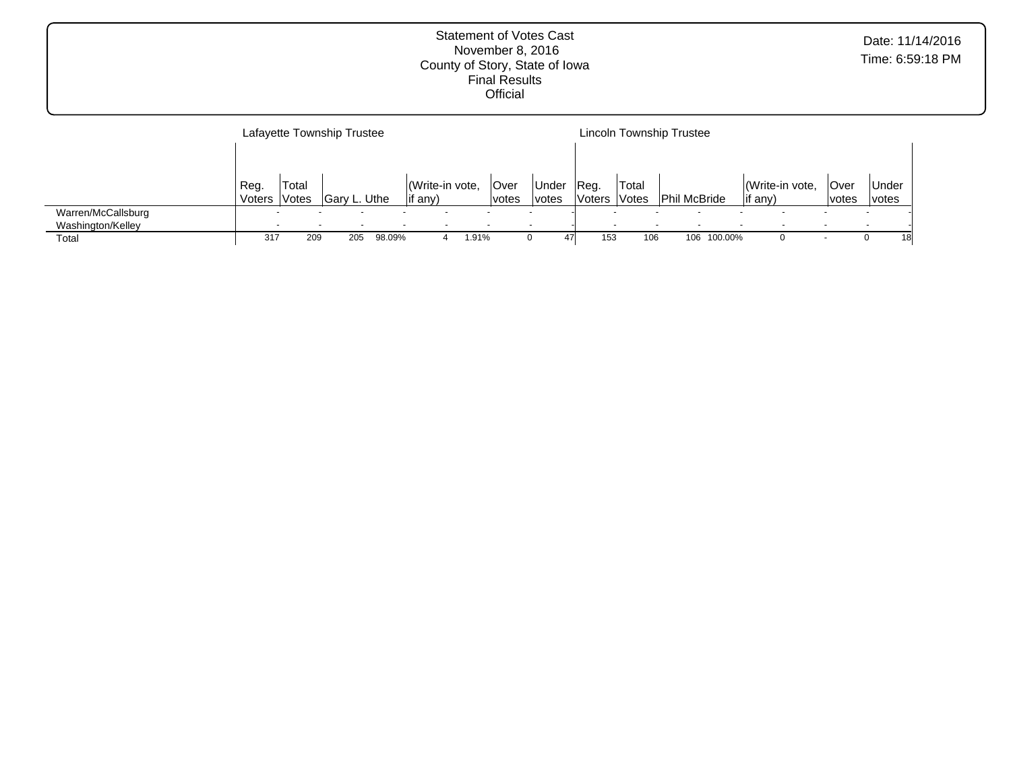|                    |        |       | Lafayette Township Trustee |        |                 |       |       |       |               |                     | Lincoln Township Trustee |         |          |                |       |              |    |
|--------------------|--------|-------|----------------------------|--------|-----------------|-------|-------|-------|---------------|---------------------|--------------------------|---------|----------|----------------|-------|--------------|----|
|                    |        |       |                            |        |                 |       |       |       |               |                     |                          |         |          |                |       |              |    |
|                    | Reg.   | Total |                            |        | (Write-in vote, |       | Over  | Under | Reg.          | 'Total              |                          |         |          | Write-in vote, | Over  | Under        |    |
|                    | Voters | Votes | Gary L. Uthe               |        | if any)         |       | votes | votes | <b>Voters</b> | <i><b>Notes</b></i> | <b>Phil McBride</b>      |         | lif any) |                | votes | <i>votes</i> |    |
| Warren/McCallsburg | $\sim$ |       |                            |        |                 |       |       |       |               |                     |                          |         |          |                |       |              |    |
| Washington/Kelley  |        |       |                            |        |                 |       |       |       |               |                     |                          |         |          |                |       |              |    |
| Total              | 317    | 209   | 205                        | 98.09% |                 | 1.91% |       |       | 153           | 106                 | 106                      | 100.00% |          |                |       |              | 18 |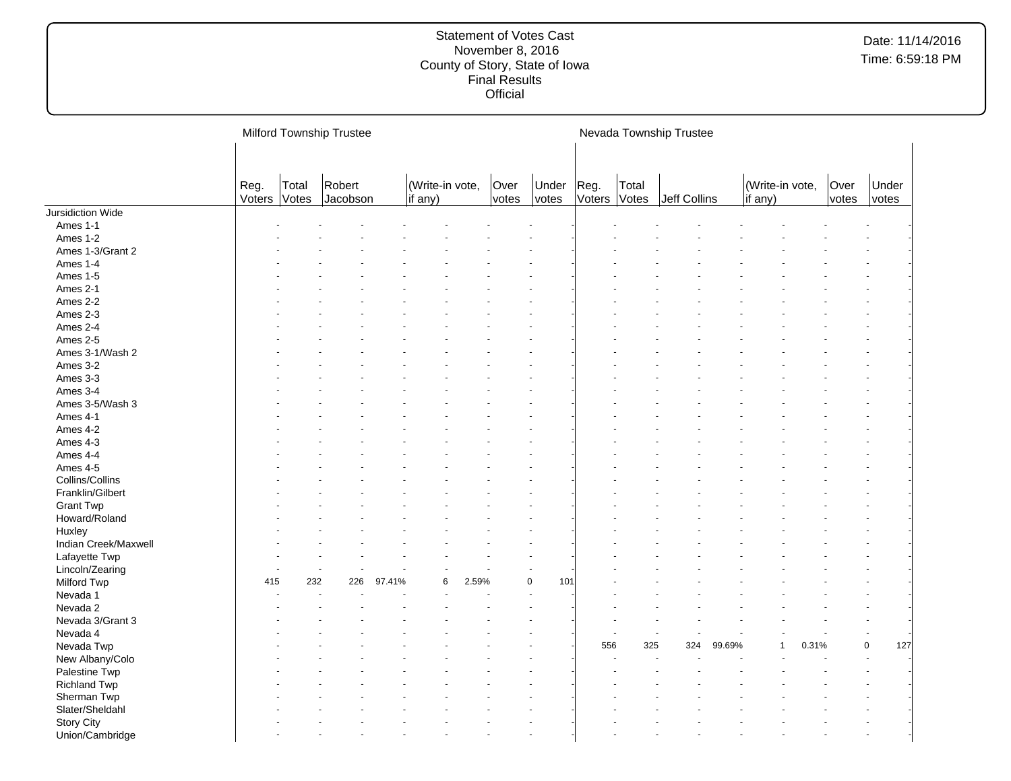|                      |                      |       | Milford Township Trustee |        |                                    |       |               |                |                      |       | Nevada Township Trustee |        |                            |       |               |                    |
|----------------------|----------------------|-------|--------------------------|--------|------------------------------------|-------|---------------|----------------|----------------------|-------|-------------------------|--------|----------------------------|-------|---------------|--------------------|
|                      | Reg.<br>Voters Votes | Total | Robert<br>Jacobson       |        | (Write-in vote,<br>$\vert$ if any) |       | Over<br>votes | Under<br>votes | Reg.<br>Voters Votes | Total | Jeff Collins            |        | (Write-in vote,<br>if any) |       | Over<br>votes | Under<br>votes     |
| Jursidiction Wide    |                      |       |                          |        |                                    |       |               |                |                      |       |                         |        |                            |       |               |                    |
| Ames 1-1             |                      |       |                          |        |                                    |       |               |                |                      |       |                         |        |                            |       |               |                    |
| Ames 1-2             |                      |       |                          |        |                                    |       |               |                |                      |       |                         |        |                            |       |               |                    |
| Ames 1-3/Grant 2     |                      |       |                          |        |                                    |       |               |                |                      |       |                         |        |                            |       |               |                    |
| Ames 1-4             |                      |       |                          |        |                                    |       |               |                |                      |       |                         |        |                            |       |               |                    |
| Ames 1-5             |                      |       |                          |        |                                    |       |               |                |                      |       |                         |        |                            |       |               |                    |
| Ames 2-1             |                      |       |                          |        |                                    |       |               |                |                      |       |                         |        |                            |       |               |                    |
| Ames 2-2             |                      |       |                          |        |                                    |       |               |                |                      |       |                         |        |                            |       |               |                    |
| Ames 2-3             |                      |       |                          |        |                                    |       |               |                |                      |       |                         |        |                            |       |               |                    |
| Ames 2-4             |                      |       |                          |        |                                    |       |               |                |                      |       |                         |        |                            |       |               |                    |
| Ames 2-5             |                      |       |                          |        |                                    |       |               |                |                      |       |                         |        |                            |       |               |                    |
| Ames 3-1/Wash 2      |                      |       |                          |        |                                    |       |               |                |                      |       |                         |        |                            |       |               |                    |
| Ames 3-2             |                      |       |                          |        |                                    |       |               |                |                      |       |                         |        |                            |       |               |                    |
| Ames 3-3             |                      |       |                          |        |                                    |       |               |                |                      |       |                         |        |                            |       |               |                    |
| Ames 3-4             |                      |       |                          |        |                                    |       |               |                |                      |       |                         |        |                            |       |               |                    |
| Ames 3-5/Wash 3      |                      |       |                          |        |                                    |       |               |                |                      |       |                         |        |                            |       |               |                    |
| Ames 4-1             |                      |       |                          |        |                                    |       |               |                |                      |       |                         |        |                            |       |               |                    |
| Ames 4-2             |                      |       |                          |        |                                    |       |               |                |                      |       |                         |        |                            |       |               |                    |
| Ames 4-3             |                      |       |                          |        |                                    |       |               |                |                      |       |                         |        |                            |       |               |                    |
| Ames 4-4             |                      |       |                          |        |                                    |       |               |                |                      |       |                         |        |                            |       |               |                    |
| Ames 4-5             |                      |       |                          |        |                                    |       |               |                |                      |       |                         |        |                            |       |               |                    |
| Collins/Collins      |                      |       |                          |        |                                    |       |               |                |                      |       |                         |        |                            |       |               |                    |
| Franklin/Gilbert     |                      |       |                          |        |                                    |       |               |                |                      |       |                         |        |                            |       |               |                    |
| <b>Grant Twp</b>     |                      |       |                          |        |                                    |       |               |                |                      |       |                         |        |                            |       |               |                    |
| Howard/Roland        |                      |       |                          |        |                                    |       |               |                |                      |       |                         |        |                            |       |               |                    |
| Huxley               |                      |       |                          |        |                                    |       |               |                |                      |       |                         |        |                            |       |               |                    |
| Indian Creek/Maxwell |                      |       |                          |        |                                    |       |               |                |                      |       |                         |        |                            |       |               |                    |
| Lafayette Twp        |                      |       |                          |        |                                    |       |               |                |                      |       |                         |        |                            |       |               |                    |
| Lincoln/Zearing      |                      |       |                          |        |                                    |       |               |                |                      |       |                         |        |                            |       |               |                    |
| Milford Twp          | 415                  | 232   | 226                      | 97.41% | 6                                  | 2.59% |               | 0<br>101       |                      |       |                         |        |                            |       |               |                    |
| Nevada 1             |                      |       |                          |        |                                    |       |               |                |                      |       |                         |        |                            |       |               |                    |
| Nevada 2             |                      |       |                          |        |                                    |       |               |                |                      |       |                         |        |                            |       |               |                    |
| Nevada 3/Grant 3     |                      |       |                          |        |                                    |       |               |                |                      |       |                         |        |                            |       |               |                    |
| Nevada 4             |                      |       |                          |        |                                    |       |               |                |                      |       | $\ddot{\phantom{1}}$    |        |                            |       |               | ÷.                 |
| Nevada Twp           |                      |       |                          |        |                                    |       |               |                | 556                  | 325   | 324                     | 99.69% |                            | 0.31% |               | $\mathbf 0$<br>127 |
| New Albany/Colo      |                      |       |                          |        |                                    |       |               |                |                      |       |                         |        |                            |       |               |                    |
| Palestine Twp        |                      |       |                          |        |                                    |       |               |                |                      |       |                         |        |                            |       |               |                    |
| <b>Richland Twp</b>  |                      |       |                          |        |                                    |       |               |                |                      |       |                         |        |                            |       |               |                    |
| Sherman Twp          |                      |       |                          |        |                                    |       |               |                |                      |       |                         |        |                            |       |               |                    |
| Slater/Sheldahl      |                      |       |                          |        |                                    |       |               |                |                      |       |                         |        |                            |       |               |                    |
| <b>Story City</b>    |                      |       |                          |        |                                    |       |               |                |                      |       |                         |        |                            |       |               |                    |
| Union/Cambridge      |                      |       |                          |        |                                    |       |               |                |                      |       |                         |        |                            |       |               |                    |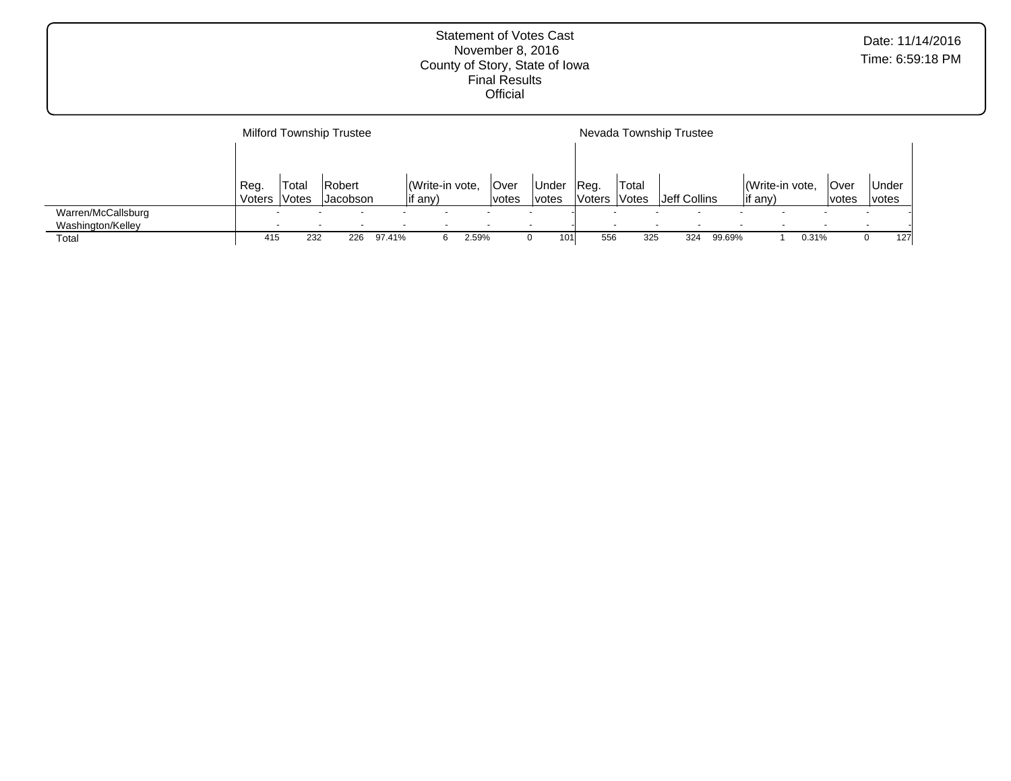|                    |                |       | <b>Milford Township Trustee</b> |        |                 |       |       |       |                  |                     | Nevada Township Trustee |        |          |                 |       |       |     |
|--------------------|----------------|-------|---------------------------------|--------|-----------------|-------|-------|-------|------------------|---------------------|-------------------------|--------|----------|-----------------|-------|-------|-----|
|                    |                |       |                                 |        |                 |       |       |       |                  |                     |                         |        |          |                 |       |       |     |
|                    | Reg.<br>Voters | Total | Robert                          |        | (Write-in vote, |       | lOver | Under | IReg.<br>lVoters | 'Total              | Jeff Collins            |        | lif any) | (Write-in vote, | Over  | Under |     |
|                    |                | Votes | <b>Jacobson</b>                 |        | if any)         |       | votes | votes |                  | <i><b>Votes</b></i> |                         |        |          |                 | votes | votes |     |
| Warren/McCallsburg |                |       |                                 |        |                 |       |       |       |                  |                     |                         |        |          |                 |       |       |     |
| Washington/Kelley  |                |       |                                 |        |                 |       |       |       |                  |                     |                         |        |          |                 |       |       |     |
| Total              | 415            | 232   | 226                             | 97.41% | 6               | 2.59% |       | 101   | 556              | 325                 | 324                     | 99.69% |          | 0.31%           |       | 0     | 127 |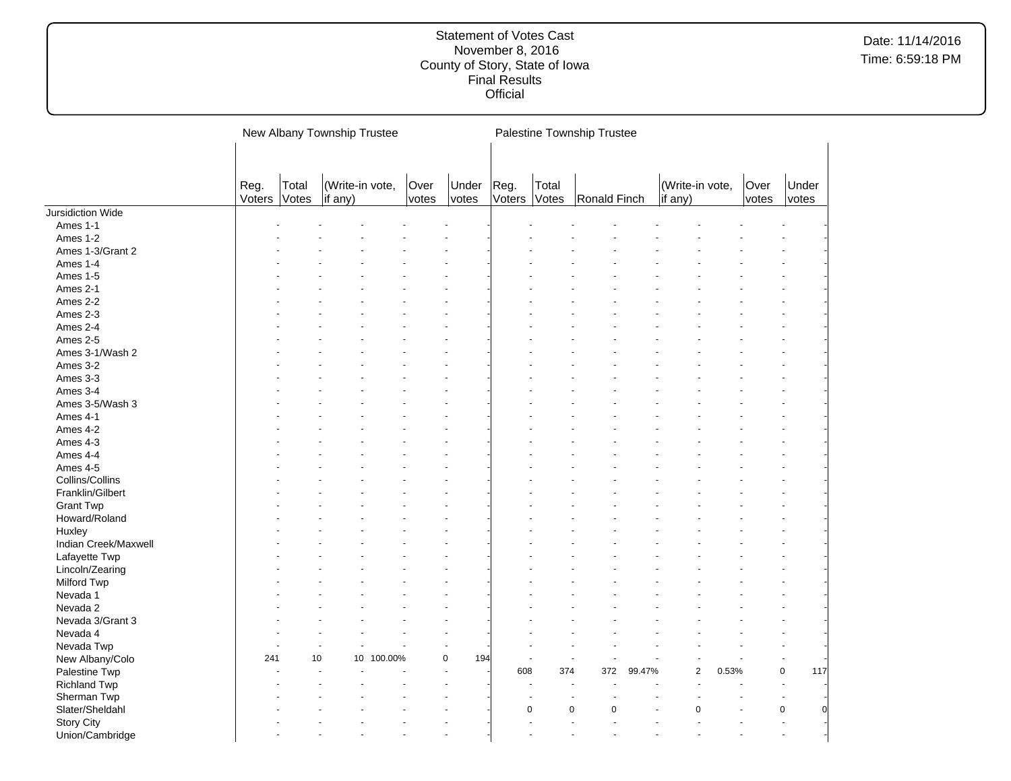|                      |                |                | New Albany Township Trustee |               |                |                |                | Palestine Township Trustee |        |                            |       |               |                  |
|----------------------|----------------|----------------|-----------------------------|---------------|----------------|----------------|----------------|----------------------------|--------|----------------------------|-------|---------------|------------------|
|                      | Reg.<br>Voters | Total<br>Votes | (Write-in vote,<br>if any)  | Over<br>votes | Under<br>votes | Reg.<br>Voters | Total<br>Votes | Ronald Finch               |        | (Write-in vote,<br>if any) |       | Over<br>votes | Under<br>votes   |
| Jursidiction Wide    |                |                |                             |               |                |                |                |                            |        |                            |       |               |                  |
| Ames 1-1             |                |                |                             |               |                |                |                |                            |        |                            |       |               |                  |
| Ames 1-2             |                |                |                             |               |                |                |                |                            |        |                            |       |               |                  |
| Ames 1-3/Grant 2     |                |                |                             |               |                |                |                |                            |        |                            |       |               |                  |
| Ames 1-4             |                |                |                             |               |                |                |                |                            |        |                            |       |               |                  |
| Ames 1-5             |                |                |                             |               |                |                |                |                            |        |                            |       |               |                  |
| Ames 2-1             |                |                |                             |               |                |                |                |                            |        |                            |       |               |                  |
| Ames 2-2             |                |                |                             |               |                |                |                |                            |        |                            |       |               |                  |
| Ames 2-3             |                |                |                             |               |                |                |                |                            |        |                            |       |               |                  |
| Ames 2-4             |                |                |                             |               |                |                |                |                            |        |                            |       |               |                  |
| Ames 2-5             |                |                |                             |               |                |                |                |                            |        |                            |       |               |                  |
| Ames 3-1/Wash 2      |                |                |                             |               |                |                |                |                            |        |                            |       |               |                  |
| Ames 3-2             |                |                |                             |               |                |                |                |                            |        |                            |       |               |                  |
| Ames 3-3             |                |                |                             |               |                |                |                |                            |        |                            |       |               |                  |
| Ames 3-4             |                |                |                             |               |                |                |                |                            |        |                            |       |               |                  |
| Ames 3-5/Wash 3      |                |                |                             |               |                |                |                |                            |        |                            |       |               |                  |
| Ames 4-1             |                |                |                             |               |                |                |                |                            |        |                            |       |               |                  |
| Ames 4-2             |                |                |                             |               |                |                |                |                            |        |                            |       |               |                  |
| Ames 4-3             |                |                |                             |               |                |                |                |                            |        |                            |       |               |                  |
| Ames 4-4             |                |                |                             |               |                |                |                |                            |        |                            |       |               |                  |
| Ames 4-5             |                |                |                             |               |                |                |                |                            |        |                            |       |               |                  |
| Collins/Collins      |                |                |                             |               |                |                |                |                            |        |                            |       |               |                  |
| Franklin/Gilbert     |                |                |                             |               |                |                |                |                            |        |                            |       |               |                  |
| <b>Grant Twp</b>     |                |                |                             |               |                |                |                |                            |        |                            |       |               |                  |
| Howard/Roland        |                |                |                             |               |                |                |                |                            |        |                            |       |               |                  |
| Huxley               |                |                |                             |               |                |                |                |                            |        |                            |       |               |                  |
| Indian Creek/Maxwell |                |                |                             |               |                |                |                |                            |        |                            |       |               |                  |
| Lafayette Twp        |                |                |                             |               |                |                |                |                            |        |                            |       |               |                  |
| Lincoln/Zearing      |                |                |                             |               |                |                |                |                            |        |                            |       |               |                  |
| Milford Twp          |                |                |                             |               |                |                |                |                            |        |                            |       |               |                  |
| Nevada 1             |                |                |                             |               |                |                |                |                            |        |                            |       |               |                  |
| Nevada 2             |                |                |                             |               |                |                |                |                            |        |                            |       |               |                  |
| Nevada 3/Grant 3     |                |                |                             |               |                |                |                |                            |        |                            |       |               |                  |
| Nevada 4             |                |                |                             |               |                |                |                |                            |        |                            |       |               |                  |
| Nevada Twp           |                |                |                             |               |                |                |                |                            |        |                            |       |               |                  |
| New Albany/Colo      | 241            | 10             | 100.00%<br>10               |               | 0<br>194       |                |                | ÷,                         |        |                            |       |               |                  |
| Palestine Twp        |                |                |                             |               |                | 608            | 374            | 372                        | 99.47% | $\mathbf{2}$               | 0.53% |               | $\pmb{0}$<br>117 |
| <b>Richland Twp</b>  |                |                |                             |               |                |                |                |                            |        | ÷.                         |       |               | $\blacksquare$   |
| Sherman Twp          |                |                |                             |               |                |                |                |                            |        |                            |       |               | ٠                |
| Slater/Sheldahl      |                |                |                             |               |                |                | $\mathbf 0$    | $\mathbf 0$<br>$\Omega$    |        | $\Omega$                   |       |               | $\pmb{0}$        |
| <b>Story City</b>    |                |                |                             |               |                |                |                |                            |        |                            |       |               |                  |
| Union/Cambridge      |                |                |                             |               |                |                |                |                            |        |                            |       |               |                  |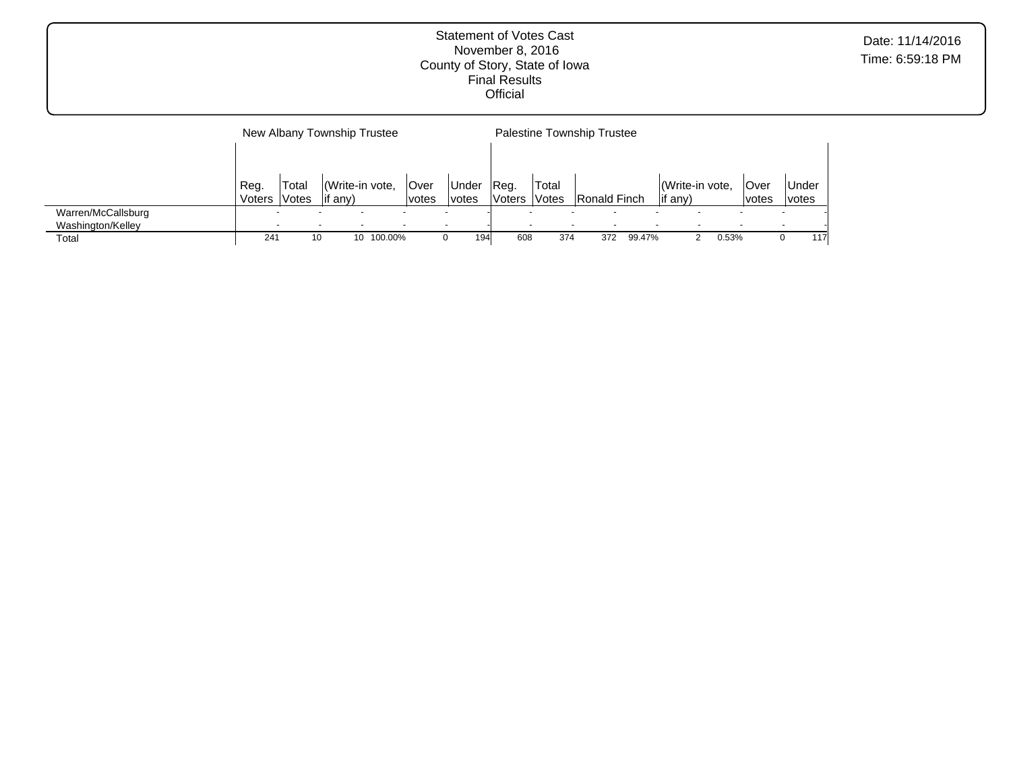New Albany Township Trustee Reg. Voters Total Votes (Write-in vote, if any) Over votes Under votes Palestine Township Trustee Reg. Voters Votes Ronald Finch Total (Write-in vote, if any) Over votes Under votes Warren/McCallsburg - - - - - - - - - - - - - - Washington/Kelley - - - - - - - - - - - - - - Total 241 10 10 100.00% 0 194 608 374 372 99.47% 2 0.53% 0 117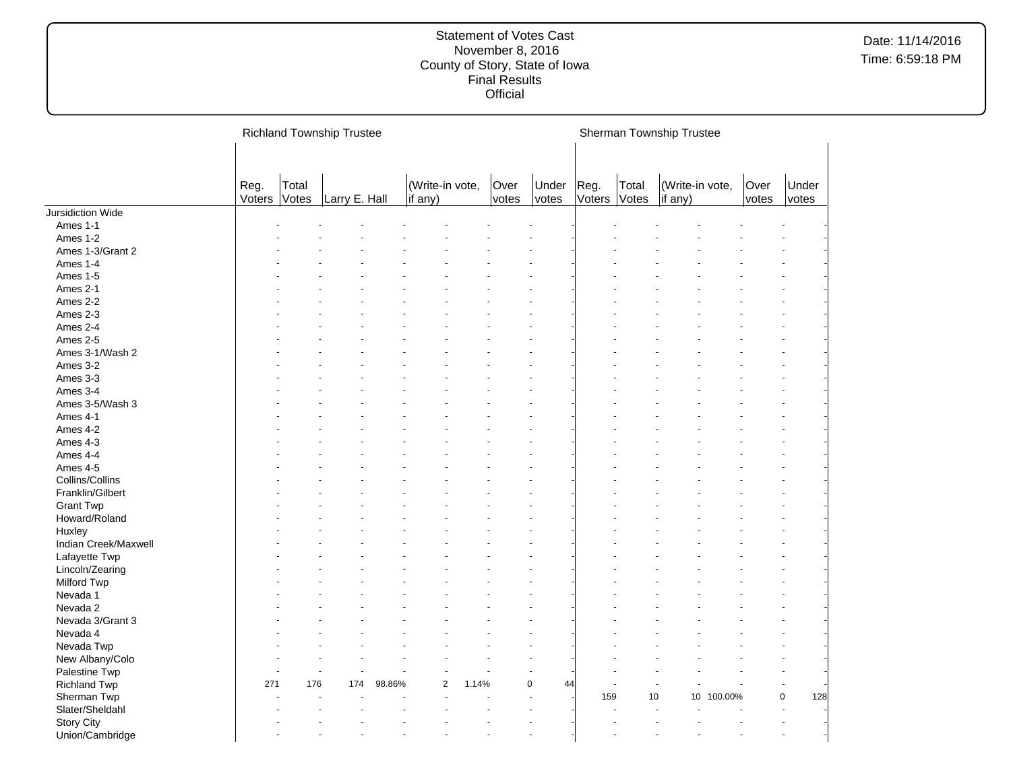|                      |                |                | <b>Richland Township Trustee</b> |        |                            |       |               |                |                |                | Sherman Township Trustee |                 |               |                |
|----------------------|----------------|----------------|----------------------------------|--------|----------------------------|-------|---------------|----------------|----------------|----------------|--------------------------|-----------------|---------------|----------------|
|                      |                |                |                                  |        |                            |       |               |                |                |                |                          |                 |               |                |
|                      | Reg.<br>Voters | Total<br>Votes | Larry E. Hall                    |        | (Write-in vote,<br>if any) |       | Over<br>votes | Under<br>votes | Reg.<br>Voters | Total<br>Votes | if any)                  | (Write-in vote, | Over<br>votes | Under<br>votes |
| Jursidiction Wide    |                |                |                                  |        |                            |       |               |                |                |                |                          |                 |               |                |
| Ames 1-1             |                |                |                                  |        |                            |       |               |                |                |                |                          |                 |               |                |
| Ames 1-2             |                |                |                                  |        |                            |       |               |                |                |                |                          |                 |               |                |
| Ames 1-3/Grant 2     |                |                |                                  |        |                            |       |               |                |                |                |                          |                 |               |                |
| Ames 1-4             |                |                |                                  |        |                            |       |               |                |                |                |                          |                 |               |                |
| Ames 1-5             |                |                |                                  |        |                            |       |               |                |                |                |                          |                 |               |                |
| Ames 2-1             |                |                |                                  |        |                            |       |               |                |                |                |                          |                 |               |                |
| Ames 2-2             |                |                |                                  |        |                            |       |               |                |                |                |                          |                 |               |                |
| Ames 2-3             |                |                |                                  |        |                            |       |               |                |                |                |                          |                 |               |                |
| Ames 2-4             |                |                |                                  |        |                            |       |               |                |                |                |                          |                 |               |                |
| Ames 2-5             |                |                |                                  |        |                            |       |               |                |                |                |                          |                 |               |                |
| Ames 3-1/Wash 2      |                |                |                                  |        |                            |       |               |                |                |                |                          |                 |               |                |
| Ames 3-2             |                |                |                                  |        |                            |       |               |                |                |                |                          |                 |               |                |
| Ames 3-3             |                |                |                                  |        |                            |       |               |                |                |                |                          |                 |               |                |
| Ames 3-4             |                |                |                                  |        |                            |       |               |                |                |                |                          |                 |               |                |
| Ames 3-5/Wash 3      |                |                |                                  |        |                            |       |               |                |                |                |                          |                 |               |                |
| Ames 4-1             |                |                |                                  |        |                            |       |               |                |                |                |                          |                 |               |                |
| Ames 4-2             |                |                |                                  |        |                            |       |               |                |                |                |                          |                 |               |                |
| Ames 4-3             |                |                |                                  |        |                            |       |               |                |                |                |                          |                 |               |                |
| Ames 4-4             |                |                |                                  |        |                            |       |               |                |                |                |                          |                 |               |                |
|                      |                |                |                                  |        |                            |       |               |                |                |                |                          |                 |               |                |
| Ames 4-5             |                |                |                                  |        |                            |       |               |                |                |                |                          |                 |               |                |
| Collins/Collins      |                |                |                                  |        |                            |       |               |                |                |                |                          |                 |               |                |
| Franklin/Gilbert     |                |                |                                  |        |                            |       |               |                |                |                |                          |                 |               |                |
| <b>Grant Twp</b>     |                |                |                                  |        |                            |       |               |                |                |                |                          |                 |               |                |
| Howard/Roland        |                |                |                                  |        |                            |       |               |                |                |                |                          |                 |               |                |
| Huxley               |                |                |                                  |        |                            |       |               |                |                |                |                          |                 |               |                |
| Indian Creek/Maxwell |                |                |                                  |        |                            |       |               |                |                |                |                          |                 |               |                |
| Lafayette Twp        |                |                |                                  |        |                            |       |               |                |                |                |                          |                 |               |                |
| Lincoln/Zearing      |                |                |                                  |        |                            |       |               |                |                |                |                          |                 |               |                |
| Milford Twp          |                |                |                                  |        |                            |       |               |                |                |                |                          |                 |               |                |
| Nevada 1             |                |                |                                  |        |                            |       |               |                |                |                |                          |                 |               |                |
| Nevada 2             |                |                |                                  |        |                            |       |               |                |                |                |                          |                 |               |                |
| Nevada 3/Grant 3     |                |                |                                  |        |                            |       |               |                |                |                |                          |                 |               |                |
| Nevada 4             |                |                |                                  |        |                            |       |               |                |                |                |                          |                 |               |                |
| Nevada Twp           |                |                |                                  |        |                            |       |               |                |                |                |                          |                 |               |                |
| New Albany/Colo      |                |                |                                  |        |                            |       |               |                |                |                |                          |                 |               |                |
| Palestine Twp        |                |                |                                  |        |                            |       |               |                |                |                |                          |                 |               |                |
| <b>Richland Twp</b>  | 271            | 176            | 174                              | 98.86% | $\overline{2}$             | 1.14% |               | 0<br>44        |                |                |                          |                 |               |                |
| Sherman Twp          |                |                |                                  |        |                            |       |               |                | 159            |                | 10                       | 10 100.00%      |               | 0<br>128       |
| Slater/Sheldahl      |                |                |                                  |        |                            |       |               |                |                |                |                          |                 |               |                |
| <b>Story City</b>    |                |                |                                  |        |                            |       |               |                |                |                |                          |                 |               |                |
| Union/Cambridge      |                |                |                                  |        |                            |       |               |                |                |                |                          |                 |               |                |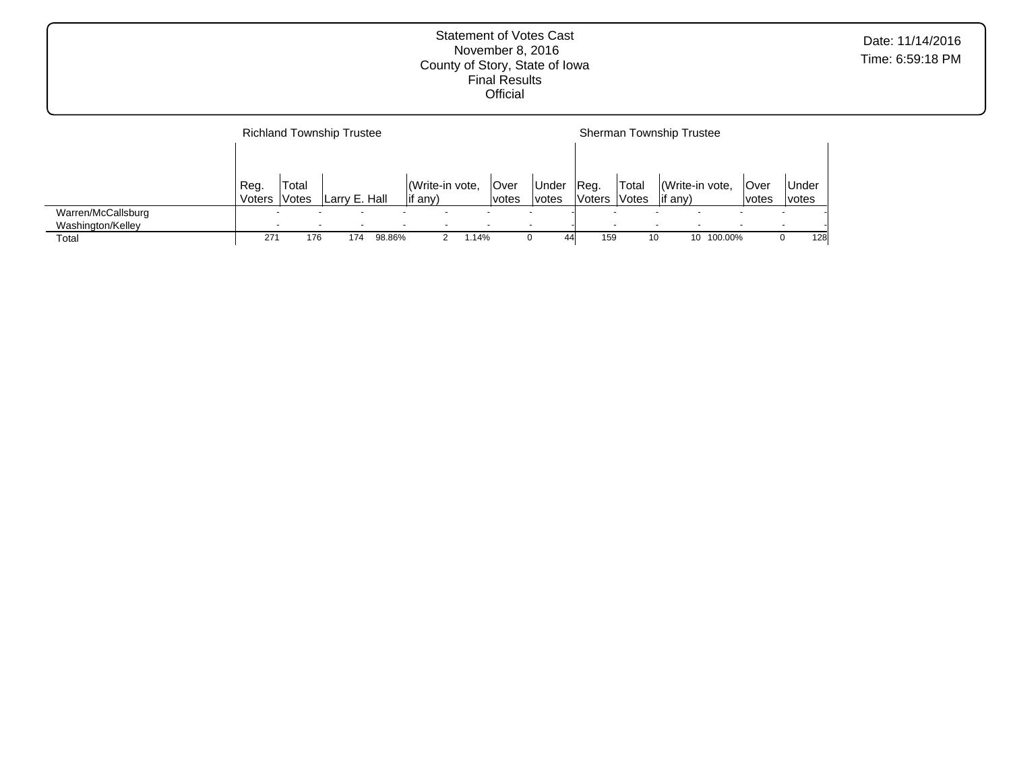|                                         |                | <b>Richland Township Trustee</b> |               |        |                 |                |                      |                       |                       |                              | <b>Sherman Township Trustee</b>   |         |                      |                 |     |
|-----------------------------------------|----------------|----------------------------------|---------------|--------|-----------------|----------------|----------------------|-----------------------|-----------------------|------------------------------|-----------------------------------|---------|----------------------|-----------------|-----|
|                                         |                |                                  |               |        |                 |                |                      |                       |                       |                              |                                   |         |                      |                 |     |
|                                         | Reg.<br>Voters | Total<br>Votes                   | Larry E. Hall |        | $\vert$ if any) | Write-in vote, | <b>Over</b><br>votes | Under<br><i>votes</i> | Reg.<br><b>Voters</b> | Total<br><i><b>Votes</b></i> | Write-in vote,<br>$\vert$ if any) |         | <b>Over</b><br>votes | ∣Under<br>votes |     |
| Warren/McCallsburg<br>Washington/Kelley |                | $\overline{\phantom{0}}$<br>-    |               |        |                 |                |                      |                       |                       |                              |                                   |         |                      |                 |     |
| Total                                   | 271            | 176                              | 174           | 98.86% |                 | 1.14%          |                      | 44                    | 159                   | 10                           | 10 <sup>1</sup>                   | 100.00% |                      |                 | 128 |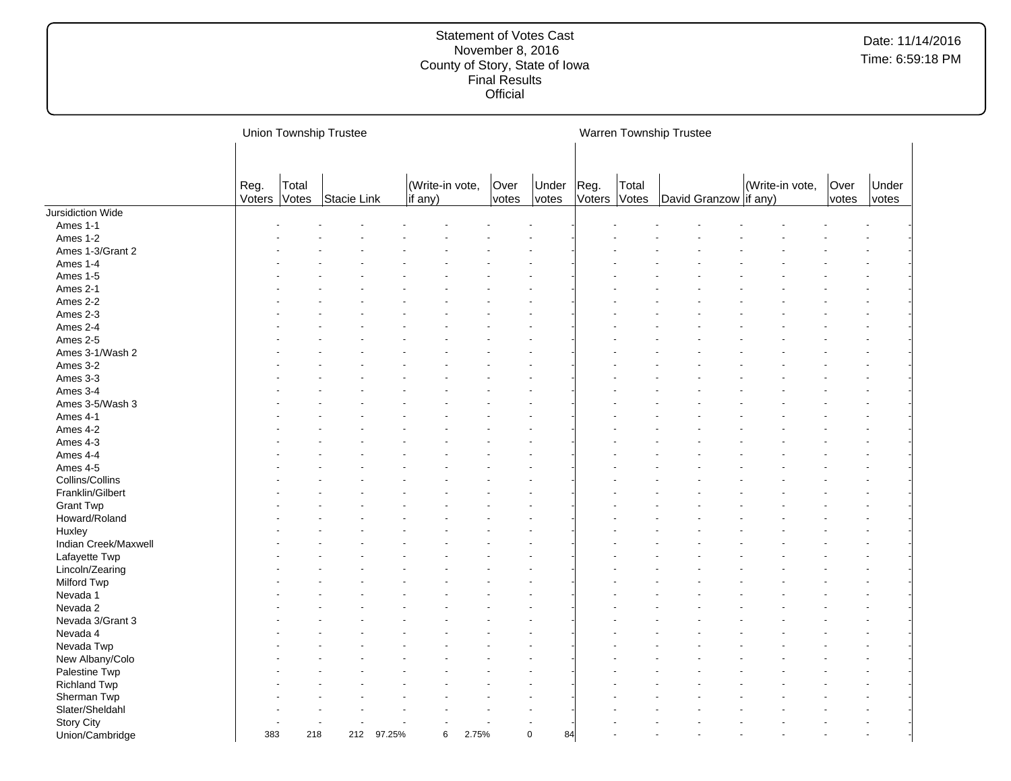|                      |                |                | <b>Union Township Trustee</b> |        |                            |       |               |                |                      |       | Warren Township Trustee |                 |               |                |
|----------------------|----------------|----------------|-------------------------------|--------|----------------------------|-------|---------------|----------------|----------------------|-------|-------------------------|-----------------|---------------|----------------|
|                      | Reg.<br>Voters | Total<br>Votes | Stacie Link                   |        | (Write-in vote,<br>if any) |       | Over<br>votes | Under<br>votes | Reg.<br>Voters Votes | Total | David Granzow   if any) | (Write-in vote, | Over<br>votes | Under<br>votes |
| Jursidiction Wide    |                |                |                               |        |                            |       |               |                |                      |       |                         |                 |               |                |
| Ames 1-1             |                |                |                               |        |                            |       |               |                |                      |       |                         |                 |               |                |
| Ames 1-2             |                |                |                               |        |                            |       |               |                |                      |       |                         |                 |               |                |
| Ames 1-3/Grant 2     |                |                |                               |        |                            |       |               |                |                      |       |                         |                 |               |                |
| Ames 1-4             |                |                |                               |        |                            |       |               |                |                      |       |                         |                 |               |                |
| Ames 1-5             |                |                |                               |        |                            |       |               |                |                      |       |                         |                 |               |                |
| Ames 2-1             |                |                |                               |        |                            |       |               |                |                      |       |                         |                 |               |                |
| Ames 2-2             |                |                |                               |        |                            |       |               |                |                      |       |                         |                 |               |                |
| Ames 2-3             |                |                |                               |        |                            |       |               |                |                      |       |                         |                 |               |                |
| Ames 2-4             |                |                |                               |        |                            |       |               |                |                      |       |                         |                 |               |                |
| Ames 2-5             |                |                |                               |        |                            |       |               |                |                      |       |                         |                 |               |                |
| Ames 3-1/Wash 2      |                |                |                               |        |                            |       |               |                |                      |       |                         |                 |               |                |
| Ames 3-2             |                |                |                               |        |                            |       |               |                |                      |       |                         |                 |               |                |
| Ames 3-3             |                |                |                               |        |                            |       |               |                |                      |       |                         |                 |               |                |
| Ames 3-4             |                |                |                               |        |                            |       |               |                |                      |       |                         |                 |               |                |
| Ames 3-5/Wash 3      |                |                |                               |        |                            |       |               |                |                      |       |                         |                 |               |                |
| Ames 4-1             |                |                |                               |        |                            |       |               |                |                      |       |                         |                 |               |                |
| Ames 4-2             |                |                |                               |        |                            |       |               |                |                      |       |                         |                 |               |                |
| Ames 4-3             |                |                |                               |        |                            |       |               |                |                      |       |                         |                 |               |                |
| Ames 4-4             |                |                |                               |        |                            |       |               |                |                      |       |                         |                 |               |                |
| Ames 4-5             |                |                |                               |        |                            |       |               |                |                      |       |                         |                 |               |                |
| Collins/Collins      |                |                |                               |        |                            |       |               |                |                      |       |                         |                 |               |                |
| Franklin/Gilbert     |                |                |                               |        |                            |       |               |                |                      |       |                         |                 |               |                |
| <b>Grant Twp</b>     |                |                |                               |        |                            |       |               |                |                      |       |                         |                 |               |                |
| Howard/Roland        |                |                |                               |        |                            |       |               |                |                      |       |                         |                 |               |                |
| Huxley               |                |                |                               |        |                            |       |               |                |                      |       |                         |                 |               |                |
| Indian Creek/Maxwell |                |                |                               |        |                            |       |               |                |                      |       |                         |                 |               |                |
| Lafayette Twp        |                |                |                               |        |                            |       |               |                |                      |       |                         |                 |               |                |
| Lincoln/Zearing      |                |                |                               |        |                            |       |               |                |                      |       |                         |                 |               |                |
| Milford Twp          |                |                |                               |        |                            |       |               |                |                      |       |                         |                 |               |                |
| Nevada 1             |                |                |                               |        |                            |       |               |                |                      |       |                         |                 |               |                |
| Nevada 2             |                |                |                               |        |                            |       |               |                |                      |       |                         |                 |               |                |
| Nevada 3/Grant 3     |                |                |                               |        |                            |       |               |                |                      |       |                         |                 |               |                |
| Nevada 4             |                |                |                               |        |                            |       |               |                |                      |       |                         |                 |               |                |
| Nevada Twp           |                |                |                               |        |                            |       |               |                |                      |       |                         |                 |               |                |
| New Albany/Colo      |                |                |                               |        |                            |       |               |                |                      |       |                         |                 |               |                |
| Palestine Twp        |                |                |                               |        |                            |       |               |                |                      |       |                         |                 |               |                |
| <b>Richland Twp</b>  |                |                |                               |        |                            |       |               |                |                      |       |                         |                 |               |                |
| Sherman Twp          |                |                |                               |        |                            |       |               |                |                      |       |                         |                 |               |                |
| Slater/Sheldahl      |                |                |                               |        |                            |       |               |                |                      |       |                         |                 |               |                |
| <b>Story City</b>    |                |                |                               |        |                            |       |               |                |                      |       |                         |                 |               |                |
| Union/Cambridge      | 383            | 218            | 212                           | 97.25% | 6                          | 2.75% | $\mathbf 0$   | 84             |                      |       |                         |                 |               |                |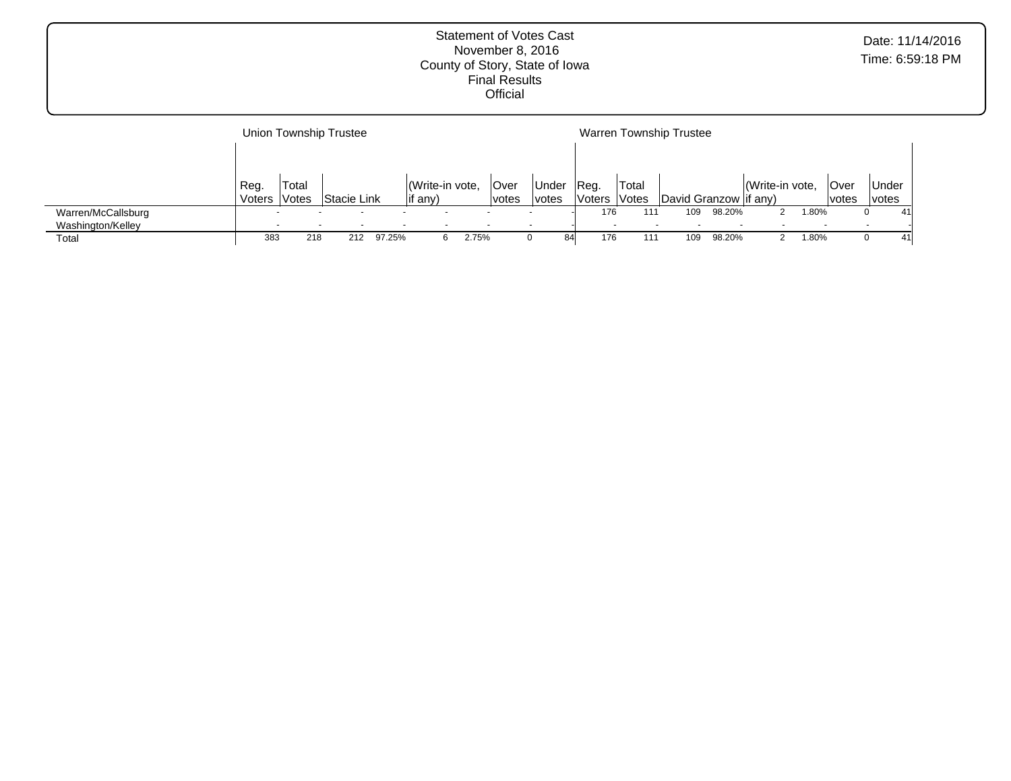|                    |        |       | Union Township Trustee |        |                 |       |       |              |        |                          | <b>Warren Township Trustee</b> |        |                 |            |              |              |    |
|--------------------|--------|-------|------------------------|--------|-----------------|-------|-------|--------------|--------|--------------------------|--------------------------------|--------|-----------------|------------|--------------|--------------|----|
|                    |        |       |                        |        |                 |       |       |              |        |                          |                                |        |                 |            |              |              |    |
|                    | Reg.   | Total |                        |        | (Write-in vote, |       | Over  | <b>Under</b> | IReg.  | Total                    |                                |        | (Write-in vote, |            | <b>Over</b>  | Under        |    |
|                    | Voters | Votes | Stacie Link            |        | lif any)        |       | votes | <i>votes</i> | Voters | Votes                    | David Granzow lif any)         |        |                 |            | <i>votes</i> | <i>votes</i> |    |
| Warren/McCallsburg |        |       |                        |        |                 |       |       |              | 176    | 111                      | 109                            | 98.20% |                 | 1.80%<br>2 |              | 0            | 41 |
| Washington/Kelley  |        |       |                        |        |                 |       |       |              |        | $\overline{\phantom{a}}$ |                                |        |                 |            |              |              |    |
| Total              | 383    | 218   | 212                    | 97.25% |                 | 2.75% |       |              | 176    | 111                      | 109                            | 98.20% |                 | 1.80%      |              |              | 41 |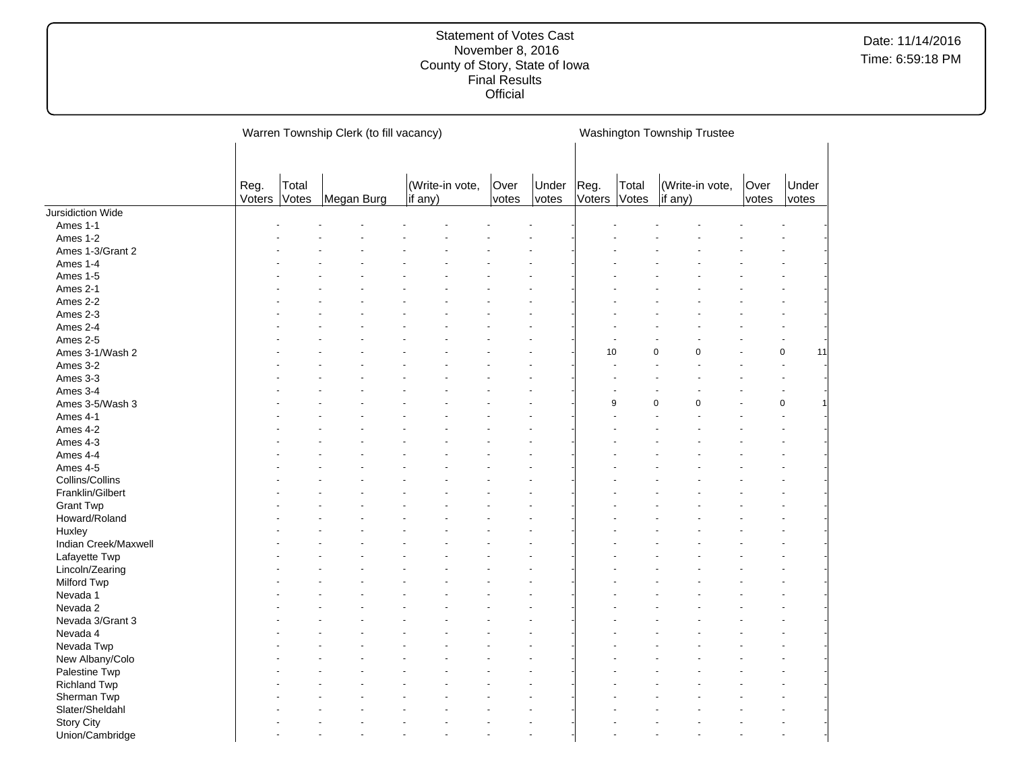|                          |                |                | Warren Township Clerk (to fill vacancy) |                            |               |                |                      |       | Washington Township Trustee        |             |               |                   |  |
|--------------------------|----------------|----------------|-----------------------------------------|----------------------------|---------------|----------------|----------------------|-------|------------------------------------|-------------|---------------|-------------------|--|
|                          |                |                |                                         |                            |               |                |                      |       |                                    |             |               |                   |  |
|                          | Reg.<br>Voters | Total<br>Votes | Megan Burg                              | (Write-in vote,<br>if any) | Over<br>votes | Under<br>votes | Reg.<br>Voters Votes | Total | (Write-in vote,<br>$\vert$ if any) |             | Over<br>votes | Under<br>votes    |  |
| <b>Jursidiction Wide</b> |                |                |                                         |                            |               |                |                      |       |                                    |             |               |                   |  |
| Ames 1-1                 |                |                |                                         |                            |               |                |                      |       |                                    |             |               |                   |  |
| Ames 1-2                 |                |                |                                         |                            |               |                |                      |       |                                    |             |               |                   |  |
| Ames 1-3/Grant 2         |                |                |                                         |                            |               |                |                      |       |                                    |             |               |                   |  |
| Ames 1-4                 |                |                |                                         |                            |               |                |                      |       |                                    |             |               |                   |  |
| Ames 1-5                 |                |                |                                         |                            |               |                |                      |       |                                    |             |               |                   |  |
| Ames 2-1                 |                |                |                                         |                            |               |                |                      |       |                                    |             |               |                   |  |
| Ames 2-2                 |                |                |                                         |                            |               |                |                      |       |                                    |             |               |                   |  |
| Ames 2-3                 |                |                |                                         |                            |               |                |                      |       |                                    |             |               |                   |  |
| Ames 2-4                 |                |                |                                         |                            |               |                |                      |       |                                    |             |               |                   |  |
| Ames 2-5                 |                |                |                                         |                            |               |                |                      |       |                                    |             |               |                   |  |
| Ames 3-1/Wash 2          |                |                |                                         |                            |               |                | 10                   |       | $\mathbf 0$                        | $\mathbf 0$ |               | $\mathbf 0$<br>11 |  |
| Ames 3-2                 |                |                |                                         |                            |               |                |                      |       |                                    |             |               |                   |  |
| Ames 3-3                 |                |                |                                         |                            |               |                |                      |       |                                    |             |               |                   |  |
| Ames 3-4                 |                |                |                                         |                            |               |                |                      |       |                                    |             |               |                   |  |
| Ames 3-5/Wash 3          |                |                |                                         |                            |               |                |                      | 9     | $\mathbf 0$                        | $\Omega$    |               | $\mathbf 0$       |  |
| Ames 4-1                 |                |                |                                         |                            |               |                |                      |       |                                    |             |               |                   |  |
|                          |                |                |                                         |                            |               |                |                      |       |                                    |             |               |                   |  |
| Ames 4-2                 |                |                |                                         |                            |               |                |                      |       |                                    |             |               |                   |  |
| Ames 4-3                 |                |                |                                         |                            |               |                |                      |       |                                    |             |               |                   |  |
| Ames 4-4                 |                |                |                                         |                            |               |                |                      |       |                                    |             |               |                   |  |
| Ames 4-5                 |                |                |                                         |                            |               |                |                      |       |                                    |             |               |                   |  |
| Collins/Collins          |                |                |                                         |                            |               |                |                      |       |                                    |             |               |                   |  |
| Franklin/Gilbert         |                |                |                                         |                            |               |                |                      |       |                                    |             |               |                   |  |
| <b>Grant Twp</b>         |                |                |                                         |                            |               |                |                      |       |                                    |             |               |                   |  |
| Howard/Roland            |                |                |                                         |                            |               |                |                      |       |                                    |             |               |                   |  |
| Huxley                   |                |                |                                         |                            |               |                |                      |       |                                    |             |               |                   |  |
| Indian Creek/Maxwell     |                |                |                                         |                            |               |                |                      |       |                                    |             |               |                   |  |
| Lafayette Twp            |                |                |                                         |                            |               |                |                      |       |                                    |             |               |                   |  |
| Lincoln/Zearing          |                |                |                                         |                            |               |                |                      |       |                                    |             |               |                   |  |
| <b>Milford Twp</b>       |                |                |                                         |                            |               |                |                      |       |                                    |             |               |                   |  |
| Nevada 1                 |                |                |                                         |                            |               |                |                      |       |                                    |             |               |                   |  |
| Nevada 2                 |                |                |                                         |                            |               |                |                      |       |                                    |             |               |                   |  |
| Nevada 3/Grant 3         |                |                |                                         |                            |               |                |                      |       |                                    |             |               |                   |  |
| Nevada 4                 |                |                |                                         |                            |               |                |                      |       |                                    |             |               |                   |  |
| Nevada Twp               |                |                |                                         |                            |               |                |                      |       |                                    |             |               |                   |  |
| New Albany/Colo          |                |                |                                         |                            |               |                |                      |       |                                    |             |               |                   |  |
| Palestine Twp            |                |                |                                         |                            |               |                |                      |       |                                    |             |               |                   |  |
| <b>Richland Twp</b>      |                |                |                                         |                            |               |                |                      |       |                                    |             |               |                   |  |
| Sherman Twp              |                |                |                                         |                            |               |                |                      |       |                                    |             |               |                   |  |
| Slater/Sheldahl          |                |                |                                         |                            |               |                |                      |       |                                    |             |               |                   |  |
| <b>Story City</b>        |                |                |                                         |                            |               |                |                      |       |                                    |             |               |                   |  |
| Union/Cambridge          |                |                |                                         |                            |               |                |                      |       |                                    |             |               |                   |  |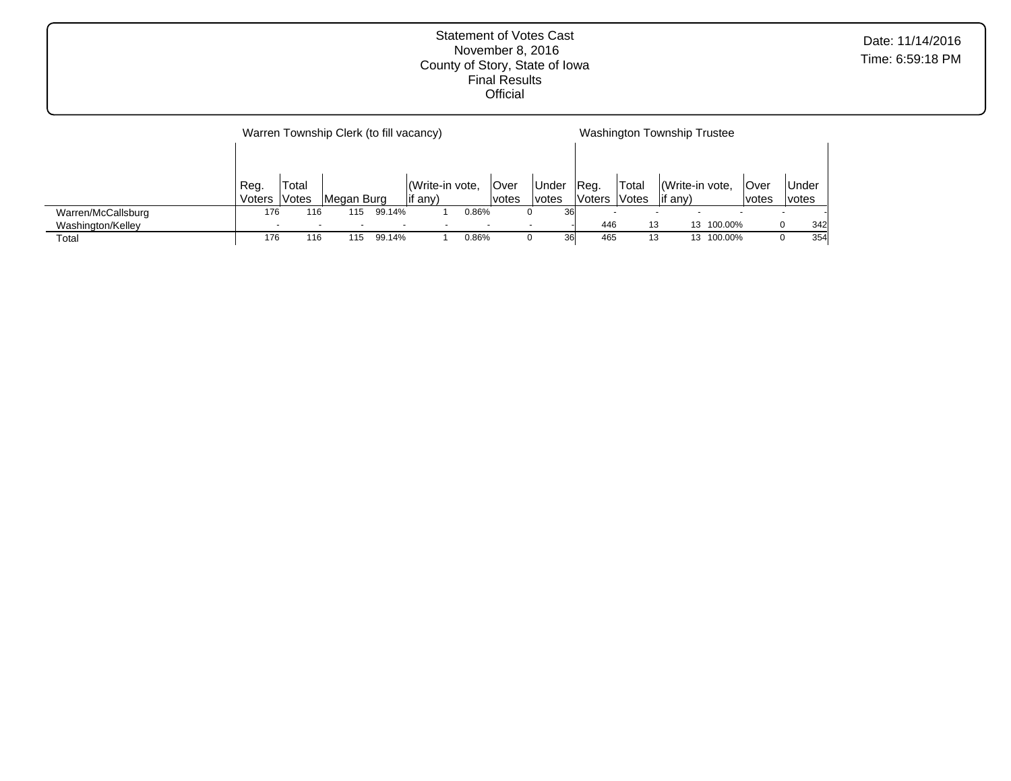| Date: 11/14/2016 |
|------------------|
| Time: 6:59:18 PM |

|                    |        |        | Warren Township Clerk (to fill vacancy) |                          |                |       |        |              |        |       | Washington Township Trustee |         |              |       |     |
|--------------------|--------|--------|-----------------------------------------|--------------------------|----------------|-------|--------|--------------|--------|-------|-----------------------------|---------|--------------|-------|-----|
|                    | Reg.   | 'Total |                                         |                          | Write-in vote, |       | lOver  | <b>Under</b> | IReg.  | Total | Write-in vote.              |         | Over         | Under |     |
|                    | Voters | Votes  | Megan Burg                              |                          | lif anv)       |       | lvotes | lvotes       | Voters | Votes | if any)                     |         | <i>votes</i> | votes |     |
| Warren/McCallsburg | 176    | 116    | 115                                     | 99.14%                   |                | 0.86% |        | 36<br>0      |        |       |                             |         |              |       |     |
| Washington/Kelley  |        |        |                                         | $\overline{\phantom{a}}$ |                |       |        |              | 446    | 13    | 13                          | 100.00% |              | 0     | 342 |
| Total              | 176    | 116    | 115                                     | 99.14%                   |                | 0.86% |        | 36<br>O      | 465    | 13    | 13                          | 100.00% |              | O     | 354 |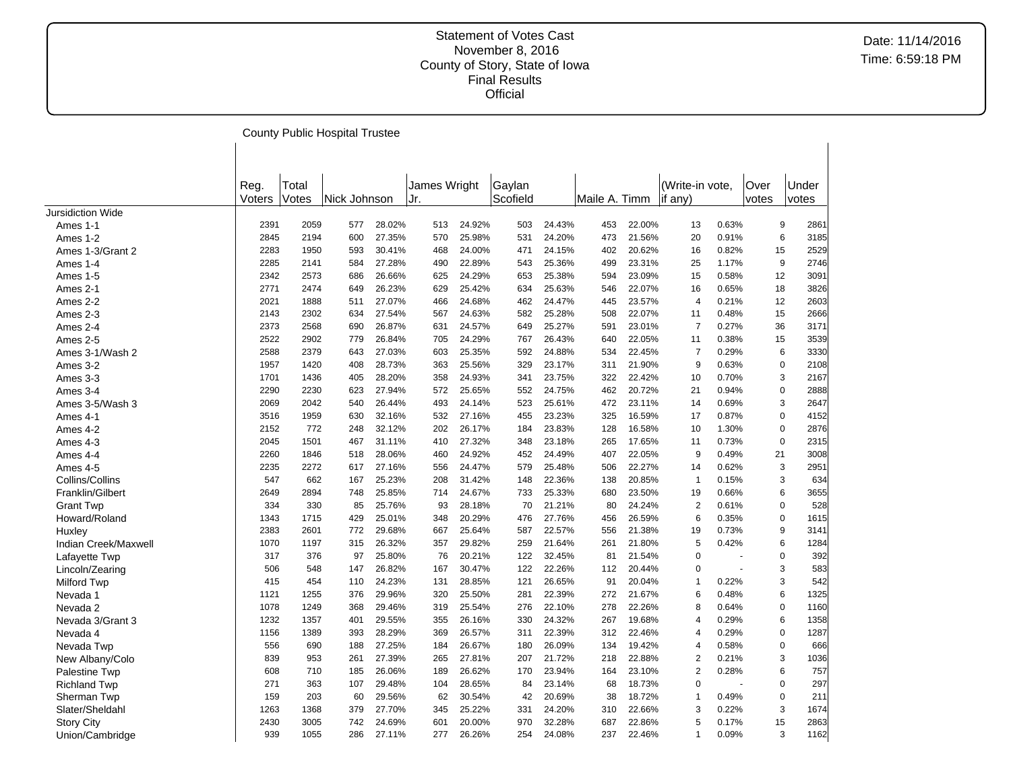|                      |                |                | <b>County Public Hospital Trustee</b> |        |                     |        |                    |        |               |        |                            |       |               |                     |
|----------------------|----------------|----------------|---------------------------------------|--------|---------------------|--------|--------------------|--------|---------------|--------|----------------------------|-------|---------------|---------------------|
|                      |                |                |                                       |        |                     |        |                    |        |               |        |                            |       |               |                     |
|                      | Reg.<br>Voters | Total<br>Votes | Nick Johnson                          |        | James Wright<br>Jr. |        | Gaylan<br>Scofield |        | Maile A. Timm |        | (Write-in vote,<br>if any) |       | Over<br>votes | Under<br>votes      |
| Jursidiction Wide    |                |                |                                       |        |                     |        |                    |        |               |        |                            |       |               |                     |
| Ames 1-1             | 2391           | 2059           | 577                                   | 28.02% | 513                 | 24.92% | 503                | 24.43% | 453           | 22.00% | 13                         | 0.63% |               | 9<br>2861           |
| Ames 1-2             | 2845           | 2194           | 600                                   | 27.35% | 570                 | 25.98% | 531                | 24.20% | 473           | 21.56% | 20                         | 0.91% |               | 3185<br>6           |
| Ames 1-3/Grant 2     | 2283           | 1950           | 593                                   | 30.41% | 468                 | 24.00% | 471                | 24.15% | 402           | 20.62% | 16                         | 0.82% |               | 2529<br>15          |
| Ames 1-4             | 2285           | 2141           | 584                                   | 27.28% | 490                 | 22.89% | 543                | 25.36% | 499           | 23.31% | 25                         | 1.17% |               | 9<br>2746           |
| Ames 1-5             | 2342           | 2573           | 686                                   | 26.66% | 625                 | 24.29% | 653                | 25.38% | 594           | 23.09% | 15                         | 0.58% | 12            | 3091                |
| Ames 2-1             | 2771           | 2474           | 649                                   | 26.23% | 629                 | 25.42% | 634                | 25.63% | 546           | 22.07% | 16                         | 0.65% | 18            | 3826                |
| Ames 2-2             | 2021           | 1888           | 511                                   | 27.07% | 466                 | 24.68% | 462                | 24.47% | 445           | 23.57% | $\overline{4}$             | 0.21% | 12            | 2603                |
| Ames 2-3             | 2143           | 2302           | 634                                   | 27.54% | 567                 | 24.63% | 582                | 25.28% | 508           | 22.07% | 11                         | 0.48% | 15            | 2666                |
| Ames 2-4             | 2373           | 2568           | 690                                   | 26.87% | 631                 | 24.57% | 649                | 25.27% | 591           | 23.01% | $\overline{7}$             | 0.27% | 36            | 3171                |
| Ames 2-5             | 2522           | 2902           | 779                                   | 26.84% | 705                 | 24.29% | 767                | 26.43% | 640           | 22.05% | 11                         | 0.38% | 15            | 3539                |
| Ames 3-1/Wash 2      | 2588           | 2379           | 643                                   | 27.03% | 603                 | 25.35% | 592                | 24.88% | 534           | 22.45% | $\overline{7}$             | 0.29% |               | 6<br>3330           |
| Ames 3-2             | 1957           | 1420           | 408                                   | 28.73% | 363                 | 25.56% | 329                | 23.17% | 311           | 21.90% | 9                          | 0.63% |               | 2108<br>$\mathbf 0$ |
| Ames 3-3             | 1701           | 1436           | 405                                   | 28.20% | 358                 | 24.93% | 341                | 23.75% | 322           | 22.42% | 10                         | 0.70% |               | 3<br>2167           |
| Ames 3-4             | 2290           | 2230           | 623                                   | 27.94% | 572                 | 25.65% | 552                | 24.75% | 462           | 20.72% | 21                         | 0.94% |               | $\mathbf 0$<br>2888 |
| Ames 3-5/Wash 3      | 2069           | 2042           | 540                                   | 26.44% | 493                 | 24.14% | 523                | 25.61% | 472           | 23.11% | 14                         | 0.69% |               | 3<br>2647           |
| Ames 4-1             | 3516           | 1959           | 630                                   | 32.16% | 532                 | 27.16% | 455                | 23.23% | 325           | 16.59% | 17                         | 0.87% |               | $\mathbf 0$<br>4152 |
| Ames 4-2             | 2152           | 772            | 248                                   | 32.12% | 202                 | 26.17% | 184                | 23.83% | 128           | 16.58% | 10                         | 1.30% |               | $\mathbf 0$<br>2876 |
| Ames 4-3             | 2045           | 1501           | 467                                   | 31.11% | 410                 | 27.32% | 348                | 23.18% | 265           | 17.65% | 11                         | 0.73% |               | $\mathbf 0$<br>2315 |
|                      | 2260           | 1846           | 518                                   | 28.06% | 460                 | 24.92% | 452                | 24.49% | 407           | 22.05% | 9                          | 0.49% | 21            | 3008                |
| Ames 4-4             |                |                |                                       |        |                     | 24.47% |                    |        |               | 22.27% |                            |       |               |                     |
| Ames 4-5             | 2235           | 2272           | 617                                   | 27.16% | 556                 |        | 579                | 25.48% | 506           |        | 14                         | 0.62% |               | 3<br>2951           |
| Collins/Collins      | 547            | 662            | 167                                   | 25.23% | 208                 | 31.42% | 148                | 22.36% | 138           | 20.85% | $\mathbf{1}$               | 0.15% |               | 3<br>634            |
| Franklin/Gilbert     | 2649           | 2894           | 748                                   | 25.85% | 714                 | 24.67% | 733                | 25.33% | 680           | 23.50% | 19                         | 0.66% |               | 6<br>3655           |
| <b>Grant Twp</b>     | 334            | 330            | 85                                    | 25.76% | 93                  | 28.18% | 70                 | 21.21% | 80            | 24.24% | $\overline{2}$             | 0.61% |               | 528<br>$\mathbf 0$  |
| Howard/Roland        | 1343           | 1715           | 429                                   | 25.01% | 348                 | 20.29% | 476                | 27.76% | 456           | 26.59% | 6                          | 0.35% |               | $\mathbf 0$<br>1615 |
| Huxley               | 2383           | 2601           | 772                                   | 29.68% | 667                 | 25.64% | 587                | 22.57% | 556           | 21.38% | 19                         | 0.73% |               | 9<br>3141           |
| Indian Creek/Maxwell | 1070           | 1197           | 315                                   | 26.32% | 357                 | 29.82% | 259                | 21.64% | 261           | 21.80% | 5                          | 0.42% |               | 6<br>1284           |
| Lafayette Twp        | 317            | 376            | 97                                    | 25.80% | 76                  | 20.21% | 122                | 32.45% | 81            | 21.54% | $\Omega$                   |       |               | $\mathbf 0$<br>392  |
| Lincoln/Zearing      | 506            | 548            | 147                                   | 26.82% | 167                 | 30.47% | 122                | 22.26% | 112           | 20.44% | $\Omega$                   |       |               | 3<br>583            |
| <b>Milford Twp</b>   | 415            | 454            | 110                                   | 24.23% | 131                 | 28.85% | 121                | 26.65% | 91            | 20.04% | $\mathbf{1}$               | 0.22% |               | 3<br>542            |
| Nevada 1             | 1121           | 1255           | 376                                   | 29.96% | 320                 | 25.50% | 281                | 22.39% | 272           | 21.67% | 6                          | 0.48% |               | 1325<br>6           |
| Nevada 2             | 1078           | 1249           | 368                                   | 29.46% | 319                 | 25.54% | 276                | 22.10% | 278           | 22.26% | 8                          | 0.64% |               | $\mathbf 0$<br>1160 |
| Nevada 3/Grant 3     | 1232           | 1357           | 401                                   | 29.55% | 355                 | 26.16% | 330                | 24.32% | 267           | 19.68% | $\overline{4}$             | 0.29% |               | 6<br>1358           |
| Nevada 4             | 1156           | 1389           | 393                                   | 28.29% | 369                 | 26.57% | 311                | 22.39% | 312           | 22.46% | 4                          | 0.29% |               | $\mathbf 0$<br>1287 |
| Nevada Twp           | 556            | 690            | 188                                   | 27.25% | 184                 | 26.67% | 180                | 26.09% | 134           | 19.42% | $\overline{4}$             | 0.58% |               | 666<br>0            |
| New Albany/Colo      | 839            | 953            | 261                                   | 27.39% | 265                 | 27.81% | 207                | 21.72% | 218           | 22.88% | $\overline{2}$             | 0.21% |               | 3<br>1036           |
| Palestine Twp        | 608            | 710            | 185                                   | 26.06% | 189                 | 26.62% | 170                | 23.94% | 164           | 23.10% | $\overline{2}$             | 0.28% |               | 6<br>757            |
| <b>Richland Twp</b>  | 271            | 363            | 107                                   | 29.48% | 104                 | 28.65% | 84                 | 23.14% | 68            | 18.73% | $\Omega$                   |       |               | 297<br>$\mathbf 0$  |
| Sherman Twp          | 159            | 203            | 60                                    | 29.56% | 62                  | 30.54% | 42                 | 20.69% | 38            | 18.72% | $\mathbf 1$                | 0.49% |               | $\mathbf 0$<br>211  |
| Slater/Sheldahl      | 1263           | 1368           | 379                                   | 27.70% | 345                 | 25.22% | 331                | 24.20% | 310           | 22.66% | 3                          | 0.22% |               | 3<br>1674           |
| <b>Story City</b>    | 2430           | 3005           | 742                                   | 24.69% | 601                 | 20.00% | 970                | 32.28% | 687           | 22.86% | 5                          | 0.17% | 15            | 2863                |
| Union/Cambridge      | 939            | 1055           | 286                                   | 27.11% | 277                 | 26.26% | 254                | 24.08% | 237           | 22.46% | 1                          | 0.09% |               | 3<br>1162           |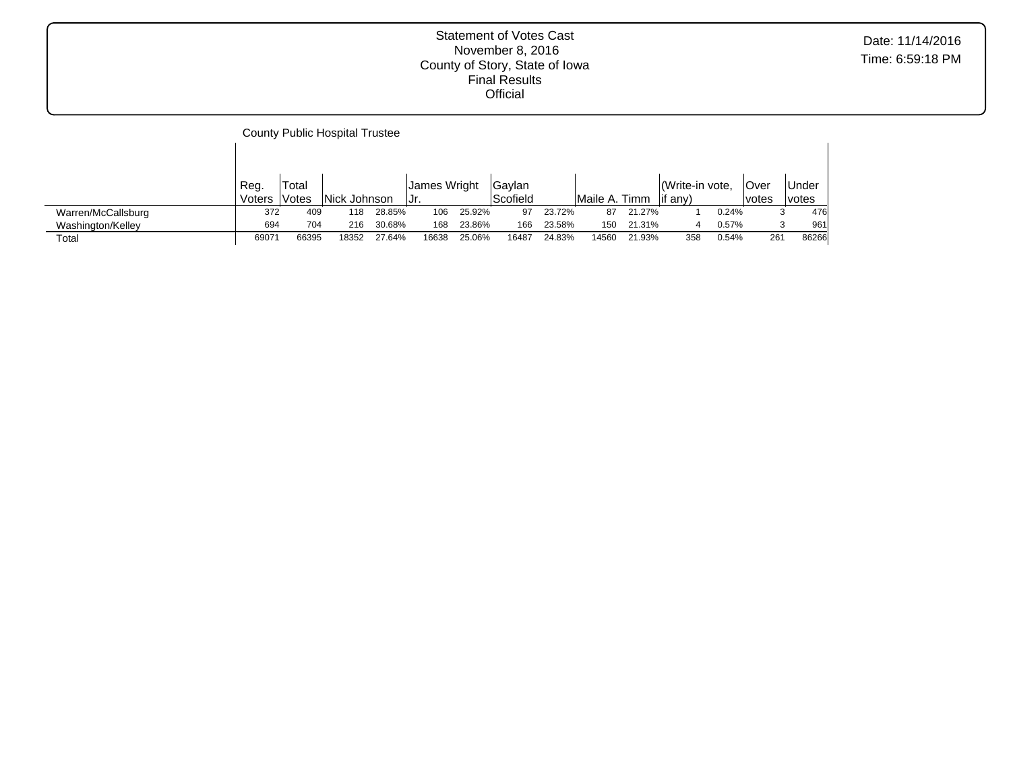|                    |        |        | <b>County Public Hospital Trustee</b> |        |              |        |          |        |               |        |                 |       |       |              |
|--------------------|--------|--------|---------------------------------------|--------|--------------|--------|----------|--------|---------------|--------|-----------------|-------|-------|--------------|
|                    |        |        |                                       |        |              |        |          |        |               |        |                 |       |       |              |
|                    | Reg.   | 'Total |                                       |        | James Wright |        | Gaylan   |        |               |        | (Write-in vote, |       | Over  | Under        |
|                    | Voters | lVotes | Nick Johnson                          |        | Jr.          |        | Scofield |        | Maile A. Timm |        | lif anv)        |       | votes | <i>votes</i> |
| Warren/McCallsburg | 372    | 409    | 118                                   | 28.85% | 106          | 25.92% | 97       | 23.72% | 87            | 21.27% |                 | 0.24% | 3     | 476          |
| Washington/Kelley  | 694    | 704    | 216                                   | 30.68% | 168          | 23.86% | 166      | 23.58% | 150           | 21.31% |                 | 0.57% | 3     | 961          |
| Total              | 69071  | 66395  | 18352                                 | 27.64% | 16638        | 25.06% | 16487    | 24.83% | 14560         | 21.93% | 358             | 0.54% | 261   | 86266        |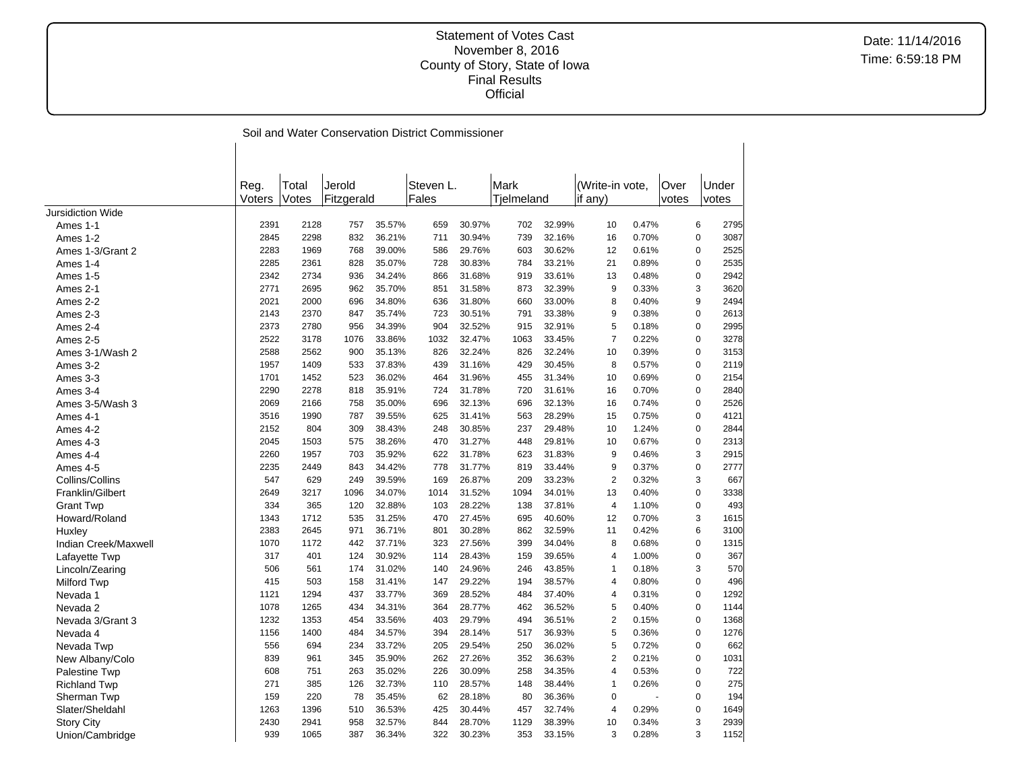|                          |        |       |            |        | Soil and Water Conservation District Commissioner |        |            |        |                 |       |       |             |       |
|--------------------------|--------|-------|------------|--------|---------------------------------------------------|--------|------------|--------|-----------------|-------|-------|-------------|-------|
|                          |        |       |            |        |                                                   |        |            |        |                 |       |       |             |       |
|                          |        |       |            |        |                                                   |        |            |        |                 |       |       |             |       |
|                          | Reg.   | Total | Jerold     |        | Steven L.                                         |        | Mark       |        | (Write-in vote. |       | Over  |             | Under |
|                          | Voters | Votes | Fitzgerald |        | Fales                                             |        | Tielmeland |        | if $any)$       |       | votes |             | votes |
| <b>Jursidiction Wide</b> |        |       |            |        |                                                   |        |            |        |                 |       |       |             |       |
| Ames 1-1                 | 2391   | 2128  | 757        | 35.57% | 659                                               | 30.97% | 702        | 32.99% | 10              | 0.47% |       | 6           | 2795  |
| Ames 1-2                 | 2845   | 2298  | 832        | 36.21% | 711                                               | 30.94% | 739        | 32.16% | 16              | 0.70% |       | $\pmb{0}$   | 3087  |
| Ames 1-3/Grant 2         | 2283   | 1969  | 768        | 39.00% | 586                                               | 29.76% | 603        | 30.62% | 12              | 0.61% |       | 0           | 2525  |
| Ames 1-4                 | 2285   | 2361  | 828        | 35.07% | 728                                               | 30.83% | 784        | 33.21% | 21              | 0.89% |       | $\pmb{0}$   | 2535  |
| Ames 1-5                 | 2342   | 2734  | 936        | 34.24% | 866                                               | 31.68% | 919        | 33.61% | 13              | 0.48% |       | $\pmb{0}$   | 2942  |
| Ames 2-1                 | 2771   | 2695  | 962        | 35.70% | 851                                               | 31.58% | 873        | 32.39% | 9               | 0.33% |       | 3           | 3620  |
| Ames 2-2                 | 2021   | 2000  | 696        | 34.80% | 636                                               | 31.80% | 660        | 33.00% | 8               | 0.40% |       | 9           | 2494  |
| Ames 2-3                 | 2143   | 2370  | 847        | 35.74% | 723                                               | 30.51% | 791        | 33.38% | 9               | 0.38% |       | $\mathbf 0$ | 2613  |
| Ames 2-4                 | 2373   | 2780  | 956        | 34.39% | 904                                               | 32.52% | 915        | 32.91% | 5               | 0.18% |       | $\mathbf 0$ | 2995  |
| Ames 2-5                 | 2522   | 3178  | 1076       | 33.86% | 1032                                              | 32.47% | 1063       | 33.45% | $\overline{7}$  | 0.22% |       | 0           | 3278  |
| Ames 3-1/Wash 2          | 2588   | 2562  | 900        | 35.13% | 826                                               | 32.24% | 826        | 32.24% | 10              | 0.39% |       | $\pmb{0}$   | 3153  |
| Ames 3-2                 | 1957   | 1409  | 533        | 37.83% | 439                                               | 31.16% | 429        | 30.45% | 8               | 0.57% |       | 0           | 2119  |
| Ames 3-3                 | 1701   | 1452  | 523        | 36.02% | 464                                               | 31.96% | 455        | 31.34% | 10              | 0.69% |       | $\mathbf 0$ | 2154  |
| Ames 3-4                 | 2290   | 2278  | 818        | 35.91% | 724                                               | 31.78% | 720        | 31.61% | 16              | 0.70% |       | $\mathbf 0$ | 2840  |
| Ames 3-5/Wash 3          | 2069   | 2166  | 758        | 35.00% | 696                                               | 32.13% | 696        | 32.13% | 16              | 0.74% |       | $\mathbf 0$ | 2526  |
| Ames 4-1                 | 3516   | 1990  | 787        | 39.55% | 625                                               | 31.41% | 563        | 28.29% | 15              | 0.75% |       | $\pmb{0}$   | 4121  |
| Ames 4-2                 | 2152   | 804   | 309        | 38.43% | 248                                               | 30.85% | 237        | 29.48% | 10              | 1.24% |       | $\pmb{0}$   | 2844  |
| Ames 4-3                 | 2045   | 1503  | 575        | 38.26% | 470                                               | 31.27% | 448        | 29.81% | 10              | 0.67% |       | $\mathbf 0$ | 2313  |
| Ames 4-4                 | 2260   | 1957  | 703        | 35.92% | 622                                               | 31.78% | 623        | 31.83% | 9               | 0.46% |       | 3           | 2915  |
| Ames 4-5                 | 2235   | 2449  | 843        | 34.42% | 778                                               | 31.77% | 819        | 33.44% | 9               | 0.37% |       | $\mathbf 0$ | 2777  |
| Collins/Collins          | 547    | 629   | 249        | 39.59% | 169                                               | 26.87% | 209        | 33.23% | $\overline{2}$  | 0.32% |       | 3           | 667   |
| Franklin/Gilbert         | 2649   | 3217  | 1096       | 34.07% | 1014                                              | 31.52% | 1094       | 34.01% | 13              | 0.40% |       | $\pmb{0}$   | 3338  |
| <b>Grant Twp</b>         | 334    | 365   | 120        | 32.88% | 103                                               | 28.22% | 138        | 37.81% | $\overline{4}$  | 1.10% |       | $\mathbf 0$ | 493   |
| Howard/Roland            | 1343   | 1712  | 535        | 31.25% | 470                                               | 27.45% | 695        | 40.60% | 12              | 0.70% |       | 3           | 1615  |
| Huxley                   | 2383   | 2645  | 971        | 36.71% | 801                                               | 30.28% | 862        | 32.59% | 11              | 0.42% |       | 6           | 3100  |
| Indian Creek/Maxwell     | 1070   | 1172  | 442        | 37.71% | 323                                               | 27.56% | 399        | 34.04% | 8               | 0.68% |       | $\pmb{0}$   | 1315  |
| Lafayette Twp            | 317    | 401   | 124        | 30.92% | 114                                               | 28.43% | 159        | 39.65% | 4               | 1.00% |       | $\pmb{0}$   | 367   |
| Lincoln/Zearing          | 506    | 561   | 174        | 31.02% | 140                                               | 24.96% | 246        | 43.85% | 1               | 0.18% |       | 3           | 570   |
| Milford Twp              | 415    | 503   | 158        | 31.41% | 147                                               | 29.22% | 194        | 38.57% | $\overline{4}$  | 0.80% |       | $\mathbf 0$ | 496   |
| Nevada 1                 | 1121   | 1294  | 437        | 33.77% | 369                                               | 28.52% | 484        | 37.40% | 4               | 0.31% |       | $\mathbf 0$ | 1292  |
| Nevada 2                 | 1078   | 1265  | 434        | 34.31% | 364                                               | 28.77% | 462        | 36.52% | 5               | 0.40% |       | $\pmb{0}$   | 1144  |
| Nevada 3/Grant 3         | 1232   | 1353  | 454        | 33.56% | 403                                               | 29.79% | 494        | 36.51% | 2               | 0.15% |       | $\pmb{0}$   | 1368  |
| Nevada 4                 | 1156   | 1400  | 484        | 34.57% | 394                                               | 28.14% | 517        | 36.93% | 5               | 0.36% |       | $\mathbf 0$ | 1276  |
| Nevada Twp               | 556    | 694   | 234        | 33.72% | 205                                               | 29.54% | 250        | 36.02% | 5               | 0.72% |       | $\mathbf 0$ | 662   |
| New Albany/Colo          | 839    | 961   | 345        | 35.90% | 262                                               | 27.26% | 352        | 36.63% | $\overline{2}$  | 0.21% |       | $\mathbf 0$ | 1031  |
| Palestine Twp            | 608    | 751   | 263        | 35.02% | 226                                               | 30.09% | 258        | 34.35% | $\overline{4}$  | 0.53% |       | $\mathbf 0$ | 722   |
| <b>Richland Twp</b>      | 271    | 385   | 126        | 32.73% | 110                                               | 28.57% | 148        | 38.44% | $\mathbf{1}$    | 0.26% |       | $\pmb{0}$   | 275   |
| Sherman Twp              | 159    | 220   | 78         | 35.45% | 62                                                | 28.18% | 80         | 36.36% | 0               |       |       | $\mathbf 0$ | 194   |
| Slater/Sheldahl          | 1263   | 1396  | 510        | 36.53% | 425                                               | 30.44% | 457        | 32.74% | 4               | 0.29% |       | $\mathbf 0$ | 1649  |
| <b>Story City</b>        | 2430   | 2941  | 958        | 32.57% | 844                                               | 28.70% | 1129       | 38.39% | 10              | 0.34% |       | 3           | 2939  |
| Union/Cambridge          | 939    | 1065  | 387        | 36.34% | 322                                               | 30.23% | 353        | 33.15% | 3               | 0.28% |       | 3           | 1152  |
|                          |        |       |            |        |                                                   |        |            |        |                 |       |       |             |       |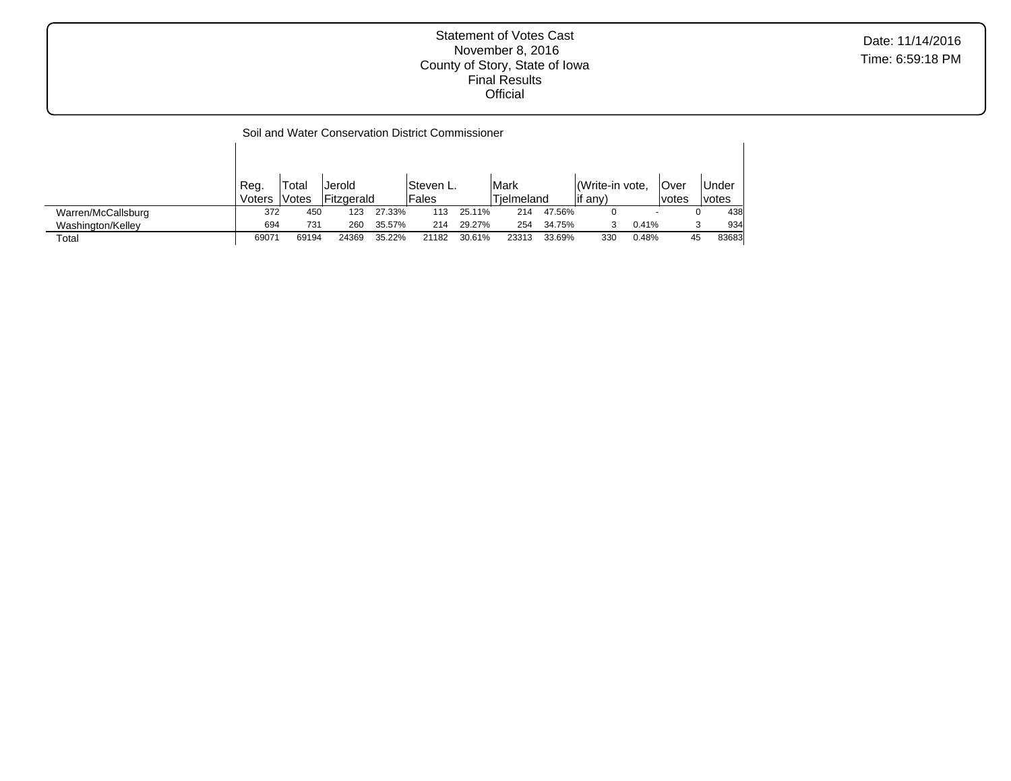|                    |        |       | Soil and Water Conservation District Commissioner |        |            |        |            |        |                |       |        |       |
|--------------------|--------|-------|---------------------------------------------------|--------|------------|--------|------------|--------|----------------|-------|--------|-------|
|                    |        |       |                                                   |        |            |        |            |        |                |       |        |       |
|                    |        |       |                                                   |        |            |        |            |        |                |       |        |       |
|                    | Reg.   | Total | Jerold                                            |        | lSteven L. |        | Mark       |        | Write-in vote. |       | lOver  | Under |
|                    | Voters | Votes | Fitzgerald                                        |        | Fales      |        | Tielmeland |        | if any)        |       | lvotes | votes |
| Warren/McCallsburg | 372    | 450   | 123                                               | 27.33% | 113        | 25.11% | 214        | 47.56% | 0              |       |        | 438   |
| Washington/Kelley  | 694    | 731   | 260                                               | 35.57% | 214        | 29.27% | 254        | 34.75% | 3              | 0.41% |        | 934   |
| Total              | 69071  | 69194 | 24369                                             | 35.22% | 21182      | 30.61% | 23313      | 33.69% | 330            | 0.48% | 45     | 83683 |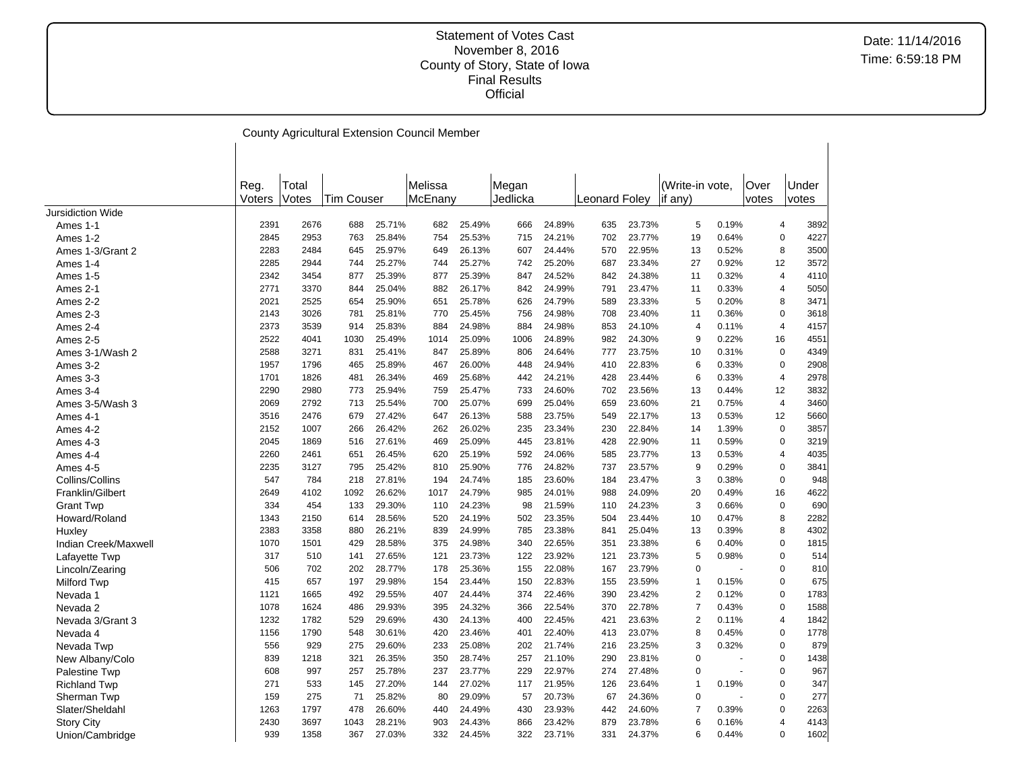|                          |        |       |                   |        | County Agricultural Extension Council Member |        |          |        |               |        |                 |       |       |                        |
|--------------------------|--------|-------|-------------------|--------|----------------------------------------------|--------|----------|--------|---------------|--------|-----------------|-------|-------|------------------------|
|                          |        |       |                   |        |                                              |        |          |        |               |        |                 |       |       |                        |
|                          |        |       |                   |        |                                              |        |          |        |               |        |                 |       |       |                        |
|                          | Reg.   | Total |                   |        | Melissa                                      |        | Megan    |        |               |        | (Write-in vote, |       | Over  | Under                  |
|                          | Voters | Votes | <b>Tim Couser</b> |        | McEnany                                      |        | Jedlicka |        | Leonard Folev |        | if any)         |       | votes | votes                  |
| <b>Jursidiction Wide</b> |        |       |                   |        |                                              |        |          |        |               |        |                 |       |       |                        |
| Ames 1-1                 | 2391   | 2676  | 688               | 25.71% | 682                                          | 25.49% | 666      | 24.89% | 635           | 23.73% | 5               | 0.19% |       | 4<br>3892              |
| Ames 1-2                 | 2845   | 2953  | 763               | 25.84% | 754                                          | 25.53% | 715      | 24.21% | 702           | 23.77% | 19              | 0.64% |       | 4227<br>$\pmb{0}$      |
| Ames 1-3/Grant 2         | 2283   | 2484  | 645               | 25.97% | 649                                          | 26.13% | 607      | 24.44% | 570           | 22.95% | 13              | 0.52% |       | 3500<br>8              |
| Ames 1-4                 | 2285   | 2944  | 744               | 25.27% | 744                                          | 25.27% | 742      | 25.20% | 687           | 23.34% | 27              | 0.92% | 12    | 3572                   |
| Ames 1-5                 | 2342   | 3454  | 877               | 25.39% | 877                                          | 25.39% | 847      | 24.52% | 842           | 24.38% | 11              | 0.32% |       | 4110<br>$\overline{4}$ |
| Ames 2-1                 | 2771   | 3370  | 844               | 25.04% | 882                                          | 26.17% | 842      | 24.99% | 791           | 23.47% | 11              | 0.33% |       | 5050<br>$\overline{4}$ |
| Ames 2-2                 | 2021   | 2525  | 654               | 25.90% | 651                                          | 25.78% | 626      | 24.79% | 589           | 23.33% | 5               | 0.20% |       | 3471<br>8              |
| Ames 2-3                 | 2143   | 3026  | 781               | 25.81% | 770                                          | 25.45% | 756      | 24.98% | 708           | 23.40% | 11              | 0.36% |       | $\mathbf 0$<br>3618    |
| Ames 2-4                 | 2373   | 3539  | 914               | 25.83% | 884                                          | 24.98% | 884      | 24.98% | 853           | 24.10% | $\overline{4}$  | 0.11% |       | 4157<br>4              |
| Ames 2-5                 | 2522   | 4041  | 1030              | 25.49% | 1014                                         | 25.09% | 1006     | 24.89% | 982           | 24.30% | 9               | 0.22% | 16    | 4551                   |
| Ames 3-1/Wash 2          | 2588   | 3271  | 831               | 25.41% | 847                                          | 25.89% | 806      | 24.64% | 777           | 23.75% | 10              | 0.31% |       | $\mathbf 0$<br>4349    |
| Ames 3-2                 | 1957   | 1796  | 465               | 25.89% | 467                                          | 26.00% | 448      | 24.94% | 410           | 22.83% | 6               | 0.33% |       | $\mathbf 0$<br>2908    |
| Ames 3-3                 | 1701   | 1826  | 481               | 26.34% | 469                                          | 25.68% | 442      | 24.21% | 428           | 23.44% | 6               | 0.33% |       | 2978<br>4              |
| Ames 3-4                 | 2290   | 2980  | 773               | 25.94% | 759                                          | 25.47% | 733      | 24.60% | 702           | 23.56% | 13              | 0.44% | 12    | 3832                   |
| Ames 3-5/Wash 3          | 2069   | 2792  | 713               | 25.54% | 700                                          | 25.07% | 699      | 25.04% | 659           | 23.60% | 21              | 0.75% |       | 4<br>3460              |
| Ames 4-1                 | 3516   | 2476  | 679               | 27.42% | 647                                          | 26.13% | 588      | 23.75% | 549           | 22.17% | 13              | 0.53% | 12    | 5660                   |
| Ames 4-2                 | 2152   | 1007  | 266               | 26.42% | 262                                          | 26.02% | 235      | 23.34% | 230           | 22.84% | 14              | 1.39% |       | 3857<br>$\pmb{0}$      |
| Ames 4-3                 | 2045   | 1869  | 516               | 27.61% | 469                                          | 25.09% | 445      | 23.81% | 428           | 22.90% | 11              | 0.59% |       | $\pmb{0}$<br>3219      |
| Ames 4-4                 | 2260   | 2461  | 651               | 26.45% | 620                                          | 25.19% | 592      | 24.06% | 585           | 23.77% | 13              | 0.53% |       | 4035<br>$\overline{4}$ |
| Ames 4-5                 | 2235   | 3127  | 795               | 25.42% | 810                                          | 25.90% | 776      | 24.82% | 737           | 23.57% | 9               | 0.29% |       | $\mathbf 0$<br>3841    |
| Collins/Collins          | 547    | 784   | 218               | 27.81% | 194                                          | 24.74% | 185      | 23.60% | 184           | 23.47% | 3               | 0.38% |       | $\pmb{0}$<br>948       |
| Franklin/Gilbert         | 2649   | 4102  | 1092              | 26.62% | 1017                                         | 24.79% | 985      | 24.01% | 988           | 24.09% | 20              | 0.49% | 16    | 4622                   |
| <b>Grant Twp</b>         | 334    | 454   | 133               | 29.30% | 110                                          | 24.23% | 98       | 21.59% | 110           | 24.23% | 3               | 0.66% |       | 690<br>$\pmb{0}$       |
| Howard/Roland            | 1343   | 2150  | 614               | 28.56% | 520                                          | 24.19% | 502      | 23.35% | 504           | 23.44% | 10              | 0.47% |       | 8<br>2282              |
|                          | 2383   | 3358  | 880               | 26.21% | 839                                          | 24.99% | 785      | 23.38% | 841           | 25.04% | 13              | 0.39% |       | 4302<br>8              |
| Huxley                   | 1070   | 1501  | 429               | 28.58% | 375                                          | 24.98% | 340      | 22.65% | 351           | 23.38% | 6               | 0.40% |       | $\pmb{0}$<br>1815      |
| Indian Creek/Maxwell     | 317    | 510   | 141               | 27.65% | 121                                          | 23.73% | 122      | 23.92% | 121           | 23.73% | 5               | 0.98% |       | $\pmb{0}$<br>514       |
| Lafayette Twp            | 506    | 702   | 202               | 28.77% | 178                                          | 25.36% | 155      | 22.08% | 167           | 23.79% | $\mathbf 0$     |       |       | $\mathbf 0$<br>810     |
| Lincoln/Zearing          | 415    | 657   | 197               | 29.98% |                                              | 23.44% |          | 22.83% |               | 23.59% | -1              | 0.15% |       | 675<br>$\mathbf 0$     |
| Milford Twp              |        | 1665  | 492               | 29.55% | 154                                          | 24.44% | 150      | 22.46% | 155<br>390    | 23.42% | $\overline{2}$  | 0.12% |       | $\mathbf 0$<br>1783    |
| Nevada 1                 | 1121   |       |                   |        | 407                                          |        | 374      |        |               |        | $\overline{7}$  | 0.43% |       | 1588<br>$\mathbf 0$    |
| Nevada 2                 | 1078   | 1624  | 486               | 29.93% | 395                                          | 24.32% | 366      | 22.54% | 370           | 22.78% |                 |       |       |                        |
| Nevada 3/Grant 3         | 1232   | 1782  | 529               | 29.69% | 430                                          | 24.13% | 400      | 22.45% | 421           | 23.63% | $\overline{2}$  | 0.11% |       | 1842<br>$\overline{4}$ |
| Nevada 4                 | 1156   | 1790  | 548               | 30.61% | 420                                          | 23.46% | 401      | 22.40% | 413           | 23.07% | 8               | 0.45% |       | 1778<br>$\mathbf 0$    |
| Nevada Twp               | 556    | 929   | 275               | 29.60% | 233                                          | 25.08% | 202      | 21.74% | 216           | 23.25% | 3               | 0.32% |       | 879<br>$\mathbf 0$     |
| New Albany/Colo          | 839    | 1218  | 321               | 26.35% | 350                                          | 28.74% | 257      | 21.10% | 290           | 23.81% | $\Omega$        |       |       | $\mathbf 0$<br>1438    |
| Palestine Twp            | 608    | 997   | 257               | 25.78% | 237                                          | 23.77% | 229      | 22.97% | 274           | 27.48% | $\Omega$        |       |       | $\mathbf 0$<br>967     |
| <b>Richland Twp</b>      | 271    | 533   | 145               | 27.20% | 144                                          | 27.02% | 117      | 21.95% | 126           | 23.64% | $\mathbf{1}$    | 0.19% |       | $\mathbf 0$<br>347     |
| Sherman Twp              | 159    | 275   | 71                | 25.82% | 80                                           | 29.09% | 57       | 20.73% | 67            | 24.36% | $\Omega$        |       |       | 277<br>$\mathbf 0$     |
| Slater/Sheldahl          | 1263   | 1797  | 478               | 26.60% | 440                                          | 24.49% | 430      | 23.93% | 442           | 24.60% | $\overline{7}$  | 0.39% |       | $\mathbf 0$<br>2263    |
| <b>Story City</b>        | 2430   | 3697  | 1043              | 28.21% | 903                                          | 24.43% | 866      | 23.42% | 879           | 23.78% | 6               | 0.16% |       | 4143<br>$\overline{4}$ |
| Union/Cambridge          | 939    | 1358  | 367               | 27.03% | 332                                          | 24.45% | 322      | 23.71% | 331           | 24.37% | 6               | 0.44% |       | $\mathbf 0$<br>1602    |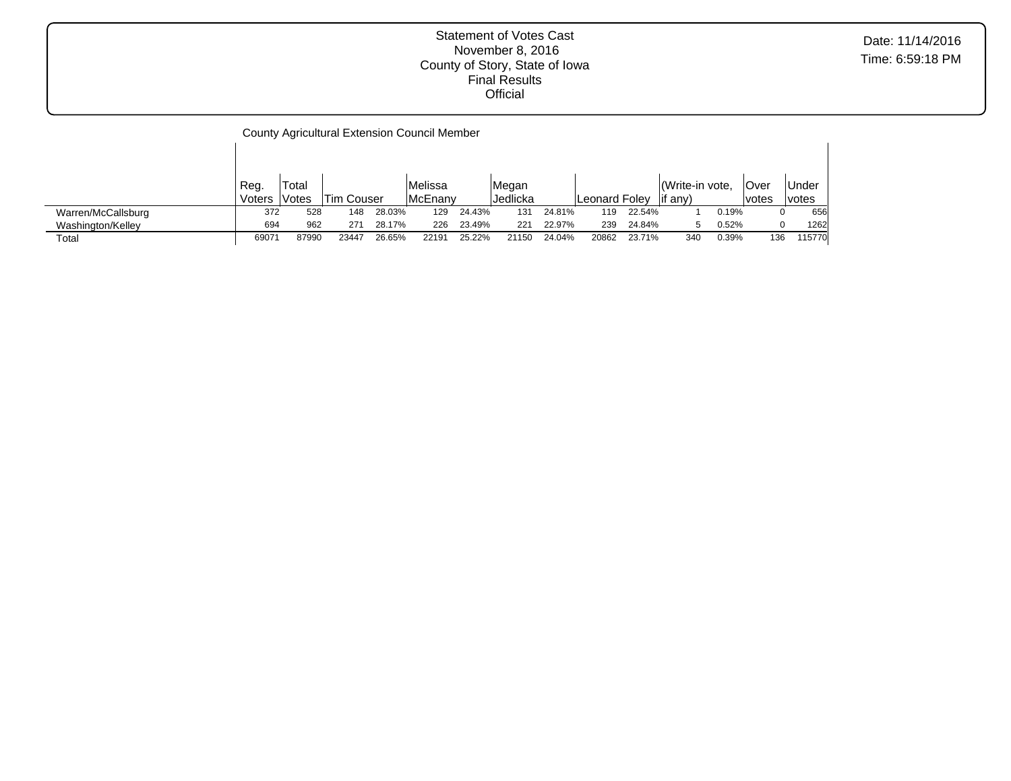County Agricultural Extension Council Member Reg.  $\frac{\text{Votes}}{372}$  52 Total  $\frac{1}{528}$  Tim Couser<br>528 148 28.03% Melissa McEnany<br>129 24.43% Megan<br>Jedlicka Jedlicka Leonard Foley (Write-in vote,  $\frac{1}{1}$  if any) Over votes Under  $\frac{\text{votes}}{0}$ Warren/McCallsburg 372 528 148 28.03% 129 24.43% 131 24.81% 119 22.54% 1 0.19% 0 656 Washington/Kelley 694 962 271 28.17% 226 23.49% 221 22.97% 239 24.84% 5 0.52% 0 1262 Total 69071 87990 23447 26.65% 22191 25.22% 21150 24.04% 20862 23.71% 340 0.39% 136 115770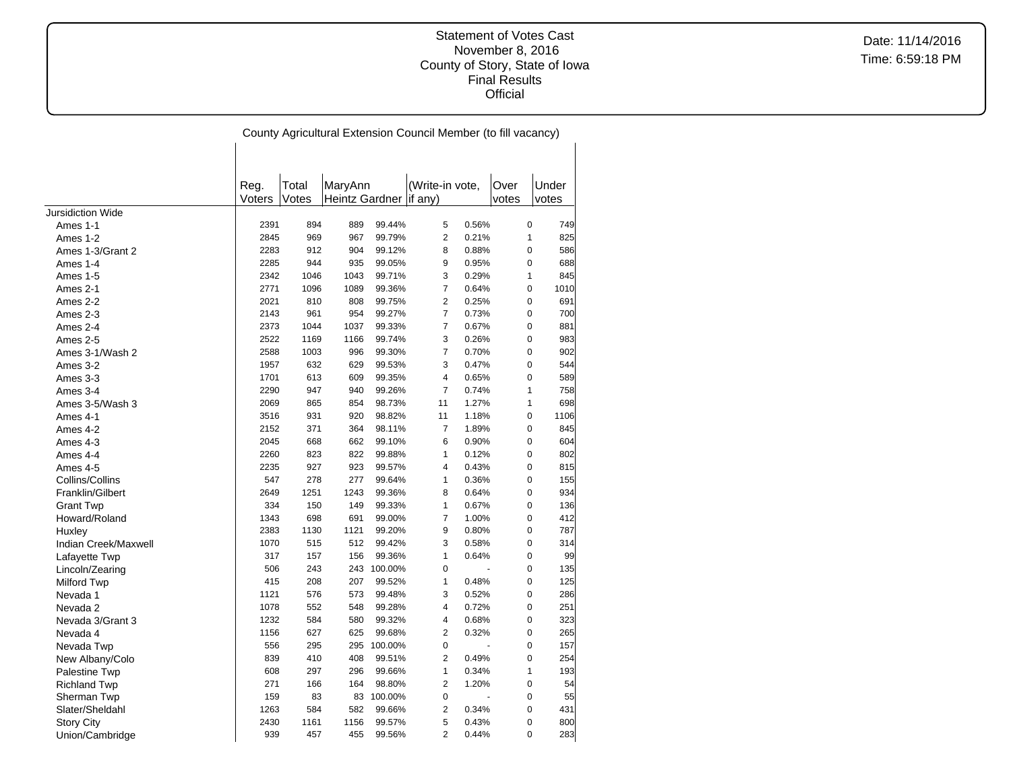|                      |        |       |                          |            | County Agricultural Extension Council Member (to fill vacancy) |       |       |                     |
|----------------------|--------|-------|--------------------------|------------|----------------------------------------------------------------|-------|-------|---------------------|
|                      |        |       |                          |            |                                                                |       |       |                     |
|                      |        |       |                          |            |                                                                |       |       |                     |
|                      | Reg.   | Total | MaryAnn                  |            | (Write-in vote,                                                |       | Over  | Under               |
|                      | Voters | Votes | Heintz Gardner   if any) |            |                                                                |       | votes | votes               |
| Jursidiction Wide    |        |       |                          |            |                                                                |       |       |                     |
| Ames 1-1             | 2391   | 894   | 889                      | 99.44%     | 5                                                              | 0.56% |       | 0<br>749            |
| Ames 1-2             | 2845   | 969   | 967                      | 99.79%     | $\overline{2}$                                                 | 0.21% |       | $\mathbf{1}$<br>825 |
| Ames 1-3/Grant 2     | 2283   | 912   | 904                      | 99.12%     | 8                                                              | 0.88% |       | 0<br>586            |
| Ames 1-4             | 2285   | 944   | 935                      | 99.05%     | 9                                                              | 0.95% |       | 0<br>688            |
| Ames 1-5             | 2342   | 1046  | 1043                     | 99.71%     | 3                                                              | 0.29% |       | $\mathbf{1}$<br>845 |
| Ames 2-1             | 2771   | 1096  | 1089                     | 99.36%     | $\overline{7}$                                                 | 0.64% |       | 0<br>1010           |
| Ames 2-2             | 2021   | 810   | 808                      | 99.75%     | $\overline{2}$                                                 | 0.25% |       | 0<br>691            |
| Ames 2-3             | 2143   | 961   | 954                      | 99.27%     | $\overline{7}$                                                 | 0.73% |       | 0<br>700            |
| Ames 2-4             | 2373   | 1044  | 1037                     | 99.33%     | $\overline{7}$                                                 | 0.67% |       | 0<br>881            |
| Ames 2-5             | 2522   | 1169  | 1166                     | 99.74%     | 3                                                              | 0.26% |       | 0<br>983            |
| Ames 3-1/Wash 2      | 2588   | 1003  | 996                      | 99.30%     | $\overline{7}$                                                 | 0.70% |       | $\mathbf 0$<br>902  |
| Ames 3-2             | 1957   | 632   | 629                      | 99.53%     | 3                                                              | 0.47% |       | $\mathbf 0$<br>544  |
| Ames 3-3             | 1701   | 613   | 609                      | 99.35%     | 4                                                              | 0.65% |       | $\mathbf 0$<br>589  |
| Ames 3-4             | 2290   | 947   | 940                      | 99.26%     | $\overline{7}$                                                 | 0.74% |       | $\mathbf{1}$<br>758 |
| Ames 3-5/Wash 3      | 2069   | 865   | 854                      | 98.73%     | 11                                                             | 1.27% |       | $\mathbf{1}$<br>698 |
| Ames 4-1             | 3516   | 931   | 920                      | 98.82%     | 11                                                             | 1.18% |       | 0<br>1106           |
| Ames 4-2             | 2152   | 371   | 364                      | 98.11%     | $\overline{7}$                                                 | 1.89% |       | 0<br>845            |
| Ames 4-3             | 2045   | 668   | 662                      | 99.10%     | 6                                                              | 0.90% |       | $\Omega$<br>604     |
| Ames 4-4             | 2260   | 823   | 822                      | 99.88%     | $\mathbf{1}$                                                   | 0.12% |       | 0<br>802            |
| Ames 4-5             | 2235   | 927   | 923                      | 99.57%     | 4                                                              | 0.43% |       | 0<br>815            |
| Collins/Collins      | 547    | 278   | 277                      | 99.64%     | $\mathbf{1}$                                                   | 0.36% |       | 0<br>155            |
| Franklin/Gilbert     | 2649   | 1251  | 1243                     | 99.36%     | 8                                                              | 0.64% |       | 0<br>934            |
| <b>Grant Twp</b>     | 334    | 150   | 149                      | 99.33%     | $\mathbf{1}$                                                   | 0.67% |       | $\pmb{0}$<br>136    |
| Howard/Roland        | 1343   | 698   | 691                      | 99.00%     | 7                                                              | 1.00% |       | $\Omega$<br>412     |
| Huxley               | 2383   | 1130  | 1121                     | 99.20%     | 9                                                              | 0.80% |       | $\pmb{0}$<br>787    |
| Indian Creek/Maxwell | 1070   | 515   | 512                      | 99.42%     | 3                                                              | 0.58% |       | 0<br>314            |
| Lafayette Twp        | 317    | 157   | 156                      | 99.36%     | $\mathbf{1}$                                                   | 0.64% |       | 0<br>99             |
| Lincoln/Zearing      | 506    | 243   | 243                      | 100.00%    | 0                                                              |       |       | 0<br>135            |
| Milford Twp          | 415    | 208   | 207                      | 99.52%     | $\mathbf{1}$                                                   | 0.48% |       | 0<br>125            |
| Nevada 1             | 1121   | 576   | 573                      | 99.48%     | 3                                                              | 0.52% |       | 0<br>286            |
| Nevada 2             | 1078   | 552   | 548                      | 99.28%     | $\overline{4}$                                                 | 0.72% |       | 0<br>251            |
| Nevada 3/Grant 3     | 1232   | 584   | 580                      | 99.32%     | $\overline{4}$                                                 | 0.68% |       | 0<br>323            |
| Nevada 4             | 1156   | 627   | 625                      | 99.68%     | $\overline{2}$                                                 | 0.32% |       | 0<br>265            |
| Nevada Twp           | 556    | 295   | 295                      | 100.00%    | 0                                                              |       |       | 0<br>157            |
| New Albany/Colo      | 839    | 410   | 408                      | 99.51%     | $\overline{2}$                                                 | 0.49% |       | $\pmb{0}$<br>254    |
| <b>Palestine Twp</b> | 608    | 297   | 296                      | 99.66%     | $\mathbf{1}$                                                   | 0.34% |       | $\mathbf{1}$<br>193 |
| <b>Richland Twp</b>  | 271    | 166   | 164                      | 98.80%     | $\overline{2}$                                                 | 1.20% |       | $\pmb{0}$<br>54     |
| Sherman Twp          | 159    | 83    |                          | 83 100.00% | 0                                                              |       |       | $\pmb{0}$<br>55     |
| Slater/Sheldahl      | 1263   | 584   | 582                      | 99.66%     | 2                                                              | 0.34% |       | 0<br>431            |
| Story City           | 2430   | 1161  | 1156                     | 99.57%     | 5                                                              | 0.43% |       | 0<br>800            |
| Union/Cambridge      | 939    | 457   | 455                      | 99.56%     | $\overline{2}$                                                 | 0.44% |       | 283<br>0            |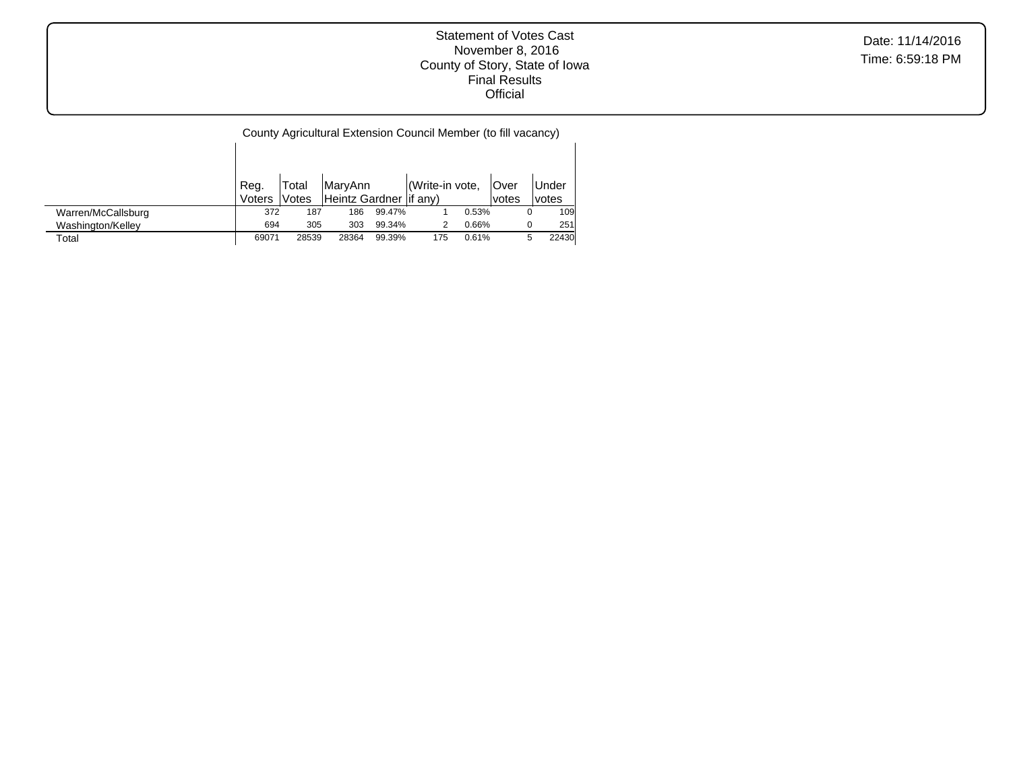Date: 11/14/2016 Time: 6:59:18 PM

|                    | Reg.   | Total  | MaryAnn                  |        | Write-in vote, |       | <b>Over</b>  |   | <b>Under</b> |
|--------------------|--------|--------|--------------------------|--------|----------------|-------|--------------|---|--------------|
|                    | Voters | lVotes | Heintz Gardner   if any) |        |                |       | <i>votes</i> |   | <i>votes</i> |
| Warren/McCallsburg | 372    | 187    | 186                      | 99.47% |                | 0.53% |              | 0 | 109          |
| Washington/Kelley  | 694    | 305    | 303                      | 99.34% |                | 0.66% |              |   | 251          |
| Total              | 69071  | 28539  | 28364                    | 99.39% | 175            | 0.61% |              | 5 | 22430        |

 $\overline{\phantom{a}}$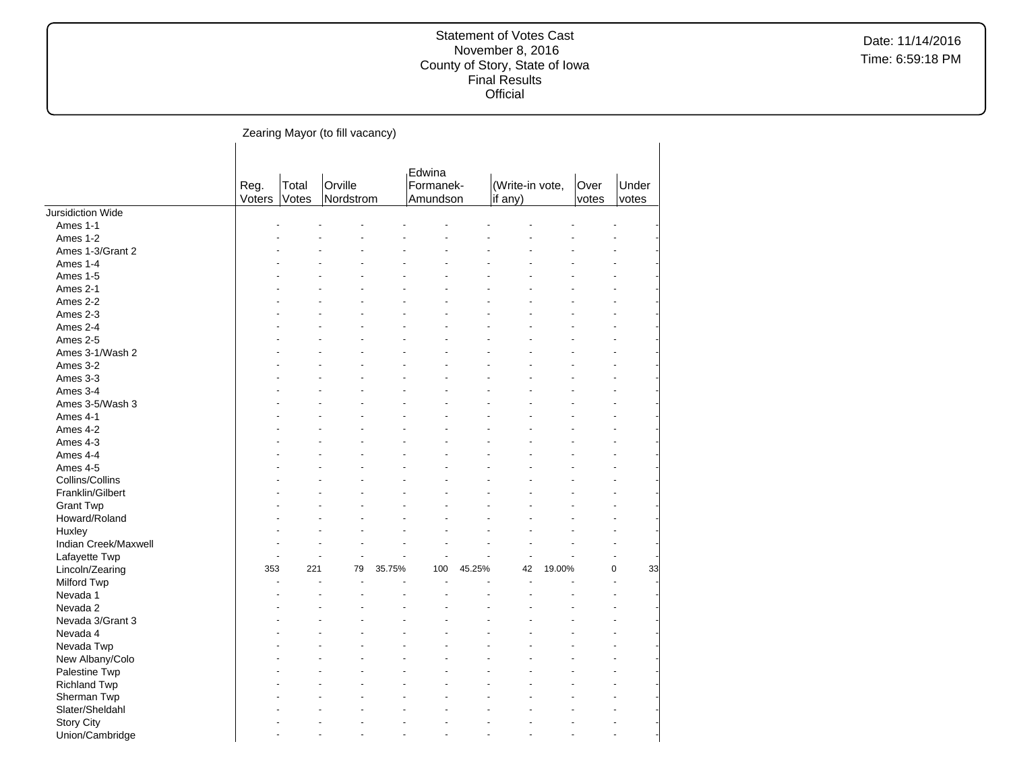|                          |                |                | Zearing Mayor (to fill vacancy) |        |                                 |        |                            |        |               |                |    |
|--------------------------|----------------|----------------|---------------------------------|--------|---------------------------------|--------|----------------------------|--------|---------------|----------------|----|
|                          | Reg.<br>Voters | Total<br>Votes | Orville<br>Nordstrom            |        | Edwina<br>Formanek-<br>Amundson |        | (Write-in vote,<br>if any) |        | Over<br>votes | Under<br>votes |    |
| <b>Jursidiction Wide</b> |                |                |                                 |        |                                 |        |                            |        |               |                |    |
| Ames 1-1                 |                |                |                                 |        |                                 |        |                            |        |               |                |    |
| Ames 1-2                 |                |                |                                 |        |                                 |        |                            |        |               |                |    |
| Ames 1-3/Grant 2         |                |                |                                 |        |                                 |        |                            |        |               |                |    |
| Ames 1-4                 |                |                |                                 |        |                                 |        |                            |        |               |                |    |
| Ames 1-5                 |                |                |                                 |        |                                 |        |                            |        |               |                |    |
| Ames 2-1                 |                |                |                                 |        |                                 |        |                            |        |               |                |    |
| Ames 2-2                 |                |                |                                 |        |                                 |        |                            |        |               |                |    |
| Ames 2-3                 |                |                |                                 |        |                                 |        |                            |        |               |                |    |
| Ames 2-4                 |                |                |                                 |        |                                 |        |                            |        |               |                |    |
| Ames 2-5                 |                |                |                                 |        |                                 |        |                            |        |               |                |    |
| Ames 3-1/Wash 2          |                |                |                                 |        |                                 |        |                            |        |               |                |    |
| Ames 3-2                 |                |                |                                 |        |                                 |        |                            |        |               |                |    |
| Ames 3-3                 |                |                |                                 |        |                                 |        |                            |        |               |                |    |
| Ames 3-4                 |                |                |                                 |        |                                 |        |                            |        |               |                |    |
| Ames 3-5/Wash 3          |                |                |                                 |        |                                 |        |                            |        |               |                |    |
| Ames 4-1                 |                |                |                                 |        |                                 |        |                            |        |               |                |    |
| Ames 4-2                 |                |                |                                 |        |                                 |        |                            |        |               |                |    |
| Ames 4-3                 |                |                |                                 |        |                                 |        |                            |        |               |                |    |
| Ames 4-4                 |                |                |                                 |        |                                 |        |                            |        |               |                |    |
| Ames 4-5                 |                |                |                                 |        |                                 |        |                            |        |               |                |    |
| Collins/Collins          |                |                |                                 |        |                                 |        |                            |        |               |                |    |
| Franklin/Gilbert         |                |                |                                 |        |                                 |        |                            |        |               |                |    |
| <b>Grant Twp</b>         |                |                |                                 |        |                                 |        |                            |        |               |                |    |
| Howard/Roland            |                |                |                                 |        |                                 |        |                            |        |               |                |    |
| Huxley                   |                |                |                                 |        |                                 |        |                            |        |               |                |    |
| Indian Creek/Maxwell     |                |                |                                 |        |                                 |        |                            |        |               |                |    |
| Lafayette Twp            |                |                | ä,                              |        |                                 |        | ä,                         |        |               | ÷,             |    |
| Lincoln/Zearing          | 353            | 221            | 79                              | 35.75% | 100                             | 45.25% | 42                         | 19.00% |               | $\pmb{0}$      | 33 |
| Milford Twp              |                |                | ä,                              |        |                                 |        |                            |        |               | ÷.             |    |
| Nevada 1                 |                |                |                                 |        |                                 |        |                            |        |               |                |    |
| Nevada 2                 |                |                |                                 |        |                                 |        |                            |        |               |                |    |
| Nevada 3/Grant 3         |                |                |                                 |        |                                 |        |                            |        |               |                |    |
| Nevada 4                 |                |                |                                 |        |                                 |        |                            |        |               |                |    |
| Nevada Twp               |                |                |                                 |        |                                 |        |                            |        |               |                |    |
| New Albany/Colo          |                |                |                                 |        |                                 |        |                            |        |               |                |    |
| Palestine Twp            |                |                |                                 |        |                                 |        |                            |        |               |                |    |
| <b>Richland Twp</b>      |                |                |                                 |        |                                 |        |                            |        |               |                |    |
| Sherman Twp              |                |                |                                 |        |                                 |        |                            |        |               |                |    |
| Slater/Sheldahl          |                |                |                                 |        |                                 |        |                            |        |               |                |    |
| <b>Story City</b>        |                |                |                                 |        |                                 |        |                            |        |               |                |    |
| Union/Cambridge          |                |                |                                 |        |                                 |        |                            |        |               |                |    |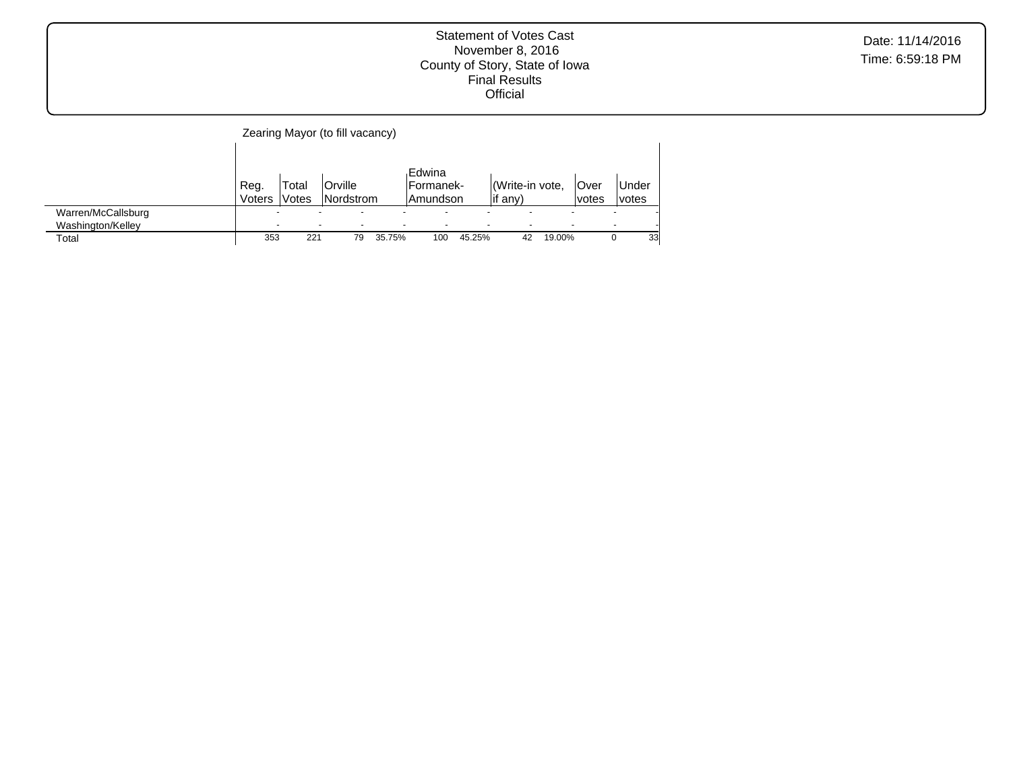|                                         |                |                                                      | Zearing Mayor (to fill vacancy) |        |                                   |        |                            |        |                       |                          |                |
|-----------------------------------------|----------------|------------------------------------------------------|---------------------------------|--------|-----------------------------------|--------|----------------------------|--------|-----------------------|--------------------------|----------------|
|                                         | Reg.<br>Voters | Total<br>Votes                                       | Orville<br>Nordstrom            |        | Edwina<br>lFormanek-<br>lAmundson |        | Write-in vote,<br>lif any) |        | <b>Over</b><br>lvotes |                          | Under<br>votes |
| Warren/McCallsburg<br>Washington/Kelley |                | $\overline{\phantom{0}}$<br>$\overline{\phantom{0}}$ |                                 |        | ۰                                 |        | -                          |        |                       | $\overline{\phantom{0}}$ |                |
| Total                                   | 353            | 221                                                  | 79                              | 35.75% | 100                               | 45.25% | 42                         | 19.00% |                       |                          | 33             |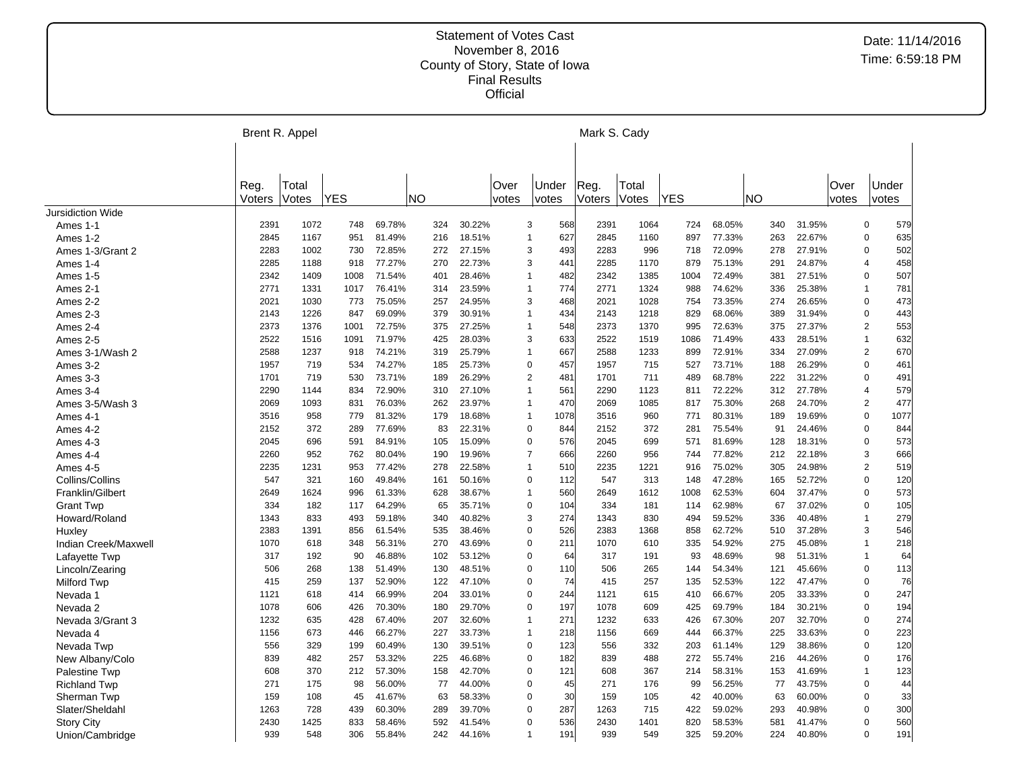|                          |        | Brent R. Appel |            |        |           |        |                |                       | Mark S. Cady |       |            |        |     |        |       |                |      |
|--------------------------|--------|----------------|------------|--------|-----------|--------|----------------|-----------------------|--------------|-------|------------|--------|-----|--------|-------|----------------|------|
|                          |        |                |            |        |           |        |                |                       |              |       |            |        |     |        |       |                |      |
|                          | Reg.   | Total          |            |        |           |        | Over           | Under                 | Reg.         | Total |            |        |     |        | Over  | Under          |      |
|                          | Voters | Votes          | <b>YES</b> |        | <b>NO</b> |        | votes          | votes                 | Voters       | Votes | <b>YES</b> |        | NO. |        | votes | votes          |      |
| <b>Jursidiction Wide</b> |        |                |            |        |           |        |                |                       |              |       |            |        |     |        |       |                |      |
| Ames 1-1                 | 2391   | 1072           | 748        | 69.78% | 324       | 30.22% |                | 568<br>3              | 2391         | 1064  | 724        | 68.05% | 340 | 31.95% |       | $\mathbf 0$    | 579  |
| Ames 1-2                 | 2845   | 1167           | 951        | 81.49% | 216       | 18.51% |                | 627<br>$\mathbf{1}$   | 2845         | 1160  | 897        | 77.33% | 263 | 22.67% |       | $\mathbf 0$    | 635  |
| Ames 1-3/Grant 2         | 2283   | 1002           | 730        | 72.85% | 272       | 27.15% |                | 3<br>493              | 2283         | 996   | 718        | 72.09% | 278 | 27.91% |       | $\Omega$       | 502  |
| Ames 1-4                 | 2285   | 1188           | 918        | 77.27% | 270       | 22.73% |                | 441<br>3              | 2285         | 1170  | 879        | 75.13% | 291 | 24.87% |       | $\overline{4}$ | 458  |
| Ames 1-5                 | 2342   | 1409           | 1008       | 71.54% | 401       | 28.46% | $\mathbf 1$    | 482                   | 2342         | 1385  | 1004       | 72.49% | 381 | 27.51% |       | $\mathbf 0$    | 507  |
| Ames 2-1                 | 2771   | 1331           | 1017       | 76.41% | 314       | 23.59% | $\mathbf 1$    | 774                   | 2771         | 1324  | 988        | 74.62% | 336 | 25.38% |       | $\mathbf{1}$   | 781  |
| Ames 2-2                 | 2021   | 1030           | 773        | 75.05% | 257       | 24.95% |                | 3<br>468              | 2021         | 1028  | 754        | 73.35% | 274 | 26.65% |       | $\mathbf 0$    | 473  |
| Ames 2-3                 | 2143   | 1226           | 847        | 69.09% | 379       | 30.91% |                | 434<br>$\mathbf{1}$   | 2143         | 1218  | 829        | 68.06% | 389 | 31.94% |       | $\mathbf 0$    | 443  |
| Ames 2-4                 | 2373   | 1376           | 1001       | 72.75% | 375       | 27.25% |                | 548<br>$\mathbf{1}$   | 2373         | 1370  | 995        | 72.63% | 375 | 27.37% |       | 2              | 553  |
| Ames 2-5                 | 2522   | 1516           | 1091       | 71.97% | 425       | 28.03% |                | 3<br>633              | 2522         | 1519  | 1086       | 71.49% | 433 | 28.51% |       | $\mathbf{1}$   | 632  |
| Ames 3-1/Wash 2          | 2588   | 1237           | 918        | 74.21% | 319       | 25.79% |                | 667<br>$\mathbf{1}$   | 2588         | 1233  | 899        | 72.91% | 334 | 27.09% |       | 2              | 670  |
| Ames 3-2                 | 1957   | 719            | 534        | 74.27% | 185       | 25.73% |                | $\mathbf 0$<br>457    | 1957         | 715   | 527        | 73.71% | 188 | 26.29% |       | $\pmb{0}$      | 461  |
| Ames 3-3                 | 1701   | 719            | 530        | 73.71% | 189       | 26.29% |                | $\overline{2}$<br>481 | 1701         | 711   | 489        | 68.78% | 222 | 31.22% |       | $\mathbf 0$    | 491  |
| Ames 3-4                 | 2290   | 1144           | 834        | 72.90% | 310       | 27.10% |                | 561<br>$\overline{1}$ | 2290         | 1123  | 811        | 72.22% | 312 | 27.78% |       | $\overline{4}$ | 579  |
| Ames 3-5/Wash 3          | 2069   | 1093           | 831        | 76.03% | 262       | 23.97% | $\mathbf 1$    | 470                   | 2069         | 1085  | 817        | 75.30% | 268 | 24.70% |       | $\overline{2}$ | 477  |
| Ames 4-1                 | 3516   | 958            | 779        | 81.32% | 179       | 18.68% |                | 1078<br>$\mathbf{1}$  | 3516         | 960   | 771        | 80.31% | 189 | 19.69% |       | $\mathsf 0$    | 1077 |
| Ames 4-2                 | 2152   | 372            | 289        | 77.69% | 83        | 22.31% |                | 844<br>$\mathbf 0$    | 2152         | 372   | 281        | 75.54% | 91  | 24.46% |       | $\mathbf 0$    | 844  |
| Ames 4-3                 | 2045   | 696            | 591        | 84.91% | 105       | 15.09% |                | $\mathbf 0$<br>576    | 2045         | 699   | 571        | 81.69% | 128 | 18.31% |       | $\mathbf 0$    | 573  |
| Ames 4-4                 | 2260   | 952            | 762        | 80.04% | 190       | 19.96% |                | $\overline{7}$<br>666 | 2260         | 956   | 744        | 77.82% | 212 | 22.18% |       | 3              | 666  |
| Ames 4-5                 | 2235   | 1231           | 953        | 77.42% | 278       | 22.58% | $\overline{1}$ | 510                   | 2235         | 1221  | 916        | 75.02% | 305 | 24.98% |       | 2              | 519  |
| Collins/Collins          | 547    | 321            | 160        | 49.84% | 161       | 50.16% |                | $\mathbf 0$<br>112    | 547          | 313   | 148        | 47.28% | 165 | 52.72% |       | $\mathbf 0$    | 120  |
| Franklin/Gilbert         | 2649   | 1624           | 996        | 61.33% | 628       | 38.67% |                | $\mathbf{1}$<br>560   | 2649         | 1612  | 1008       | 62.53% | 604 | 37.47% |       | $\mathbf 0$    | 573  |
| <b>Grant Twp</b>         | 334    | 182            | 117        | 64.29% | 65        | 35.71% |                | $\mathbf 0$<br>104    | 334          | 181   | 114        | 62.98% | 67  | 37.02% |       | $\pmb{0}$      | 105  |
| Howard/Roland            | 1343   | 833            | 493        | 59.18% | 340       | 40.82% |                | 3<br>274              | 1343         | 830   | 494        | 59.52% | 336 | 40.48% |       | $\mathbf{1}$   | 279  |
| Huxley                   | 2383   | 1391           | 856        | 61.54% | 535       | 38.46% |                | 526<br>$\mathbf 0$    | 2383         | 1368  | 858        | 62.72% | 510 | 37.28% |       | 3              | 546  |
| Indian Creek/Maxwell     | 1070   | 618            | 348        | 56.31% | 270       | 43.69% |                | 211<br>$\mathbf 0$    | 1070         | 610   | 335        | 54.92% | 275 | 45.08% |       | $\mathbf{1}$   | 218  |
| Lafayette Twp            | 317    | 192            | 90         | 46.88% | 102       | 53.12% |                | $\mathbf 0$<br>64     | 317          | 191   | 93         | 48.69% | 98  | 51.31% |       | $\mathbf{1}$   | 64   |
| Lincoln/Zearing          | 506    | 268            | 138        | 51.49% | 130       | 48.51% |                | $\mathbf 0$<br>110    | 506          | 265   | 144        | 54.34% | 121 | 45.66% |       | $\mathbf 0$    | 113  |
| <b>Milford Twp</b>       | 415    | 259            | 137        | 52.90% | 122       | 47.10% |                | 74<br>$\Omega$        | 415          | 257   | 135        | 52.53% | 122 | 47.47% |       | $\mathbf 0$    | 76   |
| Nevada 1                 | 1121   | 618            | 414        | 66.99% | 204       | 33.01% |                | 244<br>$\mathbf 0$    | 1121         | 615   | 410        | 66.67% | 205 | 33.33% |       | $\mathbf 0$    | 247  |
| Nevada 2                 | 1078   | 606            | 426        | 70.30% | 180       | 29.70% |                | $\Omega$<br>197       | 1078         | 609   | 425        | 69.79% | 184 | 30.21% |       | $\mathbf 0$    | 194  |
| Nevada 3/Grant 3         | 1232   | 635            | 428        | 67.40% | 207       | 32.60% |                | 271<br>$\mathbf{1}$   | 1232         | 633   | 426        | 67.30% | 207 | 32.70% |       | $\mathbf 0$    | 274  |
| Nevada 4                 | 1156   | 673            | 446        | 66.27% | 227       | 33.73% | $\mathbf 1$    | 218                   | 1156         | 669   | 444        | 66.37% | 225 | 33.63% |       | $\mathbf 0$    | 223  |
| Nevada Twp               | 556    | 329            | 199        | 60.49% | 130       | 39.51% |                | 123<br>0              | 556          | 332   | 203        | 61.14% | 129 | 38.86% |       | $\mathbf 0$    | 120  |
| New Albany/Colo          | 839    | 482            | 257        | 53.32% | 225       | 46.68% |                | $\mathbf 0$<br>182    | 839          | 488   | 272        | 55.74% | 216 | 44.26% |       | $\mathbf 0$    | 176  |
| Palestine Twp            | 608    | 370            | 212        | 57.30% | 158       | 42.70% |                | 0<br>121              | 608          | 367   | 214        | 58.31% | 153 | 41.69% |       | $\mathbf{1}$   | 123  |
| <b>Richland Twp</b>      | 271    | 175            | 98         | 56.00% | 77        | 44.00% |                | $\mathbf 0$<br>45     | 271          | 176   | 99         | 56.25% | 77  | 43.75% |       | $\mathbf 0$    | 44   |
| Sherman Twp              | 159    | 108            | 45         | 41.67% | 63        | 58.33% |                | 30<br>$\mathbf 0$     | 159          | 105   | 42         | 40.00% | 63  | 60.00% |       | $\overline{0}$ | 33   |
| Slater/Sheldahl          | 1263   | 728            | 439        | 60.30% | 289       | 39.70% |                | $\Omega$<br>287       | 1263         | 715   | 422        | 59.02% | 293 | 40.98% |       | $\Omega$       | 300  |
| <b>Story City</b>        | 2430   | 1425           | 833        | 58.46% | 592       | 41.54% |                | 536<br>$\Omega$       | 2430         | 1401  | 820        | 58.53% | 581 | 41.47% |       | $\Omega$       | 560  |
| Union/Cambridge          | 939    | 548            | 306        | 55.84% | 242       | 44.16% | $\overline{1}$ | 191                   | 939          | 549   | 325        | 59.20% | 224 | 40.80% |       | $\Omega$       | 191  |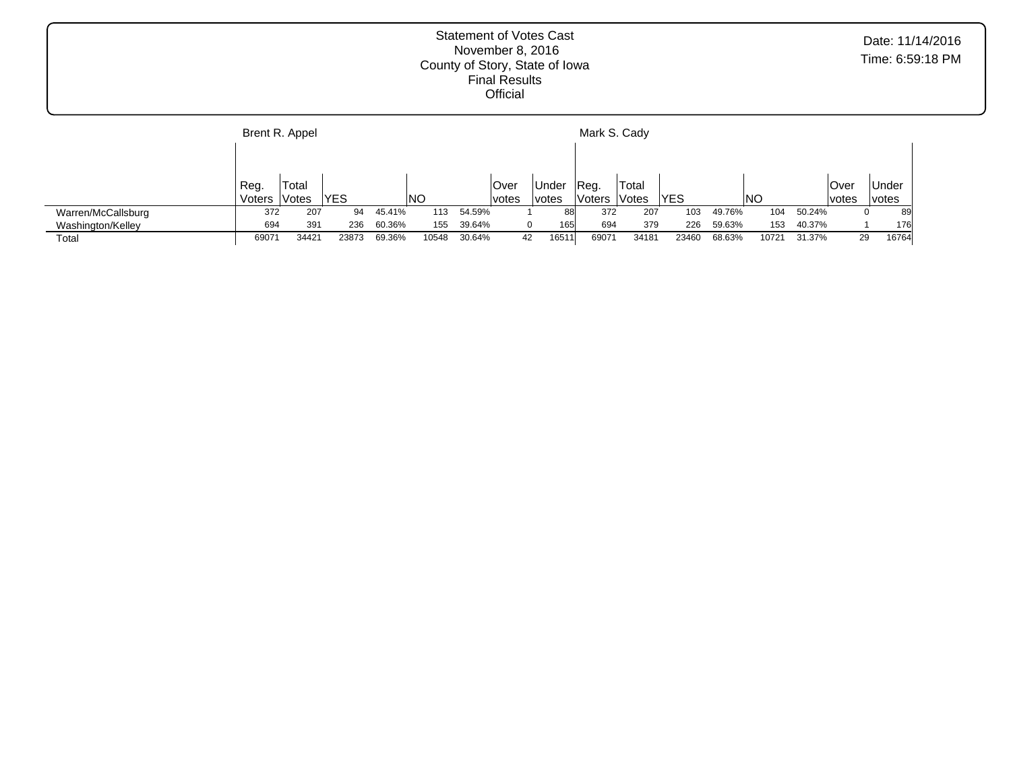|                    |        | Brent R. Appel |            |        |           |        |             |              | Mark S. Cady |       |       |        |       |        |       |              |
|--------------------|--------|----------------|------------|--------|-----------|--------|-------------|--------------|--------------|-------|-------|--------|-------|--------|-------|--------------|
|                    |        |                |            |        |           |        |             |              |              |       |       |        |       |        |       |              |
|                    | Reg.   | Total          |            |        |           |        | <b>Over</b> | Under        | 'Reg.        | Total |       |        |       |        | Over  | <b>Under</b> |
|                    | Voters | Votes          | <b>YES</b> |        | <b>NO</b> |        | votes       | <i>votes</i> | Voters       | Votes | IYES  |        | NO    |        | votes | <i>votes</i> |
| Warren/McCallsburg | 372    | 207            | 94         | 45.41% | 113       | 54.59% |             | 88           | 372          | 207   | 103   | 49.76% | 104   | 50.24% |       | 89<br>0      |
| Washington/Kelley  | 694    | 391            | 236        | 60.36% | 155       | 39.64% |             | 165          | 694          | 379   | 226   | 59.63% | 153   | 40.37% |       | 176          |
| Total              | 69071  | 3442           | 23873      | 69.36% | 10548     | 30.64% |             | 16511<br>42  | 69071        | 34181 | 23460 | 68.63% | 10721 | 31.37% | 29    | 16764        |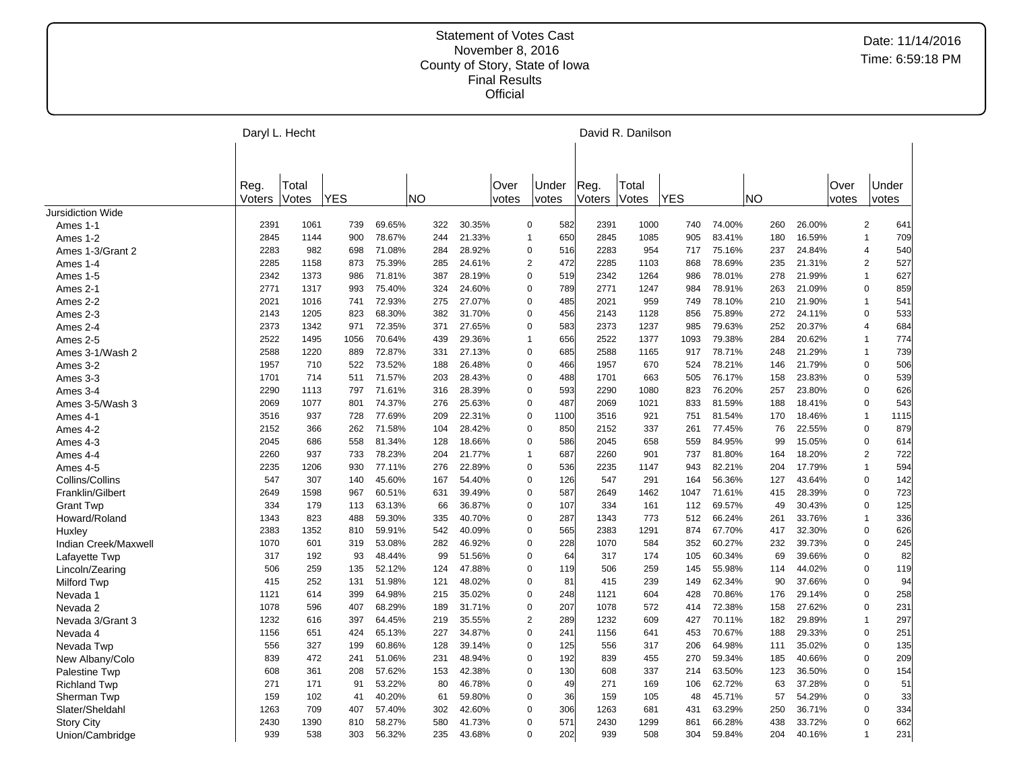|                      | Daryl L. Hecht |       |            |        |           |        |       |                       |        | David R. Danilson |            |        |           |        |       |                |      |
|----------------------|----------------|-------|------------|--------|-----------|--------|-------|-----------------------|--------|-------------------|------------|--------|-----------|--------|-------|----------------|------|
|                      | Reg.           | Total |            |        |           |        | Over  | Under                 | Reg.   | Total             |            |        |           |        | Over  | Under          |      |
|                      | Voters         | Votes | <b>YES</b> |        | <b>NO</b> |        | votes | votes                 | Voters | Votes             | <b>YES</b> |        | <b>NO</b> |        | votes | votes          |      |
| Jursidiction Wide    |                |       |            |        |           |        |       |                       |        |                   |            |        |           |        |       |                |      |
| Ames 1-1             | 2391           | 1061  | 739        | 69.65% | 322       | 30.35% |       | 582<br>$\mathbf 0$    | 2391   | 1000              | 740        | 74.00% | 260       | 26.00% |       | $\overline{c}$ | 641  |
| Ames 1-2             | 2845           | 1144  | 900        | 78.67% | 244       | 21.33% |       | 650<br>$\mathbf{1}$   | 2845   | 1085              | 905        | 83.41% | 180       | 16.59% |       | $\mathbf{1}$   | 709  |
| Ames 1-3/Grant 2     | 2283           | 982   | 698        | 71.08% | 284       | 28.92% |       | $\mathbf 0$<br>516    | 2283   | 954               | 717        | 75.16% | 237       | 24.84% |       | $\overline{4}$ | 540  |
| Ames 1-4             | 2285           | 1158  | 873        | 75.39% | 285       | 24.61% |       | $\overline{c}$<br>472 | 2285   | 1103              | 868        | 78.69% | 235       | 21.31% |       | $\overline{2}$ | 527  |
| Ames 1-5             | 2342           | 1373  | 986        | 71.81% | 387       | 28.19% |       | $\Omega$<br>519       | 2342   | 1264              | 986        | 78.01% | 278       | 21.99% |       | $\overline{1}$ | 627  |
| Ames 2-1             | 2771           | 1317  | 993        | 75.40% | 324       | 24.60% |       | 789<br>$\mathbf 0$    | 2771   | 1247              | 984        | 78.91% | 263       | 21.09% |       | $\mathbf 0$    | 859  |
| Ames 2-2             | 2021           | 1016  | 741        | 72.93% | 275       | 27.07% |       | $\mathbf 0$<br>485    | 2021   | 959               | 749        | 78.10% | 210       | 21.90% |       | $\overline{1}$ | 541  |
| Ames 2-3             | 2143           | 1205  | 823        | 68.30% | 382       | 31.70% |       | $\mathbf 0$<br>456    | 2143   | 1128              | 856        | 75.89% | 272       | 24.11% |       | $\mathbf 0$    | 533  |
| Ames 2-4             | 2373           | 1342  | 971        | 72.35% | 371       | 27.65% |       | $\mathbf 0$<br>583    | 2373   | 1237              | 985        | 79.63% | 252       | 20.37% |       | $\overline{4}$ | 684  |
| Ames 2-5             | 2522           | 1495  | 1056       | 70.64% | 439       | 29.36% |       | 656<br>$\overline{1}$ | 2522   | 1377              | 1093       | 79.38% | 284       | 20.62% |       | $\mathbf{1}$   | 774  |
| Ames 3-1/Wash 2      | 2588           | 1220  | 889        | 72.87% | 331       | 27.13% |       | $\mathbf 0$<br>685    | 2588   | 1165              | 917        | 78.71% | 248       | 21.29% |       | $\mathbf{1}$   | 739  |
| Ames 3-2             | 1957           | 710   | 522        | 73.52% | 188       | 26.48% |       | $\overline{0}$<br>466 | 1957   | 670               | 524        | 78.21% | 146       | 21.79% |       | $\mathsf 0$    | 506  |
| Ames 3-3             | 1701           | 714   | 511        | 71.57% | 203       | 28.43% |       | 488<br>$\mathbf 0$    | 1701   | 663               | 505        | 76.17% | 158       | 23.83% |       | 0              | 539  |
| Ames 3-4             | 2290           | 1113  | 797        | 71.61% | 316       | 28.39% |       | $\Omega$<br>593       | 2290   | 1080              | 823        | 76.20% | 257       | 23.80% |       | $\mathbf 0$    | 626  |
| Ames 3-5/Wash 3      | 2069           | 1077  | 801        | 74.37% | 276       | 25.63% |       | $\mathbf 0$<br>487    | 2069   | 1021              | 833        | 81.59% | 188       | 18.41% |       | 0              | 543  |
| Ames 4-1             | 3516           | 937   | 728        | 77.69% | 209       | 22.31% |       | $\mathbf 0$<br>1100   | 3516   | 921               | 751        | 81.54% | 170       | 18.46% |       | $\mathbf{1}$   | 1115 |
| Ames 4-2             | 2152           | 366   | 262        | 71.58% | 104       | 28.42% |       | 850<br>0              | 2152   | 337               | 261        | 77.45% | 76        | 22.55% |       | 0              | 879  |
| Ames 4-3             | 2045           | 686   | 558        | 81.34% | 128       | 18.66% |       | $\mathbf 0$<br>586    | 2045   | 658               | 559        | 84.95% | 99        | 15.05% |       | $\mathbf 0$    | 614  |
| Ames 4-4             | 2260           | 937   | 733        | 78.23% | 204       | 21.77% |       | 687<br>$\mathbf{1}$   | 2260   | 901               | 737        | 81.80% | 164       | 18.20% |       | $\overline{2}$ | 722  |
| Ames 4-5             | 2235           | 1206  | 930        | 77.11% | 276       | 22.89% |       | $\mathbf 0$<br>536    | 2235   | 1147              | 943        | 82.21% | 204       | 17.79% |       | $\mathbf{1}$   | 594  |
| Collins/Collins      | 547            | 307   | 140        | 45.60% | 167       | 54.40% |       | $\mathbf 0$<br>126    | 547    | 291               | 164        | 56.36% | 127       | 43.64% |       | $\mathbf 0$    | 142  |
| Franklin/Gilbert     | 2649           | 1598  | 967        | 60.51% | 631       | 39.49% |       | $\Omega$<br>587       | 2649   | 1462              | 1047       | 71.61% | 415       | 28.39% |       | $\mathbf 0$    | 723  |
| <b>Grant Twp</b>     | 334            | 179   | 113        | 63.13% | 66        | 36.87% |       | $\mathbf 0$<br>107    | 334    | 161               | 112        | 69.57% | 49        | 30.43% |       | $\mathbf 0$    | 125  |
| Howard/Roland        | 1343           | 823   | 488        | 59.30% | 335       | 40.70% |       | 287<br>$\mathbf 0$    | 1343   | 773               | 512        | 66.24% | 261       | 33.76% |       | $\mathbf{1}$   | 336  |
| Huxley               | 2383           | 1352  | 810        | 59.91% | 542       | 40.09% |       | $\Omega$<br>565       | 2383   | 1291              | 874        | 67.70% | 417       | 32.30% |       | $\mathbf 0$    | 626  |
| Indian Creek/Maxwell | 1070           | 601   | 319        | 53.08% | 282       | 46.92% |       | 228<br>$\mathbf 0$    | 1070   | 584               | 352        | 60.27% | 232       | 39.73% |       | $\mathsf 0$    | 245  |
| Lafayette Twp        | 317            | 192   | 93         | 48.44% | 99        | 51.56% |       | $\Omega$<br>64        | 317    | 174               | 105        | 60.34% | 69        | 39.66% |       | $\mathbf 0$    | 82   |
| Lincoln/Zearing      | 506            | 259   | 135        | 52.12% | 124       | 47.88% |       | $\mathbf 0$<br>119    | 506    | 259               | 145        | 55.98% | 114       | 44.02% |       | 0              | 119  |
| <b>Milford Twp</b>   | 415            | 252   | 131        | 51.98% | 121       | 48.02% |       | $\Omega$<br>81        | 415    | 239               | 149        | 62.34% | 90        | 37.66% |       | $\mathbf 0$    | 94   |
| Nevada 1             | 1121           | 614   | 399        | 64.98% | 215       | 35.02% |       | 248<br>0              | 1121   | 604               | 428        | 70.86% | 176       | 29.14% |       | 0              | 258  |
| Nevada 2             | 1078           | 596   | 407        | 68.29% | 189       | 31.71% |       | $\mathbf 0$<br>207    | 1078   | 572               | 414        | 72.38% | 158       | 27.62% |       | $\mathbf 0$    | 231  |
| Nevada 3/Grant 3     | 1232           | 616   | 397        | 64.45% | 219       | 35.55% |       | $\overline{2}$<br>289 | 1232   | 609               | 427        | 70.11% | 182       | 29.89% |       | $\mathbf{1}$   | 297  |
| Nevada 4             | 1156           | 651   | 424        | 65.13% | 227       | 34.87% |       | $\mathbf 0$<br>241    | 1156   | 641               | 453        | 70.67% | 188       | 29.33% |       | $\mathbf 0$    | 251  |
| Nevada Twp           | 556            | 327   | 199        | 60.86% | 128       | 39.14% |       | $\Omega$<br>125       | 556    | 317               | 206        | 64.98% | 111       | 35.02% |       | $\mathbf 0$    | 135  |
| New Albany/Colo      | 839            | 472   | 241        | 51.06% | 231       | 48.94% |       | $\Omega$<br>192       | 839    | 455               | 270        | 59.34% | 185       | 40.66% |       | $\mathbf 0$    | 209  |
| Palestine Twp        | 608            | 361   | 208        | 57.62% | 153       | 42.38% |       | $\mathbf 0$<br>130    | 608    | 337               | 214        | 63.50% | 123       | 36.50% |       | $\mathbf 0$    | 154  |
| <b>Richland Twp</b>  | 271            | 171   | 91         | 53.22% | 80        | 46.78% |       | $\mathbf 0$<br>49     | 271    | 169               | 106        | 62.72% | 63        | 37.28% |       | $\mathbf 0$    | 51   |
| Sherman Twp          | 159            | 102   | 41         | 40.20% | 61        | 59.80% |       | $\mathbf 0$<br>36     | 159    | 105               | 48         | 45.71% | 57        | 54.29% |       | $\mathbf 0$    | 33   |
| Slater/Sheldahl      | 1263           | 709   | 407        | 57.40% | 302       | 42.60% |       | 306<br>$\mathbf 0$    | 1263   | 681               | 431        | 63.29% | 250       | 36.71% |       | $\mathsf 0$    | 334  |
| <b>Story City</b>    | 2430           | 1390  | 810        | 58.27% | 580       | 41.73% |       | 571<br>$\mathbf 0$    | 2430   | 1299              | 861        | 66.28% | 438       | 33.72% |       | $\overline{0}$ | 662  |
| Union/Cambridge      | 939            | 538   | 303        | 56.32% | 235       | 43.68% |       | 202<br>$\mathbf 0$    | 939    | 508               | 304        | 59.84% | 204       | 40.16% |       | $\overline{1}$ | 231  |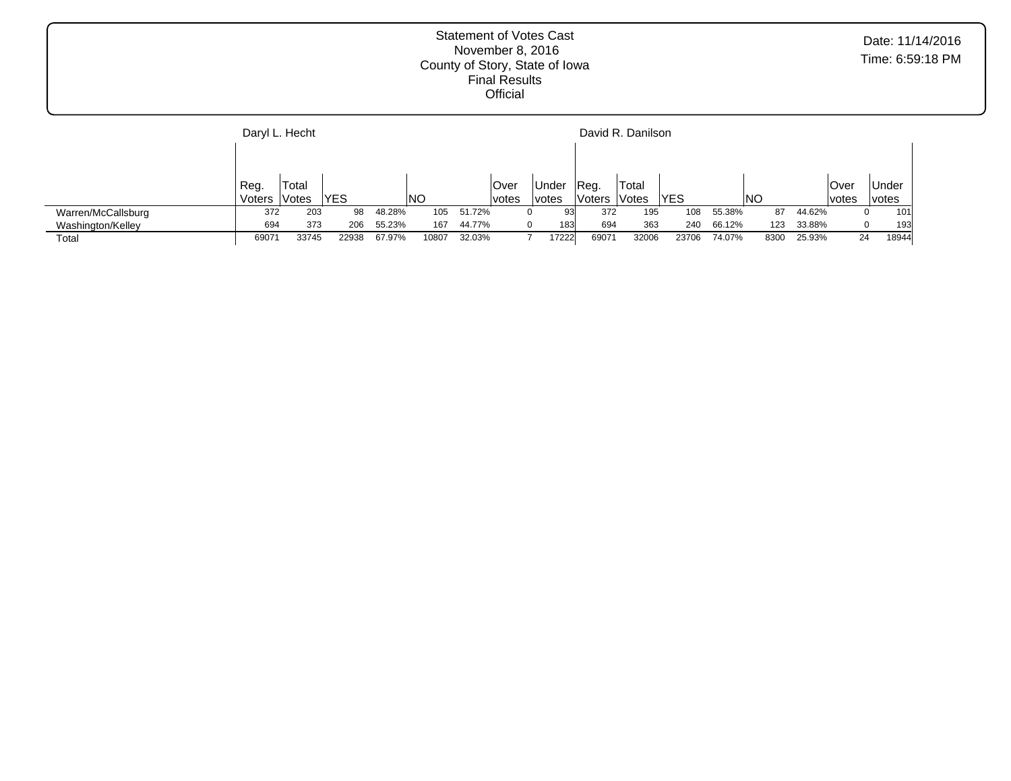|                    | Daryl L. Hecht |       |       |        |       |        |       |                    |        | David R. Danilson |            |        |      |        |       |              |
|--------------------|----------------|-------|-------|--------|-------|--------|-------|--------------------|--------|-------------------|------------|--------|------|--------|-------|--------------|
|                    |                |       |       |        |       |        |       |                    |        |                   |            |        |      |        |       |              |
|                    | Reg.           | Total |       |        |       |        | ∣Over | Jnder              | Reg.   | Total             |            |        |      |        | Over  | <b>Under</b> |
|                    | Voters         | Votes | IYES  |        | INO   |        | votes | <i>votes</i>       | Voters | Votes             | <b>YES</b> |        | INO  |        | votes | votes        |
| Warren/McCallsburg | 372            | 203   | 98    | 48.28% | 105   | 51.72% |       | 93                 | 372    | 195               | 108        | 55.38% | 87   | 44.62% | 0     | 101          |
| Washington/Kelley  | 694            | 373   | 206   | 55.23% | 167   | 44.77% |       | 183                | 694    | 363               | 240        | 66.12% | 123  | 33.88% | 0     | 193          |
| Total              | 6907           | 33745 | 22938 | 67.97% | 10807 | 32.03% |       | 17222 <sub>1</sub> | 69071  | 32006             | 23706      | 74.07% | 8300 | 25.93% | 24    | 18944        |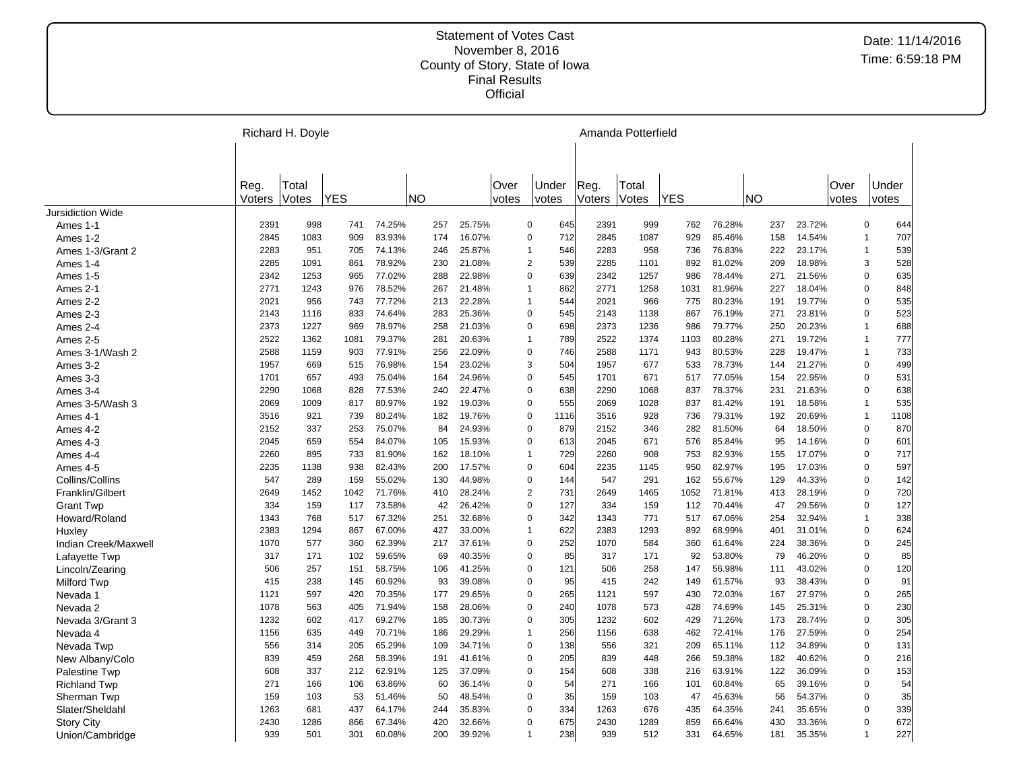|                          |                | Richard H. Doyle |            |        |           |        |               | Amanda Potterfield    |                |                |      |        |     |        |               |                |      |
|--------------------------|----------------|------------------|------------|--------|-----------|--------|---------------|-----------------------|----------------|----------------|------|--------|-----|--------|---------------|----------------|------|
|                          |                |                  |            |        |           |        |               |                       |                |                |      |        |     |        |               |                |      |
|                          | Reg.<br>Voters | Total<br>Votes   | <b>YES</b> |        | <b>NO</b> |        | Over<br>votes | Under<br>votes        | Reg.<br>Voters | Total<br>Votes | YES  |        | NO) |        | Over<br>votes | Under<br>votes |      |
| <b>Jursidiction Wide</b> |                |                  |            |        |           |        |               |                       |                |                |      |        |     |        |               |                |      |
| Ames 1-1                 | 2391           | 998              | 741        | 74.25% | 257       | 25.75% |               | $\mathbf 0$<br>645    | 2391           | 999            | 762  | 76.28% | 237 | 23.72% |               | 0              | 644  |
| Ames 1-2                 | 2845           | 1083             | 909        | 83.93% | 174       | 16.07% |               | 712<br>$\mathbf 0$    | 2845           | 1087           | 929  | 85.46% | 158 | 14.54% |               | $\mathbf{1}$   | 707  |
| Ames 1-3/Grant 2         | 2283           | 951              | 705        | 74.13% | 246       | 25.87% |               | 546<br>$\mathbf{1}$   | 2283           | 958            | 736  | 76.83% | 222 | 23.17% |               | $\mathbf{1}$   | 539  |
| Ames 1-4                 | 2285           | 1091             | 861        | 78.92% | 230       | 21.08% |               | 539<br>$\overline{2}$ | 2285           | 1101           | 892  | 81.02% | 209 | 18.98% |               | 3              | 528  |
| Ames 1-5                 | 2342           | 1253             | 965        | 77.02% | 288       | 22.98% |               | $\mathbf 0$<br>639    | 2342           | 1257           | 986  | 78.44% | 271 | 21.56% |               | 0              | 635  |
| Ames 2-1                 | 2771           | 1243             | 976        | 78.52% | 267       | 21.48% |               | 862<br>$\overline{1}$ | 2771           | 1258           | 1031 | 81.96% | 227 | 18.04% |               | 0              | 848  |
| Ames 2-2                 | 2021           | 956              | 743        | 77.72% | 213       | 22.28% |               | 544<br>$\overline{1}$ | 2021           | 966            | 775  | 80.23% | 191 | 19.77% |               | 0              | 535  |
| Ames 2-3                 | 2143           | 1116             | 833        | 74.64% | 283       | 25.36% |               | $\mathbf 0$<br>545    | 2143           | 1138           | 867  | 76.19% | 271 | 23.81% |               | 0              | 523  |
| Ames 2-4                 | 2373           | 1227             | 969        | 78.97% | 258       | 21.03% |               | $\overline{0}$<br>698 | 2373           | 1236           | 986  | 79.77% | 250 | 20.23% |               | $\mathbf{1}$   | 688  |
| Ames 2-5                 | 2522           | 1362             | 1081       | 79.37% | 281       | 20.63% |               | 789<br>$\overline{1}$ | 2522           | 1374           | 1103 | 80.28% | 271 | 19.72% |               | $\mathbf{1}$   | 777  |
| Ames 3-1/Wash 2          | 2588           | 1159             | 903        | 77.91% | 256       | 22.09% |               | $\mathbf 0$<br>746    | 2588           | 1171           | 943  | 80.53% | 228 | 19.47% |               | $\mathbf{1}$   | 733  |
| Ames 3-2                 | 1957           | 669              | 515        | 76.98% | 154       | 23.02% |               | 3<br>504              | 1957           | 677            | 533  | 78.73% | 144 | 21.27% |               | 0              | 499  |
| Ames 3-3                 | 1701           | 657              | 493        | 75.04% | 164       | 24.96% |               | $\Omega$<br>545       | 1701           | 671            | 517  | 77.05% | 154 | 22.95% |               | 0              | 531  |
| Ames 3-4                 | 2290           | 1068             | 828        | 77.53% | 240       | 22.47% |               | $\mathbf 0$<br>638    | 2290           | 1068           | 837  | 78.37% | 231 | 21.63% |               | 0              | 638  |
| Ames 3-5/Wash 3          | 2069           | 1009             | 817        | 80.97% | 192       | 19.03% |               | 555<br>$\Omega$       | 2069           | 1028           | 837  | 81.42% | 191 | 18.58% |               | $\mathbf{1}$   | 535  |
| Ames 4-1                 | 3516           | 921              | 739        | 80.24% | 182       | 19.76% |               | $\mathbf 0$<br>1116   | 3516           | 928            | 736  | 79.31% | 192 | 20.69% |               | $\mathbf{1}$   | 1108 |
| Ames 4-2                 | 2152           | 337              | 253        | 75.07% | 84        | 24.93% |               | $\mathbf 0$<br>879    | 2152           | 346            | 282  | 81.50% | 64  | 18.50% |               | 0              | 870  |
| Ames 4-3                 | 2045           | 659              | 554        | 84.07% | 105       | 15.93% |               | $\Omega$<br>613       | 2045           | 671            | 576  | 85.84% | 95  | 14.16% |               | 0              | 601  |
| Ames 4-4                 | 2260           | 895              | 733        | 81.90% | 162       | 18.10% |               | 729<br>$\mathbf{1}$   | 2260           | 908            | 753  | 82.93% | 155 | 17.07% |               | 0              | 717  |
| Ames 4-5                 | 2235           | 1138             | 938        | 82.43% | 200       | 17.57% |               | $\Omega$<br>604       | 2235           | 1145           | 950  | 82.97% | 195 | 17.03% |               | 0              | 597  |
| Collins/Collins          | 547            | 289              | 159        | 55.02% | 130       | 44.98% |               | $\mathbf 0$<br>144    | 547            | 291            | 162  | 55.67% | 129 | 44.33% |               | 0              | 142  |
| Franklin/Gilbert         | 2649           | 1452             | 1042       | 71.76% | 410       | 28.24% |               | $\overline{2}$<br>731 | 2649           | 1465           | 1052 | 71.81% | 413 | 28.19% |               | 0              | 720  |
| <b>Grant Twp</b>         | 334            | 159              | 117        | 73.58% | 42        | 26.42% |               | 127<br>$\mathbf 0$    | 334            | 159            | 112  | 70.44% | 47  | 29.56% |               | 0              | 127  |
| Howard/Roland            | 1343           | 768              | 517        | 67.32% | 251       | 32.68% |               | $\mathbf 0$<br>342    | 1343           | 771            | 517  | 67.06% | 254 | 32.94% |               | $\mathbf{1}$   | 338  |
| Huxley                   | 2383           | 1294             | 867        | 67.00% | 427       | 33.00% |               | 622<br>$\overline{1}$ | 2383           | 1293           | 892  | 68.99% | 401 | 31.01% |               | 0              | 624  |
| Indian Creek/Maxwell     | 1070           | 577              | 360        | 62.39% | 217       | 37.61% |               | $\Omega$<br>252       | 1070           | 584            | 360  | 61.64% | 224 | 38.36% |               | 0              | 245  |
| Lafayette Twp            | 317            | 171              | 102        | 59.65% | 69        | 40.35% |               | 85<br>$\mathbf 0$     | 317            | 171            | 92   | 53.80% | 79  | 46.20% |               | 0              | 85   |
| Lincoln/Zearing          | 506            | 257              | 151        | 58.75% | 106       | 41.25% |               | $\Omega$<br>121       | 506            | 258            | 147  | 56.98% | 111 | 43.02% |               | 0              | 120  |
| <b>Milford Twp</b>       | 415            | 238              | 145        | 60.92% | 93        | 39.08% |               | $\mathbf 0$<br>95     | 415            | 242            | 149  | 61.57% | 93  | 38.43% |               | 0              | 91   |
| Nevada 1                 | 1121           | 597              | 420        | 70.35% | 177       | 29.65% |               | 265<br>0              | 1121           | 597            | 430  | 72.03% | 167 | 27.97% |               | 0              | 265  |
| Nevada 2                 | 1078           | 563              | 405        | 71.94% | 158       | 28.06% |               | $\mathbf 0$<br>240    | 1078           | 573            | 428  | 74.69% | 145 | 25.31% |               | 0              | 230  |
| Nevada 3/Grant 3         | 1232           | 602              | 417        | 69.27% | 185       | 30.73% |               | $\mathbf 0$<br>305    | 1232           | 602            | 429  | 71.26% | 173 | 28.74% |               | 0              | 305  |
| Nevada 4                 | 1156           | 635              | 449        | 70.71% | 186       | 29.29% |               | 256<br>$\mathbf 1$    | 1156           | 638            | 462  | 72.41% | 176 | 27.59% |               | 0              | 254  |
| Nevada Twp               | 556            | 314              | 205        | 65.29% | 109       | 34.71% |               | 138<br>$\mathbf 0$    | 556            | 321            | 209  | 65.11% | 112 | 34.89% |               | 0              | 131  |
| New Albany/Colo          | 839            | 459              | 268        | 58.39% | 191       | 41.61% |               | $\Omega$<br>205       | 839            | 448            | 266  | 59.38% | 182 | 40.62% |               | 0              | 216  |
| Palestine Twp            | 608            | 337              | 212        | 62.91% | 125       | 37.09% |               | $\mathbf 0$<br>154    | 608            | 338            | 216  | 63.91% | 122 | 36.09% |               | 0              | 153  |
| <b>Richland Twp</b>      | 271            | 166              | 106        | 63.86% | 60        | 36.14% |               | 54<br>$\Omega$        | 271            | 166            | 101  | 60.84% | 65  | 39.16% |               | 0              | 54   |
| Sherman Twp              | 159            | 103              | 53         | 51.46% | 50        | 48.54% |               | 35<br>0               | 159            | 103            | 47   | 45.63% | 56  | 54.37% |               | 0              | 35   |
| Slater/Sheldahl          | 1263           | 681              | 437        | 64.17% | 244       | 35.83% |               | $\Omega$<br>334       | 1263           | 676            | 435  | 64.35% | 241 | 35.65% |               | 0              | 339  |
| <b>Story City</b>        | 2430           | 1286             | 866        | 67.34% | 420       | 32.66% |               | $\mathbf 0$<br>675    | 2430           | 1289           | 859  | 66.64% | 430 | 33.36% |               | 0              | 672  |
| Union/Cambridge          | 939            | 501              | 301        | 60.08% | 200       | 39.92% |               | 238<br>$\mathbf{1}$   | 939            | 512            | 331  | 64.65% | 181 | 35.35% |               | $\overline{1}$ | 227  |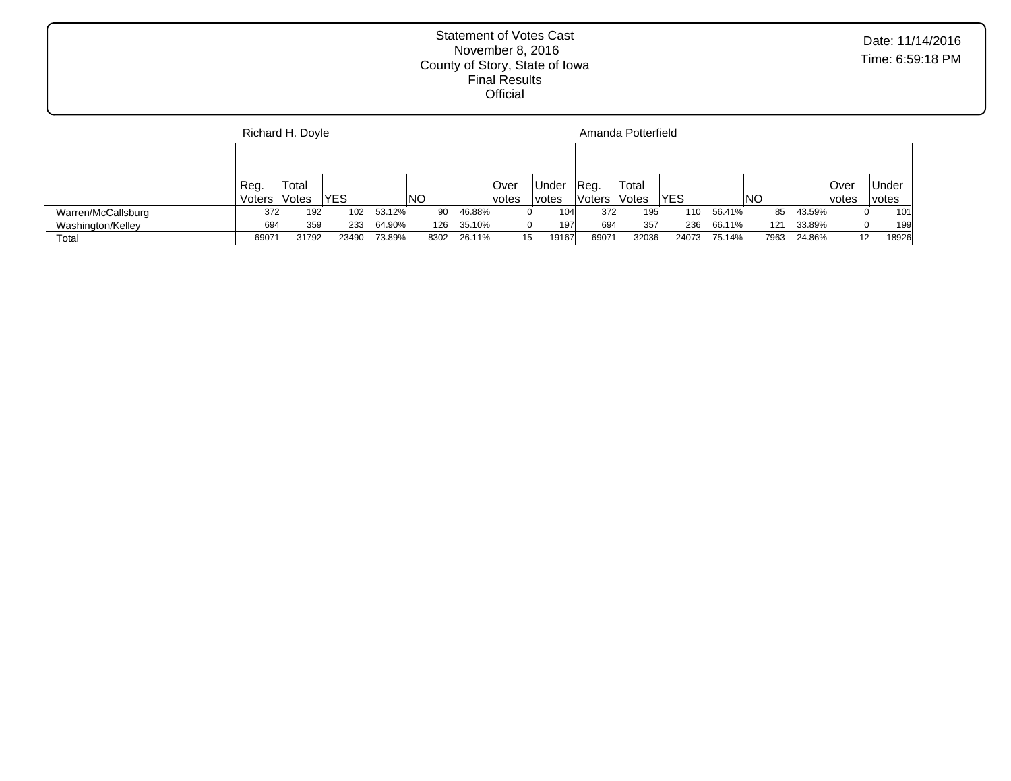|                    |        | Richard H. Doyle |            |        |      |        |        | Amanda Potterfield |        |       |            |        |      |        |              |              |  |  |
|--------------------|--------|------------------|------------|--------|------|--------|--------|--------------------|--------|-------|------------|--------|------|--------|--------------|--------------|--|--|
|                    |        |                  |            |        |      |        |        |                    |        |       |            |        |      |        |              |              |  |  |
|                    | Reg.   | Total            |            |        |      |        | ∣Over  | Under              | Reg.   | Total |            |        |      |        | ∣Over        | <b>Under</b> |  |  |
|                    | Voters | Votes            | <b>YES</b> |        | INO  |        | lvotes | votes              | Voters | Votes | <b>YES</b> |        | INO  |        | <i>votes</i> | <i>votes</i> |  |  |
| Warren/McCallsburg | 372    | 192              | 102        | 53.12% | 90   | 46.88% |        | 104                | 372    | 195   | 110        | 56.41% | 85   | 43.59% |              | 101<br>0     |  |  |
| Washington/Kelley  | 694    | 359              | 233        | 64.90% | 126  | 35.10% |        | 197                | 694    | 357   | 236        | 66.11% | 121  | 33.89% |              | 199<br>0     |  |  |
| Total              | 6907   | 31792            | 23490      | 73.89% | 8302 | 26.11% | 15     | 19167              | 69071  | 32036 | 24073      | 75.14% | 7963 | 24.86% | 12           | 18926        |  |  |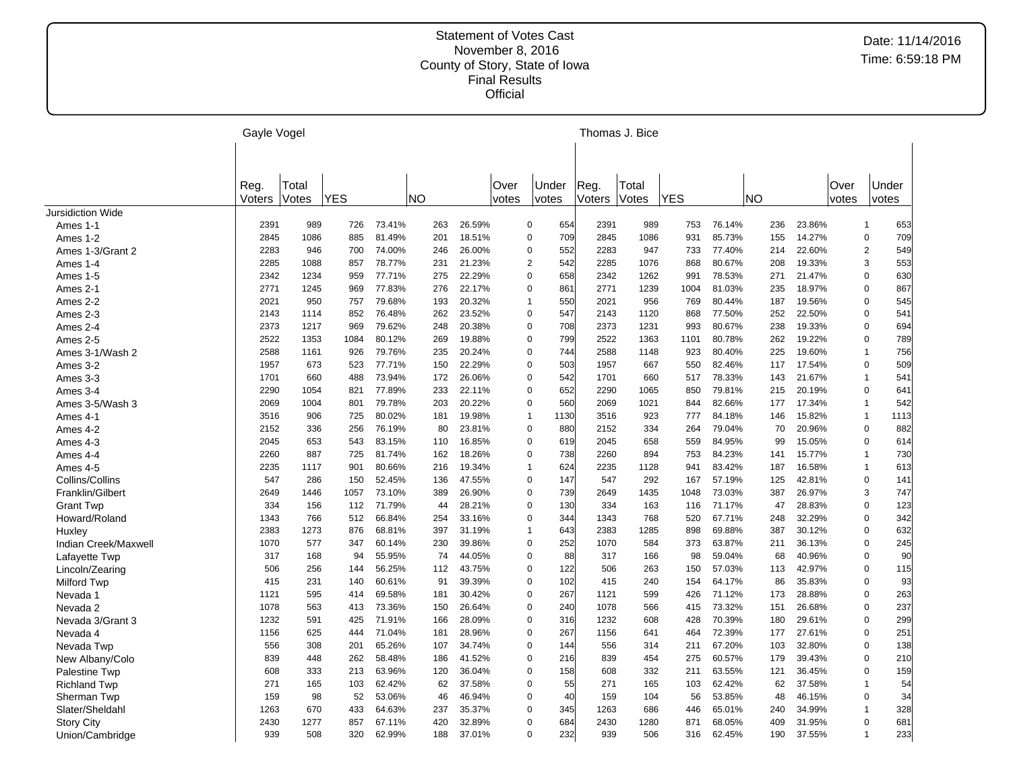|                          | Gayle Vogel |       |            |        |           |        |       | Thomas J. Bice          |        |       |            |        |     |        |       |                |      |
|--------------------------|-------------|-------|------------|--------|-----------|--------|-------|-------------------------|--------|-------|------------|--------|-----|--------|-------|----------------|------|
|                          |             |       |            |        |           |        |       |                         |        |       |            |        |     |        |       |                |      |
|                          |             |       |            |        |           |        |       |                         |        |       |            |        |     |        |       |                |      |
|                          | Reg.        | Total |            |        |           |        | Over  | Under                   | Reg.   | Total |            |        |     |        | Over  | Under          |      |
|                          | Voters      | Votes | <b>YES</b> |        | <b>NO</b> |        | votes | votes                   | Voters | Votes | <b>YES</b> |        | NO  |        | votes | votes          |      |
| <b>Jursidiction Wide</b> |             |       |            |        |           |        |       |                         |        |       |            |        |     |        |       |                |      |
| Ames 1-1                 | 2391        | 989   | 726        | 73.41% | 263       | 26.59% |       | $\mathbf 0$<br>654      | 2391   | 989   | 753        | 76.14% | 236 | 23.86% |       | $\mathbf{1}$   | 653  |
| Ames 1-2                 | 2845        | 1086  | 885        | 81.49% | 201       | 18.51% |       | 709<br>0                | 2845   | 1086  | 931        | 85.73% | 155 | 14.27% |       | 0              | 709  |
| Ames 1-3/Grant 2         | 2283        | 946   | 700        | 74.00% | 246       | 26.00% |       | 552<br>$\mathbf 0$      | 2283   | 947   | 733        | 77.40% | 214 | 22.60% |       | $\overline{c}$ | 549  |
| Ames 1-4                 | 2285        | 1088  | 857        | 78.77% | 231       | 21.23% |       | $\boldsymbol{2}$<br>542 | 2285   | 1076  | 868        | 80.67% | 208 | 19.33% |       | 3              | 553  |
| Ames 1-5                 | 2342        | 1234  | 959        | 77.71% | 275       | 22.29% |       | $\mathbf 0$<br>658      | 2342   | 1262  | 991        | 78.53% | 271 | 21.47% |       | 0              | 630  |
| Ames 2-1                 | 2771        | 1245  | 969        | 77.83% | 276       | 22.17% |       | $\mathbf 0$<br>861      | 2771   | 1239  | 1004       | 81.03% | 235 | 18.97% |       | 0              | 867  |
| Ames 2-2                 | 2021        | 950   | 757        | 79.68% | 193       | 20.32% |       | 550<br>$\mathbf{1}$     | 2021   | 956   | 769        | 80.44% | 187 | 19.56% |       | 0              | 545  |
| Ames 2-3                 | 2143        | 1114  | 852        | 76.48% | 262       | 23.52% |       | $\mathbf 0$<br>547      | 2143   | 1120  | 868        | 77.50% | 252 | 22.50% |       | 0              | 541  |
| Ames 2-4                 | 2373        | 1217  | 969        | 79.62% | 248       | 20.38% |       | $\mathbf 0$<br>708      | 2373   | 1231  | 993        | 80.67% | 238 | 19.33% |       | 0              | 694  |
| Ames 2-5                 | 2522        | 1353  | 1084       | 80.12% | 269       | 19.88% |       | 799<br>0                | 2522   | 1363  | 1101       | 80.78% | 262 | 19.22% |       | 0              | 789  |
| Ames 3-1/Wash 2          | 2588        | 1161  | 926        | 79.76% | 235       | 20.24% |       | $\pmb{0}$<br>744        | 2588   | 1148  | 923        | 80.40% | 225 | 19.60% |       | $\overline{1}$ | 756  |
| Ames 3-2                 | 1957        | 673   | 523        | 77.71% | 150       | 22.29% |       | $\mathbf 0$<br>503      | 1957   | 667   | 550        | 82.46% | 117 | 17.54% |       | 0              | 509  |
| Ames 3-3                 | 1701        | 660   | 488        | 73.94% | 172       | 26.06% |       | $\pmb{0}$<br>542        | 1701   | 660   | 517        | 78.33% | 143 | 21.67% |       | $\mathbf{1}$   | 541  |
| Ames 3-4                 | 2290        | 1054  | 821        | 77.89% | 233       | 22.11% |       | 652<br>$\mathbf 0$      | 2290   | 1065  | 850        | 79.81% | 215 | 20.19% |       | 0              | 641  |
| Ames 3-5/Wash 3          | 2069        | 1004  | 801        | 79.78% | 203       | 20.22% |       | $\mathbf 0$<br>560      | 2069   | 1021  | 844        | 82.66% | 177 | 17.34% |       | $\overline{1}$ | 542  |
| Ames 4-1                 | 3516        | 906   | 725        | 80.02% | 181       | 19.98% |       | $\mathbf{1}$<br>1130    | 3516   | 923   | 777        | 84.18% | 146 | 15.82% |       | $\mathbf{1}$   | 1113 |
| Ames 4-2                 | 2152        | 336   | 256        | 76.19% | 80        | 23.81% |       | 880<br>0                | 2152   | 334   | 264        | 79.04% | 70  | 20.96% |       | 0              | 882  |
| Ames 4-3                 | 2045        | 653   | 543        | 83.15% | 110       | 16.85% |       | $\pmb{0}$<br>619        | 2045   | 658   | 559        | 84.95% | 99  | 15.05% |       | 0              | 614  |
|                          | 2260        | 887   | 725        | 81.74% | 162       | 18.26% |       | $\mathbf 0$<br>738      | 2260   | 894   | 753        | 84.23% | 141 | 15.77% |       | $\overline{1}$ | 730  |
| Ames 4-4                 | 2235        | 1117  | 901        | 80.66% | 216       | 19.34% |       | $\mathbf{1}$<br>624     | 2235   | 1128  | 941        | 83.42% | 187 | 16.58% |       | $\overline{1}$ | 613  |
| Ames 4-5                 |             |       |            | 52.45% |           | 47.55% |       | 147                     | 547    | 292   |            |        |     | 42.81% |       |                |      |
| Collins/Collins          | 547         | 286   | 150        |        | 136       |        |       | 0                       |        |       | 167        | 57.19% | 125 |        |       | 0<br>3         | 141  |
| Franklin/Gilbert         | 2649        | 1446  | 1057       | 73.10% | 389       | 26.90% |       | $\pmb{0}$<br>739        | 2649   | 1435  | 1048       | 73.03% | 387 | 26.97% |       |                | 747  |
| <b>Grant Twp</b>         | 334         | 156   | 112        | 71.79% | 44        | 28.21% |       | 130<br>0                | 334    | 163   | 116        | 71.17% | 47  | 28.83% |       | 0              | 123  |
| Howard/Roland            | 1343        | 766   | 512        | 66.84% | 254       | 33.16% |       | $\pmb{0}$<br>344        | 1343   | 768   | 520        | 67.71% | 248 | 32.29% |       | 0              | 342  |
| Huxley                   | 2383        | 1273  | 876        | 68.81% | 397       | 31.19% |       | 643<br>$\mathbf{1}$     | 2383   | 1285  | 898        | 69.88% | 387 | 30.12% |       | 0              | 632  |
| Indian Creek/Maxwell     | 1070        | 577   | 347        | 60.14% | 230       | 39.86% |       | 252<br>$\mathbf 0$      | 1070   | 584   | 373        | 63.87% | 211 | 36.13% |       | 0              | 245  |
| Lafayette Twp            | 317         | 168   | 94         | 55.95% | 74        | 44.05% |       | $\mathbf 0$<br>88       | 317    | 166   | 98         | 59.04% | 68  | 40.96% |       | 0              | 90   |
| Lincoln/Zearing          | 506         | 256   | 144        | 56.25% | 112       | 43.75% |       | $\pmb{0}$<br>122        | 506    | 263   | 150        | 57.03% | 113 | 42.97% |       | 0              | 115  |
| <b>Milford Twp</b>       | 415         | 231   | 140        | 60.61% | 91        | 39.39% |       | $\mathbf 0$<br>102      | 415    | 240   | 154        | 64.17% | 86  | 35.83% |       | 0              | 93   |
| Nevada 1                 | 1121        | 595   | 414        | 69.58% | 181       | 30.42% |       | $\pmb{0}$<br>267        | 1121   | 599   | 426        | 71.12% | 173 | 28.88% |       | 0              | 263  |
| Nevada 2                 | 1078        | 563   | 413        | 73.36% | 150       | 26.64% |       | $\pmb{0}$<br>240        | 1078   | 566   | 415        | 73.32% | 151 | 26.68% |       | 0              | 237  |
| Nevada 3/Grant 3         | 1232        | 591   | 425        | 71.91% | 166       | 28.09% |       | 0<br>316                | 1232   | 608   | 428        | 70.39% | 180 | 29.61% |       | 0              | 299  |
| Nevada 4                 | 1156        | 625   | 444        | 71.04% | 181       | 28.96% |       | $\pmb{0}$<br>267        | 1156   | 641   | 464        | 72.39% | 177 | 27.61% |       | 0              | 251  |
| Nevada Twp               | 556         | 308   | 201        | 65.26% | 107       | 34.74% |       | 0<br>144                | 556    | 314   | 211        | 67.20% | 103 | 32.80% |       | 0              | 138  |
| New Albany/Colo          | 839         | 448   | 262        | 58.48% | 186       | 41.52% |       | $\pmb{0}$<br>216        | 839    | 454   | 275        | 60.57% | 179 | 39.43% |       | 0              | 210  |
| Palestine Twp            | 608         | 333   | 213        | 63.96% | 120       | 36.04% |       | $\pmb{0}$<br>158        | 608    | 332   | 211        | 63.55% | 121 | 36.45% |       | 0              | 159  |
| <b>Richland Twp</b>      | 271         | 165   | 103        | 62.42% | 62        | 37.58% |       | $\pmb{0}$<br>55         | 271    | 165   | 103        | 62.42% | 62  | 37.58% |       | $\overline{1}$ | 54   |
| Sherman Twp              | 159         | 98    | 52         | 53.06% | 46        | 46.94% |       | 40<br>0                 | 159    | 104   | 56         | 53.85% | 48  | 46.15% |       | 0              | 34   |
| Slater/Sheldahl          | 1263        | 670   | 433        | 64.63% | 237       | 35.37% |       | $\Omega$<br>345         | 1263   | 686   | 446        | 65.01% | 240 | 34.99% |       | $\mathbf{1}$   | 328  |
| <b>Story City</b>        | 2430        | 1277  | 857        | 67.11% | 420       | 32.89% |       | $\Omega$<br>684         | 2430   | 1280  | 871        | 68.05% | 409 | 31.95% |       | 0              | 681  |
| Union/Cambridge          | 939         | 508   | 320        | 62.99% | 188       | 37.01% |       | 232<br>$\mathbf 0$      | 939    | 506   | 316        | 62.45% | 190 | 37.55% |       | $\overline{1}$ | 233  |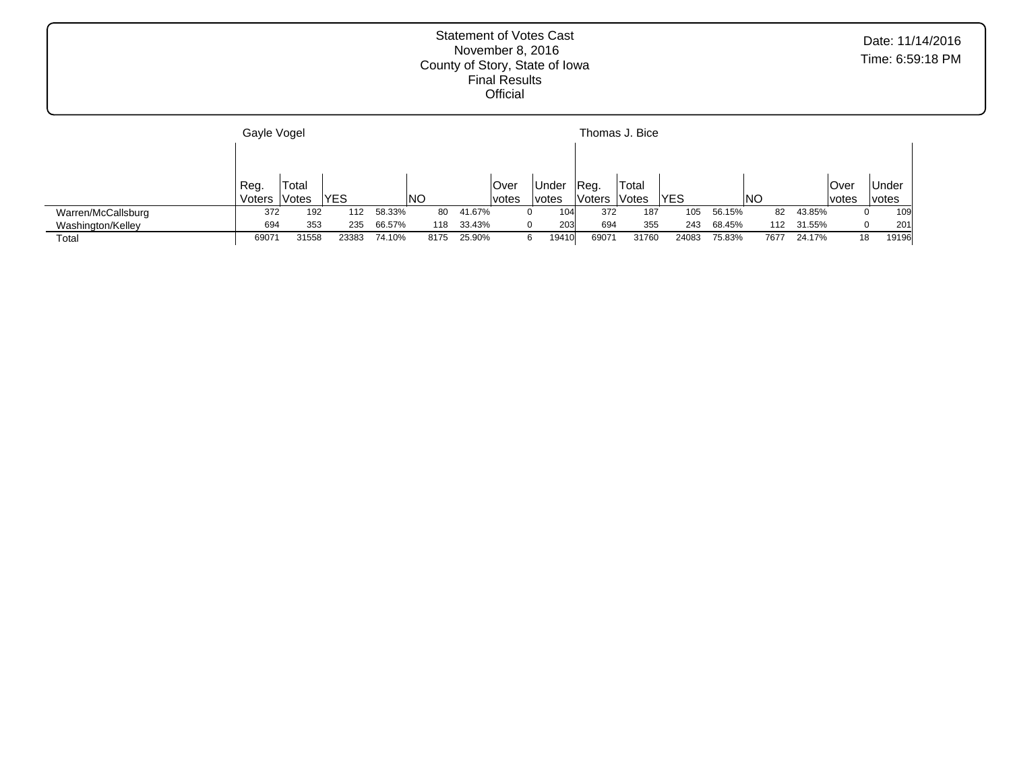|                    | Gayle Vogel    |                |            |        |           |        |                       |                       |                | Thomas J. Bice |       |        |      |        |               |                              |
|--------------------|----------------|----------------|------------|--------|-----------|--------|-----------------------|-----------------------|----------------|----------------|-------|--------|------|--------|---------------|------------------------------|
|                    |                |                |            |        |           |        |                       |                       |                |                |       |        |      |        |               |                              |
|                    | Reg.<br>Voters | Total<br>Votes | <b>YES</b> |        | <b>NO</b> |        | <b>Over</b><br> votes | Under<br><i>votes</i> | Reg.<br>Voters | Total<br>Votes | YES   |        | NO   |        | Over<br>votes | <b>Under</b><br><i>votes</i> |
| Warren/McCallsburg | 372            | 192            | 112        | 58.33% | 80        | 41.67% |                       | 104                   | 372            | 187            | 105   | 56.15% | 82   | 43.85% |               | 109<br>0                     |
| Washington/Kelley  | 694            | 353            | 235        | 66.57% | 118       | 33.43% |                       | 203                   | 694            | 355            | 243   | 68.45% | 112  | 31.55% |               | 201<br>0                     |
| Total              | 69071          | 31558          | 23383      | 74.10% | 8175      | 25.90% |                       | 19410                 | 69071          | 31760          | 24083 | 75.83% | 7677 | 24.17% | 18            | 19196                        |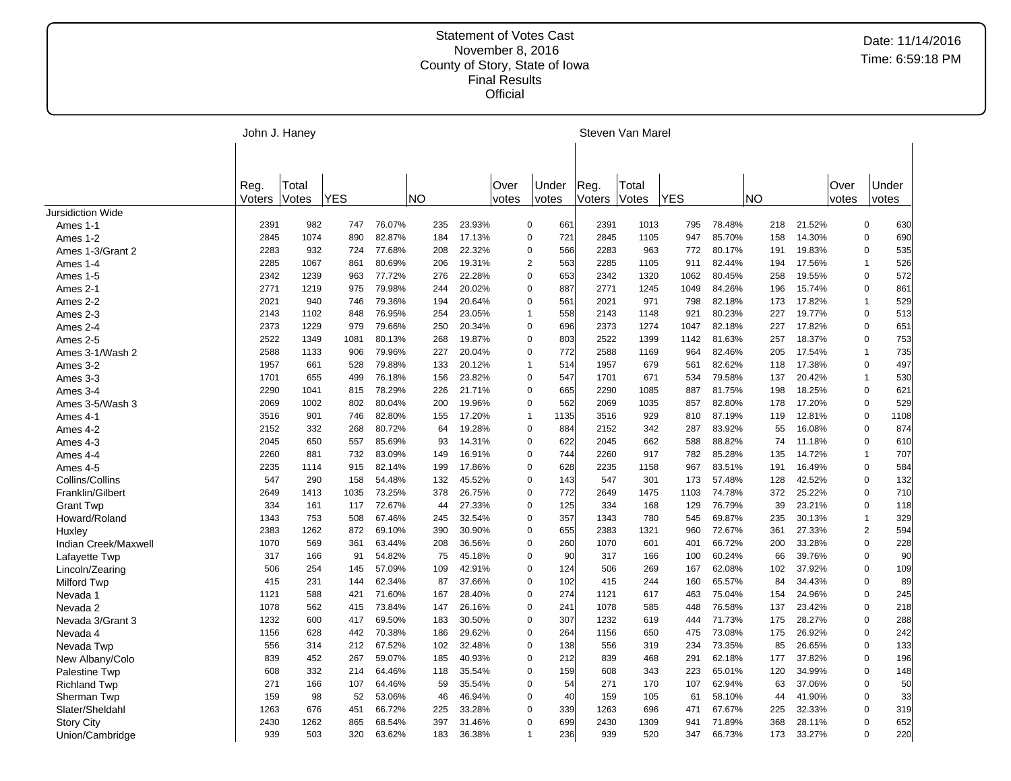|                          | John J. Haney  |                |            |        |           |        | Steven Van Marel |                       |                |                |            |        |     |        |               |                |       |
|--------------------------|----------------|----------------|------------|--------|-----------|--------|------------------|-----------------------|----------------|----------------|------------|--------|-----|--------|---------------|----------------|-------|
|                          | Reg.<br>Voters | Total<br>Votes | <b>YES</b> |        | <b>NO</b> |        | Over<br>votes    | Under<br>votes        | Reg.<br>Voters | Total<br>Votes | <b>YES</b> |        | NO. |        | Over<br>votes | votes          | Under |
| <b>Jursidiction Wide</b> |                |                |            |        |           |        |                  |                       |                |                |            |        |     |        |               |                |       |
| Ames 1-1                 | 2391           | 982            | 747        | 76.07% | 235       | 23.93% |                  | 661<br>$\mathbf 0$    | 2391           | 1013           | 795        | 78.48% | 218 | 21.52% |               | $\pmb{0}$      | 630   |
| Ames 1-2                 | 2845           | 1074           | 890        | 82.87% | 184       | 17.13% |                  | 721<br>$\mathbf 0$    | 2845           | 1105           | 947        | 85.70% | 158 | 14.30% |               | $\mathbf 0$    | 690   |
| Ames 1-3/Grant 2         | 2283           | 932            | 724        | 77.68% | 208       | 22.32% |                  | $\mathbf 0$<br>566    | 2283           | 963            | 772        | 80.17% | 191 | 19.83% |               | $\overline{0}$ | 535   |
| Ames 1-4                 | 2285           | 1067           | 861        | 80.69% | 206       | 19.31% |                  | $\overline{2}$<br>563 | 2285           | 1105           | 911        | 82.44% | 194 | 17.56% |               | $\mathbf{1}$   | 526   |
| Ames 1-5                 | 2342           | 1239           | 963        | 77.72% | 276       | 22.28% |                  | 0<br>653              | 2342           | 1320           | 1062       | 80.45% | 258 | 19.55% |               | $\mathbf 0$    | 572   |
| Ames 2-1                 | 2771           | 1219           | 975        | 79.98% | 244       | 20.02% |                  | 887<br>0              | 2771           | 1245           | 1049       | 84.26% | 196 | 15.74% |               | $\mathbf 0$    | 861   |
| Ames 2-2                 | 2021           | 940            | 746        | 79.36% | 194       | 20.64% |                  | $\mathbf 0$<br>561    | 2021           | 971            | 798        | 82.18% | 173 | 17.82% |               | $\mathbf{1}$   | 529   |
| Ames 2-3                 | 2143           | 1102           | 848        | 76.95% | 254       | 23.05% |                  | 558<br>$\mathbf 1$    | 2143           | 1148           | 921        | 80.23% | 227 | 19.77% |               | $\mathbf 0$    | 513   |
| Ames 2-4                 | 2373           | 1229           | 979        | 79.66% | 250       | 20.34% |                  | 0<br>696              | 2373           | 1274           | 1047       | 82.18% | 227 | 17.82% |               | $\mathbf 0$    | 651   |
| Ames 2-5                 | 2522           | 1349           | 1081       | 80.13% | 268       | 19.87% |                  | 803<br>0              | 2522           | 1399           | 1142       | 81.63% | 257 | 18.37% |               | $\mathbf 0$    | 753   |
| Ames 3-1/Wash 2          | 2588           | 1133           | 906        | 79.96% | 227       | 20.04% |                  | 772<br>0              | 2588           | 1169           | 964        | 82.46% | 205 | 17.54% |               | $\mathbf{1}$   | 735   |
| Ames 3-2                 | 1957           | 661            | 528        | 79.88% | 133       | 20.12% |                  | 514<br>$\mathbf 1$    | 1957           | 679            | 561        | 82.62% | 118 | 17.38% |               | $\mathbf 0$    | 497   |
| Ames 3-3                 | 1701           | 655            | 499        | 76.18% | 156       | 23.82% |                  | $\mathbf 0$<br>547    | 1701           | 671            | 534        | 79.58% | 137 | 20.42% |               | $\mathbf{1}$   | 530   |
| Ames 3-4                 | 2290           | 1041           | 815        | 78.29% | 226       | 21.71% |                  | $\Omega$<br>665       | 2290           | 1085           | 887        | 81.75% | 198 | 18.25% |               | $\mathbf 0$    | 621   |
| Ames 3-5/Wash 3          | 2069           | 1002           | 802        | 80.04% | 200       | 19.96% |                  | 562<br>0              | 2069           | 1035           | 857        | 82.80% | 178 | 17.20% |               | $\mathbf 0$    | 529   |
| Ames 4-1                 | 3516           | 901            | 746        | 82.80% | 155       | 17.20% |                  | 1135<br>$\mathbf 1$   | 3516           | 929            | 810        | 87.19% | 119 | 12.81% |               | $\mathbf 0$    | 1108  |
| Ames 4-2                 | 2152           | 332            | 268        | 80.72% | 64        | 19.28% |                  | 884<br>0              | 2152           | 342            | 287        | 83.92% | 55  | 16.08% |               | $\mathbf 0$    | 874   |
| Ames 4-3                 | 2045           | 650            | 557        | 85.69% | 93        | 14.31% |                  | $\mathbf 0$<br>622    | 2045           | 662            | 588        | 88.82% | 74  | 11.18% |               | $\mathbf 0$    | 610   |
| Ames 4-4                 | 2260           | 881            | 732        | 83.09% | 149       | 16.91% |                  | $\mathbf 0$<br>744    | 2260           | 917            | 782        | 85.28% | 135 | 14.72% |               | $\mathbf{1}$   | 707   |
|                          | 2235           | 1114           | 915        | 82.14% | 199       | 17.86% |                  | $\mathbf 0$<br>628    | 2235           | 1158           | 967        | 83.51% | 191 | 16.49% |               | $\mathbf 0$    | 584   |
| Ames 4-5                 | 547            | 290            | 158        | 54.48% | 132       | 45.52% |                  | 143<br>0              | 547            | 301            | 173        | 57.48% | 128 | 42.52% |               | $\mathbf 0$    | 132   |
| Collins/Collins          |                | 1413           | 1035       | 73.25% |           | 26.75% |                  | 772<br>0              | 2649           |                | 1103       | 74.78% |     | 25.22% |               | $\mathbf 0$    | 710   |
| Franklin/Gilbert         | 2649           |                |            |        | 378       |        |                  |                       |                | 1475           |            |        | 372 |        |               |                |       |
| <b>Grant Twp</b>         | 334            | 161            | 117        | 72.67% | 44        | 27.33% |                  | 125<br>0              | 334            | 168            | 129        | 76.79% | 39  | 23.21% |               | $\mathbf 0$    | 118   |
| Howard/Roland            | 1343           | 753            | 508        | 67.46% | 245       | 32.54% |                  | $\mathbf 0$<br>357    | 1343           | 780            | 545        | 69.87% | 235 | 30.13% |               | $\mathbf{1}$   | 329   |
| Huxley                   | 2383           | 1262           | 872        | 69.10% | 390       | 30.90% |                  | $\mathbf 0$<br>655    | 2383           | 1321           | 960        | 72.67% | 361 | 27.33% |               | 2              | 594   |
| Indian Creek/Maxwell     | 1070           | 569            | 361        | 63.44% | 208       | 36.56% |                  | 260<br>$\mathbf 0$    | 1070           | 601            | 401        | 66.72% | 200 | 33.28% |               | $\mathbf 0$    | 228   |
| Lafayette Twp            | 317            | 166            | 91         | 54.82% | 75        | 45.18% |                  | 90<br>$\Omega$        | 317            | 166            | 100        | 60.24% | 66  | 39.76% |               | $\mathbf 0$    | 90    |
| Lincoln/Zearing          | 506            | 254            | 145        | 57.09% | 109       | 42.91% |                  | $\mathbf 0$<br>124    | 506            | 269            | 167        | 62.08% | 102 | 37.92% |               | $\mathbf 0$    | 109   |
| <b>Milford Twp</b>       | 415            | 231            | 144        | 62.34% | 87        | 37.66% |                  | $\Omega$<br>102       | 415            | 244            | 160        | 65.57% | 84  | 34.43% |               | $\mathbf 0$    | 89    |
| Nevada 1                 | 1121           | 588            | 421        | 71.60% | 167       | 28.40% |                  | 274<br>$\mathbf 0$    | 1121           | 617            | 463        | 75.04% | 154 | 24.96% |               | $\mathbf 0$    | 245   |
| Nevada 2                 | 1078           | 562            | 415        | 73.84% | 147       | 26.16% |                  | $\mathbf 0$<br>241    | 1078           | 585            | 448        | 76.58% | 137 | 23.42% |               | $\mathbf 0$    | 218   |
| Nevada 3/Grant 3         | 1232           | 600            | 417        | 69.50% | 183       | 30.50% |                  | 307<br>$\mathbf 0$    | 1232           | 619            | 444        | 71.73% | 175 | 28.27% |               | $\pmb{0}$      | 288   |
| Nevada 4                 | 1156           | 628            | 442        | 70.38% | 186       | 29.62% |                  | 264<br>$\mathbf 0$    | 1156           | 650            | 475        | 73.08% | 175 | 26.92% |               | $\mathbf 0$    | 242   |
| Nevada Twp               | 556            | 314            | 212        | 67.52% | 102       | 32.48% |                  | $\mathbf 0$<br>138    | 556            | 319            | 234        | 73.35% | 85  | 26.65% |               | $\pmb{0}$      | 133   |
| New Albany/Colo          | 839            | 452            | 267        | 59.07% | 185       | 40.93% |                  | $\mathbf 0$<br>212    | 839            | 468            | 291        | 62.18% | 177 | 37.82% |               | $\pmb{0}$      | 196   |
| Palestine Twp            | 608            | 332            | 214        | 64.46% | 118       | 35.54% |                  | 0<br>159              | 608            | 343            | 223        | 65.01% | 120 | 34.99% |               | $\pmb{0}$      | 148   |
| <b>Richland Twp</b>      | 271            | 166            | 107        | 64.46% | 59        | 35.54% |                  | 0<br>54               | 271            | 170            | 107        | 62.94% | 63  | 37.06% |               | 0              | 50    |
| Sherman Twp              | 159            | 98             | 52         | 53.06% | 46        | 46.94% |                  | 40<br>0               | 159            | 105            | 61         | 58.10% | 44  | 41.90% |               | $\mathbf 0$    | 33    |
| Slater/Sheldahl          | 1263           | 676            | 451        | 66.72% | 225       | 33.28% |                  | 339<br>0              | 1263           | 696            | 471        | 67.67% | 225 | 32.33% |               | $\mathbf 0$    | 319   |
| <b>Story City</b>        | 2430           | 1262           | 865        | 68.54% | 397       | 31.46% |                  | $\Omega$<br>699       | 2430           | 1309           | 941        | 71.89% | 368 | 28.11% |               | $\mathbf 0$    | 652   |
| Union/Cambridge          | 939            | 503            | 320        | 63.62% | 183       | 36.38% |                  | 236<br>$\mathbf 1$    | 939            | 520            | 347        | 66.73% | 173 | 33.27% |               | $\Omega$       | 220   |